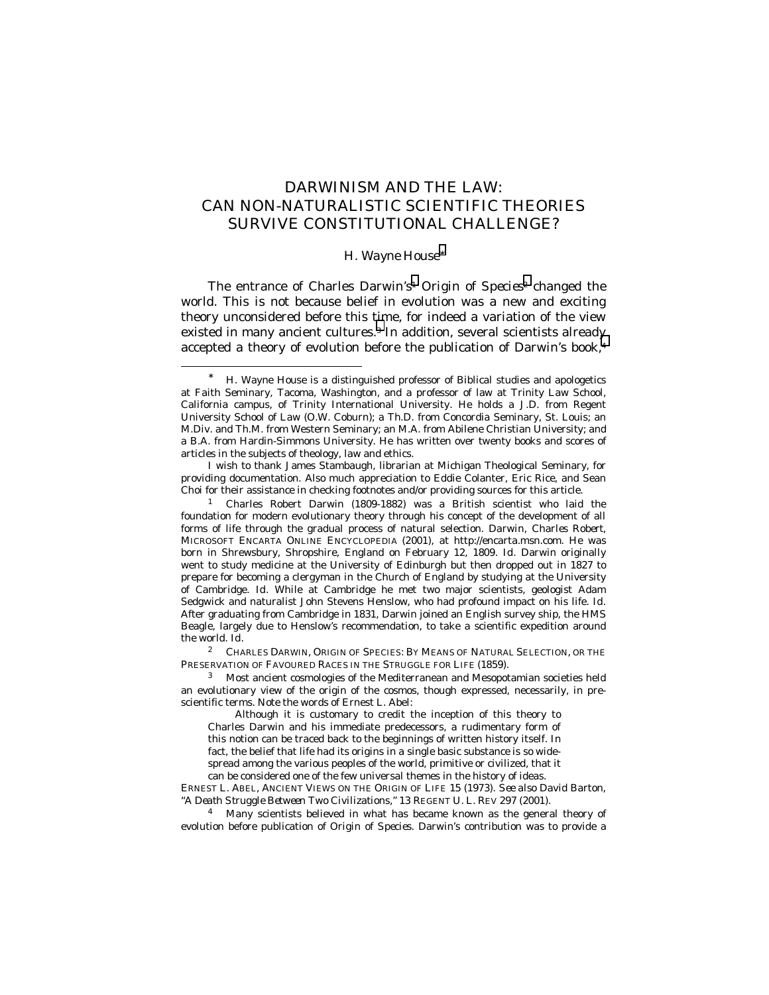# DARWINISM AND THE LAW: CAN NON-NATURALISTIC SCIENTIFIC THEORIES SURVIVE CONSTITUTIONAL CHALLENGE?

# *H. Wayne House*<sup>∗</sup>

The entrance of Charles Darwin's1 *Origin of Species*2 changed the world. This is *not* because belief in evolution was a new and exciting theory unconsidered before this time, for indeed a variation of the view existed in many ancient cultures.<sup>3</sup> In addition, several scientists already accepted a theory of evolution before the publication of Darwin's book,4

l

I wish to thank James Stambaugh, librarian at Michigan Theological Seminary, for providing documentation. Also much appreciation to Eddie Colanter, Eric Rice, and Sean Choi for their assistance in checking footnotes and/or providing sources for this article.

1 Charles Robert Darwin (1809-1882) was a British scientist who laid the foundation for modern evolutionary theory through his concept of the development of all forms of life through the gradual process of natural selection. *Darwin, Charles Robert*, MICROSOFT ENCARTA ONLINE ENCYCLOPEDIA (2001), *at* http://encarta.msn.com. He was born in Shrewsbury, Shropshire, England on February 12, 1809. *Id.* Darwin originally went to study medicine at the University of Edinburgh but then dropped out in 1827 to prepare for becoming a clergyman in the Church of England by studying at the University of Cambridge. *Id.* While at Cambridge he met two major scientists, geologist Adam Sedgwick and naturalist John Stevens Henslow, who had profound impact on his life. *Id.*  After graduating from Cambridge in 1831, Darwin joined an English survey ship, the HMS Beagle, largely due to Henslow's recommendation, to take a scientific expedition around the world. *Id.*

<sup>2</sup> CHARLES DARWIN, ORIGIN OF SPECIES: BY MEANS OF NATURAL SELECTION, OR THE PRESERVATION OF FAVOURED RACES IN THE STRUGGLE FOR LIFE (1859).

3 Most ancient cosmologies of the Mediterranean and Mesopotamian societies held an evolutionary view of the origin of the cosmos, though expressed, necessarily, in prescientific terms. Note the words of Ernest L. Abel:

Although it is customary to credit the inception of this theory to Charles Darwin and his immediate predecessors, a rudimentary form of this notion can be traced back to the beginnings of written history itself. In fact, the belief that life had its origins in a single basic substance is so widespread among the various peoples of the world, primitive or civilized, that it can be considered one of the few universal themes in the history of ideas.

ERNEST L. ABEL, ANCIENT VIEWS ON THE ORIGIN OF LIFE 15 (1973). *See also* David Barton, *"A Death Struggle Between Two Civilizations*,*"* 13 REGENT U. L. REV 297 (2001).

<sup>4</sup> Many scientists believed in what has became known as the general theory of evolution before publication of *Origin of Species*. Darwin's contribution was to provide a

<sup>∗</sup> H. Wayne House is a distinguished professor of Biblical studies and apologetics at Faith Seminary, Tacoma, Washington, and a professor of law at Trinity Law School, California campus, of Trinity International University. He holds a J.D. from Regent University School of Law (O.W. Coburn); a Th.D. from Concordia Seminary, St. Louis; an M.Div. and Th.M. from Western Seminary; an M.A. from Abilene Christian University; and a B.A. from Hardin-Simmons University. He has written over twenty books and scores of articles in the subjects of theology, law and ethics.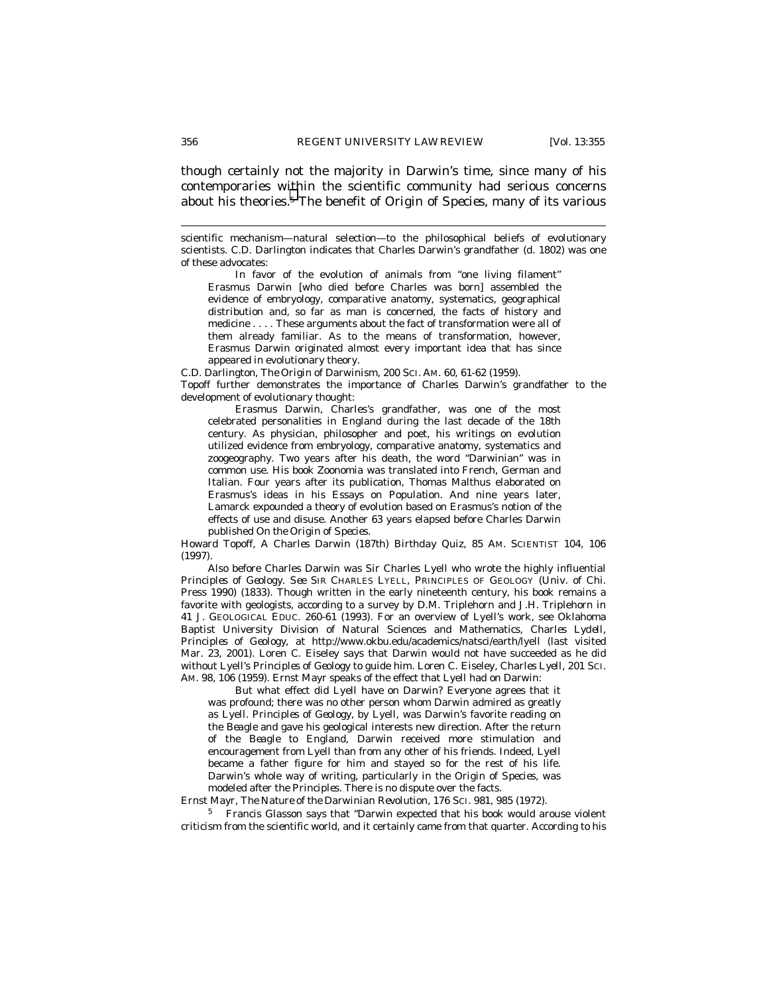though certainly not the majority in Darwin's time, since many of his contemporaries within the scientific community had serious concerns about his theories.5 The benefit of *Origin of Species*, many of its various

scientific mechanism—natural selection—to the philosophical beliefs of evolutionary scientists. C.D. Darlington indicates that Charles Darwin's grandfather (d. 1802) was one of these advocates:

In favor of the evolution of animals from "one living filament" Erasmus Darwin [who died before Charles was born] assembled the evidence of embryology, comparative anatomy, systematics, geographical distribution and, so far as man is concerned, the facts of history and medicine . . . . These arguments about the fact of transformation were all of them already familiar. As to the means of transformation, however, Erasmus Darwin originated almost every important idea that has since appeared in evolutionary theory.

C.D. Darlington, *The Origin of Darwinism*, 200 SCI. AM. 60, 61-62 (1959).

Topoff further demonstrates the importance of Charles Darwin's grandfather to the development of evolutionary thought:

Erasmus Darwin, Charles's grandfather, was one of the most celebrated personalities in England during the last decade of the 18th century. As physician, philosopher and poet, his writings on evolution utilized evidence from embryology, comparative anatomy, systematics and zoogeography. Two years after his death, the word "Darwinian" was in common use. His book *Zoonomia* was translated into French, German and Italian. Four years after its publication, Thomas Malthus elaborated on Erasmus's ideas in his *Essays on Population*. And nine years later, Lamarck expounded a theory of evolution based on Erasmus's notion of the effects of use and disuse. Another 63 years elapsed before Charles Darwin published *On the Origin of Species.*

Howard Topoff, *A Charles Darwin (187th) Birthday Quiz*, 85 AM. SCIENTIST 104, 106 (1997).

Also before Charles Darwin was Sir Charles Lyell who wrote the highly influential *Principles of Geology*. *See* SIR CHARLES LYELL, PRINCIPLES OF GEOLOGY (Univ. of Chi. Press 1990) (1833). Though written in the early nineteenth century, his book remains a favorite with geologists, according to a survey by D.M. Triplehorn and J.H. Triplehorn in 41 J. GEOLOGICAL EDUC. 260-61 (1993). For an overview of Lyell's work, see Oklahoma Baptist University Division of Natural Sciences and Mathematics, *Charles Lydell, Principles of Geology*, *at* http://www.okbu.edu/academics/natsci/earth/lyell (last visited Mar. 23, 2001). Loren C. Eiseley says that Darwin would not have succeeded as he did without Lyell's *Principles of Geology* to guide him. Loren C. Eiseley, *Charles Lyell*, 201 SCI. AM. 98, 106 (1959). Ernst Mayr speaks of the effect that Lyell had on Darwin:

But what effect did Lyell have on Darwin? Everyone agrees that it was profound; there was no other person whom Darwin admired as greatly as Lyell. *Principles of Geology*, by Lyell, was Darwin's favorite reading on the *Beagle* and gave his geological interests new direction. After the return of the *Beagle* to England, Darwin received more stimulation and encouragement from Lyell than from any other of his friends. Indeed, Lyell became a father figure for him and stayed so for the rest of his life. Darwin's whole way of writing, particularly in the *Origin of Species*, was modeled after the *Principles*. There is no dispute over the facts.

Ernst Mayr, *The Nature of the Darwinian Revolution*, 176 SCI. 981, 985 (1972).

5 Francis Glasson says that "Darwin expected that his book would arouse violent criticism from the scientific world, and it certainly came from that quarter. According to his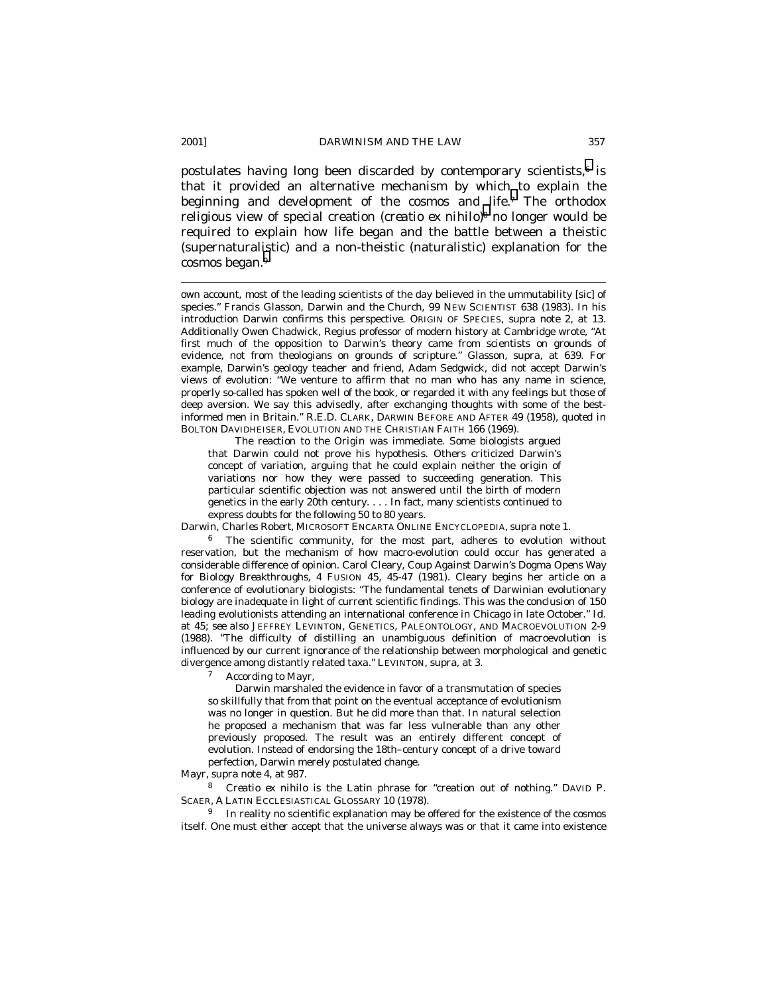postulates having long been discarded by contemporary scientists, $6$  is that it provided an alternative mechanism by which to explain the beginning and development of the cosmos and life.7 The orthodox religious view of special creation (*creatio ex nihilo*)8 no longer would be required to explain how life began and the battle between a theistic (supernaturalistic) and a non-theistic (naturalistic) explanation for the cosmos began.9

own account, most of the leading scientists of the day believed in the ummutability [sic] of species." Francis Glasson, *Darwin and the Church*, 99 NEW SCIENTIST 638 (1983). In his introduction Darwin confirms this perspective. ORIGIN OF SPECIES, *supra* note 2, at 13. Additionally Owen Chadwick, Regius professor of modern history at Cambridge wrote, "At first much of the opposition to Darwin's theory came from scientists on grounds of evidence, not from theologians on grounds of scripture." Glasson, *supra*, at 639. For example, Darwin's geology teacher and friend, Adam Sedgwick, did not accept Darwin's views of evolution: "We venture to affirm that no man who has any name in science, properly so-called has spoken well of the book, or regarded it with any feelings but those of deep aversion. We say this advisedly, after exchanging thoughts with some of the bestinformed men in Britain." R.E.D. CLARK, DARWIN BEFORE AND AFTER 49 (1958), *quoted in* BOLTON DAVIDHEISER, EVOLUTION AND THE CHRISTIAN FAITH 166 (1969).

The reaction to the *Origin* was immediate. Some biologists argued that Darwin could not prove his hypothesis. Others criticized Darwin's concept of variation, arguing that he could explain neither the origin of variations nor how they were passed to succeeding generation. This particular scientific objection was not answered until the birth of modern genetics in the early 20th century. . . . In fact, many scientists continued to express doubts for the following 50 to 80 years.

*Darwin, Charles Robert*, MICROSOFT ENCARTA ONLINE ENCYCLOPEDIA, *supra* note 1.

 $6$  The scientific community, for the most part, adheres to evolution without reservation, but the mechanism of how macro-evolution could occur has generated a considerable difference of opinion. Carol Cleary, *Coup Against Darwin's Dogma Opens Way for Biology Breakthroughs*, 4 FUSION 45, 45-47 (1981). Cleary begins her article on a conference of evolutionary biologists: "The fundamental tenets of Darwinian evolutionary biology are inadequate in light of current scientific findings. This was the conclusion of 150 leading evolutionists attending an international conference in Chicago in late October." *Id*. at 45; *see also* JEFFREY LEVINTON, GENETICS, PALEONTOLOGY, AND MACROEVOLUTION 2-9 (1988). "The difficulty of distilling an unambiguous definition of macroevolution is influenced by our current ignorance of the relationship between morphological and genetic divergence among distantly related taxa." LEVINTON, *supra*, at 3.

According to Mayr,

Darwin marshaled the evidence in favor of a transmutation of species so skillfully that from that point on the eventual acceptance of evolutionism was no longer in question. But he did more than that. In natural selection he proposed a mechanism that was far less vulnerable than any other previously proposed. The result was an entirely different concept of evolution. Instead of endorsing the 18th–century concept of a drive toward perfection, Darwin merely postulated change.

Mayr, *supra* note 4, at 987.

<sup>8</sup> *Creatio ex nihilo* is the Latin phrase for "creation out of nothing." DAVID P. SCAER, A LATIN ECCLESIASTICAL GLOSSARY 10 (1978).

<sup>9</sup> In reality no scientific explanation may be offered for the existence of the cosmos itself. One must either accept that the universe always was or that it came into existence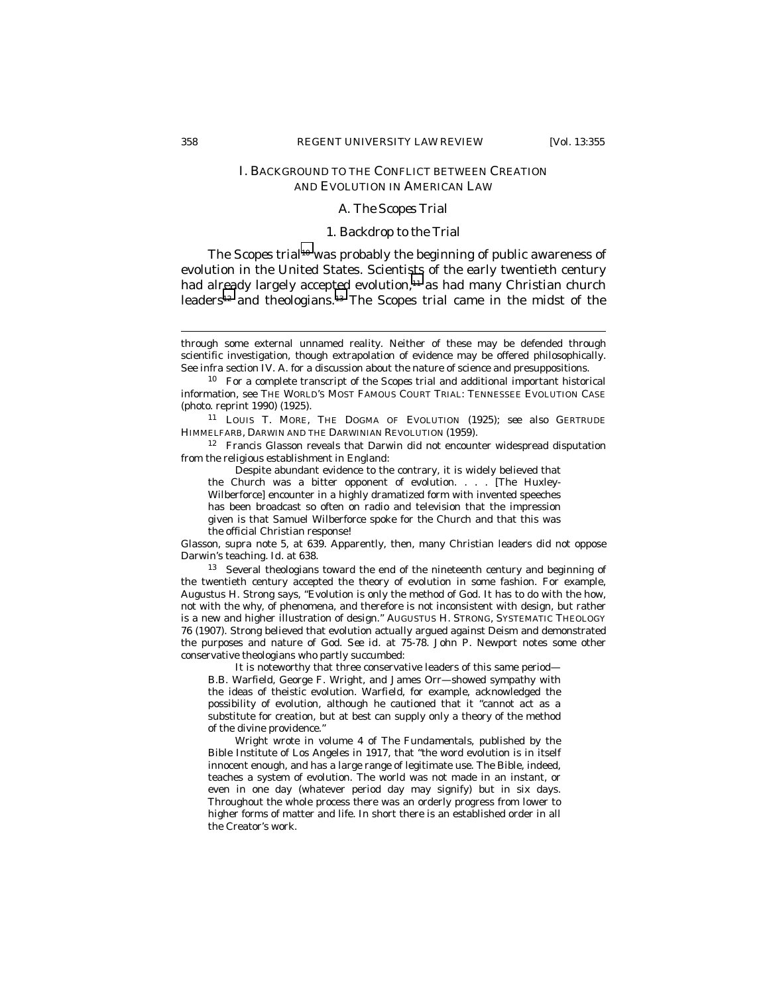# I. BACKGROUND TO THE CONFLICT BETWEEN CREATION AND EVOLUTION IN AMERICAN LAW

# *A. The Scopes Trial*

### 1. Backdrop to the Trial

The *Scopes* trial<sup>10</sup> was probably the beginning of public awareness of evolution in the United States. Scientists of the early twentieth century had already largely accepted evolution,<sup>11</sup> as had many Christian church leaders<sup>12</sup> and theologians.<sup>13</sup> The Scopes trial came in the midst of the

through some external unnamed reality. Neither of these may be defended through scientific investigation, though extrapolation of evidence may be offered philosophically. See *infra* section IV. A. for a discussion about the nature of science and presuppositions.

10 For a complete transcript of the *Scopes* trial and additional important historical information, see THE WORLD'S MOST FAMOUS COURT TRIAL: TENNESSEE EVOLUTION CASE (photo. reprint 1990) (1925).

11 LOUIS T. MORE, THE DOGMA OF EVOLUTION (1925); *see also* GERTRUDE HIMMELFARB, DARWIN AND THE DARWINIAN REVOLUTION (1959).

12 Francis Glasson reveals that Darwin did not encounter widespread disputation from the religious establishment in England:

Despite abundant evidence to the contrary, it is widely believed that the Church was a bitter opponent of evolution. . . . [The Huxley-Wilberforce] encounter in a highly dramatized form with invented speeches has been broadcast so often on radio and television that the impression given is that Samuel Wilberforce spoke for the Church and that this was the official Christian response!

Glasson, *supra* note 5, at 639. Apparently, then, many Christian leaders did not oppose Darwin's teaching. *Id.* at 638.

 $13$  Several theologians toward the end of the nineteenth century and beginning of the twentieth century accepted the theory of evolution in some fashion. For example, Augustus H. Strong says, "Evolution is only the method of God. It has to do with the *how*, not with the *why*, of phenomena, and therefore is not inconsistent with design, but rather is a new and higher illustration of design." AUGUSTUS H. STRONG, SYSTEMATIC THEOLOGY 76 (1907). Strong believed that evolution actually argued against Deism and demonstrated the purposes and nature of God. *See id*. at 75-78. John P. Newport notes some other conservative theologians who partly succumbed:

It is noteworthy that three conservative leaders of this same period— B.B. Warfield, George F. Wright, and James Orr—showed sympathy with the ideas of theistic evolution. Warfield, for example, acknowledged the possibility of evolution, although he cautioned that it "cannot act as a substitute for creation, but at best can supply only a theory of the method of the divine providence."

Wright wrote in volume 4 of *The Fundamentals*, published by the Bible Institute of Los Angeles in 1917, that "the word evolution is in itself innocent enough, and has a large range of legitimate use. The Bible, indeed, teaches a system of evolution. The world was not made in an instant, or even in one day (whatever period day may signify) but in six days. Throughout the whole process there was an orderly progress from lower to higher forms of matter and life. In short there is an established order in all the Creator's work.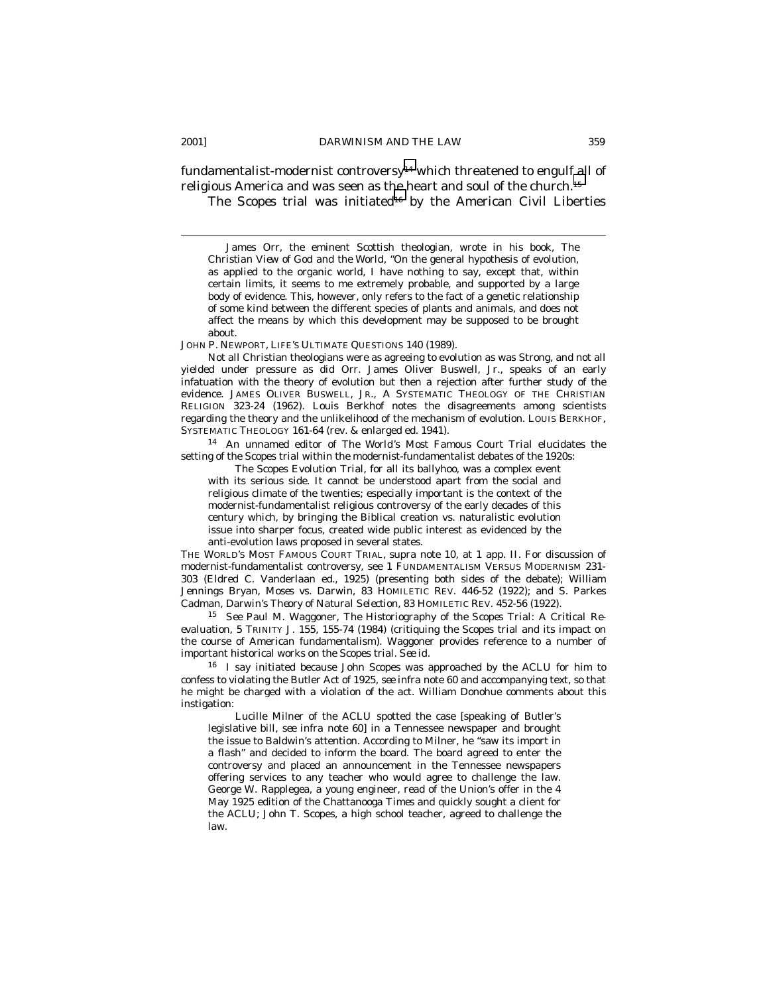fundamentalist-modernist controversy14 which threatened to engulf all of religious America and was seen as the heart and soul of the church.15 The *Scopes* trial was initiated16 by the American Civil Liberties

James Orr, the eminent Scottish theologian, wrote in his book, *The Christian View of God and the World*, "On the general hypothesis of evolution, as applied to the organic world, I have nothing to say, except that, within certain limits, it seems to me extremely probable, and supported by a large body of evidence. This, however, only refers to the fact of a genetic relationship of some kind between the different species of plants and animals, and does not affect the means by which this development may be supposed to be brought about.

JOHN P. NEWPORT, LIFE'S ULTIMATE QUESTIONS 140 (1989).

Not all Christian theologians were as agreeing to evolution as was Strong, and not all yielded under pressure as did Orr. James Oliver Buswell, Jr., speaks of an early infatuation with the theory of evolution but then a rejection after further study of the evidence. JAMES OLIVER BUSWELL, JR., A SYSTEMATIC THEOLOGY OF THE CHRISTIAN RELIGION 323-24 (1962). Louis Berkhof notes the disagreements among scientists regarding the theory and the unlikelihood of the mechanism of evolution. LOUIS BERKHOF, SYSTEMATIC THEOLOGY 161-64 (rev. & enlarged ed. 1941).

14 An unnamed editor of *The World's Most Famous Court Trial* elucidates the setting of the Scopes trial within the modernist-fundamentalist debates of the 1920s:

The Scopes Evolution Trial, for all its ballyhoo, was a complex event with its serious side. It cannot be understood apart from the social and religious climate of the twenties; especially important is the context of the modernist-fundamentalist religious controversy of the early decades of this century which, by bringing the Biblical creation vs. naturalistic evolution issue into sharper focus, created wide public interest as evidenced by the anti-evolution laws proposed in several states.

THE WORLD'S MOST FAMOUS COURT TRIAL, *supra* note 10, at 1 app. II. For discussion of modernist-fundamentalist controversy, see 1 FUNDAMENTALISM VERSUS MODERNISM 231- 303 (Eldred C. Vanderlaan ed., 1925) (presenting both sides of the debate); William Jennings Bryan, *Moses vs. Darwin*, 83 HOMILETIC REV. 446-52 (1922); and S. Parkes Cadman, *Darwin's Theory of Natural Selection*, 83 HOMILETIC REV. 452-56 (1922).

<sup>15</sup> *See* Paul M. Waggoner, *The Historiography of the Scopes Trial: A Critical Reevaluation*, 5 TRINITY J. 155, 155-74 (1984) (critiquing the Scopes trial and its impact on the course of American fundamentalism). Waggoner provides reference to a number of important historical works on the Scopes trial. *See id.*

<sup>16</sup> I say initiated because John Scopes was approached by the ACLU for him to confess to violating the Butler Act of 1925, *see infra* note 60 and accompanying text, so that he might be charged with a violation of the act. William Donohue comments about this instigation:

Lucille Milner of the ACLU spotted the case [speaking of Butler's legislative bill, *see infra* note 60] in a Tennessee newspaper and brought the issue to Baldwin's attention. According to Milner, he "saw its import in a flash" and decided to inform the board. The board agreed to enter the controversy and placed an announcement in the Tennessee newspapers offering services to any teacher who would agree to challenge the law. George W. Rapplegea, a young engineer, read of the Union's offer in the 4 May 1925 edition of the Chattanooga *Times* and quickly sought a client for the ACLU; John T. Scopes, a high school teacher, agreed to challenge the law.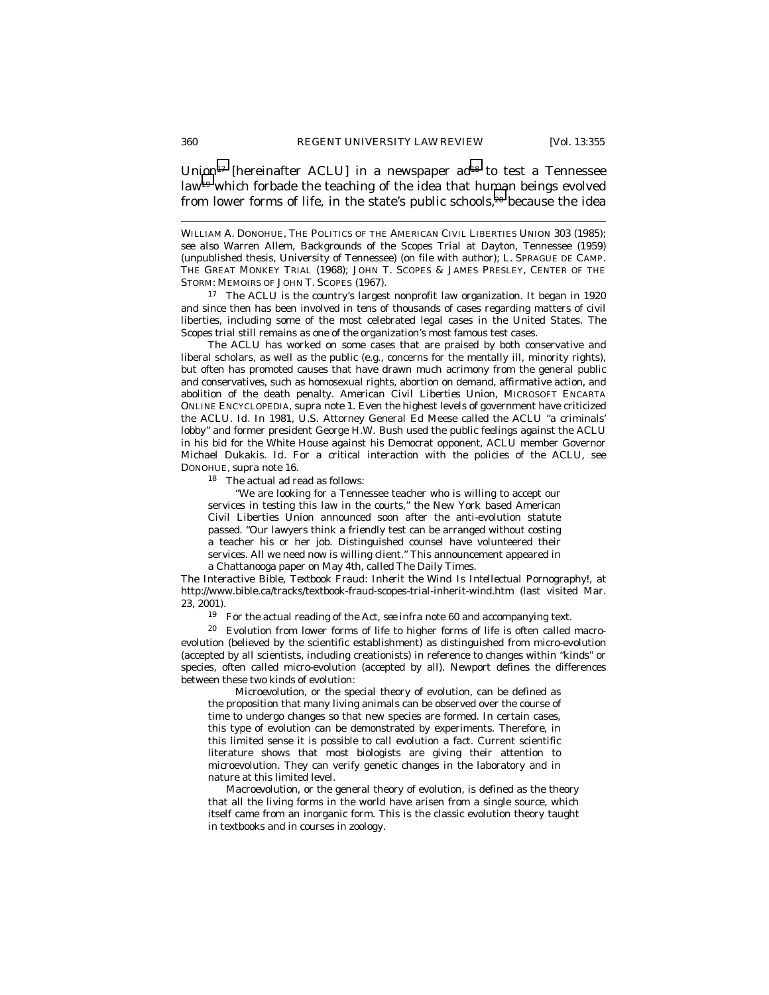Union<sup>17</sup> [hereinafter ACLU] in a newspaper  $ad^{18}$  to test a Tennessee law19 which forbade the teaching of the idea that human beings evolved from lower forms of life, in the state's public schools,<sup>20</sup> because the idea

WILLIAM A. DONOHUE, THE POLITICS OF THE AMERICAN CIVIL LIBERTIES UNION 303 (1985); *see also* Warren Allem, Backgrounds of the Scopes Trial at Dayton, Tennessee (1959) (unpublished thesis, University of Tennessee) (on file with author); L. SPRAGUE DE CAMP. THE GREAT MONKEY TRIAL (1968); JOHN T. SCOPES & JAMES PRESLEY, CENTER OF THE STORM: MEMOIRS OF JOHN T. SCOPES (1967).

<sup>17</sup> The ACLU is the country's largest nonprofit law organization. It began in 1920 and since then has been involved in tens of thousands of cases regarding matters of civil liberties, including some of the most celebrated legal cases in the United States. The Scopes trial still remains as one of the organization's most famous test cases.

The ACLU has worked on some cases that are praised by both conservative and liberal scholars, as well as the public (e.g., concerns for the mentally ill, minority rights), but often has promoted causes that have drawn much acrimony from the general public and conservatives, such as homosexual rights, abortion on demand, affirmative action, and abolition of the death penalty. *American Civil Liberties Union*, MICROSOFT ENCARTA ONLINE ENCYCLOPEDIA, *supra* note 1. Even the highest levels of government have criticized the ACLU. *Id.* In 1981, U.S. Attorney General Ed Meese called the ACLU "a criminals' lobby" and former president George H.W. Bush used the public feelings against the ACLU in his bid for the White House against his Democrat opponent, ACLU member Governor Michael Dukakis. *Id.* For a critical interaction with the policies of the ACLU, see DONOHUE, *supra* note 16.

18 The actual ad read as follows:

"We are looking for a Tennessee teacher who is willing to accept our services in testing this law in the courts," the New York based American Civil Liberties Union announced soon after the anti-evolution statute passed. "Our lawyers think a friendly test can be arranged without costing a teacher his or her job. Distinguished counsel have volunteered their services. All we need now is willing client." This announcement appeared in a Chattanooga paper on May 4th, called The Daily Times.

The Interactive Bible, *Textbook Fraud: Inherit the Wind Is Intellectual Pornography!*, *at*  http://www.bible.ca/tracks/textbook-fraud-scopes-trial-inherit-wind.htm (last visited Mar. 23, 2001).

19 For the actual reading of the Act, *see infra* note 60 and accompanying text.

20 Evolution from lower forms of life to higher forms of life is often called macroevolution (believed by the scientific establishment) as distinguished from micro-evolution (accepted by all scientists, including creationists) in reference to changes within "kinds" or species, often called micro-evolution (accepted by all). Newport defines the differences between these two kinds of evolution:

*Microevolution*, or the special theory of evolution, can be defined as the proposition that many living animals can be observed over the course of time to undergo changes so that new species are formed. In certain cases, this type of evolution can be demonstrated by experiments. Therefore, in this limited sense it is possible to call evolution a fact. Current scientific literature shows that most biologists are giving their attention to microevolution. They can verify genetic changes in the laboratory and in nature at this limited level.

*Macroevolution*, or the general theory of evolution, is defined as the theory that all the living forms in the world have arisen from a single source, which itself came from an inorganic form. This is the classic evolution theory taught in textbooks and in courses in zoology.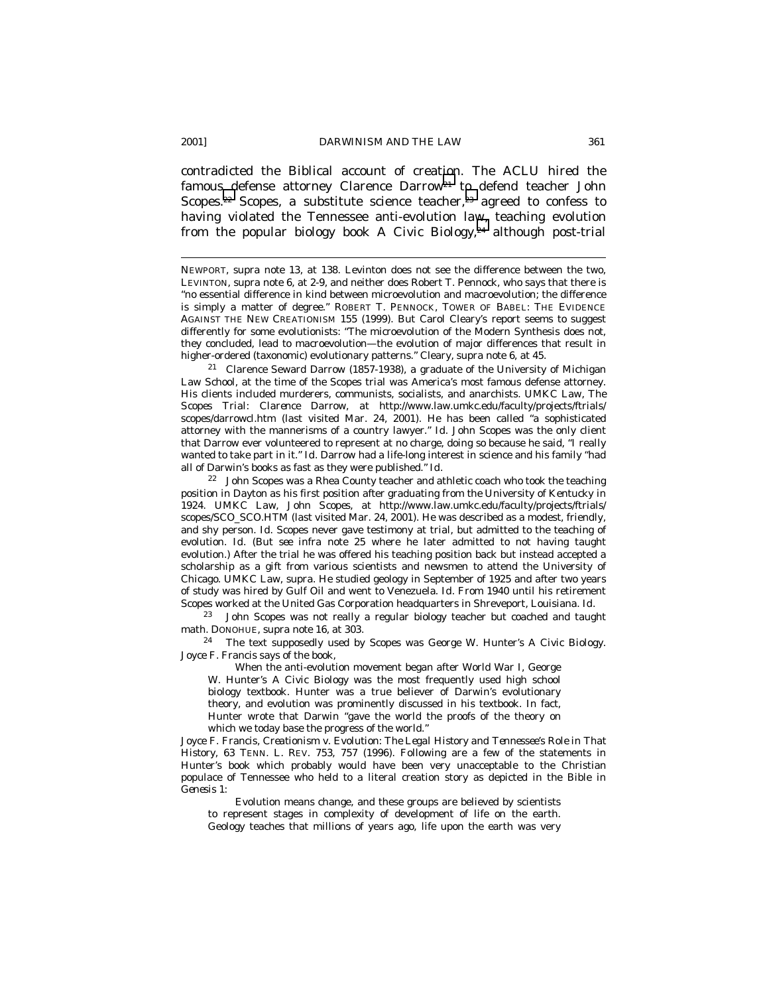contradicted the Biblical account of creation. The ACLU hired the famous defense attorney Clarence Darrow<sup>21</sup> to defend teacher John Scopes.<sup>22</sup> Scopes, a substitute science teacher,<sup>23</sup> agreed to confess to having violated the Tennessee anti-evolution law, teaching evolution from the popular biology book *A Civic Biology*,<sup>24</sup> although post-trial

21 Clarence Seward Darrow (1857-1938), a graduate of the University of Michigan Law School, at the time of the Scopes trial was America's most famous defense attorney. His clients included murderers, communists, socialists, and anarchists. UMKC Law, *The Scopes Trial: Clarence Darrow*, *at* http://www.law.umkc.edu/faculty/projects/ftrials/ scopes/darrowcl.htm (last visited Mar. 24, 2001). He has been called "a sophisticated attorney with the mannerisms of a country lawyer." *Id.* John Scopes was the only client that Darrow ever volunteered to represent at no charge, doing so because he said, "I really wanted to take part in it." *Id.* Darrow had a life-long interest in science and his family "had all of Darwin's books as fast as they were published." *Id.*

<sup>22</sup> John Scopes was a Rhea County teacher and athletic coach who took the teaching position in Dayton as his first position after graduating from the University of Kentucky in 1924. UMKC Law, *John Scopes*, *at* http://www.law.umkc.edu/faculty/projects/ftrials/ scopes/SCO\_SCO.HTM (last visited Mar. 24, 2001). He was described as a modest, friendly, and shy person. *Id.* Scopes never gave testimony at trial, but admitted to the teaching of evolution. *Id.* (*But see infra* note 25 where he later admitted to not having taught evolution.) After the trial he was offered his teaching position back but instead accepted a scholarship as a gift from various scientists and newsmen to attend the University of Chicago. UMKC Law, *supra*. He studied geology in September of 1925 and after two years of study was hired by Gulf Oil and went to Venezuela. *Id.* From 1940 until his retirement Scopes worked at the United Gas Corporation headquarters in Shreveport, Louisiana. *Id.*

23 John Scopes was not really a regular biology teacher but coached and taught math. DONOHUE, *supra* note 16, at 303.

24 The text supposedly used by Scopes was George W. Hunter's *A Civic Biology*. Joyce F. Francis says of the book,

When the anti-evolution movement began after World War I, George W. Hunter's *A Civic Biology* was the most frequently used high school biology textbook. Hunter was a true believer of Darwin's evolutionary theory, and evolution was prominently discussed in his textbook. In fact, Hunter wrote that Darwin "gave the world the proofs of the theory on which we today base the progress of the world."

Joyce F. Francis, *Creationism v. Evolution: The Legal History and Tennessee's Role in That History*, 63 TENN. L. REV. 753, 757 (1996). Following are a few of the statements in Hunter's book which probably would have been very unacceptable to the Christian populace of Tennessee who held to a literal creation story as depicted in the Bible in *Genesis* 1:

Evolution means change, and these groups are believed by scientists to represent stages in complexity of development of life on the earth. Geology teaches that millions of years ago, life upon the earth was very

NEWPORT, *supra* note 13, at 138. Levinton does not see the difference between the two, LEVINTON, *supra* note 6, at 2-9, and neither does Robert T. Pennock, who says that there is "no essential difference in kind between microevolution and macroevolution; the difference is simply a matter of degree." ROBERT T. PENNOCK, TOWER OF BABEL: THE EVIDENCE AGAINST THE NEW CREATIONISM 155 (1999). But Carol Cleary's report seems to suggest differently for some evolutionists: "The microevolution of the Modern Synthesis does not, they concluded, lead to macroevolution—the evolution of major differences that result in higher-ordered (taxonomic) evolutionary patterns." Cleary, *supra* note 6, at 45.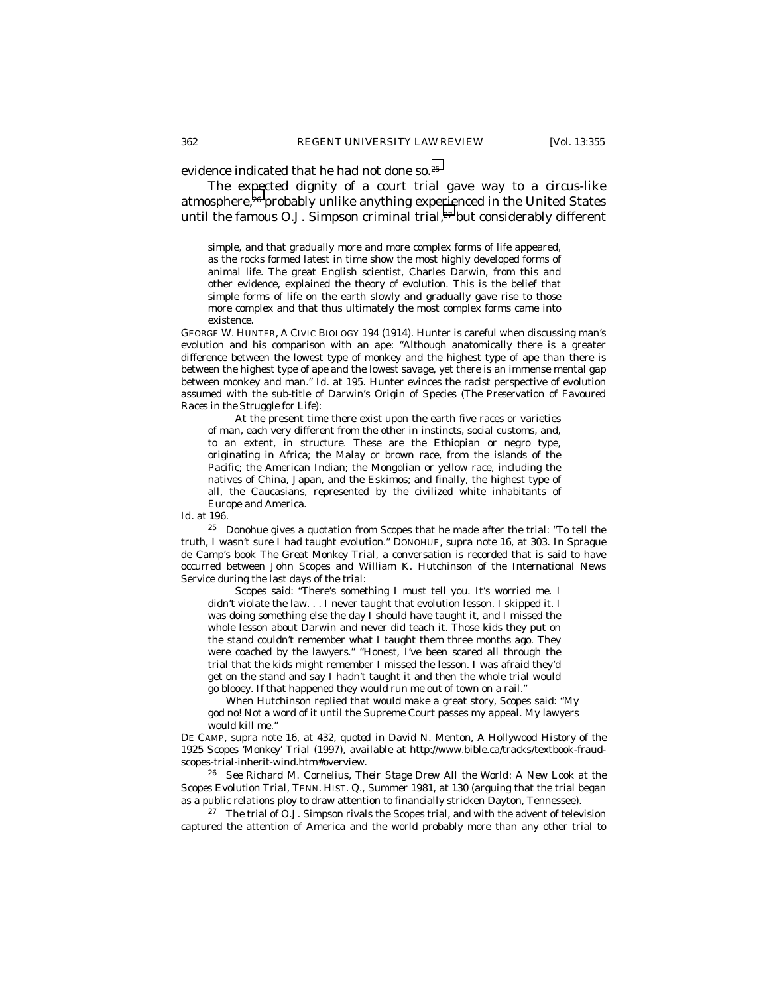evidence indicated that he had not done so.25

The expected dignity of a court trial gave way to a circus-like atmosphere,<sup>26</sup> probably unlike anything experienced in the United States until the famous O.J. Simpson criminal trial,<sup>27</sup> but considerably different

simple, and that gradually more and more complex forms of life appeared, as the rocks formed latest in time show the most highly developed forms of animal life. The great English scientist, Charles Darwin, from this and other evidence, explained the theory of evolution. This is the belief that simple forms of life on the earth slowly and gradually gave rise to those more complex and that thus ultimately the most complex forms came into existence.

GEORGE W. HUNTER, A CIVIC BIOLOGY 194 (1914). Hunter is careful when discussing man's evolution and his comparison with an ape: "Although anatomically there is a greater difference between the lowest type of monkey and the highest type of ape than there is between the highest type of ape and the lowest savage, yet there is an immense mental gap between monkey and man." *Id*. at 195. Hunter evinces the racist perspective of evolution assumed with the sub-title of Darwin's *Origin of Species* (*The Preservation of Favoured Races in the Struggle for Life*):

At the present time there exist upon the earth five races or varieties of man, each very different from the other in instincts, social customs, and, to an extent, in structure. These are the Ethiopian or negro type, originating in Africa; the Malay or brown race, from the islands of the Pacific; the American Indian; the Mongolian or yellow race, including the natives of China, Japan, and the Eskimos; and finally, the highest type of all, the Caucasians, represented by the civilized white inhabitants of Europe and America.

25 Donohue gives a quotation from Scopes that he made after the trial: "To tell the truth, I wasn't sure I had taught evolution." DONOHUE, *supra* note 16, at 303. In Sprague de Camp's book *The Great Monkey Trial*, a conversation is recorded that is said to have occurred between John Scopes and William K. Hutchinson of the International News Service during the last days of the trial:

Scopes said: "There's something I must tell you. It's worried me. I didn't violate the law. . . I never taught that evolution lesson. I skipped it. I was doing something else the day I should have taught it, and I missed the whole lesson about Darwin and never did teach it. Those kids they put on the stand couldn't remember what I taught them three months ago. They were coached by the lawyers." "Honest, I've been scared all through the trial that the kids might remember I missed the lesson. I was afraid they'd get on the stand and say I hadn't taught it and then the whole trial would go blooey. If that happened they would run me out of town on a rail."

When Hutchinson replied that would make a great story, Scopes said: "My god no! Not a word of it until the Supreme Court passes my appeal. My lawyers would kill me."

DE CAMP, *supra* note 16, at 432, *quoted in* David N. Menton, *A Hollywood History of the 1925 Scopes 'Monkey' Trial* (1997), *available at* http://www.bible.ca/tracks/textbook-fraudscopes-trial-inherit-wind.htm#overview.

<sup>26</sup> *See* Richard M. Cornelius, *Their Stage Drew All the World: A New Look at the Scopes Evolution Trial*, TENN. HIST. Q., Summer 1981, at 130 (arguing that the trial began as a public relations ploy to draw attention to financially stricken Dayton, Tennessee).

 $^{27}$  The trial of O.J. Simpson rivals the Scopes trial, and with the advent of television captured the attention of America and the world probably more than any other trial to

*Id*. at 196.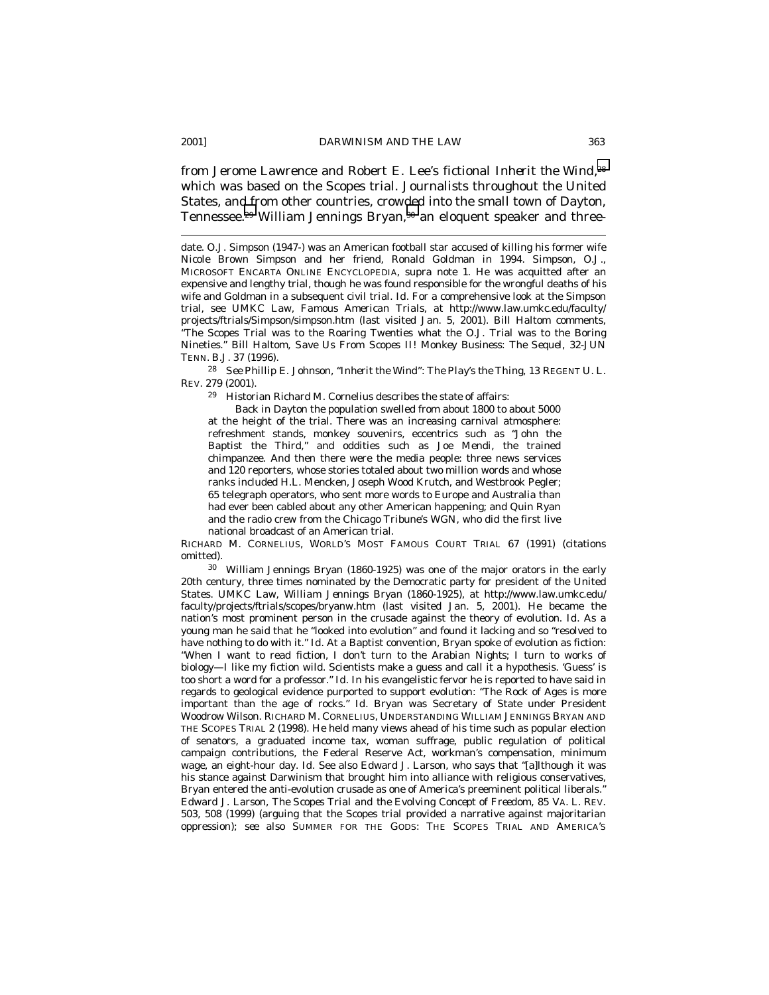from Jerome Lawrence and Robert E. Lee's fictional *Inherit the Wind*,28 which was based on the Scopes trial. Journalists throughout the United States, and from other countries, crowded into the small town of Dayton, Tennessee.29 William Jennings Bryan,30 an eloquent speaker and three-

date. O.J. Simpson (1947-) was an American football star accused of killing his former wife Nicole Brown Simpson and her friend, Ronald Goldman in 1994. *Simpson, O.J.*, MICROSOFT ENCARTA ONLINE ENCYCLOPEDIA, *supra* note 1. He was acquitted after an expensive and lengthy trial, though he was found responsible for the wrongful deaths of his wife and Goldman in a subsequent civil trial. *Id.* For a comprehensive look at the Simpson trial, see UMKC Law, *Famous American Trials*, *at* http://www.law.umkc.edu/faculty/ projects/ftrials/Simpson/simpson.htm (last visited Jan. 5, 2001). Bill Haltom comments, "The Scopes Trial was to the Roaring Twenties what the O.J. Trial was to the Boring Nineties." Bill Haltom, *Save Us From Scopes II! Monkey Business: The Sequel*, 32-JUN TENN. B.J. 37 (1996).

<sup>28</sup> *See* Phillip E. Johnson, *"Inherit the Wind": The Play's the Thing*, 13 REGENT U. L. REV. 279 (2001).

 $^{29}$  Historian Richard M. Cornelius describes the state of affairs:

Back in Dayton the population swelled from about 1800 to about 5000 at the height of the trial. There was an increasing carnival atmosphere: refreshment stands, monkey souvenirs, eccentrics such as "John the Baptist the Third," and oddities such as Joe Mendi, the trained chimpanzee. And then there were the media people: three news services and 120 reporters, whose stories totaled about two million words and whose ranks included H.L. Mencken, Joseph Wood Krutch, and Westbrook Pegler; 65 telegraph operators, who sent more words to Europe and Australia than had ever been cabled about any other American happening; and Quin Ryan and the radio crew from the *Chicago Tribune*'s WGN, who did the first live national broadcast of an American trial.

RICHARD M. CORNELIUS, WORLD'S MOST FAMOUS COURT TRIAL 67 (1991) (citations omitted).

30 William Jennings Bryan (1860-1925) was one of the major orators in the early 20th century, three times nominated by the Democratic party for president of the United States. UMKC Law, *William Jennings Bryan (1860-1925)*, *at* http://www.law.umkc.edu/ faculty/projects/ftrials/scopes/bryanw.htm (last visited Jan. 5, 2001). He became the nation's most prominent person in the crusade against the theory of evolution. *Id.* As a young man he said that he "looked into evolution" and found it lacking and so "resolved to have nothing to do with it." *Id*. At a Baptist convention, Bryan spoke of evolution as fiction: "When I want to read fiction, I don't turn to the *Arabian Nights*; I turn to works of biology—I like my fiction wild. Scientists make a guess and call it a hypothesis. 'Guess' is too short a word for a professor." *Id*. In his evangelistic fervor he is reported to have said in regards to geological evidence purported to support evolution: "The Rock of Ages is more important than the age of rocks." *Id.* Bryan was Secretary of State under President Woodrow Wilson. RICHARD M. CORNELIUS, UNDERSTANDING WILLIAM JENNINGS BRYAN AND THE SCOPES TRIAL 2 (1998). He held many views ahead of his time such as popular election of senators, a graduated income tax, woman suffrage, public regulation of political campaign contributions, the Federal Reserve Act, workman's compensation, minimum wage, an eight-hour day. *Id.* See also Edward J. Larson, who says that "[a]lthough it was his stance against Darwinism that brought him into alliance with religious conservatives, Bryan entered the anti-evolution crusade as one of America's preeminent political liberals." Edward J. Larson, *The Scopes Trial and the Evolving Concept of Freedom*, 85 VA. L. REV. 503, 508 (1999) (arguing that the Scopes trial provided a narrative against majoritarian oppression); *see also* SUMMER FOR THE GODS: THE SCOPES TRIAL AND AMERICA'S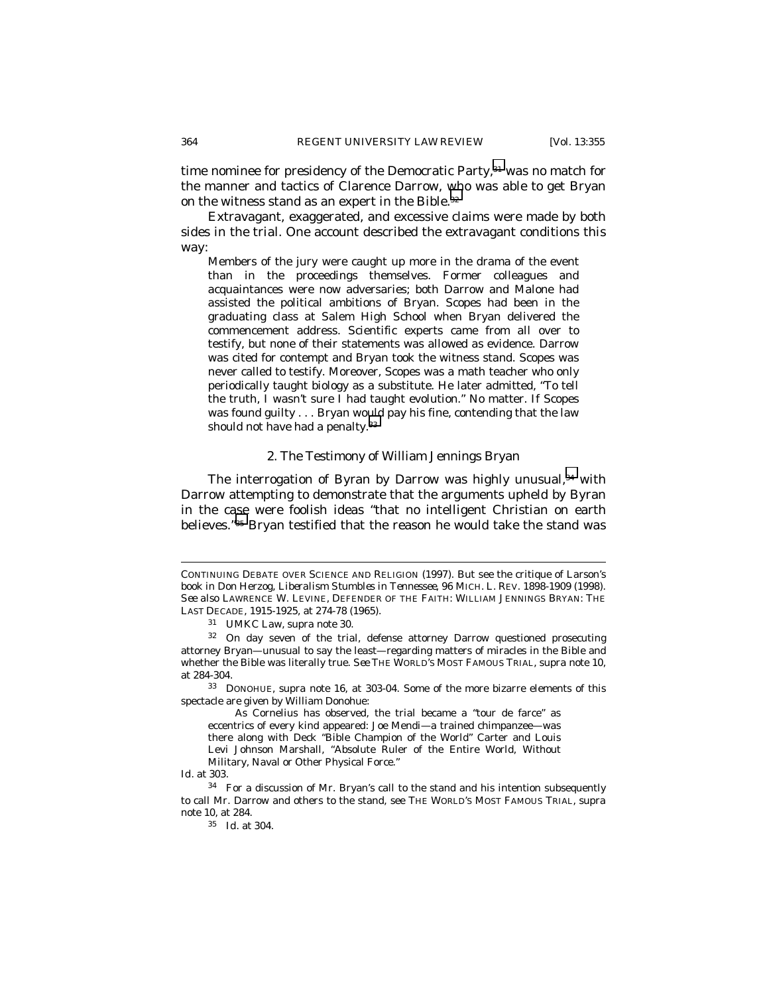time nominee for presidency of the Democratic Party,<sup>31</sup> was no match for the manner and tactics of Clarence Darrow, who was able to get Bryan on the witness stand as an expert in the Bible.32

Extravagant, exaggerated, and excessive claims were made by both sides in the trial. One account described the extravagant conditions this way:

Members of the jury were caught up more in the drama of the event than in the proceedings themselves. Former colleagues and acquaintances were now adversaries; both Darrow and Malone had assisted the political ambitions of Bryan. Scopes had been in the graduating class at Salem High School when Bryan delivered the commencement address. Scientific experts came from all over to testify, but none of their statements was allowed as evidence. Darrow was cited for contempt and Bryan took the witness stand. Scopes was never called to testify. Moreover, Scopes was a math teacher who only periodically taught biology as a substitute. He later admitted, "To tell the truth, I wasn't sure I had taught evolution." No matter. If Scopes was found guilty . . . Bryan would pay his fine, contending that the law should not have had a penalty.<sup>33</sup>

### 2. The Testimony of William Jennings Bryan

The interrogation of Byran by Darrow was highly unusual,<sup>34</sup> with Darrow attempting to demonstrate that the arguments upheld by Byran in the case were foolish ideas "that no intelligent Christian on earth believes."35 Bryan testified that the reason he would take the stand was

CONTINUING DEBATE OVER SCIENCE AND RELIGION (1997). But see the critique of Larson's book in Don Herzog, *Liberalism Stumbles in Tennessee*, 96 MICH. L. REV. 1898-1909 (1998). *See also* LAWRENCE W. LEVINE, DEFENDER OF THE FAITH: WILLIAM JENNINGS BRYAN: THE LAST DECADE, 1915-1925, at 274-78 (1965).

<sup>31</sup> UMKC Law, *supra* note 30.

 $32$  On day seven of the trial, defense attorney Darrow questioned prosecuting attorney Bryan—unusual to say the least—regarding matters of miracles in the Bible and whether the Bible was literally true. *See* THE WORLD'S MOST FAMOUS TRIAL, *supra* note 10, at 284-304.

<sup>33</sup> DONOHUE, *supra* note 16, at 303-04. Some of the more bizarre elements of this spectacle are given by William Donohue:

As Cornelius has observed, the trial became a "tour de farce" as eccentrics of every kind appeared: Joe Mendi—a trained chimpanzee—was there along with Deck "Bible Champion of the World" Carter and Louis Levi Johnson Marshall, "Absolute Ruler of the Entire World, Without Military, Naval or Other Physical Force."

*Id.* at 303.

<sup>34</sup> For a discussion of Mr. Bryan's call to the stand and his intention subsequently to call Mr. Darrow and others to the stand, see THE WORLD'S MOST FAMOUS TRIAL, *supra* note 10, at 284.

<sup>35</sup> *Id*. at 304.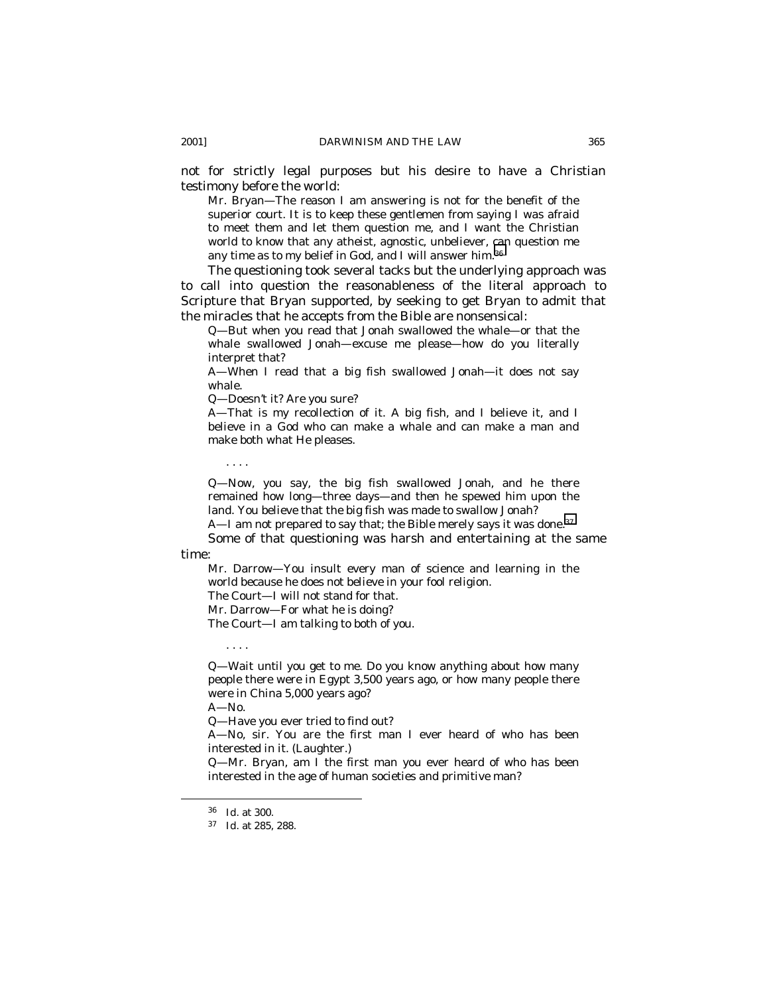not for strictly legal purposes but his desire to have a Christian testimony before the world:

Mr. Bryan—The reason I am answering is not for the benefit of the superior court. It is to keep these gentlemen from saying I was afraid to meet them and let them question me, and I want the Christian world to know that any atheist, agnostic, unbeliever, can question me any time as to my belief in God, and I will answer him.36

The questioning took several tacks but the underlying approach was to call into question the reasonableness of the literal approach to Scripture that Bryan supported, by seeking to get Bryan to admit that the miracles that he accepts from the Bible are nonsensical:

Q—But when you read that Jonah swallowed the whale—or that the whale swallowed Jonah—excuse me please—how do you literally interpret that?

A—When I read that a big fish swallowed Jonah—it does not say whale.

Q—Doesn't it? Are you sure?

A—That is my recollection of it. A big fish, and I believe it, and I believe in a God who can make a whale and can make a man and make both what He pleases.

. . . .

Q—Now, you say, the big fish swallowed Jonah, and he there remained how long—three days—and then he spewed him upon the land. You believe that the big fish was made to swallow Jonah?

A-I am not prepared to say that; the Bible merely says it was done.<sup>37</sup>

Some of that questioning was harsh and entertaining at the same time:

Mr. Darrow—You insult every man of science and learning in the world because he does not believe in your fool religion.

The Court—I will not stand for that.

Mr. Darrow—For what he is doing?

The Court—I am talking to both of you.

. . . .

Q—Wait until you get to me. Do you know anything about how many people there were in Egypt 3,500 years ago, or how many people there were in China 5,000 years ago?

A—No.

Q—Have you ever tried to find out?

A—No, sir. You are the first man I ever heard of who has been interested in it. (Laughter.)

Q—Mr. Bryan, am I the first man you ever heard of who has been interested in the age of human societies and primitive man?

<sup>36</sup> *Id*. at 300.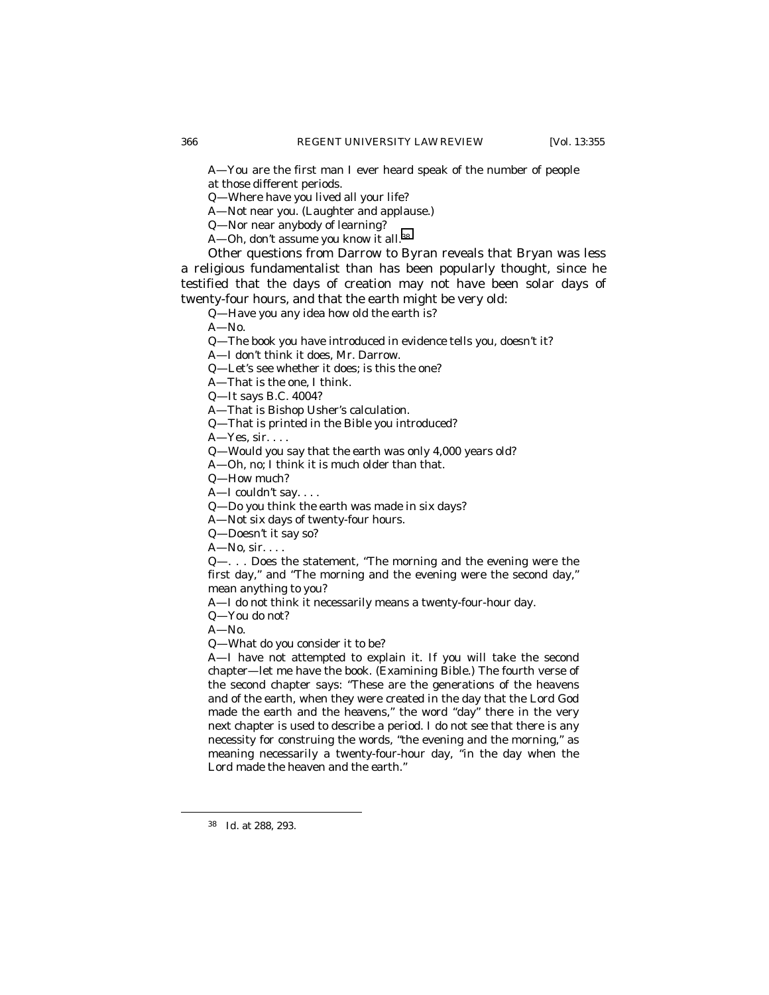A—You are the first man I ever heard speak of the number of people at those different periods.

Q—Where have you lived all your life? A—Not near you. (Laughter and applause.)

Q—Nor near anybody of learning?

A—Oh, don't assume you know it all.38

Other questions from Darrow to Byran reveals that Bryan was less a religious fundamentalist than has been popularly thought, since he testified that the days of creation may not have been solar days of twenty-four hours, and that the earth might be very old:

Q—Have you any idea how old the earth is?

A—No.

Q—The book you have introduced in evidence tells you, doesn't it?

A—I don't think it does, Mr. Darrow.

Q—Let's see whether it does; is this the one?

A—That is the one, I think.

Q—It says B.C. 4004?

A—That is Bishop Usher's calculation.

Q—That is printed in the Bible you introduced?

 $A$ —Yes, sir. . . .

Q—Would you say that the earth was only 4,000 years old?

A—Oh, no; I think it is much older than that.

Q—How much?

A—I couldn't say. . . .

Q—Do you think the earth was made in six days?

A—Not six days of twenty-four hours.

Q—Doesn't it say so?

A—No, sir. . . .

Q—. . . Does the statement, "The morning and the evening were the first day," and "The morning and the evening were the second day," mean anything to you?

A—I do not think it necessarily means a twenty-four-hour day.

Q—You do not?

A—No.

Q—What do you consider it to be?

A—I have not attempted to explain it. If you will take the second chapter—let me have the book. (Examining Bible.) The fourth verse of the second chapter says: "These are the generations of the heavens and of the earth, when they were created in the day that the Lord God made the earth and the heavens," the word "day" there in the very next chapter is used to describe a period. I do not see that there is any necessity for construing the words, "the evening and the morning," as meaning necessarily a twenty-four-hour day, "in the day when the Lord made the heaven and the earth."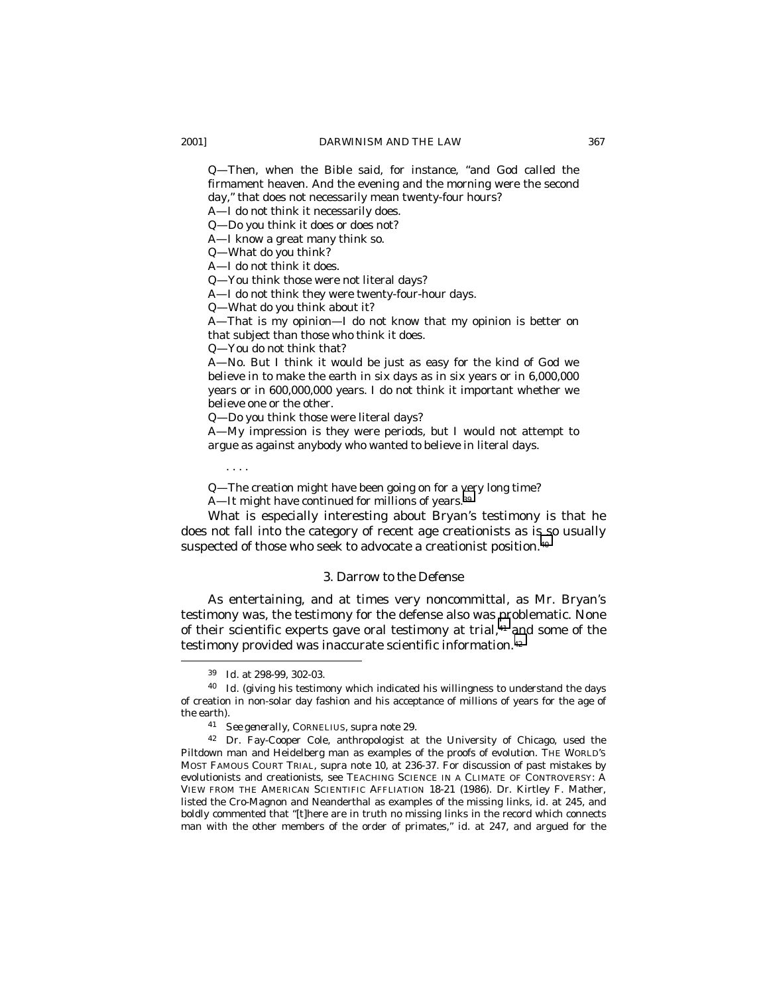#### 2001] *DARWINISM AND THE LAW* 367

Q—Then, when the Bible said, for instance, "and God called the firmament heaven. And the evening and the morning were the second day," that does not necessarily mean twenty-four hours?

A—I do not think it necessarily does.

Q—Do you think it does or does not?

A—I know a great many think so.

Q—What do you think?

A—I do not think it does.

Q—You think those were not literal days?

A—I do not think they were twenty-four-hour days.

Q—What do you think about it?

A—That is my opinion—I do not know that my opinion is better on that subject than those who think it does.

Q—You do not think that?

A—No. But I think it would be just as easy for the kind of God we believe in to make the earth in six days as in six years or in 6,000,000 years or in 600,000,000 years. I do not think it important whether we believe one or the other.

Q—Do you think those were literal days?

A—My impression is they were periods, but I would not attempt to argue as against anybody who wanted to believe in literal days.

. . . .

Q—The creation might have been going on for a very long time?

A—It might have continued for millions of years.<sup>39</sup>

What is especially interesting about Bryan's testimony is that he does not fall into the category of recent age creationists as is so usually suspected of those who seek to advocate a creationist position.40

#### 3. Darrow to the Defense

As entertaining, and at times very noncommittal, as Mr. Bryan's testimony was, the testimony for the defense also was problematic. None of their scientific experts gave oral testimony at trial, $41$  and some of the testimony provided was inaccurate scientific information.<sup>42</sup>

<sup>39</sup> *Id*. at 298-99, 302-03.

<sup>40</sup> *Id*. (giving his testimony which indicated his willingness to understand the days of creation in non-solar day fashion and his acceptance of millions of years for the age of the earth).

<sup>41</sup> *See generally*, CORNELIUS, *supra* note 29.

<sup>42</sup> Dr. Fay-Cooper Cole, anthropologist at the University of Chicago, used the Piltdown man and Heidelberg man as examples of the proofs of evolution. THE WORLD'S MOST FAMOUS COURT TRIAL, *supra* note 10, at 236-37. For discussion of past mistakes by evolutionists and creationists, see TEACHING SCIENCE IN A CLIMATE OF CONTROVERSY: A VIEW FROM THE AMERICAN SCIENTIFIC AFFLIATION 18-21 (1986). Dr. Kirtley F. Mather, listed the Cro-Magnon and Neanderthal as examples of the missing links, *id*. at 245, and boldly commented that "[t]here are in truth no missing links in the record which connects man with the other members of the order of primates," *id*. at 247, and argued for the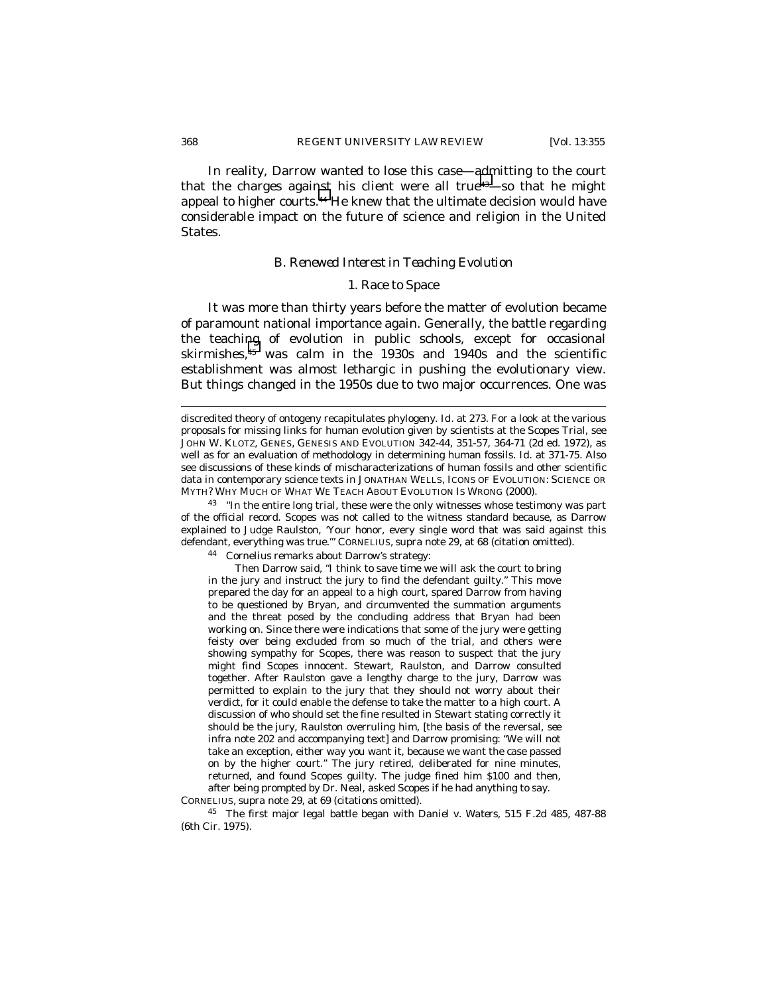In reality, Darrow wanted to lose this case—admitting to the court that the charges against his client were all true43—so that he might appeal to higher courts.<sup>44</sup> He knew that the ultimate decision would have considerable impact on the future of science and religion in the United States.

# *B. Renewed Interest in Teaching Evolution*

#### 1. Race to Space

It was more than thirty years before the matter of evolution became of paramount national importance again. Generally, the battle regarding the teaching of evolution in public schools, except for occasional skirmishes,45 was calm in the 1930s and 1940s and the scientific establishment was almost lethargic in pushing the evolutionary view. But things changed in the 1950s due to two major occurrences. One was

<sup>43</sup> "In the entire long trial, these were the only witnesses whose testimony was part of the official record. Scopes was not called to the witness standard because, as Darrow explained to Judge Raulston, 'Your honor, every single word that was said against this defendant, everything was true.'" CORNELIUS, *supra* note 29, at 68 (citation omitted).

44 Cornelius remarks about Darrow's strategy:

Then Darrow said, "I think to save time we will ask the court to bring in the jury and instruct the jury to find the defendant guilty." This move prepared the day for an appeal to a high court, spared Darrow from having to be questioned by Bryan, and circumvented the summation arguments and the threat posed by the concluding address that Bryan had been working on. Since there were indications that some of the jury were getting feisty over being excluded from so much of the trial, and others were showing sympathy for Scopes, there was reason to suspect that the jury might find Scopes innocent. Stewart, Raulston, and Darrow consulted together. After Raulston gave a lengthy charge to the jury, Darrow was permitted to explain to the jury that they should not worry about their verdict, for it could enable the defense to take the matter to a high court. A discussion of who should set the fine resulted in Stewart stating correctly it should be the jury, Raulston overruling him, [the basis of the reversal, *see infra* note 202 and accompanying text] and Darrow promising: "We will not take an exception, either way you want it, because we want the case passed on by the higher court." The jury retired, deliberated for nine minutes, returned, and found Scopes guilty. The judge fined him \$100 and then, after being prompted by Dr. Neal, asked Scopes if he had anything to say.

CORNELIUS, *supra* note 29, at 69 (citations omitted).

45 The first major legal battle began with *Daniel v. Waters*, 515 F.2d 485, 487-88 (6th Cir. 1975).

discredited theory of ontogeny recapitulates phylogeny. *Id*. at 273. For a look at the various proposals for missing links for human evolution given by scientists at the Scopes Trial, see JOHN W. KLOTZ, GENES, GENESIS AND EVOLUTION 342-44, 351-57, 364-71 (2d ed. 1972), as well as for an evaluation of methodology in determining human fossils. *Id*. at 371-75. Also see discussions of these kinds of mischaracterizations of human fossils and other scientific data in contemporary science texts in JONATHAN WELLS, ICONS OF EVOLUTION: SCIENCE OR MYTH? WHY MUCH OF WHAT WE TEACH ABOUT EVOLUTION IS WRONG (2000).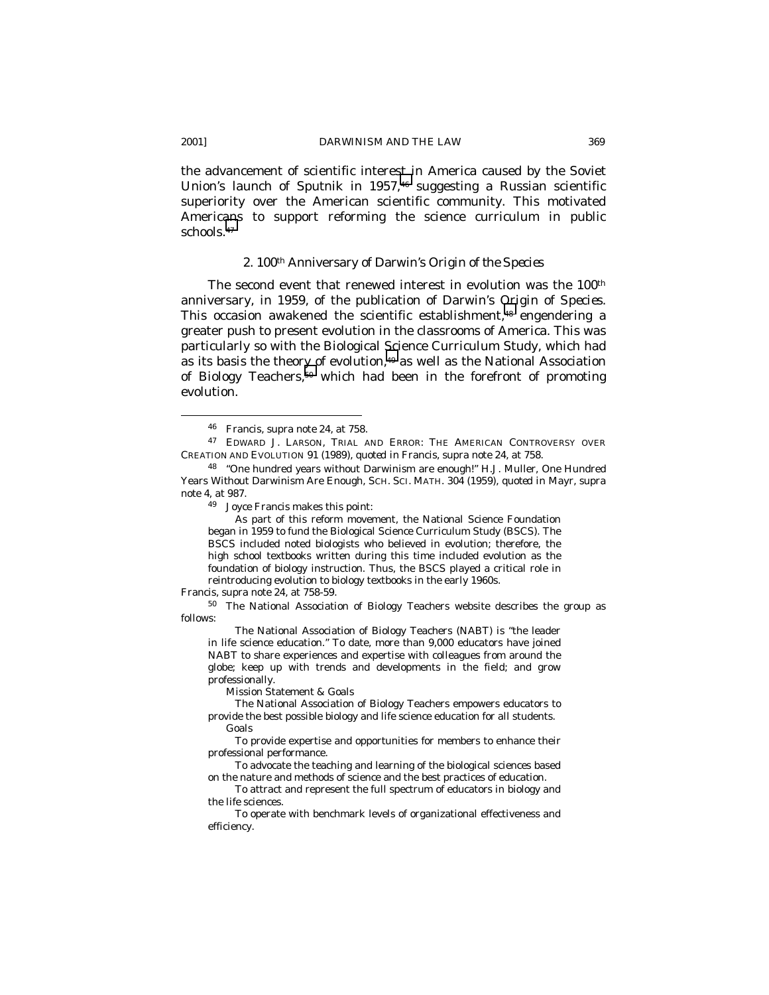the advancement of scientific interest in America caused by the Soviet Union's launch of Sputnik in 1957,<sup>46</sup> suggesting a Russian scientific superiority over the American scientific community. This motivated Americans to support reforming the science curriculum in public schools.47

## 2. 100th Anniversary of Darwin's *Origin of the Species*

The second event that renewed interest in evolution was the 100<sup>th</sup> anniversary, in 1959, of the publication of Darwin's *Origin of Species*. This occasion awakened the scientific establishment,<sup>48</sup> engendering a greater push to present evolution in the classrooms of America. This was particularly so with the Biological Science Curriculum Study, which had as its basis the theory of evolution,49 as well as the National Association of Biology Teachers,50 which had been in the forefront of promoting evolution.

49 Joyce Francis makes this point:

As part of this reform movement, the National Science Foundation began in 1959 to fund the Biological Science Curriculum Study (BSCS). The BSCS included noted biologists who believed in evolution; therefore, the high school textbooks written during this time included evolution as the foundation of biology instruction. Thus, the BSCS played a critical role in reintroducing evolution to biology textbooks in the early 1960s.

Francis, *supra* note 24, at 758-59.

50 The National Association of Biology Teachers website describes the group as follows:

The National Association of Biology Teachers (NABT) is "the leader in life science education." To date, more than 9,000 educators have joined NABT to share experiences and expertise with colleagues from around the globe; keep up with trends and developments in the field; and grow professionally.

Mission Statement & Goals

The National Association of Biology Teachers empowers educators to provide the best possible biology and life science education for all students. Goals

To provide expertise and opportunities for members to enhance their professional performance.

To advocate the teaching and learning of the biological sciences based on the nature and methods of science and the best practices of education.

To attract and represent the full spectrum of educators in biology and the life sciences.

To operate with benchmark levels of organizational effectiveness and efficiency.

<sup>46</sup> Francis, *supra* note 24, at 758.

<sup>47</sup> EDWARD J. LARSON, TRIAL AND ERROR: THE AMERICAN CONTROVERSY OVER CREATION AND EVOLUTION 91 (1989), *quoted in* Francis, *supra* note 24, at 758.

<sup>48 &</sup>quot;One hundred years without Darwinism are enough!" H.J. Muller, One Hundred Years Without Darwinism Are Enough, SCH. SCI. MATH. 304 (1959), *quoted in* Mayr, *supra* note 4, at 987.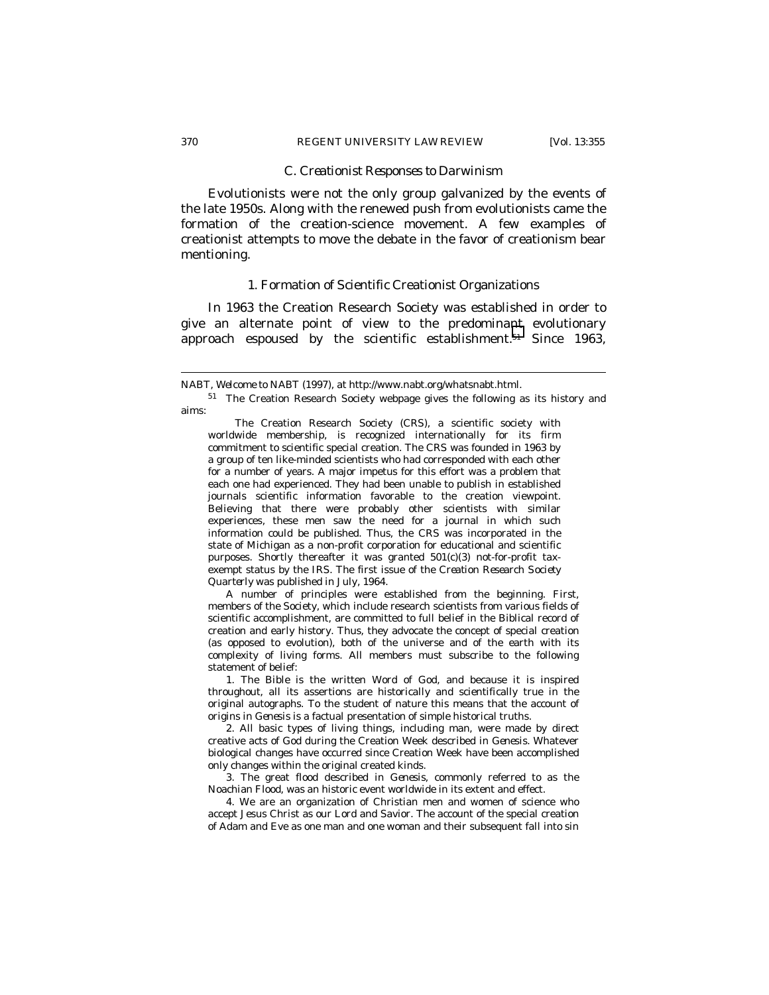#### *C. Creationist Responses to Darwinism*

Evolutionists were not the only group galvanized by the events of the late 1950s. Along with the renewed push from evolutionists came the formation of the creation-science movement. A few examples of creationist attempts to move the debate in the favor of creationism bear mentioning.

#### 1. Formation of Scientific Creationist Organizations

In 1963 the Creation Research Society was established in order to give an alternate point of view to the predominant evolutionary approach espoused by the scientific establishment.<sup>51</sup> Since 1963,

The Creation Research Society (CRS), a scientific society with worldwide membership, is recognized internationally for its firm commitment to scientific special creation. The CRS was founded in 1963 by a group of ten like-minded scientists who had corresponded with each other for a number of years. A major impetus for this effort was a problem that each one had experienced. They had been unable to publish in established journals scientific information favorable to the creation viewpoint. Believing that there were probably other scientists with similar experiences, these men saw the need for a journal in which such information could be published. Thus, the CRS was incorporated in the state of Michigan as a non-profit corporation for educational and scientific purposes. Shortly thereafter it was granted 501(c)(3) not-for-profit taxexempt status by the IRS. The first issue of the *Creation Research Society Quarterly* was published in July, 1964.

A number of principles were established from the beginning. First, members of the Society, which include research scientists from various fields of scientific accomplishment, are committed to full belief in the Biblical record of creation and early history. Thus, they advocate the concept of special creation (as opposed to evolution), both of the universe and of the earth with its complexity of living forms. All members must subscribe to the following statement of belief:

1. The *Bible* is the written Word of God, and because it is inspired throughout, all its assertions are historically and scientifically true in the original autographs. To the student of nature this means that the account of origins in *Genesis* is a factual presentation of simple historical truths.

2. All basic types of living things, including man, were made by direct creative acts of God during the Creation Week described in *Genesis*. Whatever biological changes have occurred since Creation Week have been accomplished only changes within the original created kinds.

3. The great flood described in *Genesis*, commonly referred to as the Noachian Flood, was an historic event worldwide in its extent and effect.

4. We are an organization of Christian men and women of science who accept Jesus Christ as our Lord and Savior. The account of the special creation of Adam and Eve as one man and one woman and their subsequent fall into sin

NABT, *Welcome to NABT* (1997), *at* http://www.nabt.org/whatsnabt.html.

<sup>51</sup> The Creation Research Society webpage gives the following as its history and aims: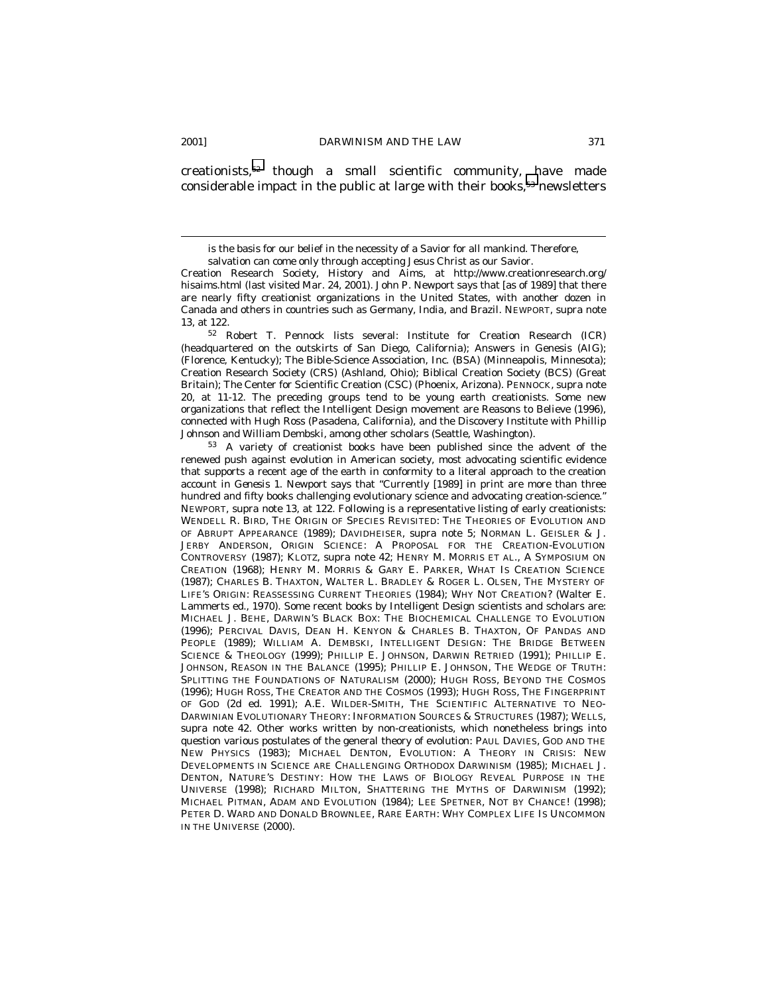creationists,52 though a small scientific community, have made considerable impact in the public at large with their books,<sup>53</sup> newsletters

52 Robert T. Pennock lists several: Institute for Creation Research (ICR) (headquartered on the outskirts of San Diego, California); Answers in Genesis (AIG); (Florence, Kentucky); The Bible-Science Association, Inc. (BSA) (Minneapolis, Minnesota); Creation Research Society (CRS) (Ashland, Ohio); Biblical Creation Society (BCS) (Great Britain); The Center for Scientific Creation (CSC) (Phoenix, Arizona). PENNOCK, *supra* note 20, at 11-12. The preceding groups tend to be young earth creationists. Some new organizations that reflect the Intelligent Design movement are Reasons to Believe (1996), connected with Hugh Ross (Pasadena, California), and the Discovery Institute with Phillip Johnson and William Dembski, among other scholars (Seattle, Washington).

53 A variety of creationist books have been published since the advent of the renewed push against evolution in American society, most advocating scientific evidence that supports a recent age of the earth in conformity to a literal approach to the creation account in *Genesis* 1. Newport says that "Currently [1989] in print are more than three hundred and fifty books challenging evolutionary science and advocating creation-science." NEWPORT, *supra* note 13, at 122. Following is a representative listing of early creationists: WENDELL R. BIRD, THE ORIGIN OF SPECIES REVISITED: THE THEORIES OF EVOLUTION AND OF ABRUPT APPEARANCE (1989); DAVIDHEISER, *supra* note 5; NORMAN L. GEISLER & J. JERBY ANDERSON, ORIGIN SCIENCE: A PROPOSAL FOR THE CREATION-EVOLUTION CONTROVERSY (1987); KLOTZ, *supra* note 42; HENRY M. MORRIS ET AL., A SYMPOSIUM ON CREATION (1968); HENRY M. MORRIS & GARY E. PARKER, WHAT IS CREATION SCIENCE (1987); CHARLES B. THAXTON, WALTER L. BRADLEY & ROGER L. OLSEN, THE MYSTERY OF LIFE'S ORIGIN: REASSESSING CURRENT THEORIES (1984); WHY NOT CREATION? (Walter E. Lammerts ed., 1970). Some recent books by Intelligent Design scientists and scholars are: MICHAEL J. BEHE, DARWIN'S BLACK BOX: THE BIOCHEMICAL CHALLENGE TO EVOLUTION (1996); PERCIVAL DAVIS, DEAN H. KENYON & CHARLES B. THAXTON, OF PANDAS AND PEOPLE (1989); WILLIAM A. DEMBSKI, INTELLIGENT DESIGN: THE BRIDGE BETWEEN SCIENCE & THEOLOGY (1999); PHILLIP E. JOHNSON, DARWIN RETRIED (1991); PHILLIP E. JOHNSON, REASON IN THE BALANCE (1995); PHILLIP E. JOHNSON, THE WEDGE OF TRUTH: SPLITTING THE FOUNDATIONS OF NATURALISM (2000); HUGH ROSS, BEYOND THE COSMOS (1996); HUGH ROSS, THE CREATOR AND THE COSMOS (1993); HUGH ROSS, THE FINGERPRINT OF GOD (2d ed. 1991); A.E. WILDER-SMITH, THE SCIENTIFIC ALTERNATIVE TO NEO-DARWINIAN EVOLUTIONARY THEORY: INFORMATION SOURCES & STRUCTURES (1987); WELLS, *supra* note 42. Other works written by non-creationists, which nonetheless brings into question various postulates of the general theory of evolution: PAUL DAVIES, GOD AND THE NEW PHYSICS (1983); MICHAEL DENTON, EVOLUTION: A THEORY IN CRISIS: NEW DEVELOPMENTS IN SCIENCE ARE CHALLENGING ORTHODOX DARWINISM (1985); MICHAEL J. DENTON, NATURE'S DESTINY: HOW THE LAWS OF BIOLOGY REVEAL PURPOSE IN THE UNIVERSE (1998); RICHARD MILTON, SHATTERING THE MYTHS OF DARWINISM (1992); MICHAEL PITMAN, ADAM AND EVOLUTION (1984); LEE SPETNER, NOT BY CHANCE! (1998); PETER D. WARD AND DONALD BROWNLEE, RARE EARTH: WHY COMPLEX LIFE IS UNCOMMON IN THE UNIVERSE (2000).

is the basis for our belief in the necessity of a Savior for all mankind. Therefore, salvation can come only through accepting Jesus Christ as our Savior.

Creation Research Society, *History and Aims*, *at* http://www.creationresearch.org/ hisaims.html (last visited Mar. 24, 2001). John P. Newport says that [as of 1989] that there are nearly fifty creationist organizations in the United States, with another dozen in Canada and others in countries such as Germany, India, and Brazil. NEWPORT, *supra* note 13, at 122.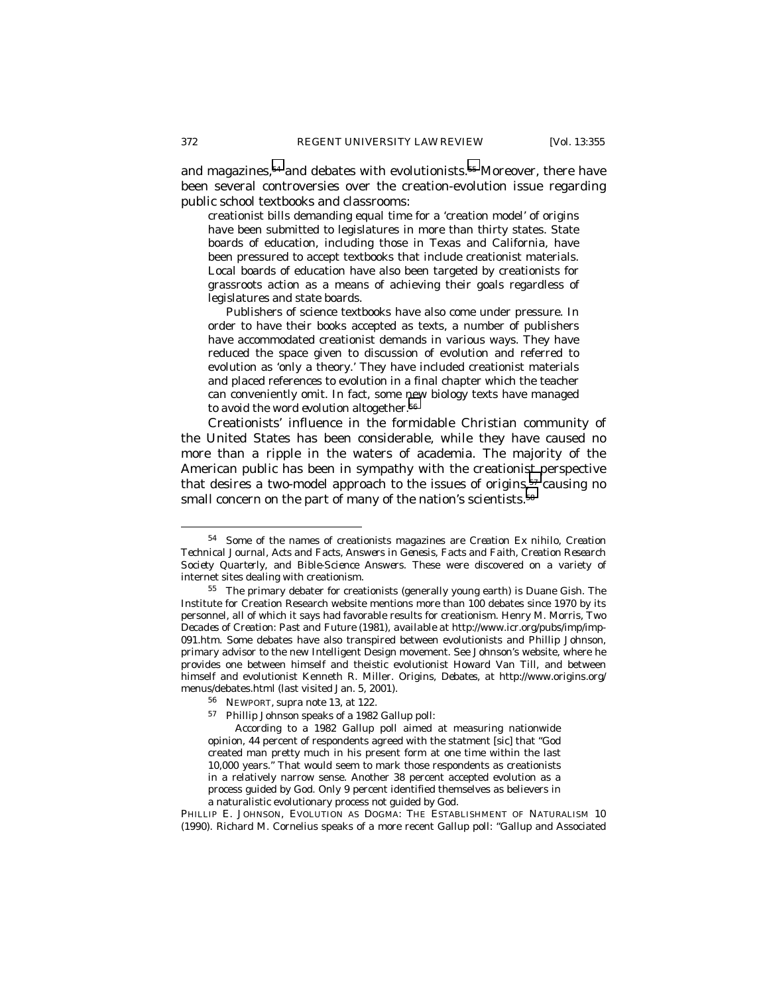and magazines,<sup>54</sup> and debates with evolutionists.<sup>55</sup> Moreover, there have been several controversies over the creation-evolution issue regarding public school textbooks and classrooms:

creationist bills demanding equal time for a 'creation model' of origins have been submitted to legislatures in more than thirty states. State boards of education, including those in Texas and California, have been pressured to accept textbooks that include creationist materials. Local boards of education have also been targeted by creationists for grassroots action as a means of achieving their goals regardless of legislatures and state boards.

Publishers of science textbooks have also come under pressure. In order to have their books accepted as texts, a number of publishers have accommodated creationist demands in various ways. They have reduced the space given to discussion of evolution and referred to evolution as 'only a theory.' They have included creationist materials and placed references to evolution in a final chapter which the teacher can conveniently omit. In fact, some new biology texts have managed to avoid the word *evolution* altogether.56

Creationists' influence in the formidable Christian community of the United States has been considerable, while they have caused no more than a ripple in the waters of academia. The majority of the American public has been in sympathy with the creationist perspective that desires a two-model approach to the issues of origins,<sup>57</sup> causing no small concern on the part of many of the nation's scientists.<sup>58</sup>

<sup>54</sup> Some of the names of creationists magazines are *Creation Ex nihilo*, *Creation Technical Journal*, *Acts and Facts*, *Answers in Genesis*, *Facts and Faith*, *Creation Research Society Quarterly*, and *Bible-Science Answers.* These were discovered on a variety of internet sites dealing with creationism.

<sup>&</sup>lt;sup>55</sup> The primary debater for creationists (generally young earth) is Duane Gish. The Institute for Creation Research website mentions more than 100 debates since 1970 by its personnel, all of which it says had favorable results for creationism. Henry M. Morris, *Two Decades of Creation: Past and Future* (1981), *available at* http://www.icr.org/pubs/imp/imp-091.htm. Some debates have also transpired between evolutionists and Phillip Johnson, primary advisor to the new Intelligent Design movement. See Johnson's website, where he provides one between himself and theistic evolutionist Howard Van Till, and between himself and evolutionist Kenneth R. Miller. Origins, *Debates*, *at* http://www.origins.org/ menus/debates.html (last visited Jan. 5, 2001).

<sup>56</sup> NEWPORT, *supra* note 13, at 122.

<sup>57</sup> Phillip Johnson speaks of a 1982 Gallup poll:

According to a 1982 Gallup poll aimed at measuring nationwide opinion, 44 percent of respondents agreed with the statment [sic] that "God created man pretty much in his present form at one time within the last 10,000 years." That would seem to mark those respondents as creationists in a relatively narrow sense. Another 38 percent accepted evolution as a process guided by God. Only 9 percent identified themselves as believers in a naturalistic evolutionary process not guided by God.

PHILLIP E. JOHNSON, EVOLUTION AS DOGMA: THE ESTABLISHMENT OF NATURALISM 10 (1990). Richard M. Cornelius speaks of a more recent Gallup poll: "Gallup and Associated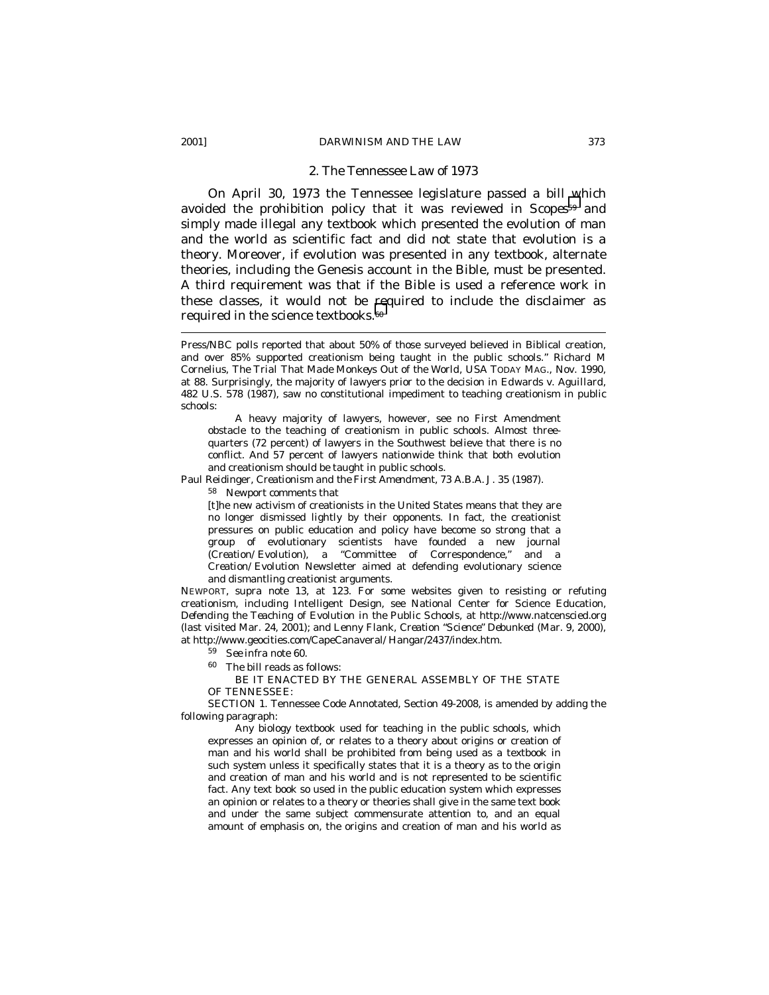#### 2. The Tennessee Law of 1973

On April 30, 1973 the Tennessee legislature passed a bill which avoided the prohibition policy that it was reviewed in *Scopes*59 and simply made illegal any textbook which presented the evolution of man and the world as scientific fact and did not state that evolution is a theory. Moreover, if evolution was presented in any textbook, alternate theories, including the Genesis account in the Bible, must be presented. A third requirement was that if the Bible is used a reference work in these classes, it would not be required to include the disclaimer as required in the science textbooks.<sup>60</sup>

A heavy majority of lawyers, however, see no First Amendment obstacle to the teaching of creationism in public schools. Almost threequarters (72 percent) of lawyers in the Southwest believe that there is no conflict. And 57 percent of lawyers nationwide think that both evolution and creationism should be taught in public schools.

Paul Reidinger, *Creationism and the First Amendment*, 73 A.B.A. J. 35 (1987).

58 Newport comments that

[t]he new activism of creationists in the United States means that they are no longer dismissed lightly by their opponents. In fact, the creationist pressures on public education and policy have become so strong that a group of evolutionary scientists have founded a new journal (*Creation/Evolution*), a "Committee of Correspondence," and a *Creation/Evolution* Newsletter aimed at defending evolutionary science and dismantling creationist arguments.

NEWPORT, *supra* note 13, at 123. For some websites given to resisting or refuting creationism, including Intelligent Design, see National Center for Science Education, *Defending the Teaching of Evolution in the Public Schools*, *at* http://www.natcenscied.org (last visited Mar. 24, 2001); and Lenny Flank, *Creation "Science" Debunked* (Mar. 9, 2000), *at* http://www.geocities.com/CapeCanaveral/ Hangar/2437/index.htm.

<sup>59</sup> *See infra* note 60.

60 The bill reads as follows:

BE IT ENACTED BY THE GENERAL ASSEMBLY OF THE STATE OF TENNESSEE:

SECTION 1. Tennessee Code Annotated, Section 49-2008, is amended by adding the following paragraph:

Any biology textbook used for teaching in the public schools, which expresses an opinion of, or relates to a theory about origins or creation of man and his world shall be prohibited from being used as a textbook in such system unless it specifically states that it is a theory as to the origin and creation of man and his world and is not represented to be scientific fact. Any text book so used in the public education system which expresses an opinion or relates to a theory or theories shall give in the same text book and under the same subject commensurate attention to, and an equal amount of emphasis on, the origins and creation of man and his world as

Press/NBC polls reported that about 50% of those surveyed believed in Biblical creation, and over 85% supported creationism being taught in the public schools." Richard M Cornelius, *The Trial That Made Monkeys Out of the World*, USA TODAY MAG., Nov. 1990, at 88. Surprisingly, the majority of lawyers prior to the decision in *Edwards v. Aguillard*, 482 U.S. 578 (1987), saw no constitutional impediment to teaching creationism in public schools: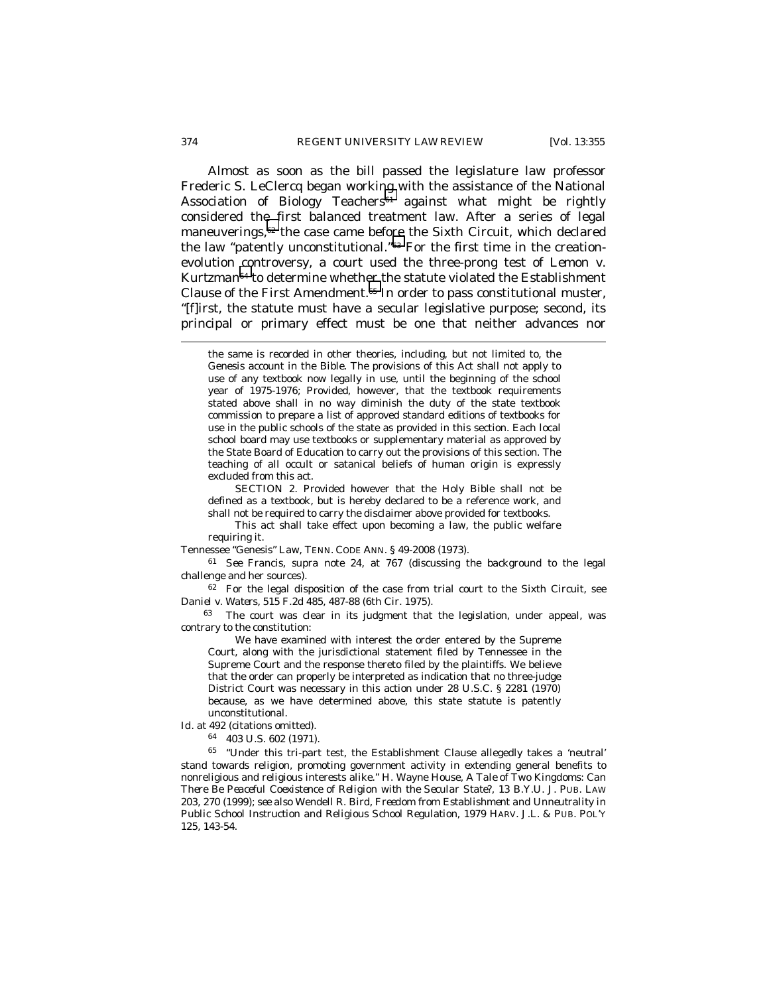Almost as soon as the bill passed the legislature law professor Frederic S. LeClercq began working with the assistance of the National Association of Biology Teachers<sup>61</sup> against what might be rightly considered the first balanced treatment law. After a series of legal maneuverings,62 the case came before the Sixth Circuit, which declared the law "patently unconstitutional."63 For the first time in the creationevolution controversy, a court used the three-prong test of *Lemon v. Kurtzman*64 to determine whether the statute violated the Establishment Clause of the First Amendment.65 In order to pass constitutional muster, "[f]irst, the statute must have a secular legislative purpose; second, its principal or primary effect must be one that neither advances nor

SECTION 2. Provided however that the Holy Bible shall not be defined as a textbook, but is hereby declared to be a reference work, and shall not be required to carry the disclaimer above provided for textbooks.

This act shall take effect upon becoming a law, the public welfare requiring it.

<sup>61</sup> *See* Francis, *supra* note 24, at 767 (discussing the background to the legal challenge and her sources).

62 For the legal disposition of the case from trial court to the Sixth Circuit, see *Daniel v. Waters*, 515 F.2d 485, 487-88 (6th Cir. 1975).

63 The court was clear in its judgment that the legislation, under appeal, was contrary to the constitution:

We have examined with interest the order entered by the Supreme Court, along with the jurisdictional statement filed by Tennessee in the Supreme Court and the response thereto filed by the plaintiffs. We believe that the order can properly be interpreted as indication that no three-judge District Court was necessary in this action under 28 U.S.C. § 2281 (1970) because, as we have determined above, this state statute is patently unconstitutional.

*Id.* at 492 (citations omitted).

64 403 U.S. 602 (1971).

65 "Under this tri-part test, the Establishment Clause allegedly takes a 'neutral' stand towards religion, promoting government activity in extending general benefits to nonreligious and religious interests alike." H. Wayne House, *A Tale of Two Kingdoms: Can There Be Peaceful Coexistence of Religion with the Secular State?*, 13 B.Y.U. J. PUB. LAW 203, 270 (1999); *see also* Wendell R. Bird, *Freedom from Establishment and Unneutrality in Public School Instruction and Religious School Regulation*, 1979 HARV. J.L. & PUB. POL'Y 125, 143-54.

the same is recorded in other theories, including, but not limited to, the Genesis account in the Bible. The provisions of this Act shall not apply to use of any textbook now legally in use, until the beginning of the school year of 1975-1976; Provided, however, that the textbook requirements stated above shall in no way diminish the duty of the state textbook commission to prepare a list of approved standard editions of textbooks for use in the public schools of the state as provided in this section. Each local school board may use textbooks or supplementary material as approved by the State Board of Education to carry out the provisions of this section. The teaching of all occult or satanical beliefs of human origin is expressly excluded from this act.

Tennessee "Genesis" Law, TENN. CODE ANN. § 49-2008 (1973).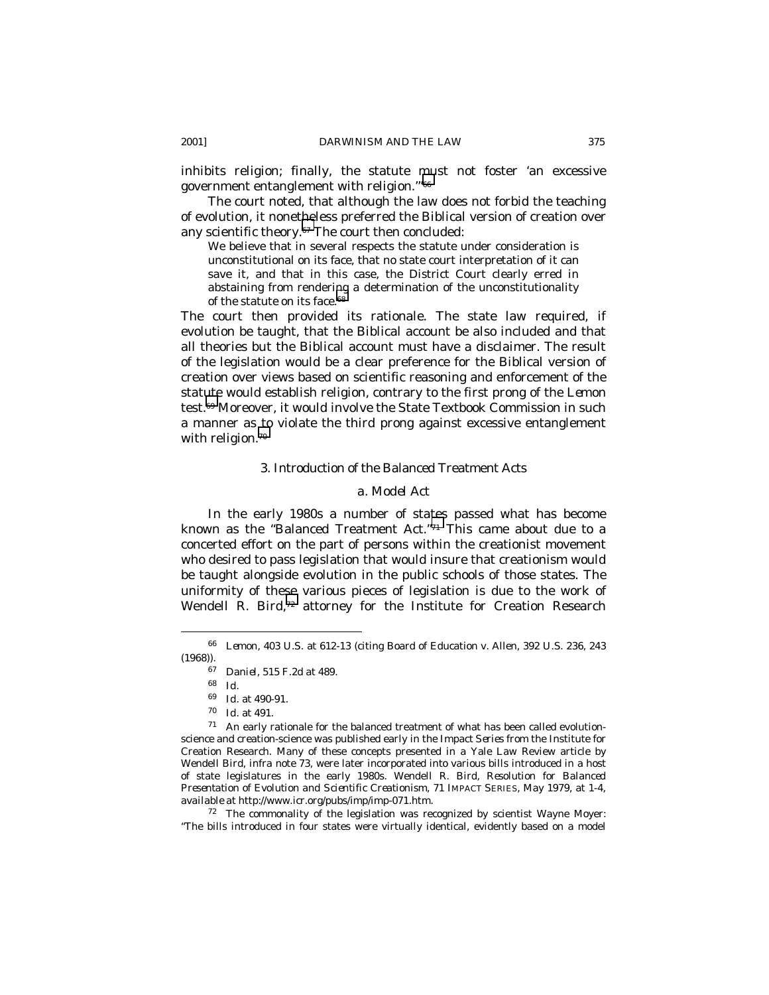inhibits religion; finally, the statute must not foster 'an excessive government entanglement with religion.'"66

The court noted, that although the law does not forbid the teaching of evolution, it nonetheless preferred the Biblical version of creation over any scientific theory.67 The court then concluded:

We believe that in several respects the statute under consideration is unconstitutional on its face, that no state court interpretation of it can save it, and that in this case, the District Court clearly erred in abstaining from rendering a determination of the unconstitutionality of the statute on its face.68

The court then provided its rationale. The state law required, if evolution be taught, that the Biblical account be also included and that all theories but the Biblical account must have a disclaimer. The result of the legislation would be a clear preference for the Biblical version of creation over views based on scientific reasoning and enforcement of the statute would establish religion, contrary to the first prong of the *Lemon* test.69 Moreover, it would involve the State Textbook Commission in such a manner as to violate the third prong against excessive entanglement with religion.<sup>70</sup>

### 3. Introduction of the Balanced Treatment Acts

# *a. Model Act*

In the early 1980s a number of states passed what has become known as the "Balanced Treatment Act."71 This came about due to a concerted effort on the part of persons within the creationist movement who desired to pass legislation that would insure that creationism would be taught alongside evolution in the public schools of those states. The uniformity of these various pieces of legislation is due to the work of Wendell R. Bird,<sup>72</sup> attorney for the Institute for Creation Research

 $\overline{a}$ 

72 The commonality of the legislation was recognized by scientist Wayne Moyer: "The bills introduced in four states were virtually identical, evidently based on a model

<sup>66</sup> *Lemon*, 403 U.S. at 612-13 (citing Board of Education v. Allen, 392 U.S. 236, 243 (1968)).

<sup>67</sup> *Daniel*, 515 F.2d at 489.

<sup>68</sup> *Id*.

<sup>69</sup> *Id*. at 490-91.

<sup>70</sup> *Id*. at 491.

<sup>71</sup> An early rationale for the balanced treatment of what has been called evolutionscience and creation-science was published early in the *Impact Series* from the Institute for Creation Research. Many of these concepts presented in a Yale Law Review article by Wendell Bird, *infra* note 73, were later incorporated into various bills introduced in a host of state legislatures in the early 1980s. Wendell R. Bird, *Resolution for Balanced Presentation of Evolution and Scientific Creationism*, 71 IMPACT SERIES, May 1979, at 1-4, *available at* http://www.icr.org/pubs/imp/imp-071.htm.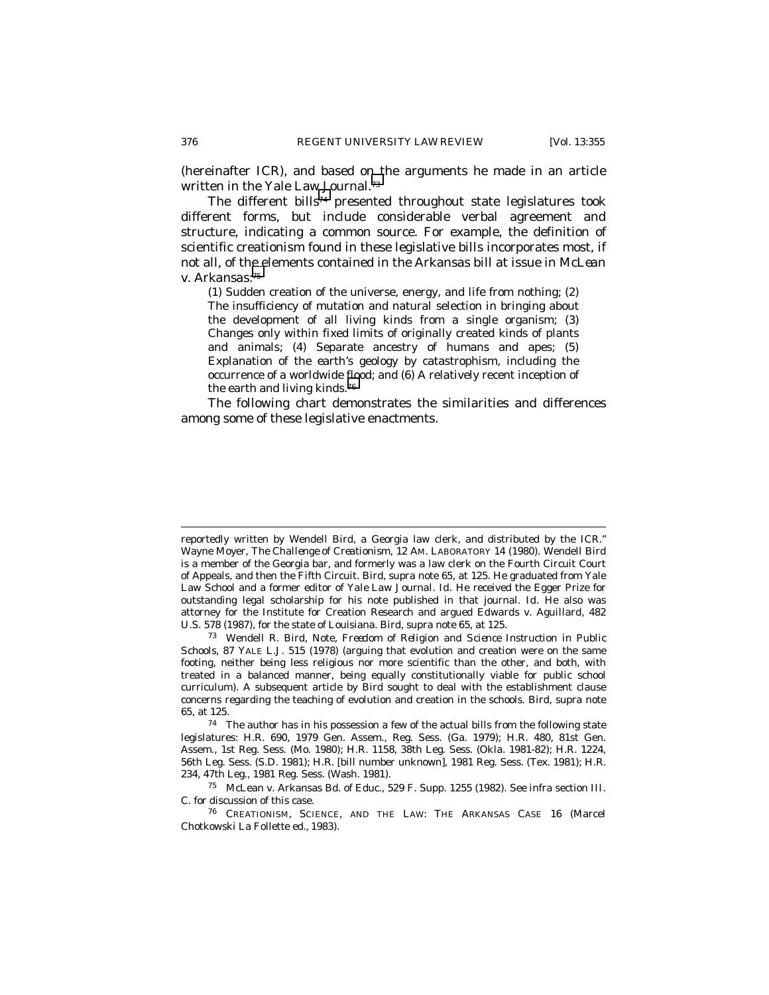(hereinafter ICR), and based on the arguments he made in an article written in the Yale Law Journal.73

The different bills74 presented throughout state legislatures took different forms, but include considerable verbal agreement and structure, indicating a common source. For example, the definition of scientific creationism found in these legislative bills incorporates most, if not all, of the elements contained in the Arkansas bill at issue in *McLean v. Arkansas*:75

(1) Sudden creation of the universe, energy, and life from nothing; (2) The insufficiency of mutation and natural selection in bringing about the development of all living kinds from a single organism; (3) Changes only within fixed limits of originally created kinds of plants and animals; (4) Separate ancestry of humans and apes; (5) Explanation of the earth's geology by catastrophism, including the occurrence of a worldwide flood; and (6) A relatively recent inception of the earth and living kinds.76

The following chart demonstrates the similarities and differences among some of these legislative enactments.

reportedly written by Wendell Bird, a Georgia law clerk, and distributed by the ICR." Wayne Moyer, *The Challenge of Creationism*, 12 AM. LABORATORY 14 (1980). Wendell Bird is a member of the Georgia bar, and formerly was a law clerk on the Fourth Circuit Court of Appeals, and then the Fifth Circuit. Bird, *supra* note 65, at 125. He graduated from Yale Law School and a former editor of *Yale Law Journal*. *Id*. He received the Egger Prize for outstanding legal scholarship for his note published in that journal. *Id.* He also was attorney for the Institute for Creation Research and argued *Edwards v. Aguillard*, 482 U.S. 578 (1987), for the state of Louisiana. Bird, *supra* note 65, at 125.

<sup>73</sup> Wendell R. Bird, Note, *Freedom of Religion and Science Instruction in Public Schools*, 87 YALE L.J. 515 (1978) (arguing that evolution and creation were on the same footing, neither being less religious nor more scientific than the other, and both, with treated in a balanced manner, being equally constitutionally viable for public school curriculum). A subsequent article by Bird sought to deal with the establishment clause concerns regarding the teaching of evolution and creation in the schools. Bird, *supra* note 65, at 125.

 $^{74}\;$  The author has in his possession a few of the actual bills from the following state legislatures: H.R. 690, 1979 Gen. Assem., Reg. Sess. (Ga. 1979); H.R. 480, 81st Gen. Assem., 1st Reg. Sess. (Mo. 1980); H.R. 1158, 38th Leg. Sess. (Okla. 1981-82); H.R. 1224, 56th Leg. Sess. (S.D. 1981); H.R. [bill number unknown], 1981 Reg. Sess. (Tex. 1981); H.R. 234, 47th Leg., 1981 Reg. Sess. (Wash. 1981).

<sup>75</sup> McLean v. Arkansas Bd. of Educ., 529 F. Supp. 1255 (1982). See *infra* section III. C. for discussion of this case.

<sup>76</sup> CREATIONISM, SCIENCE, AND THE LAW: THE ARKANSAS CASE 16 (Marcel Chotkowski La Follette ed., 1983).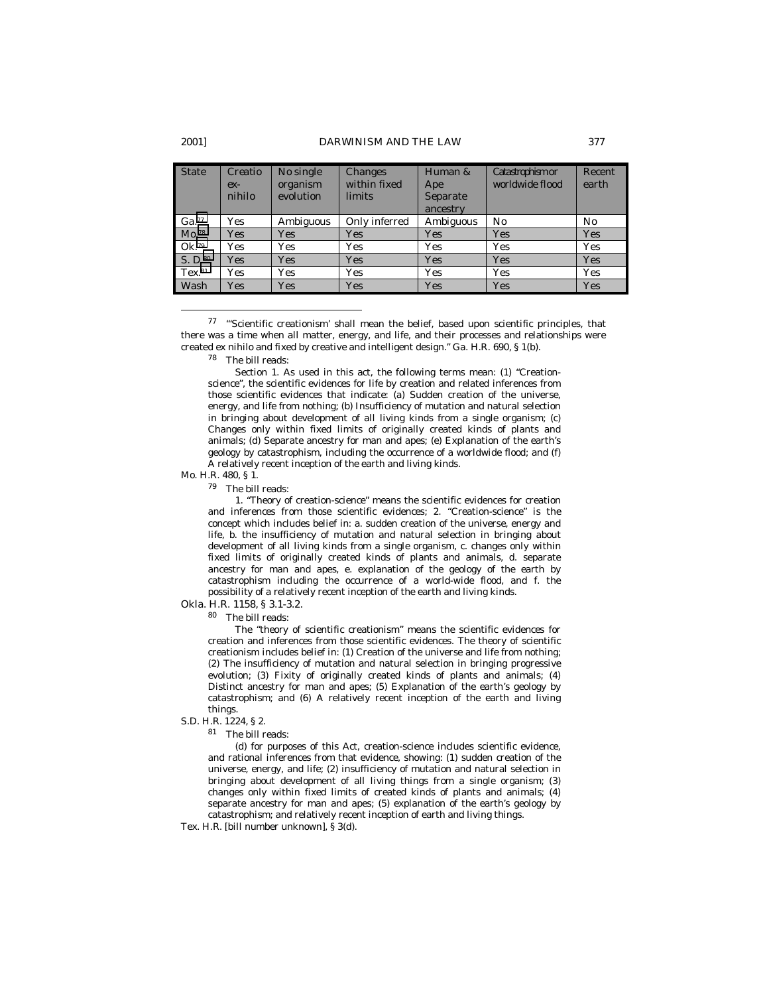| <b>State</b>         | <b>Creatio</b><br>$ex-$<br>nihilo | No single<br>organism<br>evolution | Changes<br>within fixed<br>limits | Human &<br>Ape<br>Separate<br>ancestry | Catastrophismor<br>worldwide flood | Recent<br>earth |
|----------------------|-----------------------------------|------------------------------------|-----------------------------------|----------------------------------------|------------------------------------|-----------------|
| Ga. <sup>77</sup>    | Yes                               | Ambiguous                          | Only inferred                     | Ambiguous                              | No                                 | No              |
| Mo.78                | Yes                               | Yes                                | <b>Yes</b>                        | Yes                                    | Yes                                | Yes             |
| Ok.79                | Yes                               | Yes                                | Yes                               | Yes                                    | <b>Yes</b>                         | Yes             |
| S. D.80              | Yes                               | Yes                                | <b>Yes</b>                        | Yes                                    | Yes                                | Yes             |
| $Tex.$ <sup>81</sup> | Yes                               | Yes                                | Yes                               | Yes                                    | Yes                                | Yes             |
| Wash                 | Yes                               | Yes                                | Yes                               | <b>Yes</b>                             | Yes                                | Yes             |

<sup>77</sup> "'Scientific creationism' shall mean the belief, based upon scientific principles, that there was a time when all matter, energy, and life, and their processes and relationships were created ex nihilo and fixed by creative and intelligent design." Ga. H.R. 690, § 1(b).

78 The bill reads:

Section 1. As used in this act, the following terms mean: (1) "Creationscience", the scientific evidences for life by creation and related inferences from those scientific evidences that indicate: (a) Sudden creation of the universe, energy, and life from nothing; (b) Insufficiency of mutation and natural selection in bringing about development of all living kinds from a single organism; (c) Changes only within fixed limits of originally created kinds of plants and animals; (d) Separate ancestry for man and apes; (e) Explanation of the earth's geology by catastrophism, including the occurrence of a worldwide flood; and (f) A relatively recent inception of the earth and living kinds.

Mo. H.R. 480, § 1.

79 The bill reads:

1. "Theory of creation-science" means the scientific evidences for creation and inferences from those scientific evidences; 2. "Creation-science" is the concept which includes belief in: a. sudden creation of the universe, energy and life, b. the insufficiency of mutation and natural selection in bringing about development of all living kinds from a single organism, c. changes only within fixed limits of originally created kinds of plants and animals, d. separate ancestry for man and apes, e. explanation of the geology of the earth by catastrophism including the occurrence of a world-wide flood, and f. the possibility of a relatively recent inception of the earth and living kinds.

Okla. H.R. 1158, § 3.1-3.2.

80 The bill reads:

The "theory of scientific creationism" means the scientific evidences for creation and inferences from those scientific evidences. The theory of scientific creationism includes belief in: (1) Creation of the universe and life from nothing; (2) The insufficiency of mutation and natural selection in bringing progressive evolution; (3) Fixity of originally created kinds of plants and animals; (4) Distinct ancestry for man and apes; (5) Explanation of the earth's geology by catastrophism; and (6) A relatively recent inception of the earth and living things.

S.D. H.R. 1224, § 2.

81 The bill reads:

(d) for purposes of this Act, creation-science includes scientific evidence, and rational inferences from that evidence, showing: (1) sudden creation of the universe, energy, and life; (2) insufficiency of mutation and natural selection in bringing about development of all living things from a single organism; (3) changes only within fixed limits of created kinds of plants and animals; (4) separate ancestry for man and apes; (5) explanation of the earth's geology by catastrophism; and relatively recent inception of earth and living things.

Tex. H.R. [bill number unknown], § 3(d).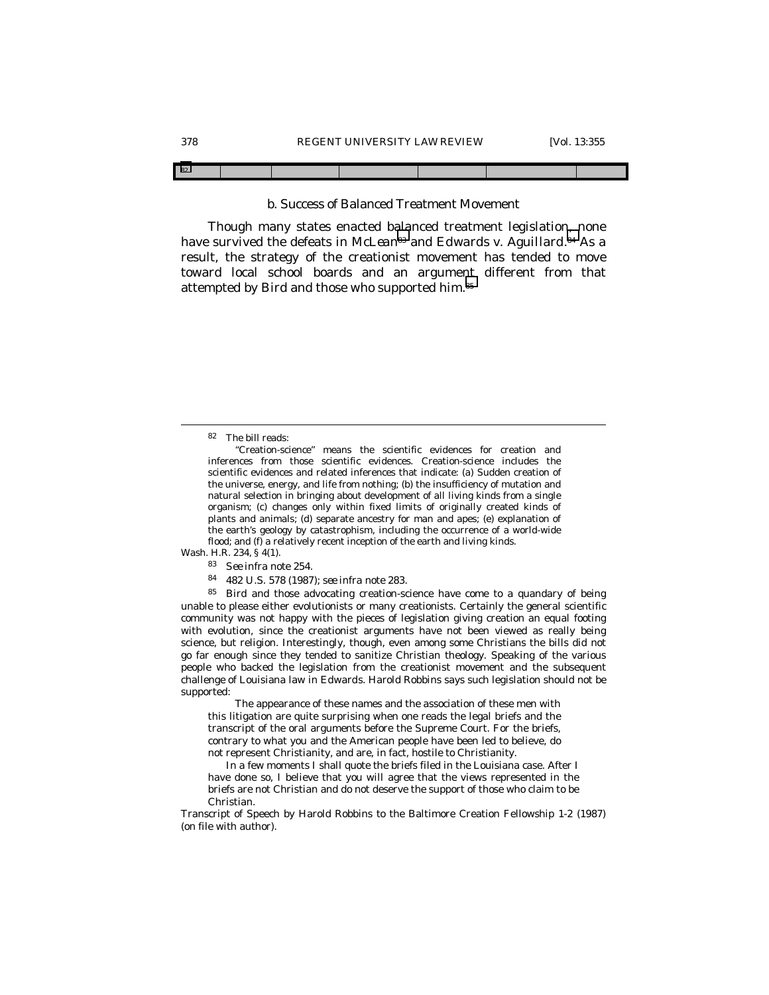

### b. Success of Balanced Treatment Movement

Though many states enacted balanced treatment legislation, none have survived the defeats in *McLean*83 and *Edwards v. Aguillard*.84 As a result, the strategy of the creationist movement has tended to move toward local school boards and an argument different from that attempted by Bird and those who supported him.85

"Creation-science" means the scientific evidences for creation and inferences from those scientific evidences. Creation-science includes the scientific evidences and related inferences that indicate: (a) Sudden creation of the universe, energy, and life from nothing; (b) the insufficiency of mutation and natural selection in bringing about development of all living kinds from a single organism; (c) changes only within fixed limits of originally created kinds of plants and animals; (d) separate ancestry for man and apes; (e) explanation of the earth's geology by catastrophism, including the occurrence of a world-wide flood; and (f) a relatively recent inception of the earth and living kinds.

Wash. H.R. 234, § 4(1).

- <sup>83</sup> *See infra* note 254.
- 84 482 U.S. 578 (1987); s*ee infra* note 283.

85 Bird and those advocating creation-science have come to a quandary of being unable to please either evolutionists or many creationists. Certainly the general scientific community was not happy with the pieces of legislation giving creation an equal footing with evolution, since the creationist arguments have not been viewed as really being science, but religion. Interestingly, though, even among some Christians the bills did not go far enough since they tended to sanitize Christian theology. Speaking of the various people who backed the legislation from the creationist movement and the subsequent challenge of Louisiana law in *Edwards*. Harold Robbins says such legislation should not be supported:

The appearance of these names and the association of these men with this litigation are quite surprising when one reads the legal briefs and the transcript of the oral arguments before the Supreme Court. For the briefs, contrary to what you and the American people have been led to believe, do not represent Christianity, and are, in fact, hostile to Christianity.

In a few moments I shall quote the briefs filed in the Louisiana case. After I have done so, I believe that you will agree that the views represented in the briefs are not Christian and do not deserve the support of those who claim to be Christian.

Transcript of Speech by Harold Robbins to the Baltimore Creation Fellowship 1-2 (1987) (on file with author).

<sup>82</sup> The bill reads: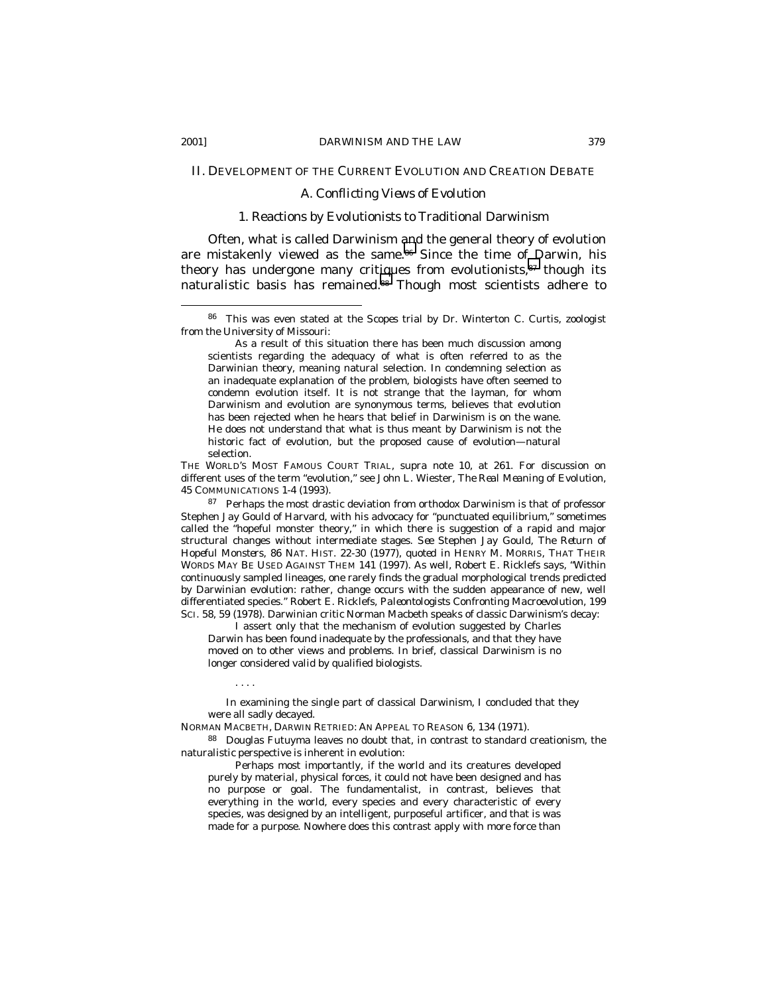#### 2001] *DARWINISM AND THE LAW* 379

#### II. DEVELOPMENT OF THE CURRENT EVOLUTION AND CREATION DEBATE

# *A. Conflicting Views of Evolution*

### 1. Reactions by Evolutionists to Traditional Darwinism

Often, what is called Darwinism and the general theory of evolution are mistakenly viewed as the same.<sup>86</sup> Since the time of Darwin, his theory has undergone many critiques from evolutionists,<sup>87</sup> though its naturalistic basis has remained.88 Though most scientists adhere to

THE WORLD'S MOST FAMOUS COURT TRIAL, *supra* note 10, at 261. For discussion on different uses of the term "evolution," see John L. Wiester, *The Real Meaning of Evolution*, 45 COMMUNICATIONS 1-4 (1993).

 $^{87}$  Perhaps the most drastic deviation from orthodox Darwinism is that of professor Stephen Jay Gould of Harvard, with his advocacy for "punctuated equilibrium," sometimes called the "hopeful monster theory," in which there is suggestion of a rapid and major structural changes without intermediate stages. *See* Stephen Jay Gould, *The Return of Hopeful Monsters*, 86 NAT. HIST. 22-30 (1977), *quoted in* HENRY M. MORRIS, THAT THEIR WORDS MAY BE USED AGAINST THEM 141 (1997). As well, Robert E. Ricklefs says, "Within continuously sampled lineages, one rarely finds the gradual morphological trends predicted by Darwinian evolution: rather, change occurs with the sudden appearance of new, well differentiated species." Robert E. Ricklefs, *Paleontologists Confronting Macroevolution,* 199 SCI. 58, 59 (1978). Darwinian critic Norman Macbeth speaks of classic Darwinism's decay:

I assert only that the mechanism of evolution suggested by Charles Darwin has been found inadequate by the professionals, and that they have moved on to other views and problems. In brief, classical Darwinism is no longer considered valid by qualified biologists.

In examining the single part of classical Darwinism, I concluded that they were all sadly decayed.

NORMAN MACBETH, DARWIN RETRIED: AN APPEAL TO REASON 6, 134 (1971).

. . . .

88 Douglas Futuyma leaves no doubt that, in contrast to standard creationism, the naturalistic perspective is inherent in evolution:

Perhaps most importantly, if the world and its creatures developed purely by material, physical forces, it could not have been designed and has no purpose or goal. The fundamentalist, in contrast, believes that everything in the world, every species and every characteristic of every species, was designed by an intelligent, purposeful artificer, and that is was made for a purpose. Nowhere does this contrast apply with more force than

<sup>86</sup> This was even stated at the *Scopes* trial by Dr. Winterton C. Curtis, zoologist from the University of Missouri:

As a result of this situation there has been much discussion among scientists regarding the adequacy of what is often referred to as the Darwinian theory, meaning natural selection. In condemning selection as an inadequate explanation of the problem, biologists have often seemed to condemn evolution itself. It is not strange that the layman, for whom Darwinism and evolution are synonymous terms, believes that evolution has been rejected when he hears that belief in Darwinism is on the wane. He does not understand that what is thus meant by Darwinism is not the historic fact of evolution, but the proposed cause of evolution—natural selection.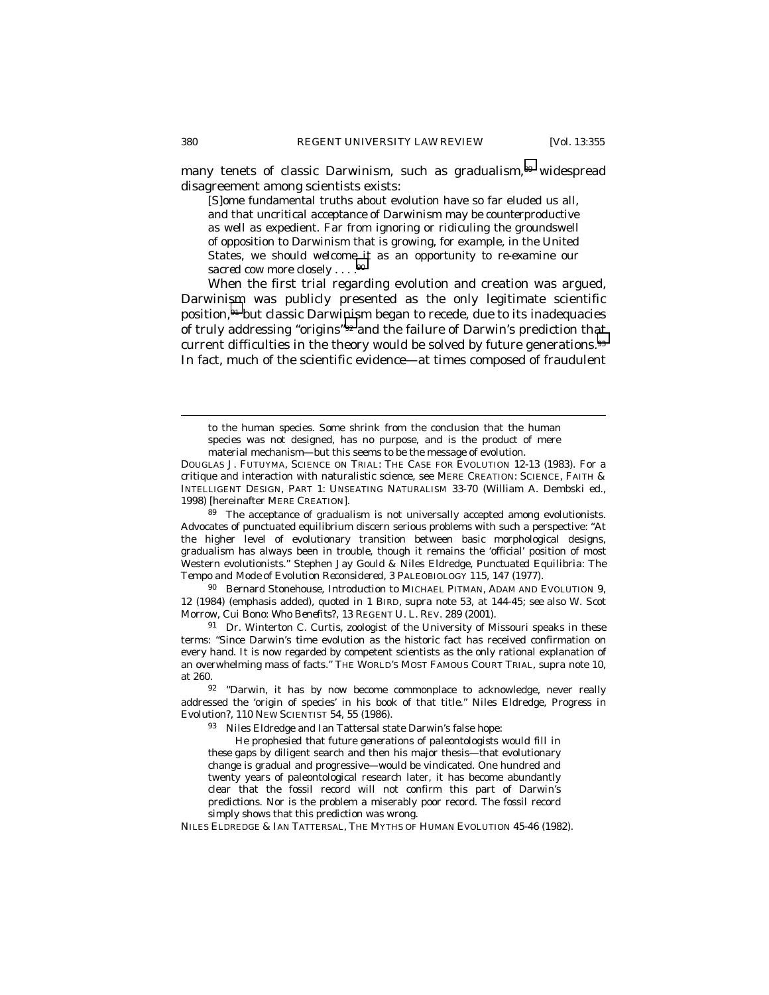many tenets of classic Darwinism, such as gradualism,<sup>89</sup> widespread disagreement among scientists exists:

[S]ome fundamental truths about evolution have so far eluded us all, and that *uncritical acceptance of Darwinism may be counterproductive*  as well as expedient. Far from ignoring or ridiculing the groundswell of opposition to Darwinism that is growing, for example, in the United States, we should *welcome it as an opportunity to re-examine our sacred cow* more closely . . . . 90

When the first trial regarding evolution and creation was argued, Darwinism was publicly presented as the only legitimate scientific position,91 but classic Darwinism began to recede, due to its inadequacies of truly addressing "origins"92 and the failure of Darwin's prediction that current difficulties in the theory would be solved by future generations.<sup>93</sup> In fact, much of the scientific evidence—at times composed of fraudulent

to the human species. Some shrink from the conclusion that the human species was not designed, has no purpose, and is the product of mere material mechanism—but this seems to be the message of evolution.

 $89$  The acceptance of gradualism is not universally accepted among evolutionists. Advocates of punctuated equilibrium discern serious problems with such a perspective: "At the higher level of evolutionary transition between basic morphological designs, gradualism has always been in trouble, though it remains the 'official' position of most Western evolutionists." Stephen Jay Gould & Niles Eldredge, *Punctuated Equilibria: The Tempo and Mode of Evolution Reconsidered*, 3 PALEOBIOLOGY 115, 147 (1977).

90 Bernard Stonehouse, *Introduction* to MICHAEL PITMAN, ADAM AND EVOLUTION 9, 12 (1984) (emphasis added), *quoted in* 1 BIRD, *supra* note 53, at 144-45; *see also* W. Scot Morrow, *Cui Bono: Who Benefits?*, 13 REGENT U. L. REV. 289 (2001).

<sup>91</sup> Dr. Winterton C. Curtis, zoologist of the University of Missouri speaks in these terms: "Since Darwin's time evolution as the historic fact has received confirmation on every hand. It is now regarded by competent scientists as the only rational explanation of an overwhelming mass of facts." THE WORLD'S MOST FAMOUS COURT TRIAL, *supra* note 10, at 260.

 $92$  "Darwin, it has by now become commonplace to acknowledge, never really addressed the 'origin of species' in his book of that title." Niles Eldredge, *Progress in Evolution?*, 110 NEW SCIENTIST 54, 55 (1986).

 $^{93}\;$  Niles Eldredge and Ian Tattersal state Darwin's false hope:

*He prophesied that future generations of paleontologists would fill in these gaps* by diligent search and then his major thesis—that evolutionary change is gradual and progressive—would be vindicated. One hundred and twenty years of paleontological research later, it has become abundantly clear that the fossil record will not confirm this part of Darwin's predictions. Nor is the problem a miserably poor record. The fossil record simply shows that this prediction was wrong.

NILES ELDREDGE & IAN TATTERSAL, THE MYTHS OF HUMAN EVOLUTION 45-46 (1982).

DOUGLAS J. FUTUYMA, SCIENCE ON TRIAL: THE CASE FOR EVOLUTION 12-13 (1983). For a critique and interaction with naturalistic science, see MERE CREATION: SCIENCE, FAITH & INTELLIGENT DESIGN, PART 1: UNSEATING NATURALISM 33-70 (William A. Dembski ed., 1998) [hereinafter MERE CREATION].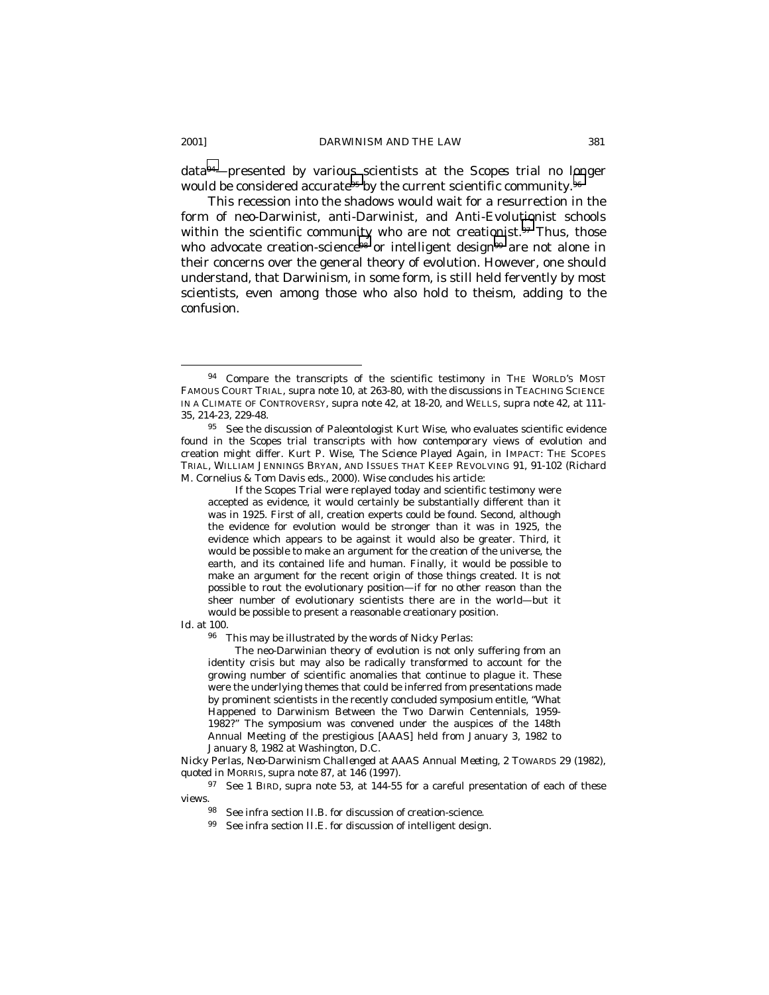data94—presented by various scientists at the *Scopes* trial no longer would be considered accurate<sup>95</sup> by the current scientific community.<sup>96</sup>

This recession into the shadows would wait for a resurrection in the form of neo-Darwinist, anti-Darwinist, and Anti-Evolutionist schools within the scientific community who are not creationist.<sup>97</sup> Thus, those who advocate creation-science<sup>98</sup> or intelligent design<sup>99</sup> are not alone in their concerns over the general theory of evolution. However, one should understand, that Darwinism, in some form, is still held fervently by most scientists, even among those who also hold to theism, adding to the confusion.

If the Scopes Trial were replayed today and scientific testimony were accepted as evidence, it would certainly be substantially different than it was in 1925. First of all, creation experts could be found. Second, although the evidence for evolution would be stronger than it was in 1925, the evidence which appears to be against it would also be greater. Third, it would be possible to make an argument for the creation of the universe, the earth, and its contained life and human. Finally, it would be possible to make an argument for the recent origin of those things created. It is not possible to rout the evolutionary position—if for no other reason than the sheer number of evolutionary scientists there are in the world—but it would be possible to present a reasonable creationary position.

*Id.* at 100.

96 This may be illustrated by the words of Nicky Perlas:

The neo-Darwinian theory of evolution is not only suffering from an identity crisis but may also be radically transformed to account for the growing number of scientific anomalies that continue to plague it. These were the underlying themes that could be inferred from presentations made by prominent scientists in the recently concluded symposium entitle, "What Happened to Darwinism Between the Two Darwin Centennials, 1959- 1982?" The symposium was convened under the auspices of the 148th Annual Meeting of the prestigious [AAAS] held from January 3, 1982 to January 8, 1982 at Washington, D.C.

Nicky Perlas, *Neo-Darwinism Challenged at AAAS Annual Meeting*, 2 TOWARDS 29 (1982), *quoted in* MORRIS, *supra* note 87, at 146 (1997).

97 See 1 BIRD, *supra* note 53, at 144-55 for a careful presentation of each of these views.

- 98 See *infra* section II.B. for discussion of creation-science.
- 99 See *infra* section II.E. for discussion of intelligent design.

<sup>&</sup>lt;sup>94</sup> Compare the transcripts of the scientific testimony in THE WORLD'S MOST FAMOUS COURT TRIAL, *supra* note 10, at 263-80, with the discussions in TEACHING SCIENCE IN A CLIMATE OF CONTROVERSY, *supra* note 42, at 18-20, and WELLS, *supra* note 42, at 111- 35, 214-23, 229-48.

<sup>95</sup> See the discussion of Paleontologist Kurt Wise, who evaluates scientific evidence found in the Scopes trial transcripts with how contemporary views of evolution and creation might differ. Kurt P. Wise, *The Science Played Again*, *in* IMPACT: THE SCOPES TRIAL, WILLIAM JENNINGS BRYAN, AND ISSUES THAT KEEP REVOLVING 91, 91-102 (Richard M. Cornelius & Tom Davis eds., 2000). Wise concludes his article: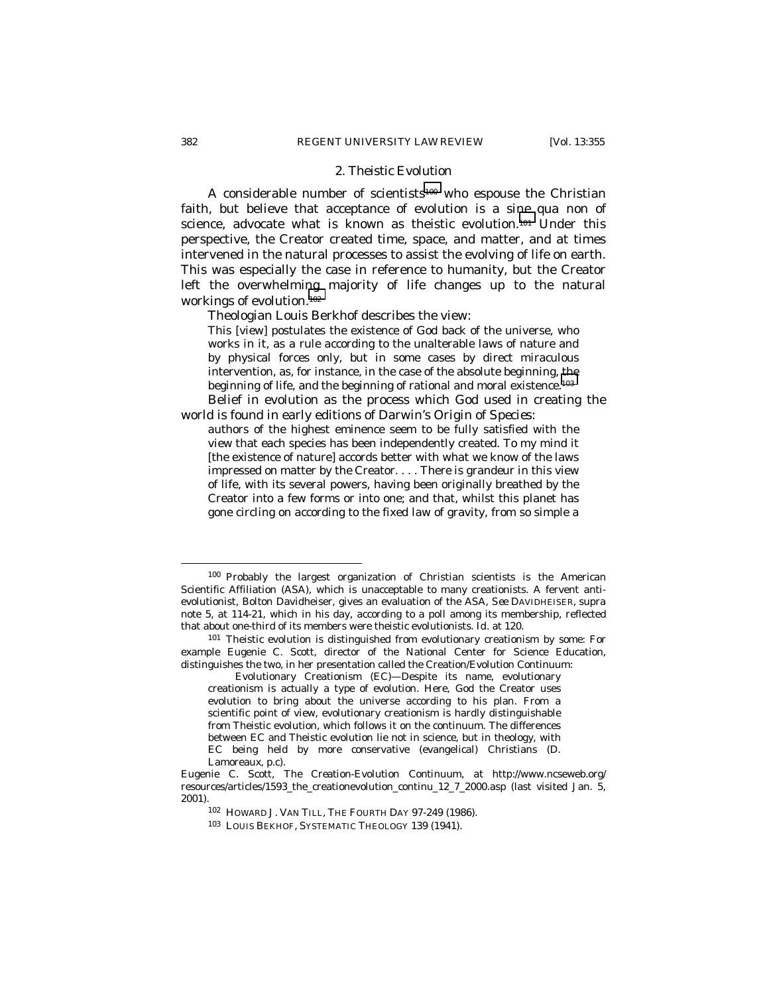#### 2. Theistic Evolution

A considerable number of scientists<sup>100</sup> who espouse the Christian faith, but believe that acceptance of evolution is a *sine qua non* of science, advocate what is known as theistic evolution.101 Under this perspective, the Creator created time, space, and matter, and at times intervened in the natural processes to assist the evolving of life on earth. This was especially the case in reference to humanity, but the Creator left the overwhelming majority of life changes up to the natural workings of evolution.102

Theologian Louis Berkhof describes the view:

This [view] postulates the existence of God back of the universe, who works in it, as a rule according to the unalterable laws of nature and by physical forces only, but in some cases by direct miraculous intervention, as, for instance, in the case of the absolute beginning, the beginning of life, and the beginning of rational and moral existence.<sup>103</sup>

Belief in evolution as the process which God used in creating the world is found in early editions of Darwin's *Origin of Species*:

authors of the highest eminence seem to be fully satisfied with the view that each species has been independently created. To my mind it [the existence of nature] accords better with what we know of the laws impressed on matter by the Creator. . . . There is grandeur in this view of life, with its several powers, having been originally breathed by the Creator into a few forms or into one; and that, whilst this planet has gone circling on according to the fixed law of gravity, from so simple a

<sup>100</sup> Probably the largest organization of Christian scientists is the American Scientific Affiliation (ASA), which is unacceptable to many creationists. A fervent antievolutionist, Bolton Davidheiser, gives an evaluation of the ASA, *See* DAVIDHEISER, *supra* note 5, at 114-21, which in his day, according to a poll among its membership, reflected that about one-third of its members were theistic evolutionists. *Id*. at 120.

<sup>101</sup> Theistic evolution is distinguished from evolutionary creationism by some: For example Eugenie C. Scott, director of the National Center for Science Education, distinguishes the two, in her presentation called the Creation/Evolution Continuum:

Evolutionary Creationism (EC)—Despite its name, evolutionary creationism is actually a type of evolution. Here, God the Creator uses evolution to bring about the universe according to his plan. From a scientific point of view, evolutionary creationism is hardly distinguishable from Theistic evolution, which follows it on the continuum. The differences between EC and Theistic evolution lie not in science, but in theology, with EC being held by more conservative (evangelical) Christians (D. Lamoreaux, p.c).

Eugenie C. Scott, *The Creation-Evolution Continuum*, *at* http://www.ncseweb.org/ resources/articles/1593\_the\_creationevolution\_continu\_12\_7\_2000.asp (last visited Jan. 5, 2001).

<sup>102</sup> HOWARD J. VAN TILL, THE FOURTH DAY 97-249 (1986).

<sup>103</sup> LOUIS BEKHOF, SYSTEMATIC THEOLOGY 139 (1941).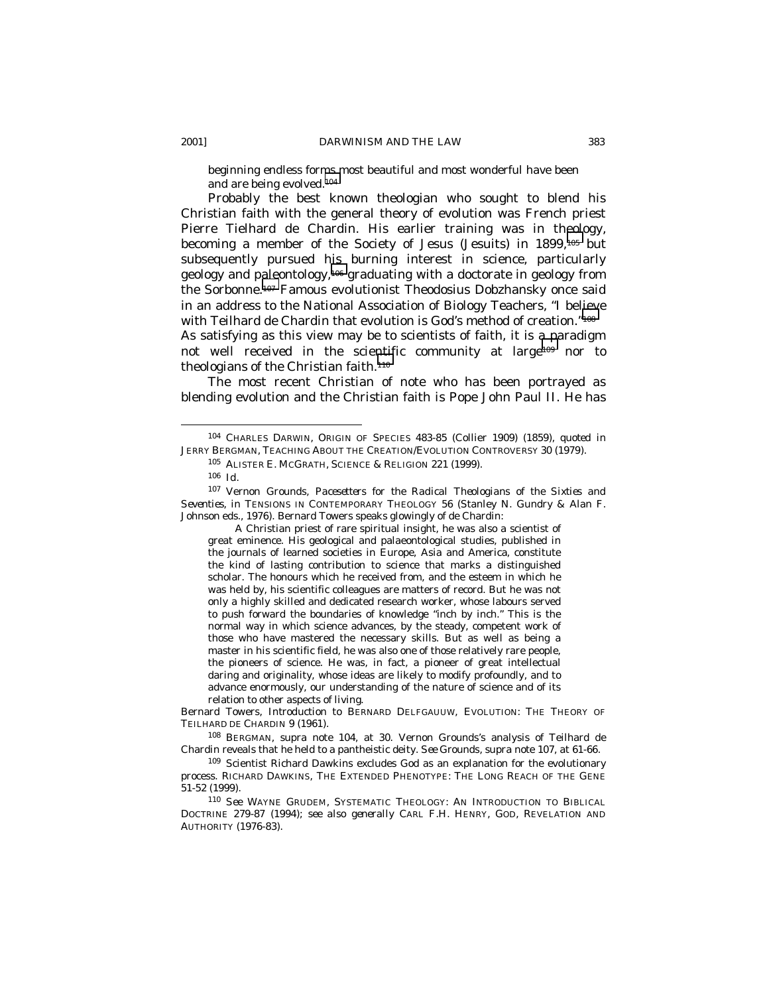beginning endless forms most beautiful and most wonderful have been and are being evolved.104

Probably the best known theologian who sought to blend his Christian faith with the general theory of evolution was French priest Pierre Tielhard de Chardin. His earlier training was in theology, becoming a member of the Society of Jesus (Jesuits) in 1899,105 but subsequently pursued his burning interest in science, particularly geology and paleontology,106 graduating with a doctorate in geology from the Sorbonne.107 Famous evolutionist Theodosius Dobzhansky once said in an address to the National Association of Biology Teachers, "I believe with Teilhard de Chardin that evolution is God's method of creation."108 As satisfying as this view may be to scientists of faith, it is a paradigm not well received in the scientific community at large109 nor to theologians of the Christian faith.<sup>110</sup>

The most recent Christian of note who has been portrayed as blending evolution and the Christian faith is Pope John Paul II. He has

 $\overline{a}$ 

A Christian priest of rare spiritual insight, he was also a scientist of great eminence. His geological and palaeontological studies, published in the journals of learned societies in Europe, Asia and America, constitute the kind of lasting contribution to science that marks a distinguished scholar. The honours which he received from, and the esteem in which he was held by, his scientific colleagues are matters of record. But he was not only a highly skilled and dedicated research worker, whose labours served to push forward the boundaries of knowledge "inch by inch." This is the normal way in which science advances, by the steady, competent work of those who have mastered the necessary skills. But as well as being a master in his scientific field, he was also one of those relatively rare people, the pioneers of science. He was, in fact, a pioneer of great intellectual daring and originality, whose ideas are likely to modify profoundly, and to advance enormously, our understanding of the nature of science and of its relation to other aspects of living.

108 BERGMAN, *supra* note 104, at 30. Vernon Grounds's analysis of Teilhard de Chardin reveals that he held to a pantheistic deity. *See* Grounds, *supra* note 107, at 61-66.

<sup>104</sup> CHARLES DARWIN, ORIGIN OF SPECIES 483-85 (Collier 1909) (1859), *quoted in* JERRY BERGMAN, TEACHING ABOUT THE CREATION/EVOLUTION CONTROVERSY 30 (1979).

<sup>105</sup> ALISTER E. MCGRATH, SCIENCE & RELIGION 221 (1999).

<sup>106</sup> *Id*.

<sup>107</sup> Vernon Grounds, *Pacesetters for the Radical Theologians of the Sixties and Seventies*, *in* TENSIONS IN CONTEMPORARY THEOLOGY 56 (Stanley N. Gundry & Alan F. Johnson eds., 1976). Bernard Towers speaks glowingly of de Chardin:

Bernard Towers, *Introduction* to BERNARD DELFGAUUW, EVOLUTION: THE THEORY OF TEILHARD DE CHARDIN 9 (1961).

 $109$  Scientist Richard Dawkins excludes God as an explanation for the evolutionary process. RICHARD DAWKINS, THE EXTENDED PHENOTYPE: THE LONG REACH OF THE GENE 51-52 (1999).

<sup>110</sup> *See* WAYNE GRUDEM, SYSTEMATIC THEOLOGY: AN INTRODUCTION TO BIBLICAL DOCTRINE 279-87 (1994); *see also generally* CARL F.H. HENRY, GOD, REVELATION AND AUTHORITY (1976-83).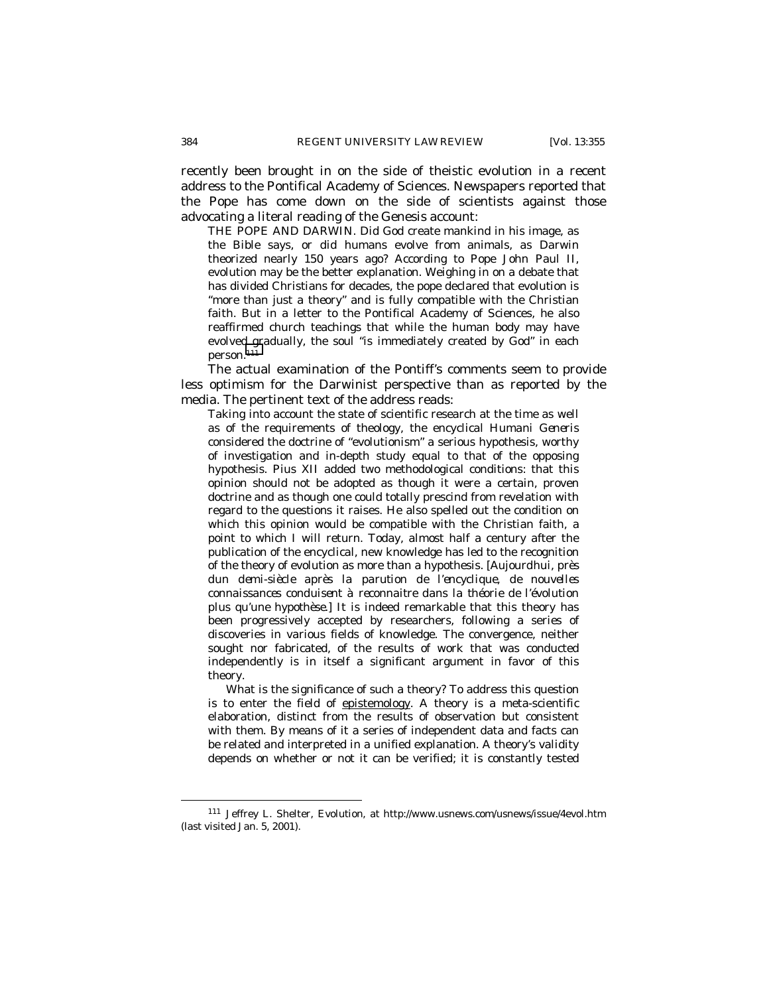recently been brought in on the side of theistic evolution in a recent address to the Pontifical Academy of Sciences. Newspapers reported that the Pope has come down on the side of scientists against those advocating a literal reading of the Genesis account:

THE POPE AND DARWIN. Did God create mankind in his image, as the Bible says, or did humans evolve from animals, as Darwin theorized nearly 150 years ago? According to Pope John Paul II, evolution may be the better explanation. Weighing in on a debate that has divided Christians for decades, the pope declared that evolution is "more than just a theory" and is fully compatible with the Christian faith. But in a letter to the Pontifical Academy of Sciences, he also reaffirmed church teachings that while the human body may have evolved gradually, the soul "is immediately created by God" in each person.111

The actual examination of the Pontiff's comments seem to provide less optimism for the Darwinist perspective than as reported by the media. The pertinent text of the address reads:

Taking into account the state of scientific research at the time as well as of the requirements of theology, the encyclical *Humani Generis* considered the doctrine of "evolutionism" a serious hypothesis, worthy of investigation and in-depth study equal to that of the opposing hypothesis. Pius XII added two methodological conditions: that this opinion should not be adopted as though it were a certain, proven doctrine and as though one could totally prescind from revelation with regard to the questions it raises. He also spelled out the condition on which this opinion would be compatible with the Christian faith, a point to which I will return. Today, almost half a century after the publication of the encyclical, new knowledge has led to the recognition of the theory of evolution as more than a hypothesis. [*Aujourdhui, près dun demi-siècle après la parution de l'encyclique, de nouvelles connaissances conduisent à reconnaitre dans la théorie de l'évolution plus qu'une hypothèse*.] It is indeed remarkable that this theory has been progressively accepted by researchers, following a series of discoveries in various fields of knowledge. The convergence, neither sought nor fabricated, of the results of work that was conducted independently is in itself a significant argument in favor of this theory.

What is the significance of such a theory? To address this question is to enter the field of epistemology. A theory is a meta-scientific elaboration, distinct from the results of observation but consistent with them. By means of it a series of independent data and facts can be related and interpreted in a unified explanation. A theory's validity depends on whether or not it can be verified; it is constantly tested

<sup>111</sup> Jeffrey L. Shelter, *Evolution*, *at* http://www.usnews.com/usnews/issue/4evol.htm (last visited Jan. 5, 2001).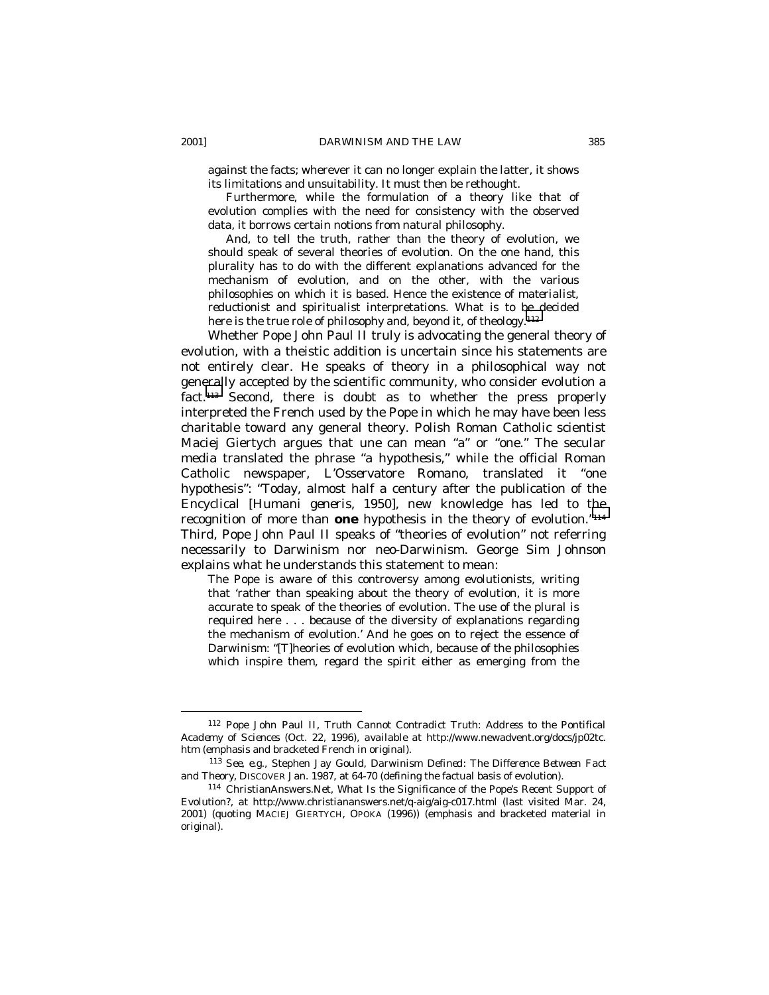against the facts; wherever it can no longer explain the latter, it shows its limitations and unsuitability. It must then be rethought.

Furthermore, while the formulation of a theory like that of evolution complies with the need for consistency with the observed data, it borrows certain notions from natural philosophy.

And, to tell the truth, rather than the theory of evolution, we should speak of several theories of evolution. On the one hand, this plurality has to do with the different explanations advanced for the mechanism of evolution, and on the other, with the various philosophies on which it is based. Hence the existence of *materialist*, *reductionist* and *spiritualist* interpretations. What is to be decided here is the true role of *philosophy* and, beyond it, of theology.<sup>112</sup>

Whether Pope John Paul II truly is advocating the general theory of evolution, with a theistic addition is uncertain since his statements are not entirely clear. He speaks of theory in a philosophical way not generally accepted by the scientific community, who consider evolution a fact.113 Second, there is doubt as to whether the press properly interpreted the French used by the Pope in which he may have been less charitable toward any general theory. Polish Roman Catholic scientist Maciej Giertych argues that *une* can mean "a" or "one." The secular media translated the phrase "a hypothesis," while the official Roman Catholic newspaper, *L'Osservatore Romano*, translated it "one hypothesis": "Today, almost half a century after the publication of the Encyclical [*Humani generis*, 1950], new knowledge has led to the recognition of more than **one** hypothesis in the theory of evolution."114 Third, Pope John Paul II speaks of "theories of evolution" not referring necessarily to Darwinism nor neo-Darwinism. George Sim Johnson explains what he understands this statement to mean:

The Pope is aware of this controversy among evolutionists, writing that 'rather than speaking about the theory of evolution, it is more accurate to speak of the theories of evolution. The use of the plural is required here . . . because of the diversity of explanations regarding the mechanism of evolution.' And he goes on to reject the essence of Darwinism: "[T]heories of evolution which, because of the philosophies which inspire them, regard the spirit either as emerging from the

<sup>112</sup> Pope John Paul II, *Truth Cannot Contradict Truth: Address to the Pontifical Academy of Sciences* (Oct. 22, 1996), *available at* http://www.newadvent.org/docs/jp02tc. htm (emphasis and bracketed French in original).

<sup>113</sup> *See, e.g.*, Stephen Jay Gould, *Darwinism Defined: The Difference Between Fact and Theory*, DISCOVER Jan. 1987, at 64-70 (defining the factual basis of evolution).

<sup>114</sup> ChristianAnswers.Net, *What Is the Significance of the Pope's Recent Support of Evolution?*, *at* http://www.christiananswers.net/q-aig/aig-c017.html (last visited Mar. 24, 2001) (quoting MACIEJ GIERTYCH, OPOKA (1996)) (emphasis and bracketed material in original).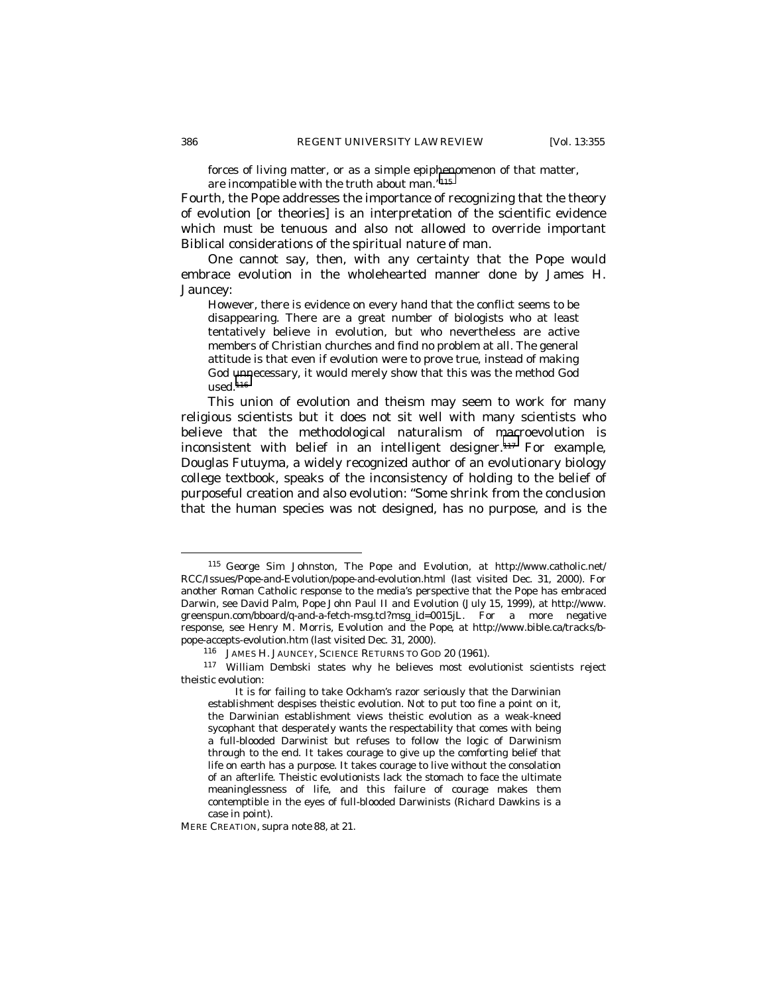forces of living matter, or as a simple epiphenomenon of that matter, are incompatible with the truth about man."115

Fourth, the Pope addresses the importance of recognizing that the theory of evolution [or theories] is an interpretation of the scientific evidence which must be tenuous and also not allowed to override important Biblical considerations of the spiritual nature of man.

One cannot say, then, with any certainty that the Pope would embrace evolution in the wholehearted manner done by James H. Jauncey:

However, there is evidence on every hand that the conflict seems to be disappearing. There are a great number of biologists who at least tentatively believe in evolution, but who nevertheless are active members of Christian churches and find no problem at all. The general attitude is that even if evolution were to prove true, instead of making God unnecessary, it would merely show that this was the method God used.116

This union of evolution and theism may seem to work for many religious scientists but it does not sit well with many scientists who believe that the methodological naturalism of macroevolution is inconsistent with belief in an intelligent designer.<sup>117</sup> For example, Douglas Futuyma, a widely recognized author of an evolutionary biology college textbook, speaks of the inconsistency of holding to the belief of purposeful creation and also evolution: "Some shrink from the conclusion that the human species was not designed, has no purpose, and is the

<sup>115</sup> George Sim Johnston, *The Pope and Evolution*, *at* http://www.catholic.net/ RCC/Issues/Pope-and-Evolution/pope-and-evolution.html (last visited Dec. 31, 2000). For another Roman Catholic response to the media's perspective that the Pope has embraced Darwin, see David Palm, *Pope John Paul II and Evolution* (July 15, 1999), *at* http://www. greenspun.com/bboard/q-and-a-fetch-msg.tcl?msg\_id=0015jL. For a more negative response, see Henry M. Morris, *Evolution and the Pope*, *at* http://www.bible.ca/tracks/bpope-accepts-evolution.htm (last visited Dec. 31, 2000).

<sup>116</sup> JAMES H. JAUNCEY, SCIENCE RETURNS TO GOD 20 (1961).

<sup>117</sup> William Dembski states why he believes most evolutionist scientists reject theistic evolution:

It is for failing to take Ockham's razor seriously that the Darwinian establishment despises theistic evolution. Not to put too fine a point on it, the Darwinian establishment views theistic evolution as a weak-kneed sycophant that desperately wants the respectability that comes with being a full-blooded Darwinist but refuses to follow the logic of Darwinism through to the end. It takes courage to give up the comforting belief that life on earth has a purpose. It takes courage to live without the consolation of an afterlife. Theistic evolutionists lack the stomach to face the ultimate meaninglessness of life, and this failure of courage makes them contemptible in the eyes of full-blooded Darwinists (Richard Dawkins is a case in point).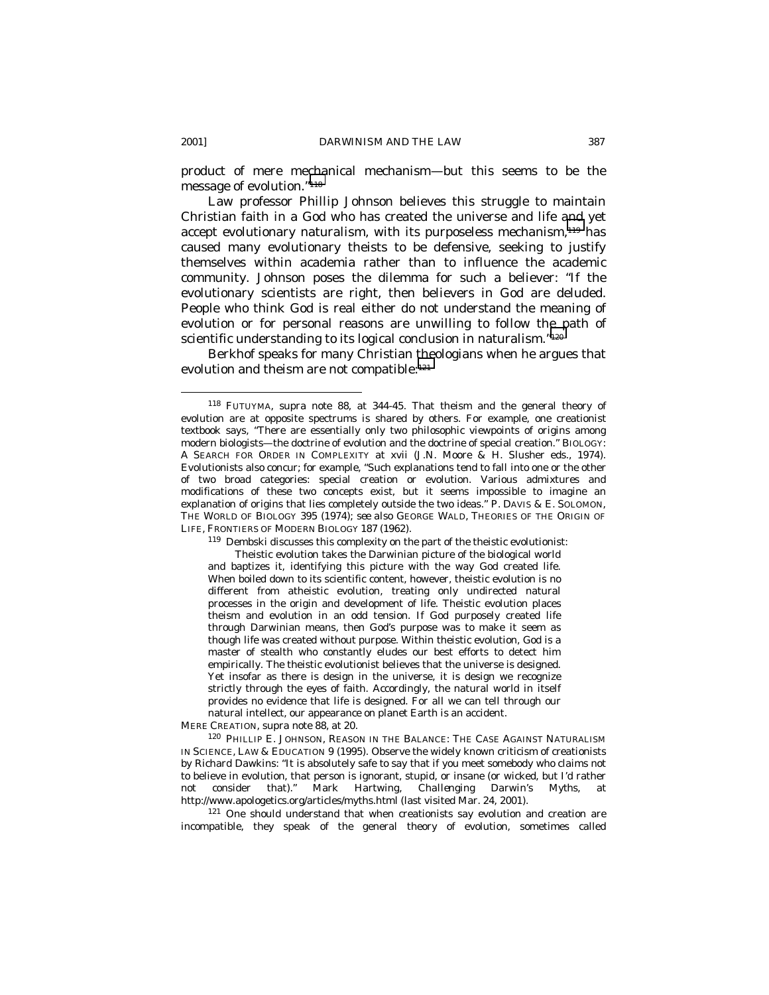product of mere mechanical mechanism—but this seems to be the message of evolution."118

Law professor Phillip Johnson believes this struggle to maintain Christian faith in a God who has created the universe and life and yet accept evolutionary naturalism, with its purposeless mechanism,119 has caused many evolutionary theists to be defensive, seeking to justify themselves within academia rather than to influence the academic community. Johnson poses the dilemma for such a believer: "If the evolutionary scientists are right, then believers in God are deluded. People who think God is real either do not understand the meaning of evolution or for personal reasons are unwilling to follow the path of scientific understanding to its logical conclusion in naturalism."<sup>120</sup>

Berkhof speaks for many Christian theologians when he argues that evolution and theism are not compatible:121

119 Dembski discusses this complexity on the part of the theistic evolutionist:

Theistic evolution takes the Darwinian picture of the biological world and baptizes it, identifying this picture with the way God created life. When boiled down to its scientific content, however, theistic evolution is no different from atheistic evolution, treating only undirected natural processes in the origin and development of life. Theistic evolution places theism and evolution in an odd tension. If God purposely created life through Darwinian means, then God's purpose was to make it seem as though life was created without purpose. Within theistic evolution, God is a master of stealth who constantly eludes our best efforts to detect him empirically. The theistic evolutionist believes that the universe is designed. Yet insofar as there is design in the universe, it is design we recognize strictly through the eyes of faith. Accordingly, the natural world in itself provides no evidence that life is designed. For all we can tell through our natural intellect, our appearance on planet Earth is an accident.

MERE CREATION, *supra* note 88, at 20.

120 PHILLIP E. JOHNSON, REASON IN THE BALANCE: THE CASE AGAINST NATURALISM IN SCIENCE, LAW & EDUCATION 9 (1995). Observe the widely known criticism of creationists by Richard Dawkins: "It is absolutely safe to say that if you meet somebody who claims not to believe in evolution, that person is ignorant, stupid, or insane (or wicked, but I'd rather not consider that)." Mark Hartwing, *Challenging Darwin's Myths*, *at* http://www.apologetics.org/articles/myths.html (last visited Mar. 24, 2001).

121 One should understand that when creationists say evolution and creation are incompatible, they speak of the general theory of evolution, sometimes called

 $\overline{\phantom{a}}$ 

<sup>118</sup> FUTUYMA, *supra* note 88, at 344-45. That theism and the general theory of evolution are at opposite spectrums is shared by others. For example, one creationist textbook says, "There are essentially only two philosophic viewpoints of origins among modern biologists—the doctrine of evolution and the doctrine of special creation." BIOLOGY: A SEARCH FOR ORDER IN COMPLEXITY at xvii (J.N. Moore & H. Slusher eds., 1974). Evolutionists also concur; for example, "Such explanations tend to fall into one or the other of two broad categories: special creation or evolution. Various admixtures and modifications of these two concepts exist, but it seems impossible to imagine an explanation of origins that lies completely outside the two ideas." P. DAVIS & E. SOLOMON, THE WORLD OF BIOLOGY 395 (1974); *see also* GEORGE WALD, THEORIES OF THE ORIGIN OF LIFE, FRONTIERS OF MODERN BIOLOGY 187 (1962).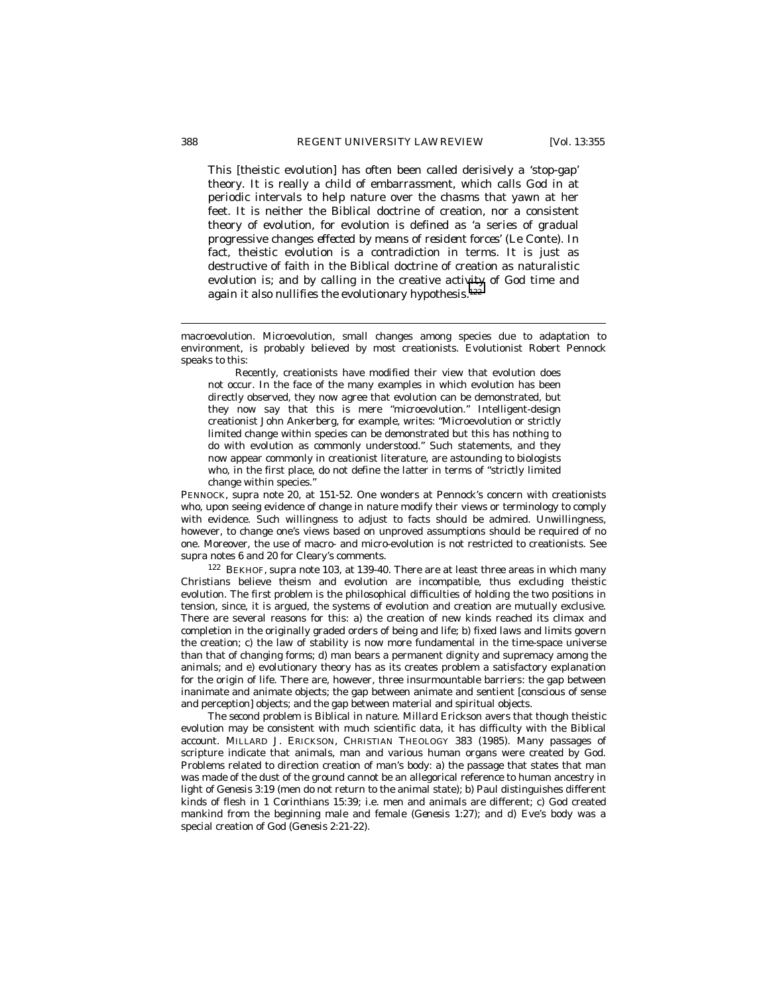This [theistic evolution] has often been called derisively a 'stop-gap' theory. It is really a child of embarrassment, which calls God in at periodic intervals to help nature over the chasms that yawn at her feet. It is neither the Biblical doctrine of creation, nor a consistent theory of evolution, for evolution is defined as 'a series of gradual progressive changes *effected by means of resident forces*' (Le Conte). In fact, theistic evolution is a contradiction in terms. It is just as destructive of faith in the Biblical doctrine of creation as naturalistic evolution is; and by calling in the creative activity of God time and again it also nullifies the evolutionary hypothesis.122

Recently, creationists have modified their view that evolution does not occur. In the face of the many examples in which evolution has been directly observed, they now agree that evolution can be demonstrated, but they now say that this is mere "microevolution." Intelligent-design creationist John Ankerberg, for example, writes: "Microevolution or strictly limited change within species can be demonstrated but this has nothing to do with evolution as commonly understood." Such statements, and they now appear commonly in creationist literature, are astounding to biologists who, in the first place, do not define the latter in terms of "strictly limited change within species."

PENNOCK, *supra* note 20, at 151-52. One wonders at Pennock's concern with creationists who, upon seeing evidence of change in nature modify their views or terminology to comply with evidence. Such willingness to adjust to facts should be admired. Unwillingness, however, to change one's views based on unproved assumptions should be required of no one. Moreover, the use of macro- and micro-evolution is not restricted to creationists. See *supra* notes 6 and 20 for Cleary's comments.

122 BEKHOF, *supra* note 103, at 139-40. There are at least three areas in which many Christians believe theism and evolution are incompatible, thus excluding theistic evolution. The *first* problem is the philosophical difficulties of holding the two positions in tension, since, it is argued, the systems of evolution and creation are mutually exclusive. There are several reasons for this: a) the creation of new kinds reached its climax and completion in the originally graded orders of being and life; b) fixed laws and limits govern the creation; c) the law of stability is now more fundamental in the time-space universe than that of changing forms; d) man bears a permanent dignity and supremacy among the animals; and e) evolutionary theory has as its creates problem a satisfactory explanation for the origin of life. There are, however, three insurmountable barriers: the gap between inanimate and animate objects; the gap between animate and sentient [conscious of sense and perception] objects; and the gap between material and spiritual objects.

The *second* problem is Biblical in nature. Millard Erickson avers that though theistic evolution may be consistent with much scientific data, it has difficulty with the Biblical account. MILLARD J. ERICKSON, CHRISTIAN THEOLOGY 383 (1985). Many passages of scripture indicate that animals, man and various human organs were created by God. Problems related to direction creation of man's body: a) the passage that states that man was made of the dust of the ground cannot be an allegorical reference to human ancestry in light of *Genesis* 3:19 (men do not return to the animal state); b) Paul distinguishes different kinds of flesh in 1 *Corinthians* 15:39; i.e. men and animals are different; c) God created mankind from the beginning male and female (*Genesis* 1:27); and d) Eve's body was a special creation of God (*Genesis* 2:21-22).

 $\overline{\phantom{a}}$ 

macroevolution. Microevolution, small changes among species due to adaptation to environment, is probably believed by most creationists. Evolutionist Robert Pennock speaks to this: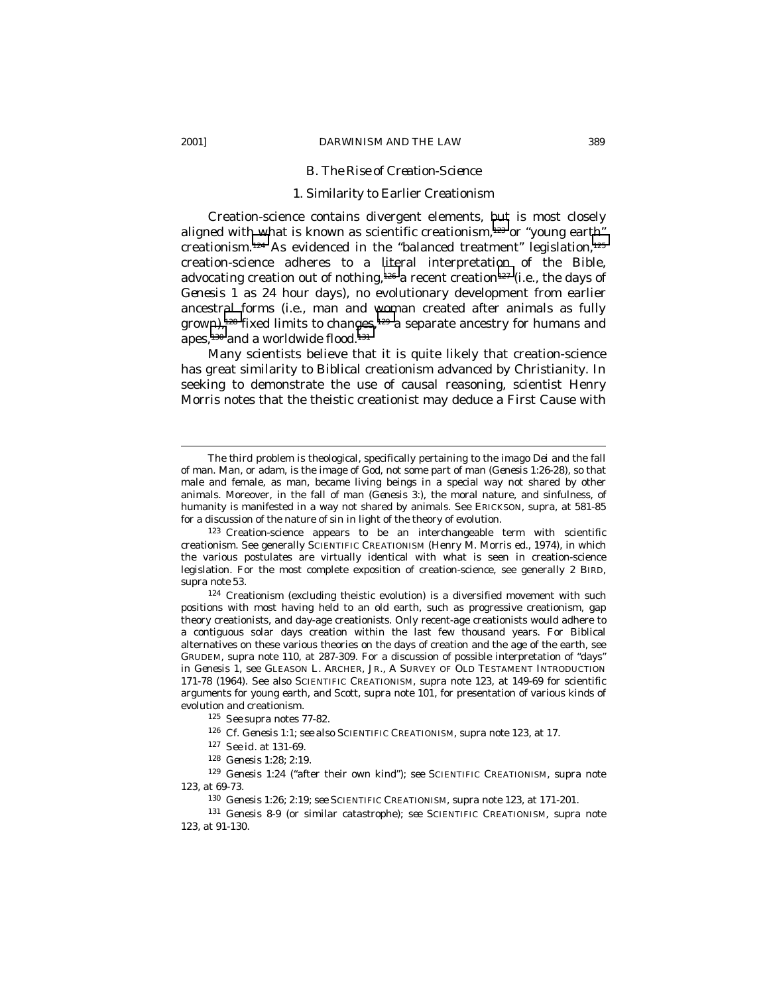#### *B. The Rise of Creation-Science*

# 1. Similarity to Earlier Creationism

Creation-science contains divergent elements, but is most closely aligned with what is known as scientific creationism,123 or "young earth" creationism.124 As evidenced in the "balanced treatment" legislation,125 creation-science adheres to a literal interpretation of the Bible, advocating creation out of nothing,<sup>126</sup> a recent creation<sup>127</sup> (i.e., the days of *Genesis* 1 as 24 hour days), no evolutionary development from earlier ancestral forms (i.e., man and woman created after animals as fully grown),<sup>128</sup> fixed limits to changes,<sup>129</sup> a separate ancestry for humans and apes,130 and a worldwide flood.131

Many scientists believe that it is quite likely that creation-science has great similarity to Biblical creationism advanced by Christianity. In seeking to demonstrate the use of causal reasoning, scientist Henry Morris notes that the theistic creationist may deduce a First Cause with

 $\overline{\phantom{a}}$ 

The *third* problem is theological, specifically pertaining to the *imago Dei* and the fall of man. Man, or adam, is the image of God, not some part of man (*Genesis* 1:26-28), so that male and female, as man, became living beings in a special way not shared by other animals. Moreover, in the fall of man (*Genesis* 3:), the moral nature, and sinfulness, of humanity is manifested in a way not shared by animals. See ERICKSON, *supra*, at 581-85 for a discussion of the nature of sin in light of the theory of evolution.

<sup>&</sup>lt;sup>123</sup> Creation-science appears to be an interchangeable term with scientific creationism. See generally SCIENTIFIC CREATIONISM (Henry M. Morris ed., 1974), in which the various postulates are virtually identical with what is seen in creation-science legislation. For the most complete exposition of creation-science, see generally 2 BIRD, *supra* note 53.

<sup>124</sup> Creationism (excluding theistic evolution) is a diversified movement with such positions with most having held to an old earth, such as progressive creationism, gap theory creationists, and day-age creationists. Only recent-age creationists would adhere to a contiguous solar days creation within the last few thousand years. For Biblical alternatives on these various theories on the days of creation and the age of the earth, see GRUDEM, *supra* note 110, at 287-309. For a discussion of possible interpretation of "days" in *Genesis* 1, see GLEASON L. ARCHER, JR., A SURVEY OF OLD TESTAMENT INTRODUCTION 171-78 (1964). See also SCIENTIFIC CREATIONISM, *supra* note 123, at 149-69 for scientific arguments for young earth, and Scott, *supra* note 101, for presentation of various kinds of evolution and creationism.

<sup>125</sup> *See supra* notes 77-82.

<sup>126</sup> *Cf*. *Genesis* 1:1; *see also* SCIENTIFIC CREATIONISM, *supra* note 123, at 17.

<sup>127</sup> *See id*. at 131-69.

<sup>128</sup> *Genesis* 1:28; 2:19.

<sup>129</sup> *Genesis* 1:24 ("after their own kind"); *see* SCIENTIFIC CREATIONISM, *supra* note 123, at 69-73.

<sup>130</sup> *Genesis* 1:26; 2:19; *see* SCIENTIFIC CREATIONISM, *supra* note 123, at 171-201.

<sup>131</sup> *Genesis* 8-9 (or similar catastrophe); *see* SCIENTIFIC CREATIONISM, *supra* note 123, at 91-130.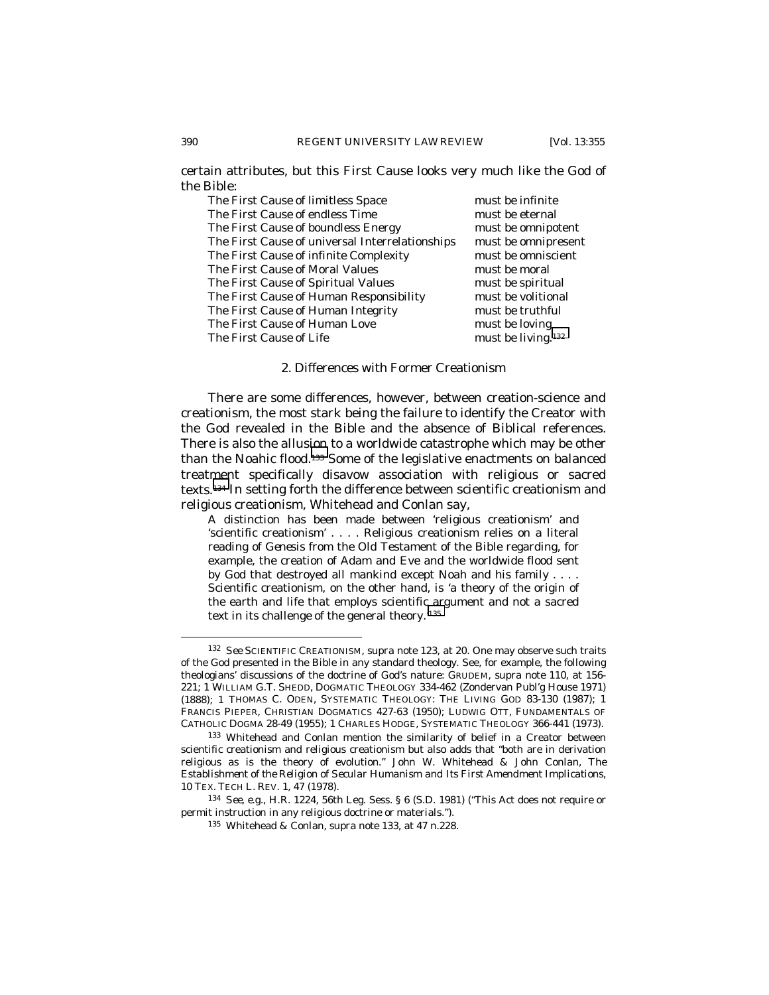certain attributes, but this First Cause looks very much like the God of the Bible:

| The First Cause of limitless Space              | must be infinite               |
|-------------------------------------------------|--------------------------------|
| The First Cause of endless Time                 | must be eternal                |
| The First Cause of boundless Energy             | must be omnipotent             |
| The First Cause of universal Interrelationships | must be omnipresent            |
| The First Cause of infinite Complexity          | must be omniscient             |
| The First Cause of Moral Values                 | must be moral                  |
| The First Cause of Spiritual Values             | must be spiritual              |
| The First Cause of Human Responsibility         | must be volitional             |
| The First Cause of Human Integrity              | must be truthful               |
| The First Cause of Human Love                   | must be loving                 |
| The First Cause of Life                         | must be living. <sup>132</sup> |
|                                                 |                                |

#### 2. Differences with Former Creationism

There are some differences, however, between creation-science and creationism, the most stark being the failure to identify the Creator with the God revealed in the Bible and the absence of Biblical references. There is also the allusion to a worldwide catastrophe which may be other than the Noahic flood.133 Some of the legislative enactments on balanced treatment specifically disavow association with religious or sacred texts.134 In setting forth the difference between scientific creationism and religious creationism, Whitehead and Conlan say,

A distinction has been made between 'religious creationism' and 'scientific creationism' . . . . Religious creationism relies on a literal reading of *Genesis* from the Old Testament of the Bible regarding, for example, the creation of Adam and Eve and the worldwide flood sent by God that destroyed all mankind except Noah and his family . . . . Scientific creationism, on the other hand, is 'a theory of the origin of the earth and life that employs scientific argument and not a sacred text in its challenge of the general theory.'135

<sup>134</sup> *See, e.g.,* H.R. 1224, 56th Leg. Sess. § 6 (S.D. 1981) ("This Act does not require or permit instruction in any religious doctrine or materials.").

<sup>132</sup> *See* SCIENTIFIC CREATIONISM, *supra* note 123, at 20. One may observe such traits of the God presented in the Bible in any standard theology. See, for example, the following theologians' discussions of the doctrine of God's nature: GRUDEM, *supra* note 110, at 156- 221; 1 WILLIAM G.T. SHEDD, DOGMATIC THEOLOGY 334-462 (Zondervan Publ'g House 1971) (1888); 1 THOMAS C. ODEN, SYSTEMATIC THEOLOGY: THE LIVING GOD 83-130 (1987); 1 FRANCIS PIEPER, CHRISTIAN DOGMATICS 427-63 (1950); LUDWIG OTT, FUNDAMENTALS OF CATHOLIC DOGMA 28-49 (1955); 1 CHARLES HODGE, SYSTEMATIC THEOLOGY 366-441 (1973).

<sup>133</sup> Whitehead and Conlan mention the similarity of belief in a Creator between scientific creationism and religious creationism but also adds that "both are in derivation religious as is the theory of evolution." John W. Whitehead & John Conlan, *The Establishment of the Religion of Secular Humanism and Its First Amendment Implications*, 10 TEX. TECH L. REV. 1, 47 (1978).

<sup>135</sup> Whitehead & Conlan, *supra* note 133, at 47 n.228.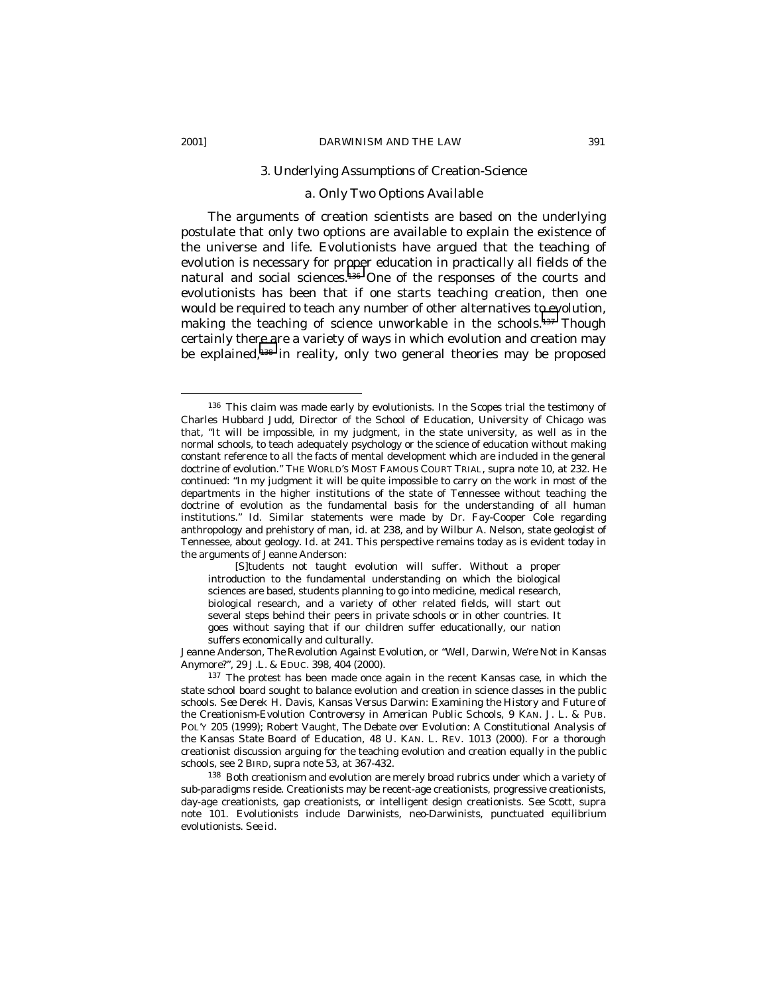#### 3. Underlying Assumptions of Creation-Science

# *a. Only Two Options Available*

The arguments of creation scientists are based on the underlying postulate that only two options are available to explain the existence of the universe and life. Evolutionists have argued that the teaching of evolution is necessary for proper education in practically all fields of the natural and social sciences.136 One of the responses of the courts and evolutionists has been that if one starts teaching creation, then one would be required to teach any number of other alternatives to evolution, making the teaching of science unworkable in the schools.137 Though certainly there are a variety of ways in which evolution and creation may be explained,138 in reality, only two general theories may be proposed

<sup>136</sup> This claim was made early by evolutionists. In the *Scopes* trial the testimony of Charles Hubbard Judd, Director of the School of Education, University of Chicago was that, "It will be impossible, in my judgment, in the state university, as well as in the normal schools, to teach adequately psychology or the science of education without making constant reference to all the facts of mental development which are included in the general doctrine of evolution." THE WORLD'S MOST FAMOUS COURT TRIAL, *supra* note 10, at 232. He continued: "In my judgment it will be quite impossible to carry on the work in most of the departments in the higher institutions of the state of Tennessee without teaching the doctrine of evolution as the fundamental basis for the understanding of all human institutions." *Id.* Similar statements were made by Dr. Fay-Cooper Cole regarding anthropology and prehistory of man, *id.* at 238, and by Wilbur A. Nelson, state geologist of Tennessee, about geology*. Id.* at 241. This perspective remains today as is evident today in the arguments of Jeanne Anderson:

<sup>[</sup>S]tudents not taught evolution will suffer. Without a proper introduction to the fundamental understanding on which the biological sciences are based, students planning to go into medicine, medical research, biological research, and a variety of other related fields, will start out several steps behind their peers in private schools or in other countries. It goes without saying that if our children suffer educationally, our nation suffers economically and culturally.

Jeanne Anderson, *The Revolution Against Evolution, or "Well, Darwin, We're Not in Kansas Anymore?"*, 29 J.L. & EDUC. 398, 404 (2000).

<sup>&</sup>lt;sup>137</sup> The protest has been made once again in the recent Kansas case, in which the state school board sought to balance evolution and creation in science classes in the public schools. *See* Derek H. Davis, *Kansas Versus Darwin: Examining the History and Future of the Creationism-Evolution Controversy in American Public Schools*, 9 KAN. J. L. & PUB. POL'Y 205 (1999); Robert Vaught, *The Debate over Evolution: A Constitutional Analysis of the Kansas State Board of Education*, 48 U. KAN. L. REV. 1013 (2000). For a thorough creationist discussion arguing for the teaching evolution and creation equally in the public schools, see 2 BIRD, *supra* note 53, at 367-432.

 $^{138}\,$  Both creationism and evolution are merely broad rubrics under which a variety of sub-paradigms reside. Creationists may be recent-age creationists, progressive creationists, day-age creationists, gap creationists, or intelligent design creationists. *See* Scott, *supra* note 101. Evolutionists include Darwinists, neo-Darwinists, punctuated equilibrium evolutionists. *See id.*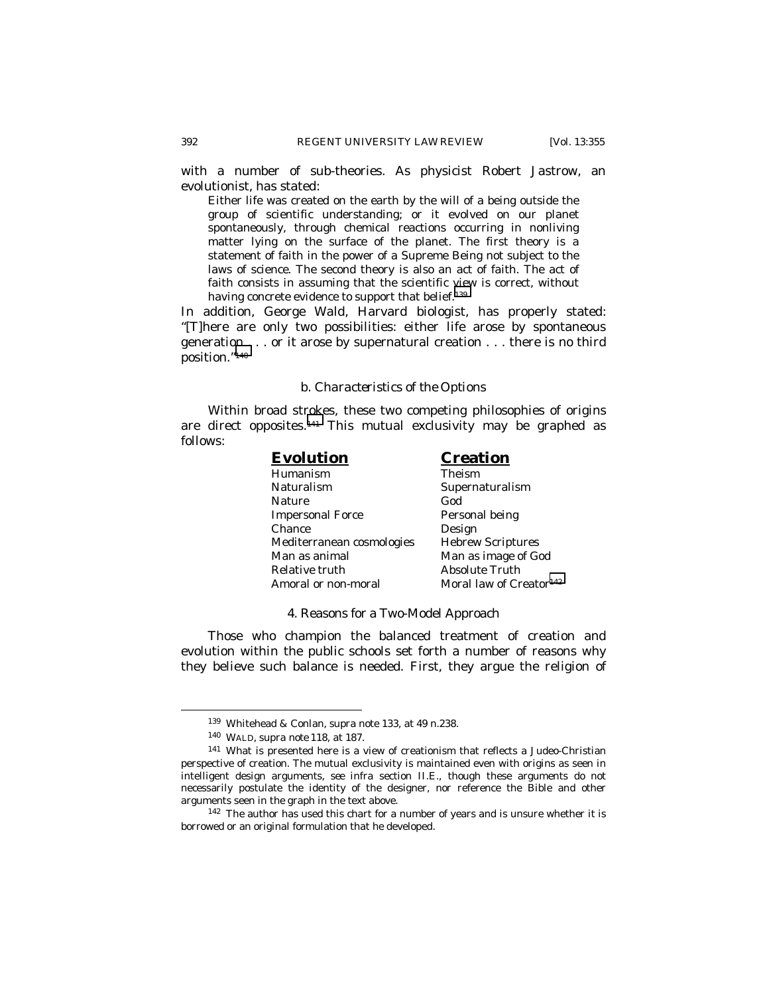with a number of sub-theories. As physicist Robert Jastrow, an evolutionist, has stated:

Either life was created on the earth by the will of a being outside the group of scientific understanding; or it evolved on our planet spontaneously, through chemical reactions occurring in nonliving matter lying on the surface of the planet. The first theory is a statement of faith in the power of a Supreme Being not subject to the laws of science. The second theory is also an act of faith. The act of faith consists in assuming that the scientific view is correct, without having concrete evidence to support that belief.<sup>139</sup>

In addition, George Wald, Harvard biologist, has properly stated: "[T]here are only two possibilities: either life arose by spontaneous generation . . . or it arose by supernatural creation . . . there is no third position."140

## *b. Characteristics of the Options*

Within broad strokes, these two competing philosophies of origins are direct opposites.141 This mutual exclusivity may be graphed as follows:

| <b>Evolution</b>          | <b>Creation</b>                     |
|---------------------------|-------------------------------------|
| Humanism                  | Theism                              |
| Naturalism                | Supernaturalism                     |
| Nature                    | God                                 |
| <b>Impersonal Force</b>   | Personal being                      |
| Chance                    | Design                              |
| Mediterranean cosmologies | <b>Hebrew Scriptures</b>            |
| Man as animal             | Man as image of God                 |
| Relative truth            | <b>Absolute Truth</b>               |
| Amoral or non-moral       | Moral law of Creator <sup>142</sup> |

# 4. Reasons for a Two-Model Approach

Those who champion the balanced treatment of creation and evolution within the public schools set forth a number of reasons why they believe such balance is needed. First, they argue the religion of

<sup>139</sup> Whitehead & Conlan, *supra* note 133, at 49 n.238.

<sup>140</sup> WALD, *supra note* 118, at 187.

<sup>141</sup> What is presented here is a view of creationism that reflects a Judeo-Christian perspective of creation. The mutual exclusivity is maintained even with origins as seen in intelligent design arguments, *see infra* section II.E., though these arguments do not necessarily postulate the identity of the designer, nor reference the Bible and other arguments seen in the graph in the text above.

<sup>142</sup> The author has used this chart for a number of years and is unsure whether it is borrowed or an original formulation that he developed.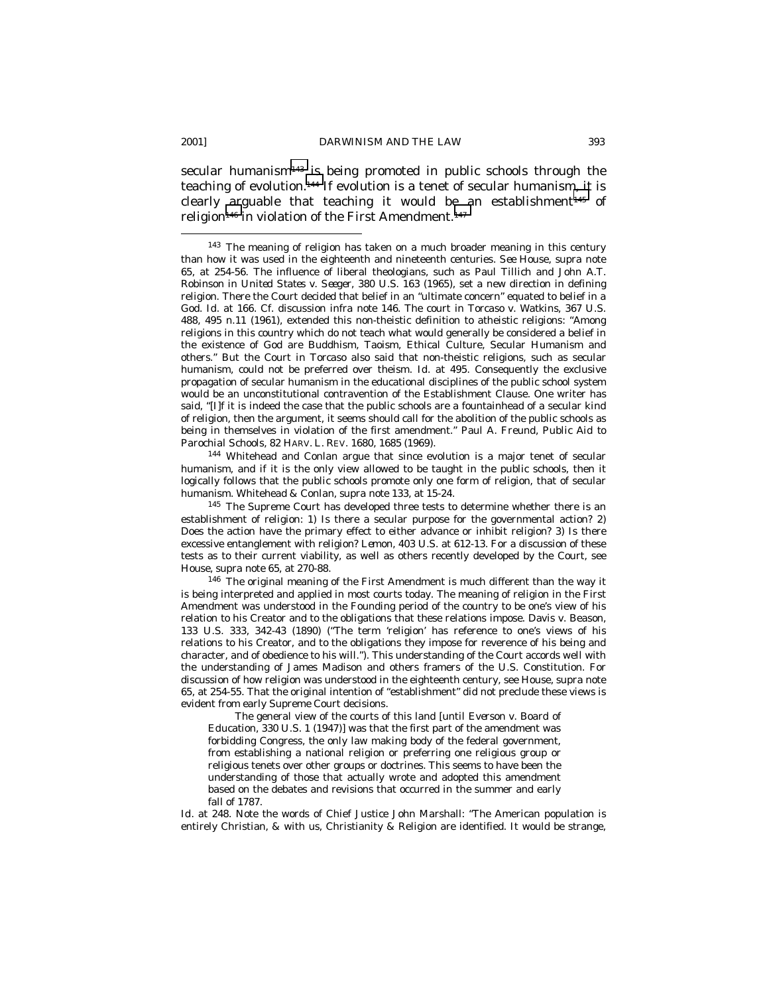$secular$  humanism<sup>143</sup> is being promoted in public schools through the teaching of evolution.144 If evolution is a tenet of secular humanism, it is clearly arguable that teaching it would be an establishment<sup>145</sup> of religion<sup>146</sup> in violation of the First Amendment.<sup>147</sup>

144 Whitehead and Conlan argue that since evolution is a major tenet of secular humanism, and if it is the only view allowed to be taught in the public schools, then it logically follows that the public schools promote only one form of religion, that of secular humanism. Whitehead & Conlan, *supra* note 133, at 15-24.

<sup>145</sup> The Supreme Court has developed three tests to determine whether there is an establishment of religion: 1) Is there a secular purpose for the governmental action? 2) Does the action have the primary effect to either advance or inhibit religion? 3) Is there excessive entanglement with religion? *Lemon*, 403 U.S. at 612-13. For a discussion of these tests as to their current viability, as well as others recently developed by the Court, see House, *supra* note 65, at 270-88.

<sup>146</sup> The original meaning of the First Amendment is much different than the way it is being interpreted and applied in most courts today. The meaning of religion in the First Amendment was understood in the Founding period of the country to be one's view of his relation to his Creator and to the obligations that these relations impose. Davis v. Beason, 133 U.S. 333, 342-43 (1890) ("The term 'religion' has reference to one's views of his relations to his Creator, and to the obligations they impose for reverence of his being and character, and of obedience to his will."). This understanding of the Court accords well with the understanding of James Madison and others framers of the U.S. Constitution. For discussion of how religion was understood in the eighteenth century, see House, *supra* note 65, at 254-55. That the original intention of "establishment" did not preclude these views is evident from early Supreme Court decisions.

The general view of the courts of this land [until *Everson v. Board of Education*, 330 U.S. 1 (1947)] was that the first part of the amendment was forbidding Congress, the only law making body of the federal government, from establishing a national religion or preferring one religious group or religious tenets over other groups or doctrines. This seems to have been the understanding of those that actually wrote and adopted this amendment based on the debates and revisions that occurred in the summer and early fall of 1787.

*Id.* at 248. Note the words of Chief Justice John Marshall: "The American population is entirely Christian, & with us, Christianity & Religion are identified. It would be strange,

<sup>143</sup> The meaning of religion has taken on a much broader meaning in this century than how it was used in the eighteenth and nineteenth centuries. *See* House, *supra* note 65, at 254-56. The influence of liberal theologians, such as Paul Tillich and John A.T. Robinson in *United States v. Seeger*, 380 U.S. 163 (1965), set a new direction in defining religion. There the Court decided that belief in an "ultimate concern" equated to belief in a God. *Id*. at 166. *Cf.* discussion *infra* note 146. The court in *Torcaso v. Watkins*, 367 U.S. 488, 495 n.11 (1961), extended this non-theistic definition to atheistic religions: "Among religions in this country which do not teach what would generally be considered a belief in the existence of God are Buddhism, Taoism, Ethical Culture, Secular Humanism and others." But the Court in *Torcaso* also said that non-theistic religions, such as secular humanism, could not be preferred over theism. *Id.* at 495. Consequently the exclusive propagation of secular humanism in the educational disciplines of the public school system would be an unconstitutional contravention of the Establishment Clause. One writer has said, "[I]f it is indeed the case that the public schools are a fountainhead of a secular kind of religion, then the argument, it seems should call for the abolition of the public schools as being in themselves in violation of the first amendment." Paul A. Freund, *Public Aid to Parochial Schools*, 82 HARV. L. REV. 1680, 1685 (1969).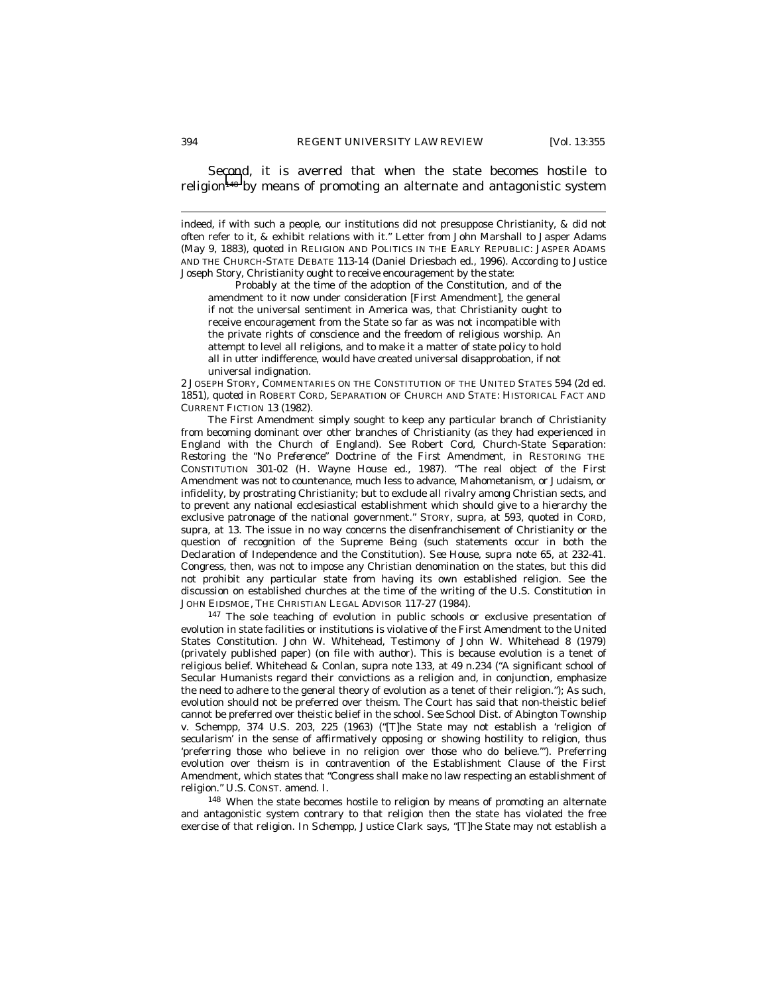Second, it is averred that when the state becomes hostile to religion148 by means of promoting an alternate and antagonistic system

Probably at the time of the adoption of the Constitution, and of the amendment to it now under consideration [First Amendment], the general if not the universal sentiment in America was, that Christianity ought to receive encouragement from the State so far as was not incompatible with the private rights of conscience and the freedom of religious worship. An attempt to level all religions, and to make it a matter of state policy to hold all in utter indifference, would have created universal disapprobation, if not universal indignation.

2 JOSEPH STORY, COMMENTARIES ON THE CONSTITUTION OF THE UNITED STATES 594 (2d ed. 1851), *quoted in* ROBERT CORD, SEPARATION OF CHURCH AND STATE: HISTORICAL FACT AND CURRENT FICTION 13 (1982).

The First Amendment simply sought to keep any particular branch of Christianity from becoming dominant over other branches of Christianity (as they had experienced in England with the Church of England). *See* Robert Cord, *Church-State Separation: Restoring the* "*No Preference*" *Doctrine of the First Amendment*, *in* RESTORING THE CONSTITUTION 301-02 (H. Wayne House ed., 1987). "The real object of the First Amendment was not to countenance, much less to advance, Mahometanism, or Judaism, or infidelity, by prostrating Christianity; but to exclude all rivalry among Christian sects, and to prevent any national ecclesiastical establishment which should give to a hierarchy the exclusive patronage of the national government." STORY, *supra*, at 593, *quoted in* CORD, supra, at 13. The issue in no way concerns the disenfranchisement of Christianity or the question of recognition of the Supreme Being (such statements occur in both the Declaration of Independence and the Constitution). *See* House, *supra* note 65, at 232-41. Congress, then, was not to impose any Christian denomination on the states, but this did not prohibit any particular state from having its own established religion. See the discussion on established churches at the time of the writing of the U.S. Constitution in JOHN EIDSMOE, THE CHRISTIAN LEGAL ADVISOR 117-27 (1984).

<sup>147</sup> The sole teaching of evolution in public schools or exclusive presentation of evolution in state facilities or institutions is violative of the First Amendment to the United States Constitution. John W. Whitehead, Testimony of John W. Whitehead 8 (1979) (privately published paper) (on file with author). This is because evolution is a tenet of religious belief. Whitehead & Conlan, *supra* note 133, at 49 n.234 ("A significant school of Secular Humanists regard their convictions as a religion and, in conjunction, emphasize the need to adhere to the general theory of evolution as a tenet of their religion."); As such, evolution should not be preferred over theism. The Court has said that non-theistic belief cannot be preferred over theistic belief in the school. *See* School Dist. of Abington Township v. Schempp, 374 U.S. 203, 225 (1963) ("[T]he State may not establish a 'religion of secularism' in the sense of affirmatively opposing or showing hostility to religion, thus 'preferring those who believe in no religion over those who do believe.'"). Preferring evolution over theism is in contravention of the Establishment Clause of the First Amendment, which states that "Congress shall make no law respecting an establishment of religion." U.S. CONST. amend. I.

148 When the state becomes hostile to religion by means of promoting an alternate and antagonistic system contrary to that religion then the state has violated the free exercise of that religion. In *Schempp*, Justice Clark says, "[T]he State may not establish a

indeed, if with such a people, our institutions did not presuppose Christianity, & did not often refer to it, & exhibit relations with it." Letter from John Marshall to Jasper Adams (May 9, 1883), *quoted in* RELIGION AND POLITICS IN THE EARLY REPUBLIC: JASPER ADAMS AND THE CHURCH-STATE DEBATE 113-14 (Daniel Driesbach ed., 1996). According to Justice Joseph Story, Christianity ought to receive encouragement by the state: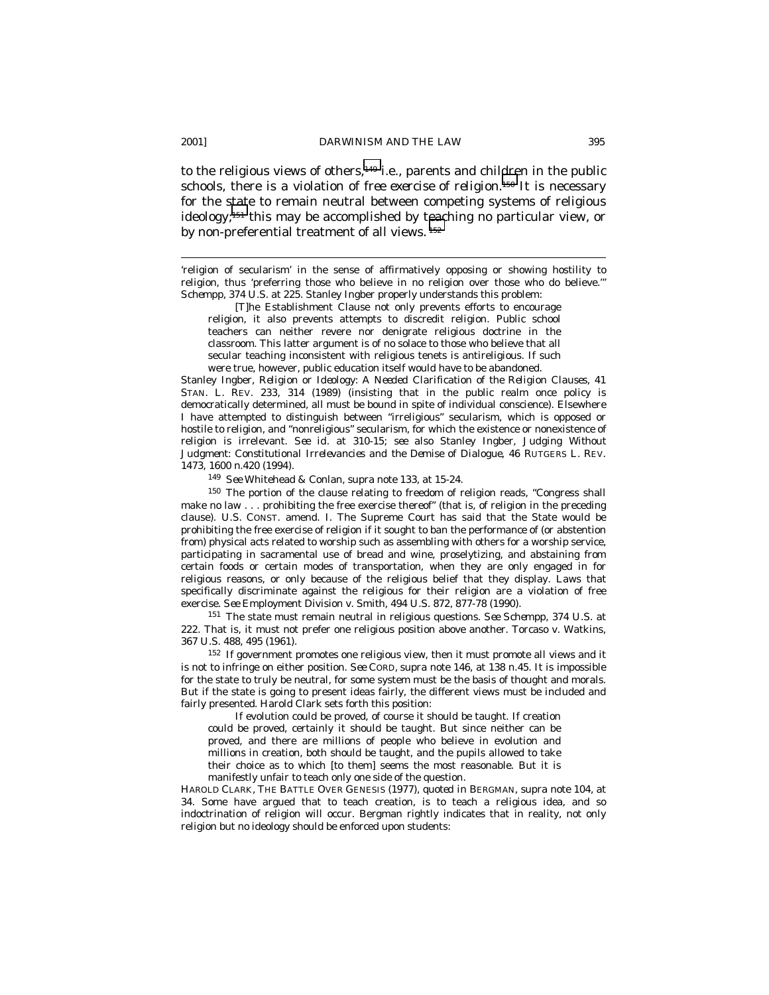to the religious views of others,<sup>149</sup> i.e., parents and children in the public schools, there is a violation of *free exercise of religion*.150 It is necessary for the state to remain neutral between competing systems of religious ideology;151 this may be accomplished by teaching no particular view, or by non-preferential treatment of all views. 152

'religion of secularism' in the sense of affirmatively opposing or showing hostility to religion, thus 'preferring those who believe in no religion over those who do believe.'" *Schempp*, 374 U.S. at 225. Stanley Ingber properly understands this problem:

[T]he Establishment Clause not only prevents efforts to encourage religion, it also prevents attempts to discredit religion. Public school teachers can neither revere nor denigrate religious doctrine in the classroom. This latter argument is of no solace to those who believe that all secular teaching inconsistent with religious tenets is antireligious. If such were true, however, public education itself would have to be abandoned.

Stanley Ingber, *Religion or Ideology: A Needed Clarification of the Religion Clauses*, 41 STAN. L. REV. 233, 314 (1989) (insisting that in the public realm once policy is democratically determined, all must be bound in spite of individual conscience). Elsewhere I have attempted to distinguish between "irreligious" secularism, which is opposed or hostile to religion, and "nonreligious" secularism, for which the existence or nonexistence of religion is irrelevant. *See id*. at 310-15; *see also* Stanley Ingber, *Judging Without Judgment: Constitutional Irrelevancies and the Demise of Dialogue*, 46 RUTGERS L. REV. 1473, 1600 n.420 (1994).

<sup>149</sup> *See* Whitehead & Conlan, *supra* note 133, at 15-24.

<sup>150</sup> The portion of the clause relating to freedom of religion reads, "Congress shall make no law . . . prohibiting the free exercise thereof" (that is, of religion in the preceding clause). U.S. CONST. amend. I. The Supreme Court has said that the State would be prohibiting the free exercise of religion if it sought to ban the performance of (or abstention from) physical acts related to worship such as assembling with others for a worship service, participating in sacramental use of bread and wine, proselytizing, and abstaining from certain foods or certain modes of transportation, when they are only engaged in for religious reasons, or only because of the religious belief that they display. Laws that specifically discriminate against the religious for their religion are a violation of free exercise. *See* Employment Division v. Smith, 494 U.S. 872, 877-78 (1990).

151 The state must remain neutral in religious questions. *See Schempp*, 374 U.S. at 222. That is, it must not prefer one religious position above another. Torcaso v. Watkins, 367 U.S. 488, 495 (1961).

152 If government promotes one religious view, then it must promote all views and it is not to infringe on either position. *See* CORD, *supra* note 146, at 138 n.45. It is impossible for the state to truly be neutral, for some system must be the basis of thought and morals. But if the state is going to present ideas fairly, the different views must be included and fairly presented. Harold Clark sets forth this position:

If evolution could be proved, of course it should be taught. If creation could be proved, certainly it should be taught. But since neither can be proved, and there are millions of people who believe in evolution and millions in creation, both should be taught, and the pupils allowed to take their choice as to which [to them] seems the most reasonable. But it is manifestly unfair to teach only one side of the question.

HAROLD CLARK, THE BATTLE OVER GENESIS (1977), *quoted in* BERGMAN, *supra* note 104, at 34. Some have argued that to teach creation, is to teach a religious idea, and so indoctrination of religion will occur. Bergman rightly indicates that in reality, not only religion but no ideology should be enforced upon students: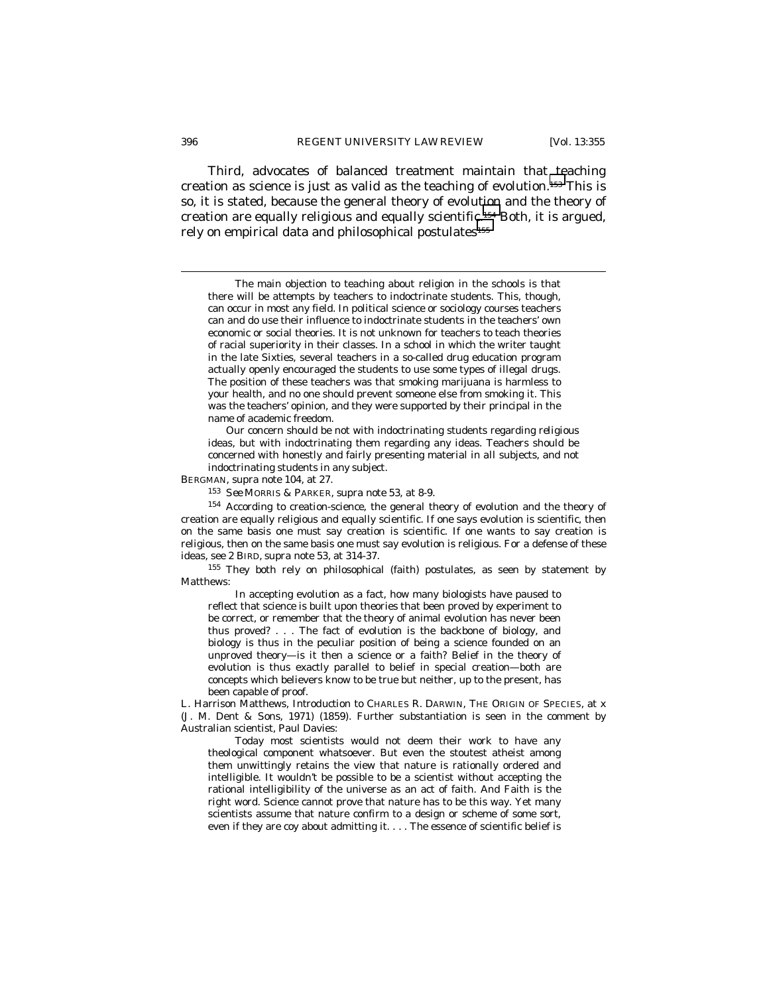Third, advocates of balanced treatment maintain that teaching creation as science is just as valid as the teaching of evolution.153 This is so, it is stated, because the general theory of evolution and the theory of creation are equally religious and equally scientific.154 Both, it is argued, rely on empirical data and philosophical postulates<sup>155</sup>

The main objection to teaching about religion in the schools is that there will be attempts by teachers to indoctrinate students. This, though, can occur in most any field. In political science or sociology courses teachers can and do use their influence to indoctrinate students in the teachers' own economic or social theories. It is not unknown for teachers to teach theories of racial superiority in their classes. In a school in which the writer taught in the late Sixties, several teachers in a so-called drug education program actually openly encouraged the students to use some types of illegal drugs. The position of these teachers was that smoking marijuana is harmless to your health, and no one should prevent someone else from smoking it. This was the teachers' opinion, and they were supported by their principal in the name of academic freedom.

Our concern should be not with indoctrinating students regarding *religious* ideas, but with indoctrinating them regarding *any* ideas. Teachers should be concerned with honestly and fairly presenting material in *all* subjects, and not indoctrinating students in *any* subject.

BERGMAN, *supra* note 104, at 27.

<sup>153</sup> *See* MORRIS & PARKER, *supra* note 53, at 8-9.

154 According to creation-science, the general theory of evolution and the theory of creation are equally religious and equally scientific. If one says evolution is scientific, then on the same basis one must say creation is scientific. If one wants to say creation is religious, then on the same basis one must say evolution is religious. For a defense of these ideas, see 2 BIRD, *supra* note 53, at 314-37.

155 They both rely on philosophical (faith) postulates, as seen by statement by Matthews:

In accepting evolution as a fact, how many biologists have paused to reflect that science is built upon theories that been proved by experiment to be correct, or remember that the theory of animal evolution has never been thus proved? . . . The fact of evolution is the backbone of biology, and biology is thus in the peculiar position of being a science founded on an unproved theory—is it then a science or a faith? Belief in the theory of evolution is thus exactly parallel to belief in special creation—both are concepts which believers know to be true but neither, up to the present, has been capable of proof.

L. Harrison Matthews, *Introduction* to CHARLES R. DARWIN, THE ORIGIN OF SPECIES, at x (J. M. Dent & Sons, 1971) (1859). Further substantiation is seen in the comment by Australian scientist, Paul Davies:

Today most scientists would not deem their work to have any theological component whatsoever. But even the stoutest atheist among them unwittingly retains the view that nature is rationally ordered and intelligible. It wouldn't be possible to be a scientist without accepting the rational intelligibility of the universe as an act of faith. And Faith is the right word. Science cannot prove that nature has to be this way. Yet many scientists assume that nature confirm to a design or scheme of some sort, even if they are coy about admitting it. . . . The essence of scientific belief is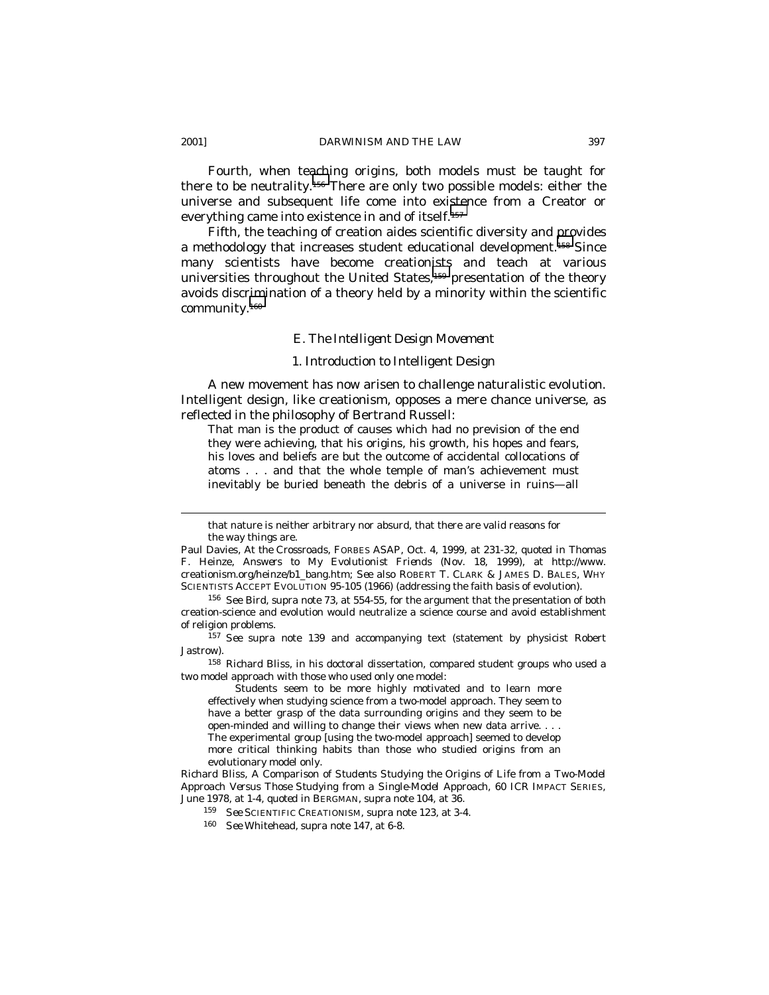#### 2001] *DARWINISM AND THE LAW* 397

Fourth, when teaching origins, both models must be taught for there to be neutrality.156 There are only two possible models: either the universe and subsequent life come into existence from a Creator or everything came into existence in and of itself.157

Fifth, the teaching of creation aides scientific diversity and provides a methodology that increases student educational development.158 Since many scientists have become creationists and teach at various universities throughout the United States,<sup>159</sup> presentation of the theory avoids discrimination of a theory held by a minority within the scientific community.160

## *E. The Intelligent Design Movement*

## 1. Introduction to Intelligent Design

A new movement has now arisen to challenge naturalistic evolution. Intelligent design, like creationism, opposes a mere chance universe, as reflected in the philosophy of Bertrand Russell:

That man is the product of causes which had no prevision of the end they were achieving, that his origins, his growth, his hopes and fears, his loves and beliefs are but the outcome of accidental collocations of atoms . . . and that the whole temple of man's achievement must inevitably be buried beneath the debris of a universe in ruins—all

158 Richard Bliss, in his doctoral dissertation, compared student groups who used a two model approach with those who used only one model:

Students seem to be more highly motivated and to learn more effectively when studying science from a two-model approach. They seem to have a better grasp of the data surrounding origins and they seem to be open-minded and willing to change their views when new data arrive. . . . The experimental group [using the two-model approach] seemed to develop more critical thinking habits than those who studied origins from an evolutionary model only.

Richard Bliss, *A Comparison of Students Studying the Origins of Life from a Two-Model Approach Versus Those Studying from a Single-Model Approach*, 60 ICR IMPACT SERIES, June 1978, at 1-4, *quoted in* BERGMAN, *supra* note 104, at 36.

<sup>159</sup> *See* SCIENTIFIC CREATIONISM, *supra* note 123, at 3-4.

that nature is neither arbitrary nor absurd, that there are valid reasons for the way things are.

Paul Davies, *At the Crossroads*, FORBES ASAP, Oct. 4, 1999, at 231-32, *quoted in* Thomas F. Heinze, *Answers to My Evolutionist Friends* (Nov. 18, 1999), *at* http://www. creationism.org/heinze/b1\_bang.htm; *See also* ROBERT T. CLARK & JAMES D. BALES, WHY SCIENTISTS ACCEPT EVOLUTION 95-105 (1966) (addressing the faith basis of evolution).

<sup>156</sup> See Bird, *supra* note 73, at 554-55, for the argument that the presentation of both creation-science and evolution would neutralize a science course and avoid establishment of religion problems.

<sup>&</sup>lt;sup>157</sup> *See supra* note 139 and accompanying text (statement by physicist Robert Jastrow).

<sup>160</sup> *See* Whitehead, *supra* note 147, at 6-8.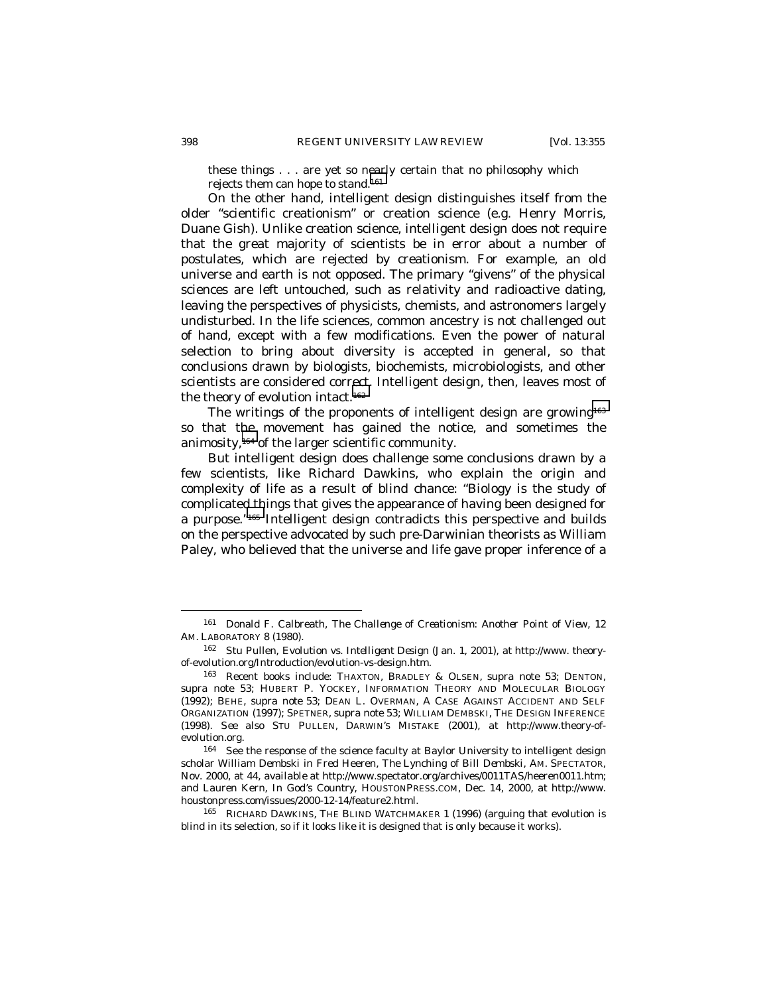these things . . . are yet so nearly certain that no philosophy which rejects them can hope to stand.161

On the other hand, intelligent design distinguishes itself from the older "scientific creationism" or creation science (e.g. Henry Morris, Duane Gish). Unlike creation science, intelligent design does not require that the great majority of scientists be in error about a number of postulates, which are rejected by creationism. For example, an old universe and earth is not opposed. The primary "givens" of the physical sciences are left untouched, such as relativity and radioactive dating, leaving the perspectives of physicists, chemists, and astronomers largely undisturbed. In the life sciences, common ancestry is not challenged out of hand, except with a few modifications. Even the power of natural selection to bring about diversity is accepted in general, so that conclusions drawn by biologists, biochemists, microbiologists, and other scientists are considered correct. Intelligent design, then, leaves most of the theory of evolution intact.<sup>162</sup>

The writings of the proponents of intelligent design are growing<sup>163</sup> so that the movement has gained the notice, and sometimes the animosity,164 of the larger scientific community.

But intelligent design does challenge some conclusions drawn by a few scientists, like Richard Dawkins, who explain the origin and complexity of life as a result of blind chance: "Biology is the study of complicated things that gives the appearance of having been designed for a purpose."165 Intelligent design contradicts this perspective and builds on the perspective advocated by such pre-Darwinian theorists as William Paley, who believed that the universe and life gave proper inference of a

<sup>161</sup> Donald F. Calbreath, *The Challenge of Creationism: Another Point of View*, 12 AM. LABORATORY 8 (1980).

<sup>162</sup> Stu Pullen, *Evolution vs. Intelligent Design* (Jan. 1, 2001), *at* http://www. theoryof-evolution.org/Introduction/evolution-vs-design.htm.

<sup>163</sup> Recent books include: THAXTON, BRADLEY & OLSEN, *supra* note 53; DENTON, *supra* note 53; HUBERT P. YOCKEY, INFORMATION THEORY AND MOLECULAR BIOLOGY (1992); BEHE, *supra note* 53; DEAN L. OVERMAN, A CASE AGAINST ACCIDENT AND SELF ORGANIZATION (1997); SPETNER, *supra* note 53; WILLIAM DEMBSKI, THE DESIGN INFERENCE (1998). *See also* STU PULLEN, DARWIN'S MISTAKE (2001), *at* http://www.theory-ofevolution.org.

<sup>164</sup> See the response of the science faculty at Baylor University to intelligent design scholar William Dembski in Fred Heeren, *The Lynching of Bill Dembski*, AM. SPECTATOR, Nov. 2000, at 44, *available at* http://www.spectator.org/archives/0011TAS/heeren0011.htm; and Lauren Kern, *In God's Country*, HOUSTONPRESS.COM, Dec. 14, 2000, *at* http://www. houstonpress.com/issues/2000-12-14/feature2.html.

<sup>165</sup> RICHARD DAWKINS, THE BLIND WATCHMAKER 1 (1996) (arguing that evolution is blind in its selection, so if it looks like it is designed that is only because it works).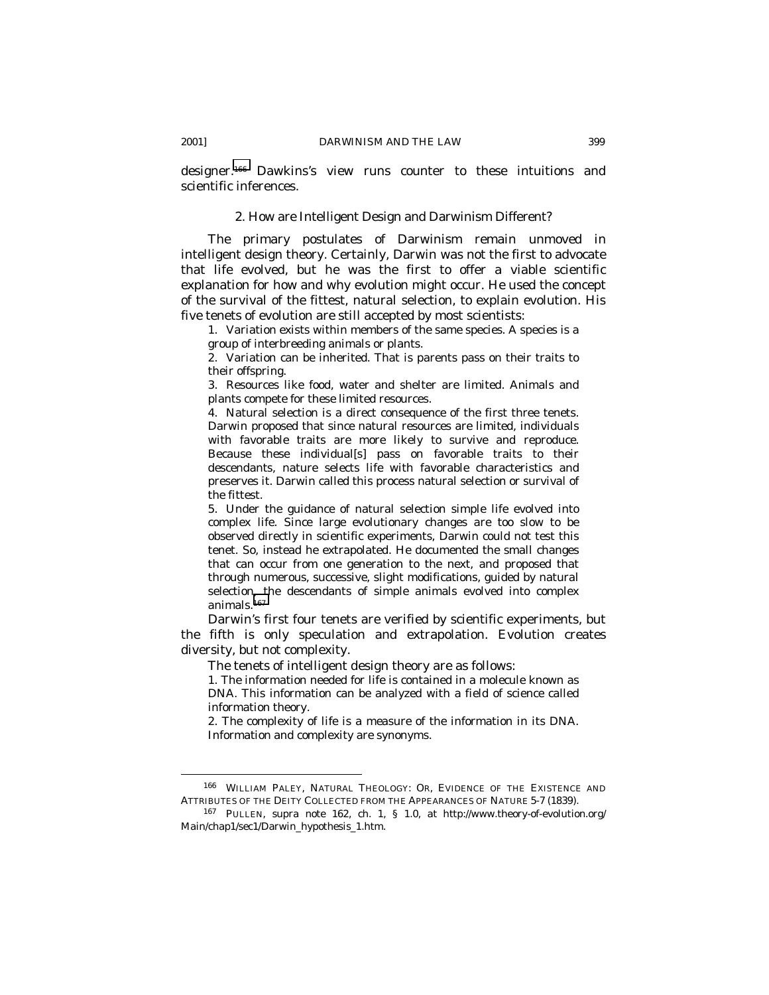designer.166 Dawkins's view runs counter to these intuitions and scientific inferences.

# 2. How are Intelligent Design and Darwinism Different?

The primary postulates of Darwinism remain unmoved in intelligent design theory. Certainly, Darwin was not the first to advocate that life evolved, but he was the first to offer a viable scientific explanation for how and why evolution might occur. He used the concept of the survival of the fittest, natural selection, to explain evolution. His five tenets of evolution are still accepted by most scientists:

1. Variation exists within members of the same species. A species is a group of interbreeding animals or plants.

2. Variation can be inherited. That is parents pass on their traits to their offspring.

3. Resources like food, water and shelter are limited. Animals and plants compete for these limited resources.

4. Natural selection is a direct consequence of the first three tenets. Darwin proposed that since natural resources are limited, individuals with favorable traits are more likely to survive and reproduce. Because these individual[s] pass on favorable traits to their descendants, nature selects life with favorable characteristics and preserves it. Darwin called this process natural selection or survival of the fittest.

5. Under the guidance of natural selection simple life evolved into complex life. Since large evolutionary changes are too slow to be observed directly in scientific experiments, Darwin could not test this tenet. So, instead he extrapolated. He documented the small changes that can occur from one generation to the next, and proposed that through numerous, successive, slight modifications, guided by natural selection, the descendants of simple animals evolved into complex animals.167

Darwin's first four tenets are verified by scientific experiments, but the fifth is only speculation and extrapolation. Evolution creates diversity, but not complexity.

The tenets of intelligent design theory are as follows:

1. The information needed for life is contained in a molecule known as DNA. This information can be analyzed with a field of science called information theory.

2. The complexity of life is a measure of the information in its DNA. Information and complexity are synonyms.

<sup>166</sup> WILLIAM PALEY, NATURAL THEOLOGY: OR, EVIDENCE OF THE EXISTENCE AND ATTRIBUTES OF THE DEITY COLLECTED FROM THE APPEARANCES OF NATURE 5-7 (1839).

<sup>167</sup> PULLEN, *supra* note 162, ch. 1, § 1.0, *at* http://www.theory-of-evolution.org/ Main/chap1/sec1/Darwin\_hypothesis\_1.htm.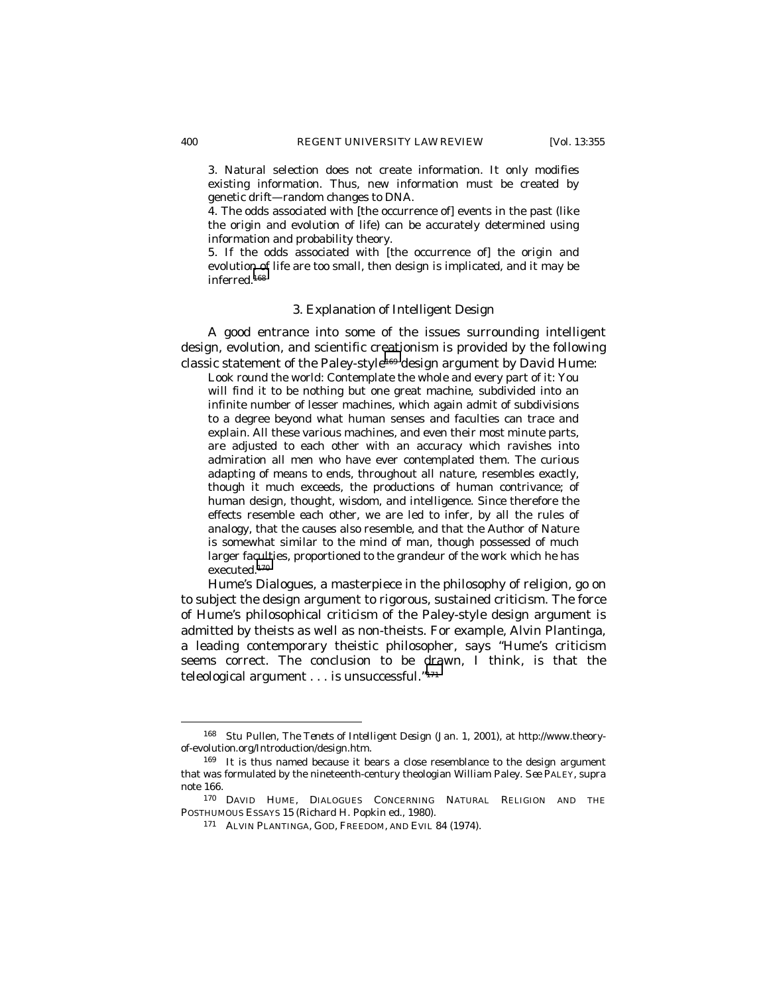3. Natural selection does not create information. It only modifies existing information. Thus, new information must be created by genetic drift—random changes to DNA.

4. The odds associated with [the occurrence of] events in the past (like the origin and evolution of life) can be accurately determined using information and probability theory.

5. If the odds associated with [the occurrence of] the origin and evolution of life are too small, then design is implicated, and it may be inferred.168

## 3. Explanation of Intelligent Design

A good entrance into some of the issues surrounding intelligent design, evolution, and scientific creationism is provided by the following classic statement of the Paley-style169 design argument by David Hume:

Look round the world: Contemplate the whole and every part of it: You will find it to be nothing but one great machine, subdivided into an infinite number of lesser machines, which again admit of subdivisions to a degree beyond what human senses and faculties can trace and explain. All these various machines, and even their most minute parts, are adjusted to each other with an accuracy which ravishes into admiration all men who have ever contemplated them. The curious adapting of means to ends, throughout all nature, resembles exactly, though it much exceeds, the productions of human contrivance; of human design, thought, wisdom, and intelligence. Since therefore the effects resemble each other, we are led to infer, by all the rules of analogy, that the causes also resemble, and that the Author of Nature is somewhat similar to the mind of man, though possessed of much larger faculties, proportioned to the grandeur of the work which he has executed.170

Hume's Dialogues, a masterpiece in the philosophy of religion, go on to subject the design argument to rigorous, sustained criticism. The force of Hume's philosophical criticism of the Paley-style design argument is admitted by theists as well as non-theists. For example, Alvin Plantinga, a leading contemporary theistic philosopher, says "Hume's criticism seems correct. The conclusion to be drawn, I think, is that the teleological argument . . . is unsuccessful."171

<sup>168</sup> Stu Pullen, *The Tenets of Intelligent Design* (Jan. 1, 2001), *at* http://www.theoryof-evolution.org/Introduction/design.htm.

<sup>&</sup>lt;sup>169</sup> It is thus named because it bears a close resemblance to the design argument that was formulated by the nineteenth-century theologian William Paley. *See* PALEY, *supra* note 166.

<sup>170</sup> DAVID HUME, DIALOGUES CONCERNING NATURAL RELIGION AND THE POSTHUMOUS ESSAYS 15 (Richard H. Popkin ed., 1980).

<sup>171</sup> ALVIN PLANTINGA, GOD, FREEDOM, AND EVIL 84 (1974).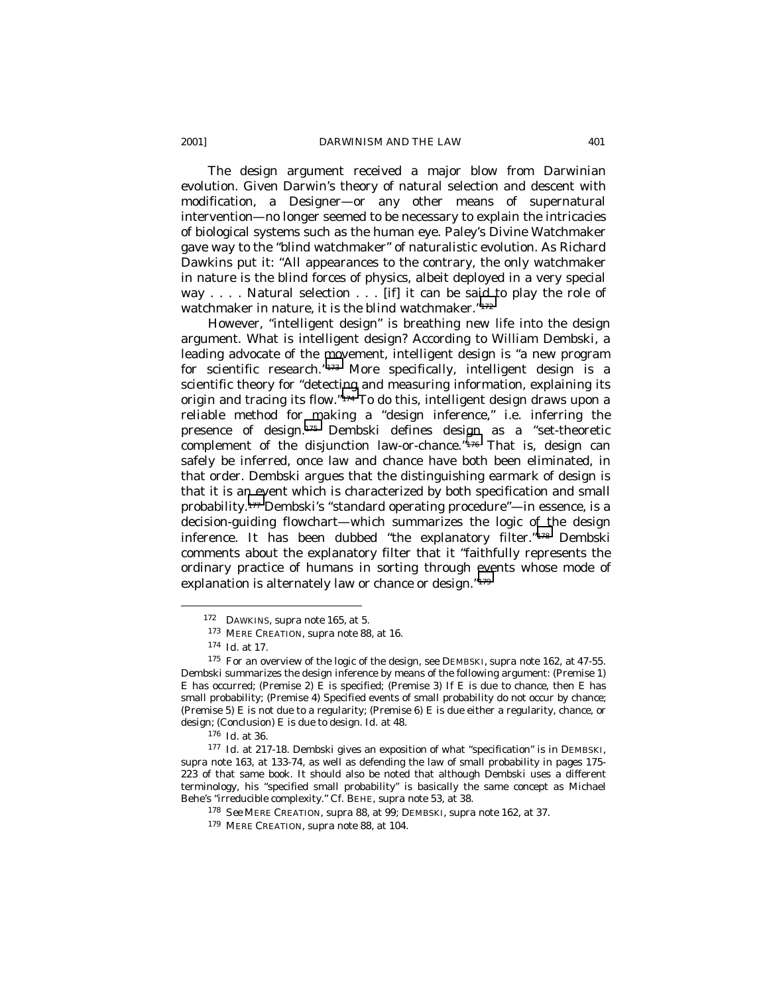The design argument received a major blow from Darwinian evolution. Given Darwin's theory of natural selection and descent with modification, a Designer—or any other means of supernatural intervention—no longer seemed to be necessary to explain the intricacies of biological systems such as the human eye. Paley's Divine Watchmaker gave way to the "blind watchmaker" of naturalistic evolution. As Richard Dawkins put it: "All appearances to the contrary, the only watchmaker in nature is the blind forces of physics, albeit deployed in a very special way . . . . Natural selection . . . [if] it can be said to play the role of watchmaker in nature, it is the *blind* watchmaker."172

However, "intelligent design" is breathing new life into the design argument. What is intelligent design? According to William Dembski, a leading advocate of the movement, intelligent design is "a new program for scientific research."173 More specifically, intelligent design is a scientific theory for "detecting and measuring information, explaining its origin and tracing its flow."174 To do this, intelligent design draws upon a reliable method for making a "design inference," i.e. inferring the presence of design.175 Dembski defines design as a "set-theoretic complement of the disjunction law-or-chance."176 That is, design can safely be inferred, once law and chance have both been eliminated, in that order. Dembski argues that the distinguishing earmark of design is that it is an event which is characterized by both specification and small probability.177 Dembski's "standard operating procedure"—in essence, is a decision-guiding flowchart—which summarizes the logic of the design inference. It has been dubbed "the explanatory filter."178 Dembski comments about the explanatory filter that it "faithfully represents the ordinary practice of humans in sorting through events whose mode of explanation is alternately law or chance or design."179

<sup>172</sup> DAWKINS, *supra* note 165, at 5.

<sup>173</sup> MERE CREATION, *supra* note 88, at 16.

<sup>174</sup> *Id*. at 17.

<sup>175</sup> For an overview of the logic of the design, see DEMBSKI, *supra* note 162, at 47-55. Dembski summarizes the design inference by means of the following argument: (Premise 1) E has occurred; (Premise 2) E is specified; (Premise 3) If E is due to chance, then E has small probability; (Premise 4) Specified events of small probability do not occur by chance; (Premise 5) E is not due to a regularity; (Premise 6) E is due either a regularity, chance, or design; (Conclusion) E is due to design. *Id*. at 48.

<sup>176</sup> *Id*. at 36.

<sup>&</sup>lt;sup>177</sup> *Id.* at 217-18. Dembski gives an exposition of what "specification" is in DEMBSKI, *supra* note 163, at 133-74, as well as defending the law of small probability in pages 175- 223 of that same book. It should also be noted that although Dembski uses a different terminology, his "specified small probability" is basically the same concept as Michael Behe's "irreducible complexity." *Cf.* BEHE, *supra* note 53, at 38.

<sup>178</sup> *See* MERE CREATION, *supra* 88, at 99; DEMBSKI, *supra* note 162, at 37.

<sup>179</sup> MERE CREATION, *supra* note 88, at 104.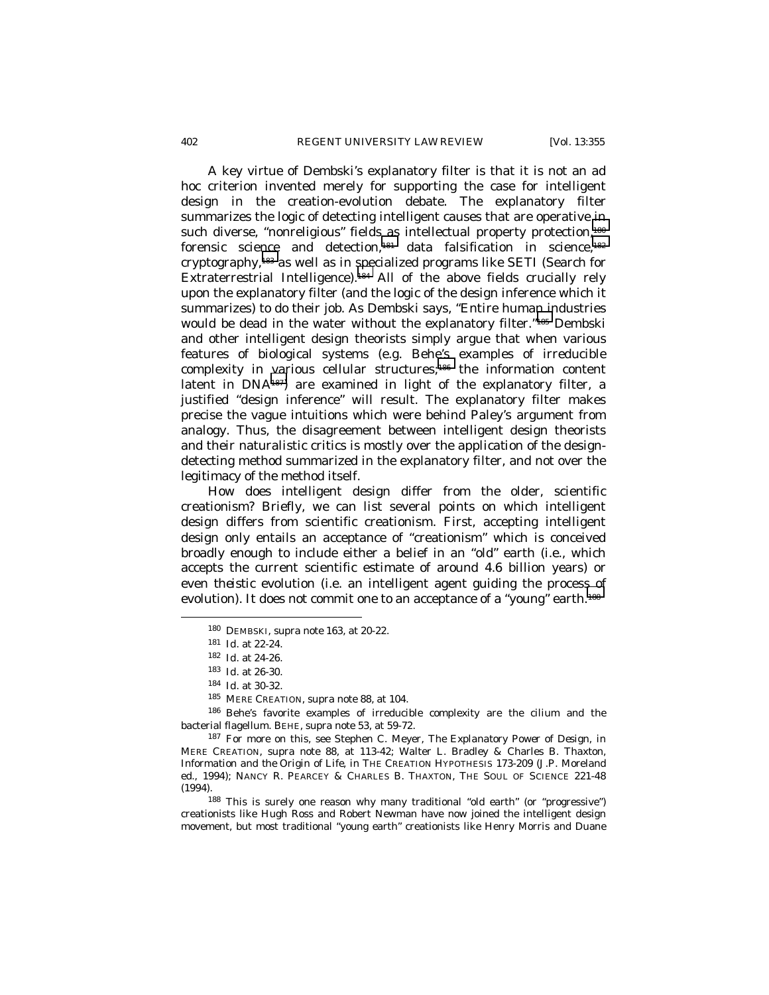A key virtue of Dembski's explanatory filter is that it is not an ad hoc criterion invented merely for supporting the case for intelligent design in the creation-evolution debate. The explanatory filter summarizes the logic of detecting intelligent causes that are operative in such diverse, "nonreligious" fields as intellectual property protection,<sup>180</sup> forensic science and detection,181 data falsification in science,182 cryptography,183 as well as in specialized programs like SETI (Search for Extraterrestrial Intelligence).<sup>184</sup> All of the above fields crucially rely upon the explanatory filter (and the logic of the design inference which it summarizes) to do their job. As Dembski says, "Entire human industries would be dead in the water without the explanatory filter."185 Dembski and other intelligent design theorists simply argue that when various features of biological systems (e.g. Behe's examples of irreducible complexity in various cellular structures;186 the information content latent in DNA187) are examined in light of the explanatory filter, a justified "design inference" will result. The explanatory filter makes precise the vague intuitions which were behind Paley's argument from analogy. Thus, the disagreement between intelligent design theorists and their naturalistic critics is mostly over the *application* of the designdetecting method summarized in the explanatory filter, and not over the legitimacy of the method itself.

How does intelligent design differ from the older, scientific creationism? Briefly, we can list several points on which intelligent design differs from scientific creationism. First, accepting intelligent design only entails an acceptance of "creationism" which is conceived broadly enough to include either a belief in an "old" earth (i.e., which accepts the current scientific estimate of around 4.6 billion years) or even *theistic* evolution (i.e. an intelligent agent guiding the process of evolution). It does not commit one to an acceptance of a "young" earth.<sup>188</sup>

 $\overline{a}$ 

188 This is surely one reason why many traditional "old earth" (or "progressive") creationists like Hugh Ross and Robert Newman have now joined the intelligent design movement, but most traditional "young earth" creationists like Henry Morris and Duane

<sup>180</sup> DEMBSKI, *supra* note 163, at 20-22.

<sup>181</sup> *Id*. at 22-24.

<sup>182</sup> *Id*. at 24-26.

<sup>183</sup> *Id*. at 26-30.

<sup>184</sup> *Id*. at 30-32.

<sup>185</sup> MERE CREATION, *supra* note 88, at 104.

<sup>186</sup> Behe's favorite examples of irreducible complexity are the cilium and the bacterial flagellum. BEHE, *supra* note 53, at 59-72.

<sup>187</sup> For more on this, see Stephen C. Meyer, *The Explanatory Power of Design*, *in* MERE CREATION, *supra* note 88, at 113-42; Walter L. Bradley & Charles B. Thaxton, *Information and the Origin of Life*, *in* THE CREATION HYPOTHESIS 173-209 (J.P. Moreland ed., 1994); NANCY R. PEARCEY & CHARLES B. THAXTON, THE SOUL OF SCIENCE 221-48 (1994).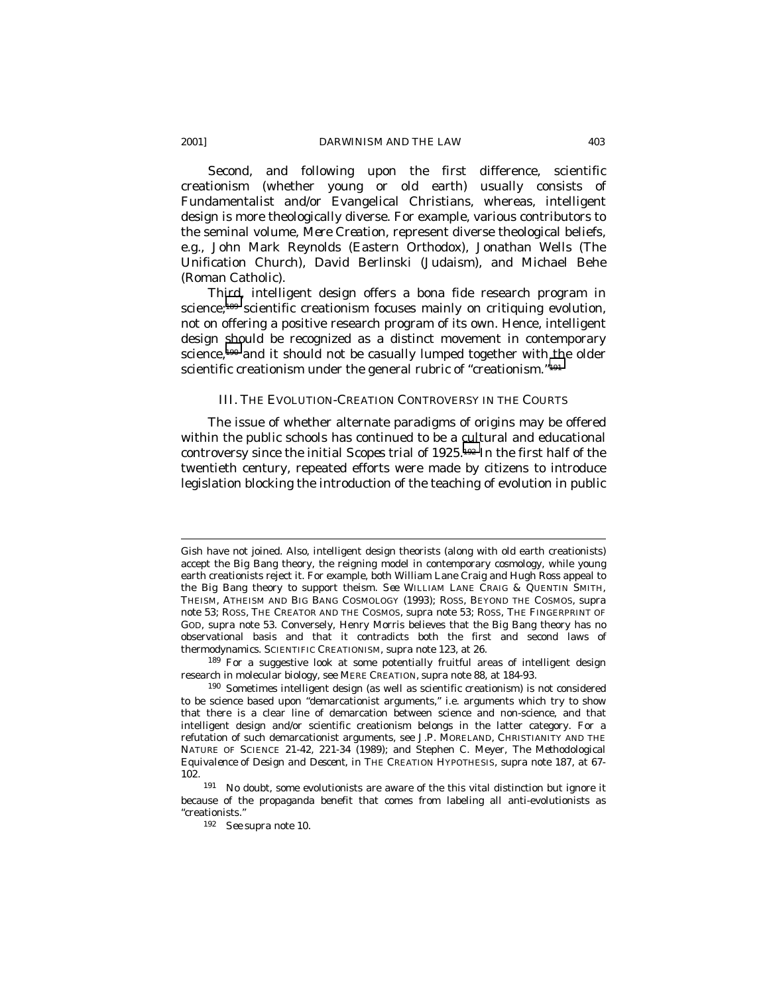Second, and following upon the first difference, scientific creationism (whether young or old earth) usually consists of Fundamentalist and/or Evangelical Christians, whereas, intelligent design is more theologically diverse. For example, various contributors to the seminal volume, *Mere Creation*, represent diverse theological beliefs, e.g., John Mark Reynolds (Eastern Orthodox), Jonathan Wells (The Unification Church), David Berlinski (Judaism), and Michael Behe (Roman Catholic).

Third, intelligent design offers a bona fide research program in science;189 scientific creationism focuses mainly on critiquing evolution, not on offering a positive research program of its own. Hence, intelligent design should be recognized as a distinct movement in contemporary science,190 and it should not be casually lumped together with the older scientific creationism under the general rubric of "creationism."191

## III. THE EVOLUTION-CREATION CONTROVERSY IN THE COURTS

The issue of whether alternate paradigms of origins may be offered within the public schools has continued to be a cultural and educational controversy since the initial *Scopes* trial of 1925.192 In the first half of the twentieth century, repeated efforts were made by citizens to introduce legislation blocking the introduction of the teaching of evolution in public

Gish have not joined. Also, intelligent design theorists (along with old earth creationists) accept the Big Bang theory, the reigning model in contemporary cosmology, while young earth creationists reject it. For example, both William Lane Craig and Hugh Ross appeal to the Big Bang theory to support theism. *See* WILLIAM LANE CRAIG & QUENTIN SMITH, THEISM, ATHEISM AND BIG BANG COSMOLOGY (1993); ROSS, BEYOND THE COSMOS, *supra* note 53; ROSS, THE CREATOR AND THE COSMOS, *supra* note 53; ROSS, THE FINGERPRINT OF GOD, *supra* note 53. Conversely, Henry Morris believes that the Big Bang theory has no observational basis and that it contradicts both the first and second laws of thermodynamics. SCIENTIFIC CREATIONISM, *supra* note 123, at 26.

<sup>189</sup> For a suggestive look at some potentially fruitful areas of intelligent design research in molecular biology, see MERE CREATION, *supra* note 88, at 184-93.

 $^{190}\,$  Sometimes intelligent design (as well as scientific creationism) is not considered to be science based upon "demarcationist arguments," i.e. arguments which try to show that there is a clear line of demarcation between science and non-science, and that intelligent design and/or scientific creationism belongs in the latter category. For a refutation of such demarcationist arguments, see J.P. MORELAND, CHRISTIANITY AND THE NATURE OF SCIENCE 21-42, 221-34 (1989); and Stephen C. Meyer, *The Methodological Equivalence of Design and Descent*, *in* THE CREATION HYPOTHESIS, *supra* note 187, at 67- 102.

<sup>191</sup> No doubt, some evolutionists are aware of the this vital distinction but ignore it because of the propaganda benefit that comes from labeling all anti-evolutionists as "creationists."

<sup>192</sup> *See supra* note 10.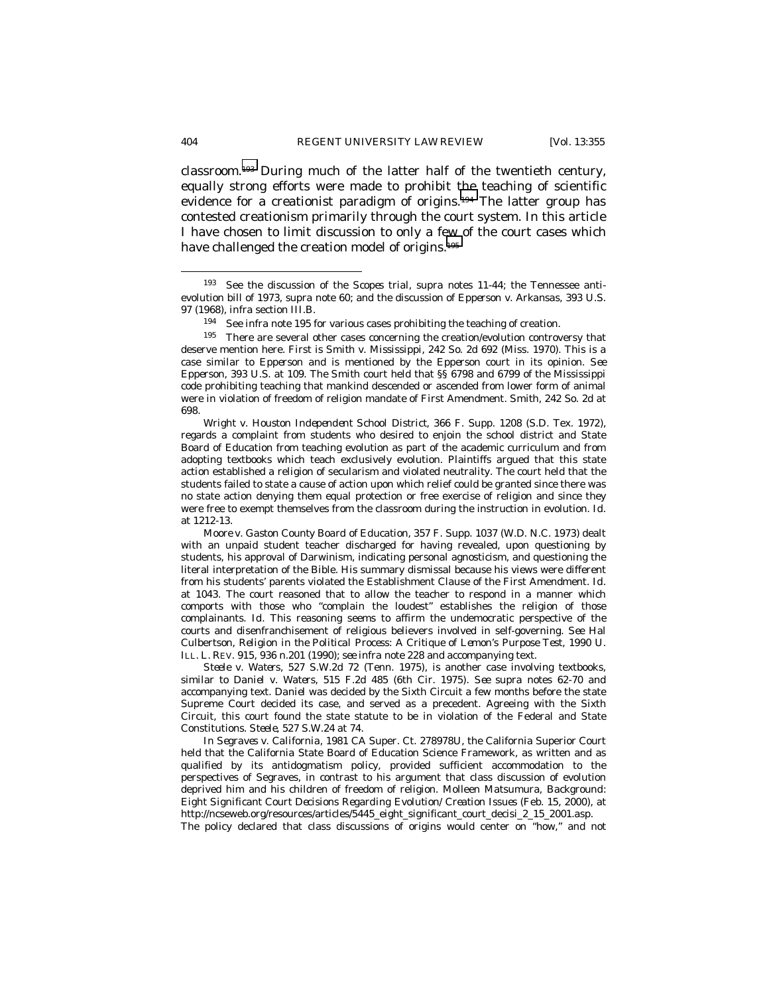classroom.193 During much of the latter half of the twentieth century, equally strong efforts were made to prohibit the teaching of scientific evidence for a creationist paradigm of origins.194 The latter group has contested creationism primarily through the court system. In this article I have chosen to limit discussion to only a few of the court cases which have challenged the creation model of origins.195

*Wright v. Houston Independent School District*, 366 F. Supp. 1208 (S.D. Tex. 1972), regards a complaint from students who desired to enjoin the school district and State Board of Education from teaching evolution as part of the academic curriculum and from adopting textbooks which teach exclusively evolution. Plaintiffs argued that this state action established a religion of secularism and violated neutrality. The court held that the students failed to state a cause of action upon which relief could be granted since there was no state action denying them equal protection or free exercise of religion and since they were free to exempt themselves from the classroom during the instruction in evolution. *Id.* at 1212-13.

*Moore v. Gaston County Board of Education*, 357 F. Supp. 1037 (W.D. N.C. 1973) dealt with an unpaid student teacher discharged for having revealed, upon questioning by students, his approval of Darwinism, indicating personal agnosticism, and questioning the literal interpretation of the Bible. His summary dismissal because his views were different from his students' parents violated the Establishment Clause of the First Amendment. *Id.* at 1043. The court reasoned that to allow the teacher to respond in a manner which comports with those who "complain the loudest" establishes the religion of those complainants. *Id*. This reasoning seems to affirm the undemocratic perspective of the courts and disenfranchisement of religious believers involved in self-governing. *See* Hal Culbertson, *Religion in the Political Process: A Critique of Lemon's Purpose Test*, 1990 U. ILL. L. REV. 915, 936 n.201 (1990); *see infra* note 228 and accompanying text.

*Steele v. Waters*, 527 S.W.2d 72 (Tenn. 1975), is another case involving textbooks, similar to *Daniel v. Waters*, 515 F.2d 485 (6th Cir. 1975). *See supra* notes 62-70 and accompanying text. *Daniel* was decided by the Sixth Circuit a few months before the state Supreme Court decided its case, and served as a precedent. Agreeing with the Sixth Circuit, this court found the state statute to be in violation of the Federal and State Constitutions. *Steele*, 527 S.W.24 at 74.

In *Segraves v. California*, 1981 CA Super. Ct. 278978U, the California Superior Court held that the California State Board of Education Science Framework, as written and as qualified by its antidogmatism policy, provided sufficient accommodation to the perspectives of Segraves, in contrast to his argument that class discussion of evolution deprived him and his children of freedom of religion. Molleen Matsumura, *Background: Eight Significant Court Decisions Regarding Evolution/Creation Issues* (Feb. 15, 2000), *at* http://ncseweb.org/resources/articles/5445\_eight\_significant\_court\_decisi\_2\_15\_2001.asp.

The policy declared that class discussions of origins would center on "how," and not

<sup>193</sup> See the discussion of the *Scopes* trial, *supra* notes 11-44; the Tennessee antievolution bill of 1973, *supra* note 60; and the discussion of *Epperson v. Arkansas*, 393 U.S. 97 (1968), *infra* section III.B.

<sup>194</sup> See *infra* note 195 for various cases prohibiting the teaching of creation.

<sup>195</sup> There are several other cases concerning the creation/evolution controversy that deserve mention here. First is *Smith v. Mississippi*, 242 So. 2d 692 (Miss. 1970). This is a case similar to *Epperson* and is mentioned by the *Epperson* court in its opinion. *See Epperson*, 393 U.S. at 109. The *Smith* court held that §§ 6798 and 6799 of the Mississippi code prohibiting teaching that mankind descended or ascended from lower form of animal were in violation of freedom of religion mandate of First Amendment. *Smith*, 242 So. 2d at 698.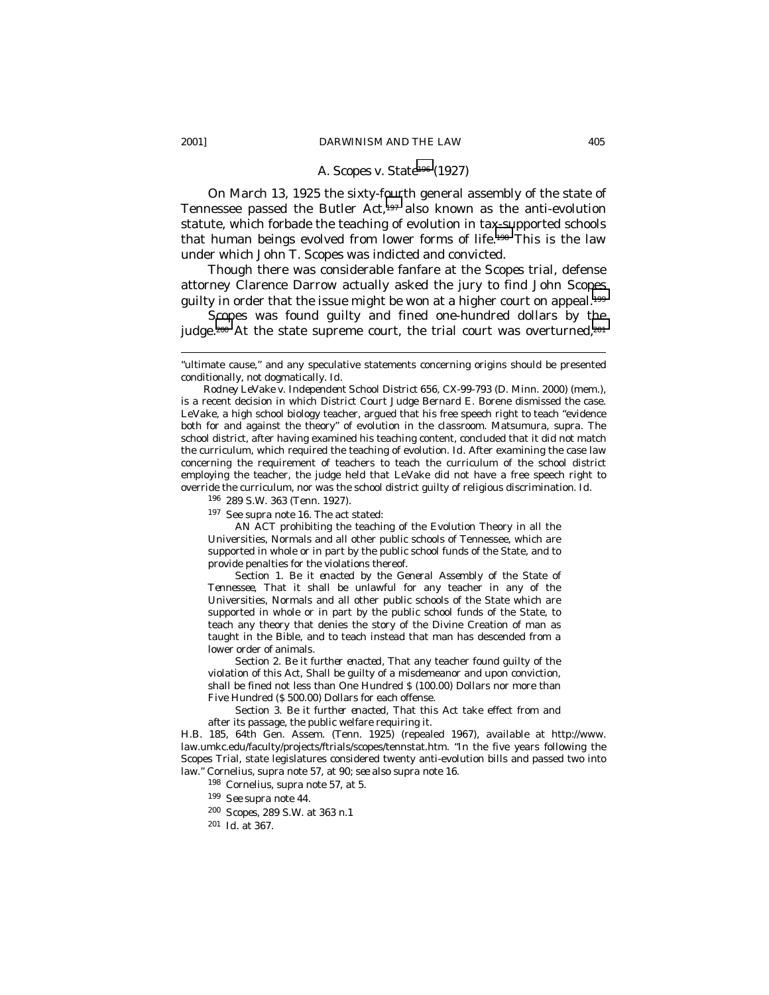#### *A.* Scopes v. State196 *(1927)*

On March 13, 1925 the sixty-fourth general assembly of the state of Tennessee passed the Butler Act,197 also known as the anti-evolution statute, which forbade the teaching of evolution in tax-supported schools that human beings evolved from lower forms of life.198 This is the law under which John T. Scopes was indicted and convicted.

Though there was considerable fanfare at the *Scopes* trial, defense attorney Clarence Darrow actually asked the jury to find John Scopes guilty in order that the issue might be won at a higher court on appeal.199

Scopes was found guilty and fined one-hundred dollars by the judge.<sup>200</sup> At the state supreme court, the trial court was overturned,<sup>201</sup>

196 289 S.W. 363 (Tenn. 1927). 197 See *supra* note 16. The act stated:

AN ACT prohibiting the teaching of the Evolution Theory in all the Universities, Normals and all other public schools of Tennessee, which are supported in whole or in part by the public school funds of the State, and to provide penalties for the violations thereof.

Section 1. *Be it enacted by the General Assembly of the State of Tennessee*, That it shall be unlawful for any teacher in any of the Universities, Normals and all other public schools of the State which are supported in whole or in part by the public school funds of the State, to teach any theory that denies the story of the Divine Creation of man as taught in the Bible, and to teach instead that man has descended from a lower order of animals.

Section 2. *Be it further enacted*, That any teacher found guilty of the violation of this Act, Shall be guilty of a misdemeanor and upon conviction, shall be fined not less than One Hundred \$ (100.00) Dollars nor more than Five Hundred (\$ 500.00) Dollars for each offense.

Section 3. *Be it further enacted*, That this Act take effect from and after its passage, the public welfare requiring it.

H.B. 185, 64th Gen. Assem. (Tenn. 1925) (repealed 1967), *available at* http://www. law.umkc.edu/faculty/projects/ftrials/scopes/tennstat.htm. "In the five years following the Scopes Trial, state legislatures considered twenty anti-evolution bills and passed two into law." Cornelius, *supra* note 57, at 90; *see also supra* note 16.

198 Cornelius, *supra* note 57, at 5.

- <sup>199</sup> *See supra* note 44.
- <sup>200</sup> *Scopes*, 289 S.W. at 363 n.1
- <sup>201</sup> *Id.* at 367.

 $\overline{a}$ 

<sup>&</sup>quot;ultimate cause," and any speculative statements concerning origins should be presented conditionally, not dogmatically. *Id.*

*Rodney LeVake v. Independent School District 656*, CX-99-793 (D. Minn. 2000) (mem.), is a recent decision in which District Court Judge Bernard E. Borene dismissed the case. LeVake, a high school biology teacher, argued that his free speech right to teach "evidence both for and against the theory" of evolution in the classroom. Matsumura, *supra*. The school district, after having examined his teaching content, concluded that it did not match the curriculum, which required the teaching of evolution. *Id.* After examining the case law concerning the requirement of teachers to teach the curriculum of the school district employing the teacher, the judge held that LeVake did not have a free speech right to override the curriculum, nor was the school district guilty of religious discrimination. *Id.*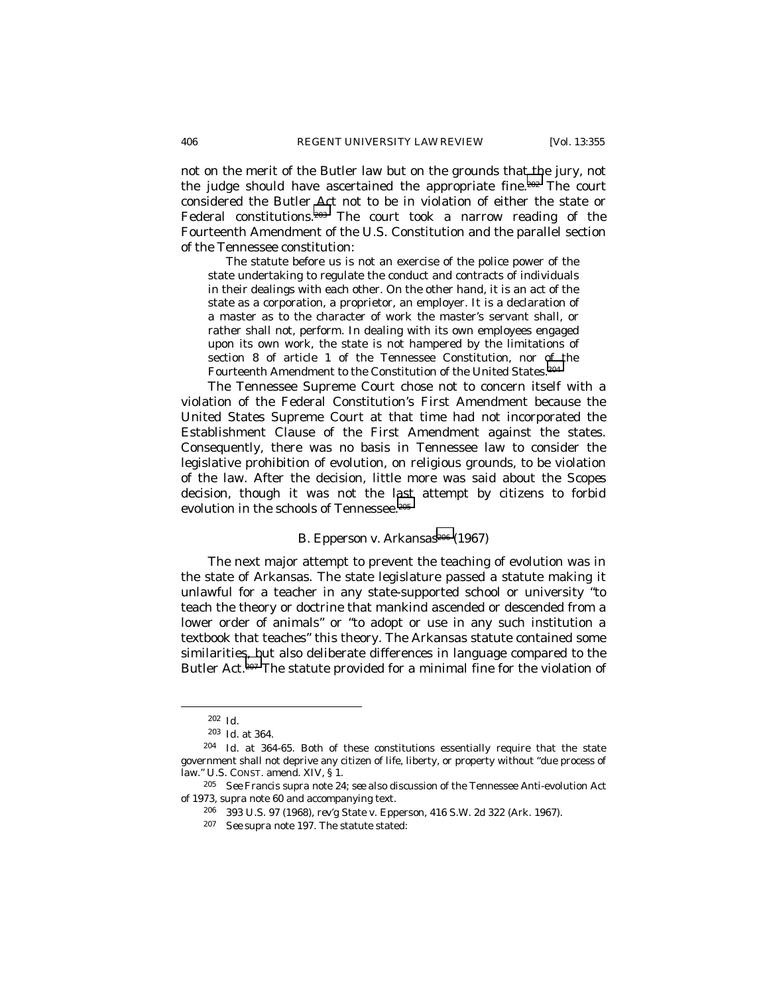not on the merit of the Butler law but on the grounds that the jury, not the judge should have ascertained the appropriate fine.202 The court considered the Butler Act not to be in violation of either the state or Federal constitutions.203 The court took a narrow reading of the Fourteenth Amendment of the U.S. Constitution and the parallel section of the Tennessee constitution:

The statute before us is not an exercise of the police power of the state undertaking to regulate the conduct and contracts of individuals in their dealings with each other. On the other hand, it is an act of the state as a corporation, a proprietor, an employer. It is a declaration of a master as to the character of work the master's servant shall, or rather shall not, perform. In dealing with its own employees engaged upon its own work, the state is not hampered by the limitations of section 8 of article 1 of the Tennessee Constitution, nor of the Fourteenth Amendment to the Constitution of the United States.204

The Tennessee Supreme Court chose not to concern itself with a violation of the Federal Constitution's First Amendment because the United States Supreme Court at that time had not incorporated the Establishment Clause of the First Amendment against the states. Consequently, there was no basis in Tennessee law to consider the legislative prohibition of evolution, on religious grounds, to be violation of the law. After the decision, little more was said about the *Scopes* decision, though it was not the last attempt by citizens to forbid evolution in the schools of Tennessee.<sup>205</sup>

## *B.* Epperson v. Arkansas<sup>206</sup> (1967)

The next major attempt to prevent the teaching of evolution was in the state of Arkansas. The state legislature passed a statute making it unlawful for a teacher in any state-supported school or university "to teach the theory or doctrine that mankind ascended or descended from a lower order of animals" or "to adopt or use in any such institution a textbook that teaches" this theory. The Arkansas statute contained some similarities, but also deliberate differences in language compared to the Butler Act.207 The statute provided for a minimal fine for the violation of

<sup>202</sup> *Id*.

<sup>203</sup> *Id*. at 364.

<sup>204</sup> *Id*. at 364-65. Both of these constitutions essentially require that the state government shall not deprive any citizen of life, liberty, or property without "due process of law." U.S. CONST. amend. XIV, § 1.

<sup>205</sup> *See* Francis *supra* note 24; *see also* discussion of the Tennessee Anti-evolution Act of 1973, *supra* note 60 and accompanying text.

<sup>206 393</sup> U.S. 97 (1968), *rev'g* State v. Epperson, 416 S.W. 2d 322 (Ark. 1967).

<sup>207</sup> *See supra* note 197. The statute stated: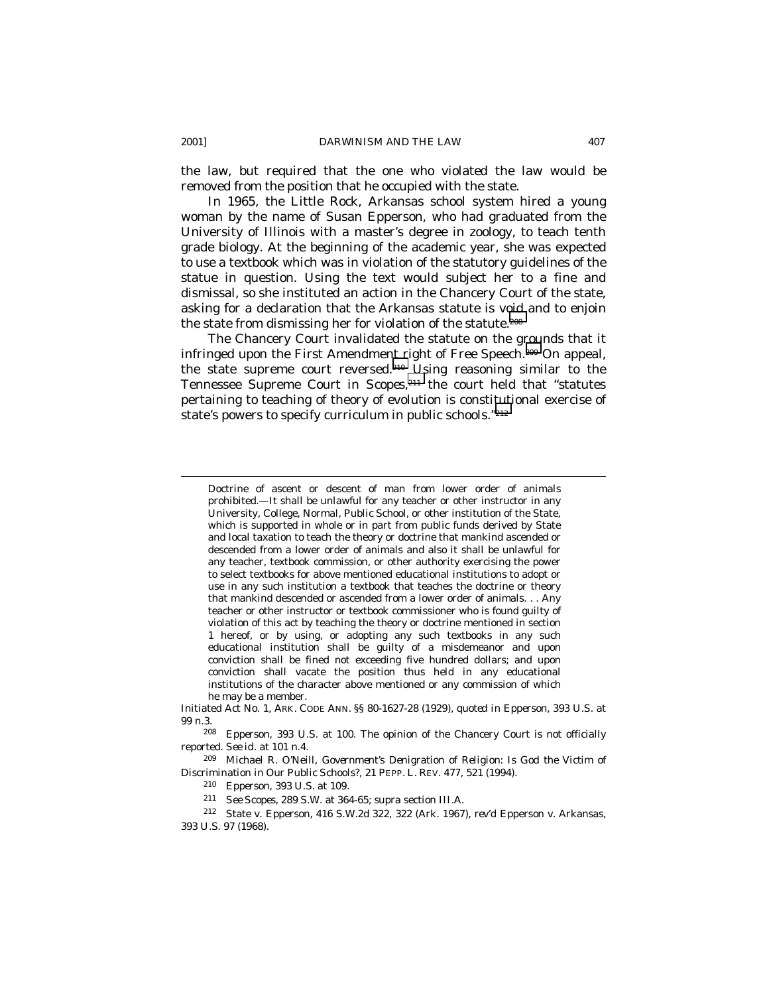the law, but required that the one who violated the law would be removed from the position that he occupied with the state.

In 1965, the Little Rock, Arkansas school system hired a young woman by the name of Susan Epperson, who had graduated from the University of Illinois with a master's degree in zoology, to teach tenth grade biology. At the beginning of the academic year, she was expected to use a textbook which was in violation of the statutory guidelines of the statue in question. Using the text would subject her to a fine and dismissal, so she instituted an action in the Chancery Court of the state, asking for a declaration that the Arkansas statute is void and to enjoin the state from dismissing her for violation of the statute.208

The Chancery Court invalidated the statute on the grounds that it infringed upon the First Amendment right of Free Speech.209 On appeal, the state supreme court reversed.210 Using reasoning similar to the Tennessee Supreme Court in *Scopes*,<sup>211</sup> the court held that "statutes pertaining to teaching of theory of evolution is constitutional exercise of state's powers to specify curriculum in public schools."212

Doctrine of ascent or descent of man from lower order of animals prohibited.—It shall be unlawful for any teacher or other instructor in any University, College, Normal, Public School, or other institution of the State, which is supported in whole or in part from public funds derived by State and local taxation to teach the theory or doctrine that mankind ascended or descended from a lower order of animals and also it shall be unlawful for any teacher, textbook commission, or other authority exercising the power to select textbooks for above mentioned educational institutions to adopt or use in any such institution a textbook that teaches the doctrine or theory that mankind descended or ascended from a lower order of animals. . . Any teacher or other instructor or textbook commissioner who is found guilty of violation of this act by teaching the theory or doctrine mentioned in section 1 hereof, or by using, or adopting any such textbooks in any such educational institution shall be guilty of a misdemeanor and upon conviction shall be fined not exceeding five hundred dollars; and upon conviction shall vacate the position thus held in any educational institutions of the character above mentioned or any commission of which he may be a member.

Initiated Act No. 1, ARK. CODE ANN. §§ 80-1627-28 (1929), *quoted in Epperson*, 393 U.S. at 99 n.3.

<sup>208</sup> *Epperson*, 393 U.S. at 100. The opinion of the Chancery Court is not officially reported. *See id.* at 101 n.4.

<sup>209</sup> Michael R. O'Neill, *Government's Denigration of Religion: Is God the Victim of Discrimination in Our Public Schools?*, 21 PEPP. L. REV. 477, 521 (1994).

<sup>210</sup> *Epperson*, 393 U.S. at 109.

<sup>211</sup> *See Scopes*, 289 S.W. at 364-65; *supra* section III.A.

<sup>212</sup> State v. Epperson, 416 S.W.2d 322, 322 (Ark. 1967), *rev'd* Epperson v. Arkansas, 393 U.S. 97 (1968).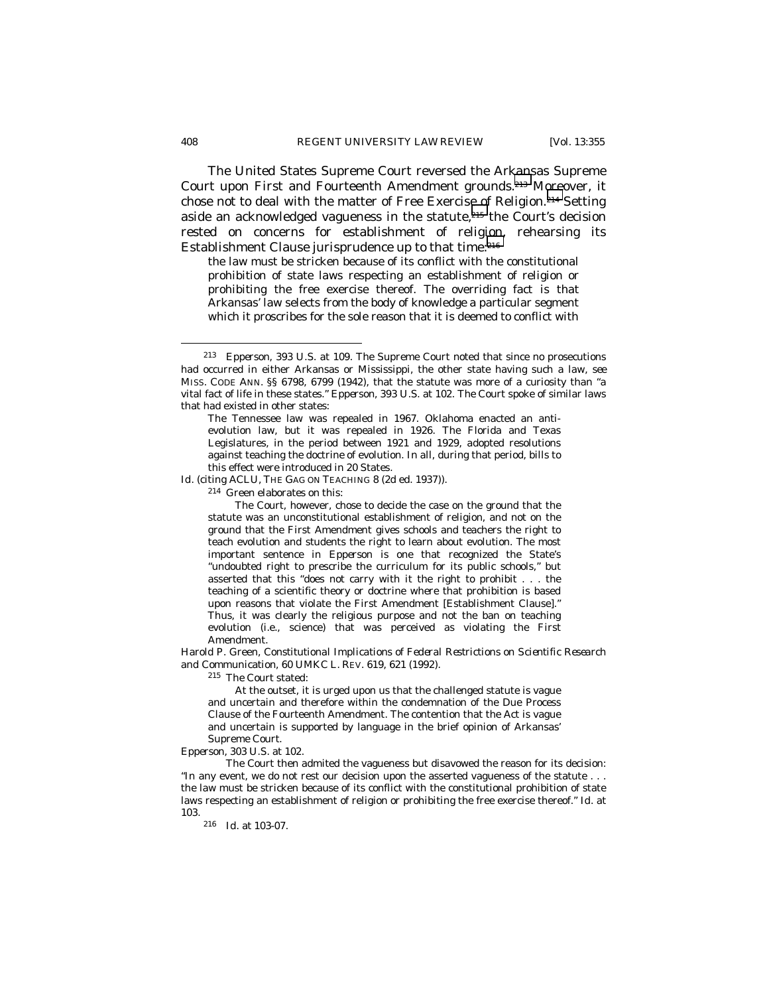The United States Supreme Court reversed the Arkansas Supreme Court upon First and Fourteenth Amendment grounds.213 Moreover, it chose not to deal with the matter of Free Exercise of Religion.214 Setting aside an acknowledged vagueness in the statute,215 the Court's decision rested on concerns for establishment of religion, rehearsing its Establishment Clause jurisprudence up to that time:216

the law must be stricken because of its conflict with the constitutional prohibition of state laws respecting an establishment of religion or prohibiting the free exercise thereof. The overriding fact is that Arkansas' law selects from the body of knowledge a particular segment which it proscribes for the sole reason that it is deemed to conflict with

*Id*. (citing ACLU, THE GAG ON TEACHING 8 (2d ed. 1937)).

214 Green elaborates on this:

The Court, however, chose to decide the case on the ground that the statute was an unconstitutional establishment of religion, and not on the ground that the First Amendment gives schools and teachers the right to teach evolution and students the right to learn about evolution. The most important sentence in *Epperson* is one that recognized the State's "undoubted right to prescribe the curriculum for its public schools," but asserted that this "does not carry with it the right to prohibit . . . the teaching of a scientific theory or doctrine where that prohibition is based upon reasons that violate the First Amendment [Establishment Clause]." Thus, it was clearly the religious purpose and not the ban on teaching evolution (i.e., science) that was perceived as violating the First Amendment.

Harold P. Green, *Constitutional Implications of Federal Restrictions on Scientific Research and Communication*, 60 UMKC L. REV. 619, 621 (1992).

215 The Court stated:

At the outset, it is urged upon us that the challenged statute is vague and uncertain and therefore within the condemnation of the Due Process Clause of the Fourteenth Amendment. The contention that the Act is vague and uncertain is supported by language in the brief opinion of Arkansas' Supreme Court.

*Epperson*, 303 U.S. at 102.

 The Court then admited the vagueness but disavowed the reason for its decision: "In any event, we do not rest our decision upon the asserted vagueness of the statute . . . the law must be stricken because of its conflict with the constitutional prohibition of state laws respecting an establishment of religion or prohibiting the free exercise thereof." *Id*. at 103.

<sup>216</sup> *Id*. at 103-07.

<sup>213</sup> *Epperson*, 393 U.S. at 109. The Supreme Court noted that since no prosecutions had occurred in either Arkansas or Mississippi, the other state having such a law, *see* MISS. CODE ANN. §§ 6798, 6799 (1942), that the statute was more of a curiosity than "a vital fact of life in these states." *Epperson*, 393 U.S. at 102. The Court spoke of similar laws that had existed in other states:

The Tennessee law was repealed in 1967. Oklahoma enacted an antievolution law, but it was repealed in 1926. The Florida and Texas Legislatures, in the period between 1921 and 1929, adopted resolutions against teaching the doctrine of evolution. In all, during that period, bills to this effect were introduced in 20 States.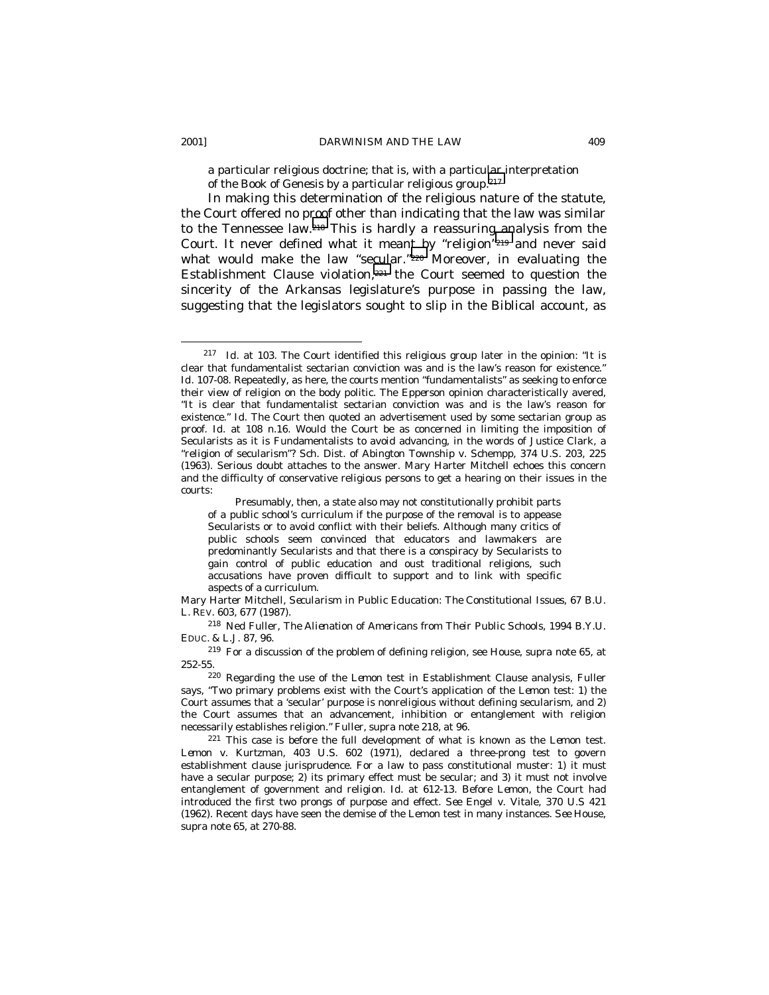a particular religious doctrine; that is, with a particular interpretation of the Book of Genesis by a particular religious group.217

In making this determination of the religious nature of the statute, the Court offered no proof other than indicating that the law was similar to the Tennessee law.218 This is hardly a reassuring analysis from the Court. It never defined what it meant by "religion"219 and never said what would make the law "secular."220 Moreover, in evaluating the Establishment Clause violation,<sup>221</sup> the Court seemed to question the sincerity of the Arkansas legislature's purpose in passing the law, suggesting that the legislators sought to slip in the Biblical account, as

<sup>217</sup> *Id*. at 103. The Court identified this religious group later in the opinion: "It is clear that fundamentalist sectarian conviction was and is the law's reason for existence." Id. 107-08. Repeatedly, as here, the courts mention "fundamentalists" as seeking to enforce their view of religion on the body politic. The *Epperson* opinion characteristically avered, "It is clear that fundamentalist sectarian conviction was and is the law's reason for existence." *Id*. The Court then quoted an advertisement used by some sectarian group as proof. *Id*. at 108 n.16. Would the Court be as concerned in limiting the imposition of Secularists as it is Fundamentalists to avoid advancing, in the words of Justice Clark, a "religion of secularism"? Sch. Dist. of Abington Township v. Schempp, 374 U.S. 203, 225 (1963). Serious doubt attaches to the answer. Mary Harter Mitchell echoes this concern and the difficulty of conservative religious persons to get a hearing on their issues in the courts:

Presumably, then, a state also may not constitutionally prohibit parts of a public school's curriculum if the purpose of the removal is to appease Secularists or to avoid conflict with their beliefs. Although many critics of public schools seem convinced that educators and lawmakers are predominantly Secularists and that there is a conspiracy by Secularists to gain control of public education and oust traditional religions, such accusations have proven difficult to support and to link with specific aspects of a curriculum.

Mary Harter Mitchell, *Secularism in Public Education: The Constitutional Issues*, 67 B.U. L. REV. 603, 677 (1987).

<sup>218</sup> Ned Fuller, *The Alienation of Americans from Their Public Schools*, 1994 B.Y.U. EDUC. & L.J. 87, 96.

<sup>219</sup> For a discussion of the problem of defining religion, see House, *supra* note 65, at 252-55.

<sup>220</sup> Regarding the use of the *Lemon* test in Establishment Clause analysis, Fuller says, "Two primary problems exist with the Court's application of the *Lemon* test: 1) the Court assumes that a 'secular' purpose is nonreligious without defining secularism, and 2) the Court assumes that an advancement, inhibition or entanglement with religion necessarily establishes religion." Fuller, *supra* note 218, at 96*.*

<sup>221</sup> This case is before the full development of what is known as the *Lemon* test. *Lemon v. Kurtzman*, 403 U.S. 602 (1971), declared a three-prong test to govern establishment clause jurisprudence. For a law to pass constitutional muster: 1) it must have a secular purpose; 2) its primary effect must be secular; and 3) it must not involve entanglement of government and religion. *Id*. at 612-13. Before *Lemon*, the Court had introduced the first two prongs of purpose and effect. *See* Engel v. Vitale, 370 U.S 421 (1962). Recent days have seen the demise of the Lemon test in many instances. *See* House, *supra* note 65, at 270-88.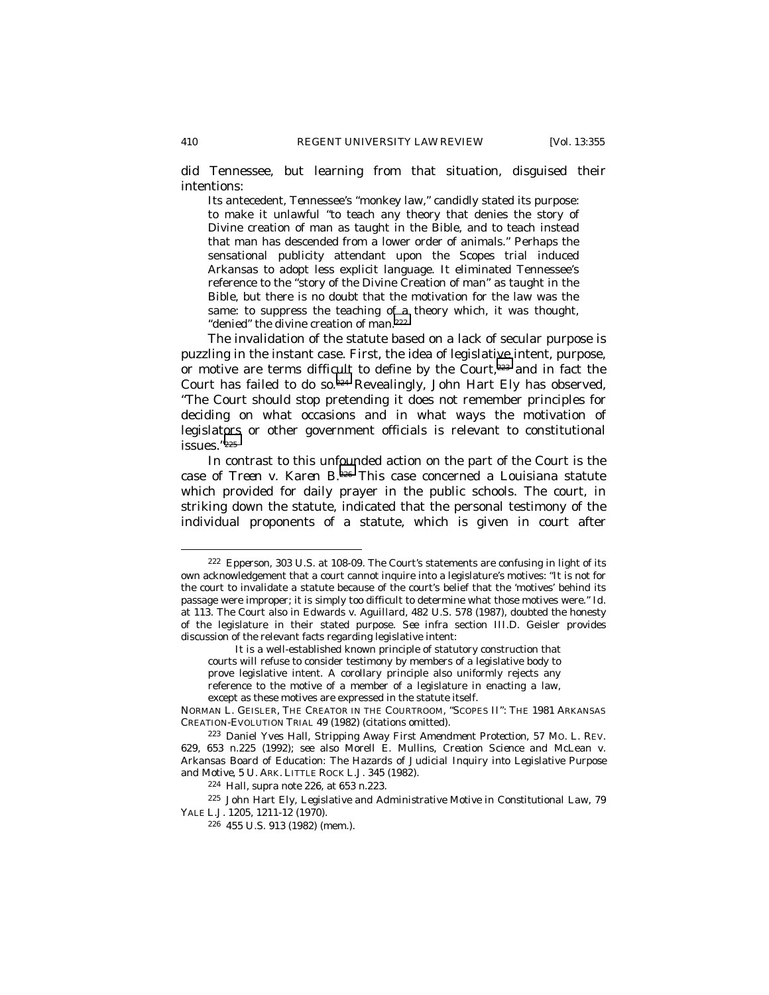did Tennessee, but learning from that situation, disguised their intentions:

Its antecedent, Tennessee's "monkey law," candidly stated its purpose: to make it unlawful "to teach any theory that denies the story of Divine creation of man as taught in the Bible, and to teach instead that man has descended from a lower order of animals." Perhaps the sensational publicity attendant upon the Scopes trial induced Arkansas to adopt less explicit language. It eliminated Tennessee's reference to the "story of the Divine Creation of man" as taught in the Bible, but there is no doubt that the motivation for the law was the same: to suppress the teaching of a theory which, it was thought, "denied" the divine creation of man.222

The invalidation of the statute based on a lack of secular purpose is puzzling in the instant case. First, the idea of legislative intent, purpose, or motive are terms difficult to define by the Court,<sup>223</sup> and in fact the Court has failed to do so.224 Revealingly, John Hart Ely has observed, "The Court should stop pretending it does not remember principles for deciding on what occasions and in what ways the motivation of legislators or other government officials is relevant to constitutional issues."225

In contrast to this unfounded action on the part of the Court is the case of *Treen v. Karen B*.226 This case concerned a Louisiana statute which provided for daily prayer in the public schools. The court, in striking down the statute, indicated that the personal testimony of the individual proponents of a statute, which is given in court after

<sup>222</sup> *Epperson*, 303 U.S. at 108-09. The Court's statements are confusing in light of its own acknowledgement that a court cannot inquire into a legislature's motives: "It is not for the court to invalidate a statute because of the court's belief that the 'motives' behind its passage were improper; it is simply too difficult to determine what those motives were." *Id.* at 113. The Court also in *Edwards v. Aguillard*, 482 U.S. 578 (1987), doubted the honesty of the legislature in their stated purpose. *See infra* section III.D. Geisler provides discussion of the relevant facts regarding legislative intent:

It is a well-established known principle of statutory construction that courts will refuse to consider testimony by members of a legislative body to prove legislative intent. A corollary principle also uniformly rejects any reference to the motive of a member of a legislature in enacting a law, except as these motives are expressed in the statute itself.

NORMAN L. GEISLER, THE CREATOR IN THE COURTROOM, "SCOPES II": THE 1981 ARKANSAS CREATION-EVOLUTION TRIAL 49 (1982) (citations omitted).

<sup>223</sup> Daniel Yves Hall, *Stripping Away First Amendment Protection*, 57 MO. L. REV. 629, 653 n.225 (1992); *see also* Morell E. Mullins, *Creation Science and* McLean v. Arkansas Board of Education*: The Hazards of Judicial Inquiry into Legislative Purpose and Motive*, 5 U. ARK. LITTLE ROCK L.J. 345 (1982).

<sup>224</sup> Hall, *supra* note 226, at 653 n.223.

<sup>225</sup> John Hart Ely, *Legislative and Administrative Motive in Constitutional Law*, 79 YALE L.J. 1205, 1211-12 (1970).

<sup>226 455</sup> U.S. 913 (1982) (mem.).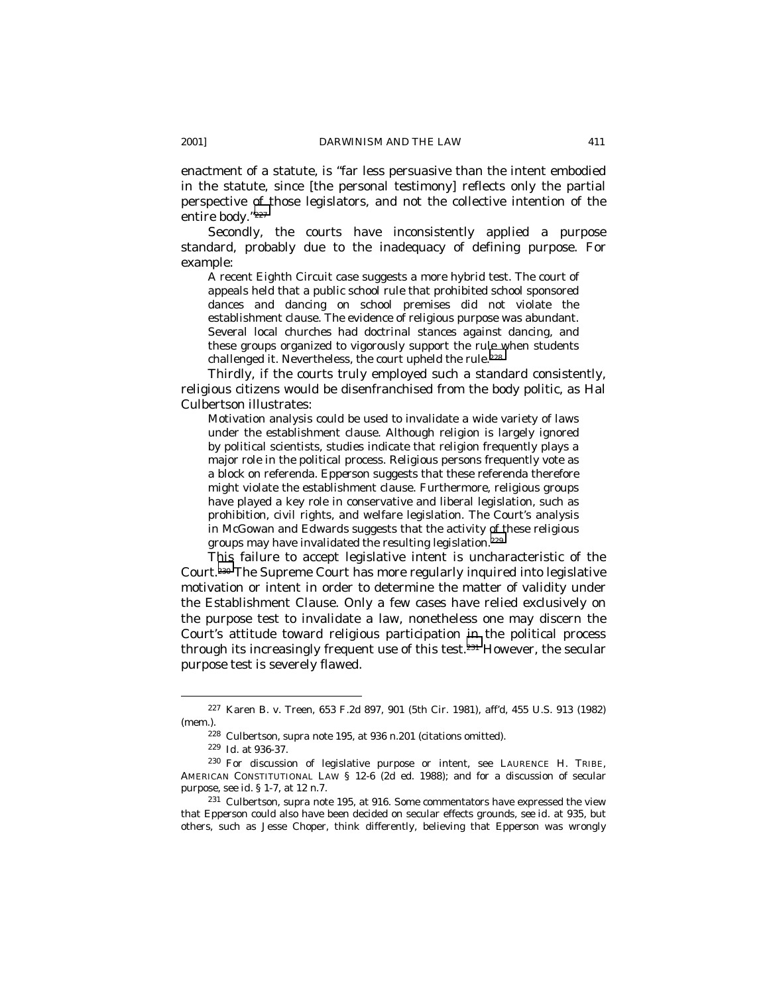enactment of a statute, is "far less persuasive than the intent embodied in the statute, since [the personal testimony] reflects only the partial perspective of those legislators, and not the collective intention of the entire body."227

Secondly, the courts have inconsistently applied a purpose standard, probably due to the inadequacy of defining purpose. For example:

A recent Eighth Circuit case suggests a more hybrid test. The court of appeals held that a public school rule that prohibited school sponsored dances and dancing on school premises did not violate the establishment clause. The evidence of religious purpose was abundant. Several local churches had doctrinal stances against dancing, and these groups organized to vigorously support the rule when students challenged it. Nevertheless, the court upheld the rule.<sup>228</sup>

Thirdly, if the courts truly employed such a standard consistently, religious citizens would be disenfranchised from the body politic, as Hal Culbertson illustrates:

Motivation analysis could be used to invalidate a wide variety of laws under the establishment clause. Although religion is largely ignored by political scientists, studies indicate that religion frequently plays a major role in the political process. Religious persons frequently vote as a block on referenda. *Epperson* suggests that these referenda therefore might violate the establishment clause. Furthermore, religious groups have played a key role in conservative and liberal legislation, such as prohibition, civil rights, and welfare legislation. The Court's analysis in *McGowan* and *Edwards* suggests that the activity of these religious groups may have invalidated the resulting legislation.229

This failure to accept legislative intent is uncharacteristic of the Court.230 The Supreme Court has more regularly inquired into legislative motivation or intent in order to determine the matter of validity under the Establishment Clause. Only a few cases have relied exclusively on the purpose test to invalidate a law, nonetheless one may discern the Court's attitude toward religious participation in the political process through its increasingly frequent use of this test.<sup>231</sup> However, the secular purpose test is severely flawed.

<sup>227</sup> Karen B. v. Treen, 653 F.2d 897, 901 (5th Cir. 1981), aff'd, 455 U.S. 913 (1982) (mem.).

<sup>228</sup> Culbertson, *supra* note 195, at 936 n.201 (citations omitted).

<sup>229</sup> *Id*. at 936-37.

<sup>&</sup>lt;sup>230</sup> For discussion of legislative purpose or intent, see LAURENCE H. TRIBE, AMERICAN CONSTITUTIONAL LAW § 12-6 (2d ed. 1988); and for a discussion of secular purpose, see *id.* § 1-7, at 12 n.7.

<sup>231</sup> Culbertson, *supra* note 195, at 916. Some commentators have expressed the view that *Epperson* could also have been decided on secular effects grounds, *see id*. at 935, but others, such as Jesse Choper, think differently, believing that *Epperson* was wrongly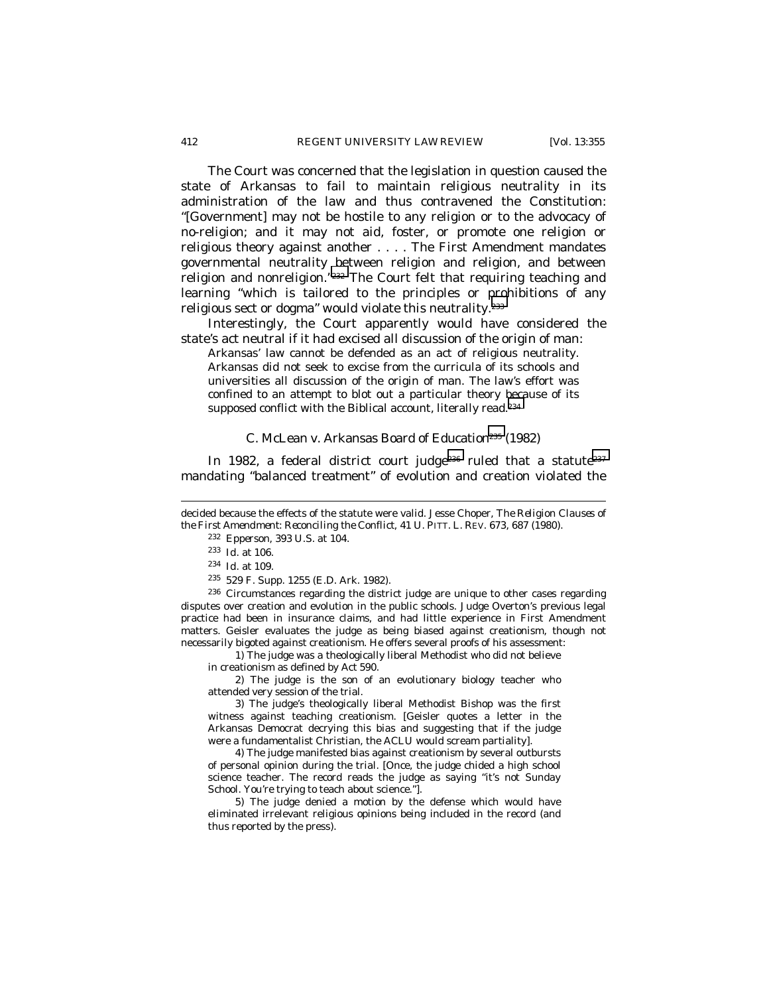The Court was concerned that the legislation in question caused the state of Arkansas to fail to maintain religious neutrality in its administration of the law and thus contravened the Constitution: "[Government] may not be hostile to any religion or to the advocacy of no-religion; and it may not aid, foster, or promote one religion or religious theory against another . . . . The First Amendment mandates governmental neutrality between religion and religion, and between religion and nonreligion."232 The Court felt that requiring teaching and learning "which is tailored to the principles or prohibitions of any religious sect or dogma" would violate this neutrality.233

Interestingly, the Court apparently would have considered the state's act neutral if it had excised all discussion of the origin of man:

Arkansas' law cannot be defended as an act of religious neutrality. Arkansas did not seek to excise from the curricula of its schools and universities all discussion of the origin of man. The law's effort was confined to an attempt to blot out a particular theory because of its supposed conflict with the Biblical account, literally read.<sup>234</sup>

# *C.* McLean v. Arkansas Board of Education235 *(1982)*

In 1982, a federal district court judge<sup>236</sup> ruled that a statute<sup>237</sup> mandating "balanced treatment" of evolution and creation violated the

 $\overline{\phantom{a}}$ 

236 Circumstances regarding the district judge are unique to other cases regarding disputes over creation and evolution in the public schools. Judge Overton's previous legal practice had been in insurance claims, and had little experience in First Amendment matters. Geisler evaluates the judge as being biased against creationism, though not necessarily bigoted against creationism. He offers several proofs of his assessment:

1) The judge was a theologically liberal Methodist who did not believe

in creationism as defined by Act 590.

2) The judge is the son of an evolutionary biology teacher who attended very session of the trial.

3) The judge's theologically liberal Methodist Bishop was the first witness against teaching creationism. [Geisler quotes a letter in the Arkansas Democrat decrying this bias and suggesting that if the judge were a fundamentalist Christian, the ACLU would scream partiality].

4) The judge manifested bias against creationism by several outbursts of personal opinion during the trial. [Once, the judge chided a high school science teacher. The record reads the judge as saying "it's not Sunday School. You're trying to teach about science."].

5) The judge denied a motion by the defense which would have eliminated irrelevant religious opinions being included in the record (and thus reported by the press).

decided because the effects of the statute were valid. Jesse Choper, *The Religion Clauses of the First Amendment: Reconciling the Conflict*, 41 U. PITT. L. REV. 673, 687 (1980).

<sup>232</sup> *Epperson*, 393 U.S. at 104.

<sup>233</sup> *Id*. at 106.

<sup>234</sup> *Id.* at 109.

<sup>235 529</sup> F. Supp. 1255 (E.D. Ark. 1982).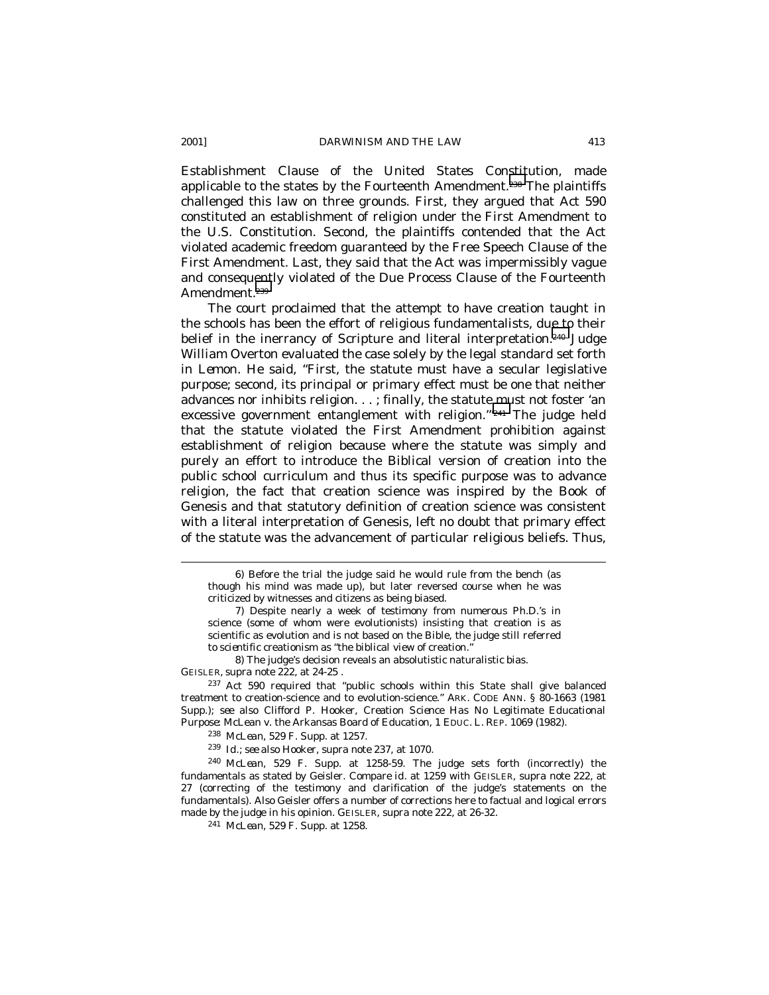Establishment Clause of the United States Constitution, made applicable to the states by the Fourteenth Amendment.<sup>238</sup> The plaintiffs challenged this law on three grounds. First, they argued that Act 590 constituted an establishment of religion under the First Amendment to the U.S. Constitution. Second, the plaintiffs contended that the Act violated academic freedom guaranteed by the Free Speech Clause of the First Amendment. Last, they said that the Act was impermissibly vague and consequently violated of the Due Process Clause of the Fourteenth Amendment.<sup>239</sup>

The court proclaimed that the attempt to have creation taught in the schools has been the effort of religious fundamentalists, due to their belief in the inerrancy of Scripture and literal interpretation.<sup>240</sup> Judge William Overton evaluated the case solely by the legal standard set forth in *Lemon*. He said, "First, the statute must have a secular legislative purpose; second, its principal or primary effect must be one that neither advances nor inhibits religion. . . ; finally, the statute must not foster 'an excessive government entanglement with religion."<sup>241</sup> The judge held that the statute violated the First Amendment prohibition against establishment of religion because where the statute was simply and purely an effort to introduce the Biblical version of creation into the public school curriculum and thus its specific purpose was to advance religion, the fact that creation science was inspired by the Book of Genesis and that statutory definition of creation science was consistent with a literal interpretation of Genesis, left no doubt that primary effect of the statute was the advancement of particular religious beliefs. Thus,

<sup>237</sup> Act 590 required that "public schools within this State shall give balanced treatment to creation-science and to evolution-science." ARK. CODE ANN. § 80-1663 (1981 Supp.); *see also* Clifford P. Hooker, *Creation Science Has No Legitimate Educational Purpose:* McLean v. the Arkansas Board of Education, 1 EDUC. L. REP. 1069 (1982).

<sup>238</sup> *McLean*, 529 F. Supp. at 1257.

<sup>239</sup> *Id*.; *see also* Hooker, *supra* note 237, at 1070.

<sup>240</sup> *McLean*, 529 F. Supp. at 1258-59. The judge sets forth (incorrectly) the fundamentals as stated by Geisler. *Compare id*. at 1259 *with* GEISLER, *supra* note 222, at 27 (correcting of the testimony and clarification of the judge's statements on the fundamentals). Also Geisler offers a number of corrections here to factual and logical errors made by the judge in his opinion. GEISLER, *supra* note 222, at 26-32.

<sup>241</sup> *McLean*, 529 F. Supp. at 1258.

<sup>6)</sup> Before the trial the judge said he would rule from the bench (as though his mind was made up), but later reversed course when he was criticized by witnesses and citizens as being biased.

<sup>7)</sup> Despite nearly a week of testimony from numerous Ph.D.'s in science (some of whom were evolutionists) insisting that creation is as scientific as evolution and is not based on the Bible, the judge still referred to *scientific* creationism as "the *biblical* view of creation."

<sup>8)</sup> The judge's decision reveals an absolutistic naturalistic bias. GEISLER, *supra* note 222, at 24-25 .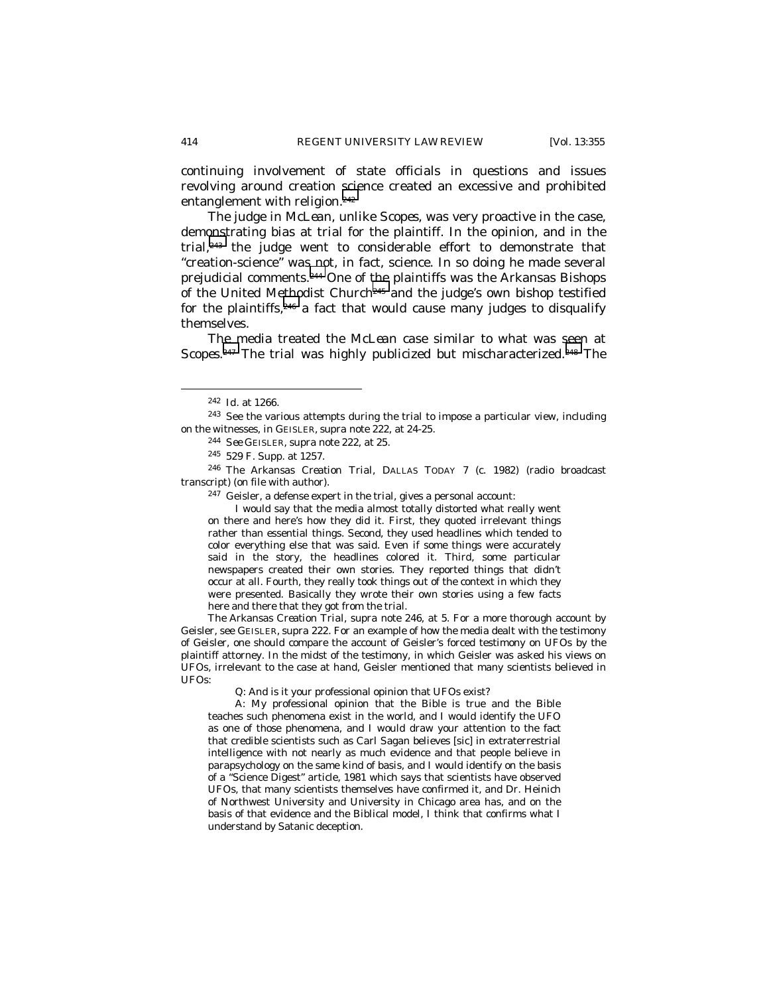continuing involvement of state officials in questions and issues revolving around creation science created an excessive and prohibited entanglement with religion.242

The judge in *McLean*, unlike *Scopes*, was very proactive in the case, demonstrating bias at trial for the plaintiff. In the opinion, and in the trial,243 the judge went to considerable effort to demonstrate that "creation-science" was not, in fact, science. In so doing he made several prejudicial comments.244 One of the plaintiffs was the Arkansas Bishops of the United Methodist Church<sup>245</sup> and the judge's own bishop testified for the plaintiffs, $246$  a fact that would cause many judges to disqualify themselves.

The media treated the *McLean* case similar to what was seen at *Scopes*.247 The trial was highly publicized but mischaracterized.248 The

I would say that the media almost totally distorted what really went on there and here's how they did it. First, they quoted irrelevant things rather than essential things. Second, they used headlines which tended to color everything else that was said. Even if some things were accurately said in the story, the headlines colored it. Third, some particular newspapers created their own stories. They reported things that didn't occur at all. Fourth, they really took things out of the context in which they were presented. Basically they wrote their own stories using a few facts here and there that they got from the trial.

*The Arkansas Creation Trial*, *supra* note 246, at 5. For a more thorough account by Geisler, see GEISLER, *supra* 222. For an example of how the media dealt with the testimony of Geisler, one should compare the account of Geisler's forced testimony on UFOs by the plaintiff attorney. In the midst of the testimony, in which Geisler was asked his views on UFOs, irrelevant to the case at hand, Geisler mentioned that many scientists believed in UFOs:

Q: And is it your professional opinion that UFOs exist?

A: My professional opinion that the Bible is true and the Bible teaches such phenomena exist in the world, and I would identify the UFO as one of those phenomena, and I would draw your attention to the fact that credible scientists such as Carl Sagan believes [sic] in extraterrestrial intelligence with not nearly as much evidence and that people believe in parapsychology on the same kind of basis, and I would identify on the basis of a "Science Digest" article, 1981 which says that scientists have observed UFOs, that many scientists themselves have confirmed it, and Dr. Heinich of Northwest University and University in Chicago area has, and on the basis of that evidence and the Biblical model, I think that confirms what I understand by Satanic deception.

<sup>242</sup> *Id*. at 1266.

<sup>243</sup> See the various attempts during the trial to impose a particular view, including on the witnesses, in GEISLER, *supra* note 222, at 24-25.

<sup>244</sup> *See* GEISLER, *supra* note 222, at 25.

<sup>245 529</sup> F. Supp. at 1257.

<sup>246</sup> *The Arkansas Creation Trial*, DALLAS TODAY 7 (c. 1982) (radio broadcast transcript) (on file with author).

 $247$  Geisler, a defense expert in the trial, gives a personal account: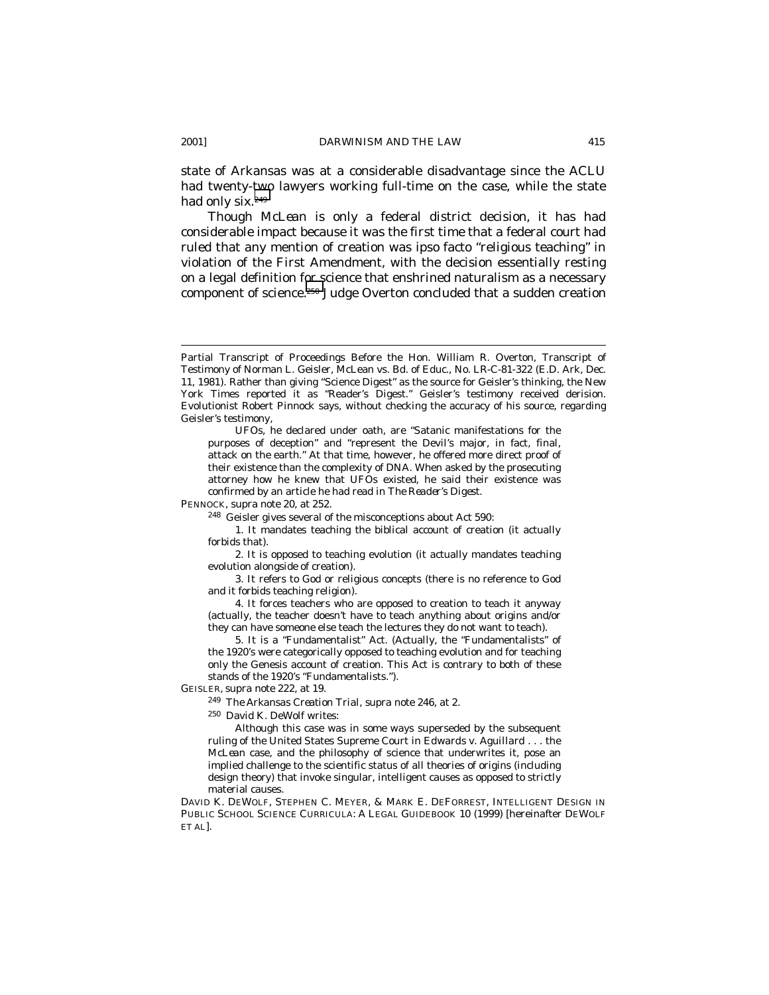state of Arkansas was at a considerable disadvantage since the ACLU had twenty-two lawyers working full-time on the case, while the state had only six.<sup>249</sup>

Though *McLean* is only a federal district decision, it has had considerable impact because it was the first time that a federal court had ruled that any mention of creation was ipso facto "religious teaching" in violation of the First Amendment, with the decision essentially resting on a legal definition for science that enshrined naturalism as a necessary component of science.250 Judge Overton concluded that a sudden creation

UFOs, he declared under oath, are "Satanic manifestations for the purposes of deception" and "represent the Devil's major, in fact, final, attack on the earth." At that time, however, he offered more direct proof of their existence than the complexity of DNA. When asked by the prosecuting attorney how he knew that UFOs existed, he said their existence was confirmed by an article he had read in *The Reader's Digest*.

PENNOCK, *supra* note 20, at 252.

248 Geisler gives several of the misconceptions about Act 590:

1. It mandates teaching the biblical account of creation (it actually forbids that).

2. It is opposed to teaching evolution (it actually mandates teaching evolution alongside of creation).

3. It refers to God or religious concepts (there is no reference to God and it forbids teaching religion).

4. It forces teachers who are opposed to creation to teach it anyway (actually, the teacher doesn't have to teach anything about origins and/or they can have someone else teach the lectures they do not want to teach).

5. It is a "Fundamentalist" Act. (Actually, the "Fundamentalists" of the 1920's were categorically opposed to teaching evolution and for teaching only the Genesis account of creation. This Act is contrary to both of these stands of the 1920's "Fundamentalists.").

GEISLER, *supra* note 222, at 19.

<sup>249</sup> *The Arkansas Creation Trial*, *supra* note 246, at 2.

250 David K. DeWolf writes:

Although this case was in some ways superseded by the subsequent ruling of the United States Supreme Court in *Edwards v. Aguillard* . . . the *McLean* case, and the philosophy of science that underwrites it, pose an implied challenge to the scientific status of all theories of origins (including design theory) that invoke singular, intelligent causes as opposed to strictly material causes.

DAVID K. DEWOLF, STEPHEN C. MEYER, & MARK E. DEFORREST, INTELLIGENT DESIGN IN PUBLIC SCHOOL SCIENCE CURRICULA: A LEGAL GUIDEBOOK 10 (1999) [hereinafter DEWOLF ET AL].

 $\overline{a}$ 

Partial Transcript of Proceedings Before the Hon. William R. Overton, Transcript of Testimony of Norman L. Geisler, McLean vs. Bd. of Educ., No. LR-C-81-322 (E.D. Ark, Dec. 11, 1981). Rather than giving "Science Digest" as the source for Geisler's thinking, the New York Times reported it as "Reader's Digest." Geisler's testimony received derision. Evolutionist Robert Pinnock says, without checking the accuracy of his source, regarding Geisler's testimony,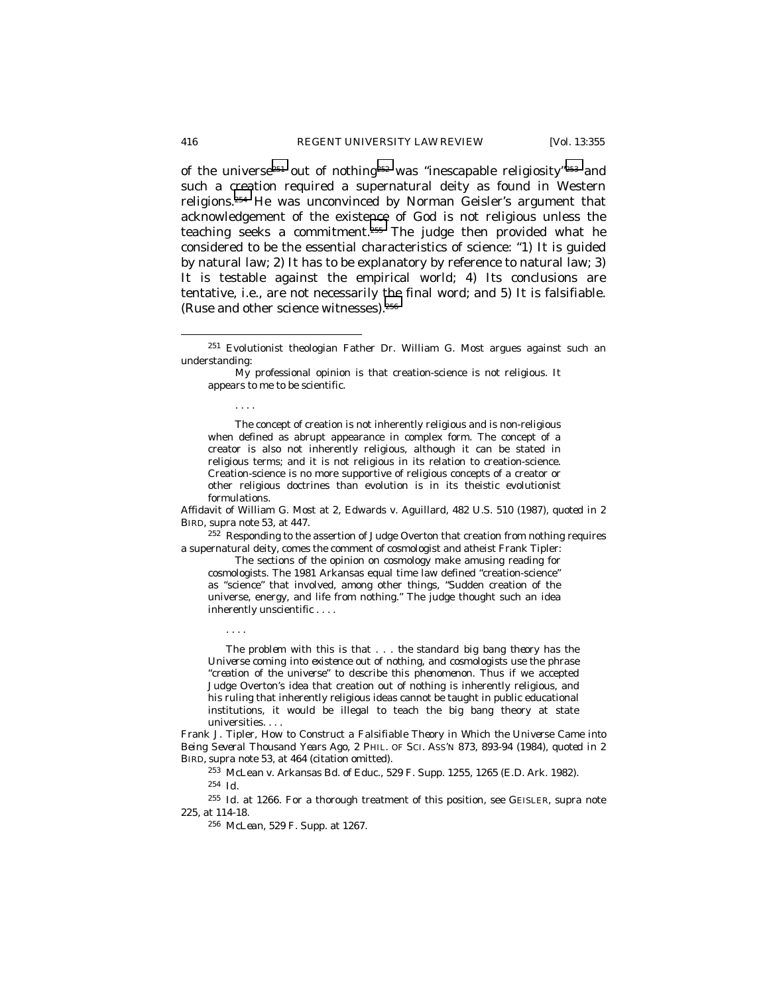of the universe<sup>251</sup> out of nothing<sup>252</sup> was "inescapable religiosity"<sup>253</sup> and such a creation required a supernatural deity as found in Western religions.254 He was unconvinced by Norman Geisler's argument that acknowledgement of the existence of God is not religious unless the teaching seeks a commitment.255 The judge then provided what he considered to be the essential characteristics of science: "1) It is guided by natural law; 2) It has to be explanatory by reference to natural law; 3) It is testable against the empirical world; 4) Its conclusions are tentative, i.e., are not necessarily the final word; and 5) It is falsifiable. (Ruse and other science witnesses).256

The concept of creation is not inherently religious and is non-religious when defined as abrupt appearance in complex form. The concept of a creator is also not inherently religious, although it can be stated in religious terms; and it is not religious in its relation to creation-science. Creation-science is no more supportive of religious concepts of a creator or other religious doctrines than evolution is in its theistic evolutionist formulations.

Affidavit of William G. Most at 2, Edwards v. Aguillard, 482 U.S. 510 (1987), *quoted in* 2 BIRD, *supra* note 53, at 447.

 $252$  Responding to the assertion of Judge Overton that creation from nothing requires a supernatural deity, comes the comment of cosmologist and atheist Frank Tipler:

The sections of the opinion on cosmology make amusing reading for cosmologists. The 1981 Arkansas equal time law defined "creation-science" as "science" that involved, among other things, "Sudden creation of the universe, energy, and life from nothing." The judge thought such an idea inherently unscientific . . . .

*The problem* with this is that . . . *the standard big bang theory has the Universe coming into existence out of nothing,* and *cosmologists use the phrase "creation of the universe" to describe this phenomenon.* Thus if we accepted Judge Overton's idea that creation out of nothing is inherently religious, and his ruling that inherently religious ideas cannot be taught in public educational institutions, it would be illegal to teach the big bang theory at state universities. . . .

Frank J. Tipler, *How to Construct a Falsifiable Theory in Which the Universe Came into Being Several Thousand Years Ago*, 2 PHIL. OF SCI. ASS'N 873, 893-94 (1984), *quoted in* 2 BIRD, *supra* note 53, at 464 (citation omitted).

253 McLean v. Arkansas Bd. of Educ., 529 F. Supp. 1255, 1265 (E.D. Ark. 1982).

. . . .

<sup>255</sup> *Id*. at 1266. For a thorough treatment of this position, see GEISLER, *supra* note 225, at 114-18.

<sup>256</sup> *McLean*, 529 F. Supp. at 1267.

 $\overline{a}$ 

 $251$  Evolutionist theologian Father Dr. William G. Most argues against such an understanding:

My professional opinion is that creation-science is not religious. It appears to me to be scientific.

<sup>254</sup> *Id*.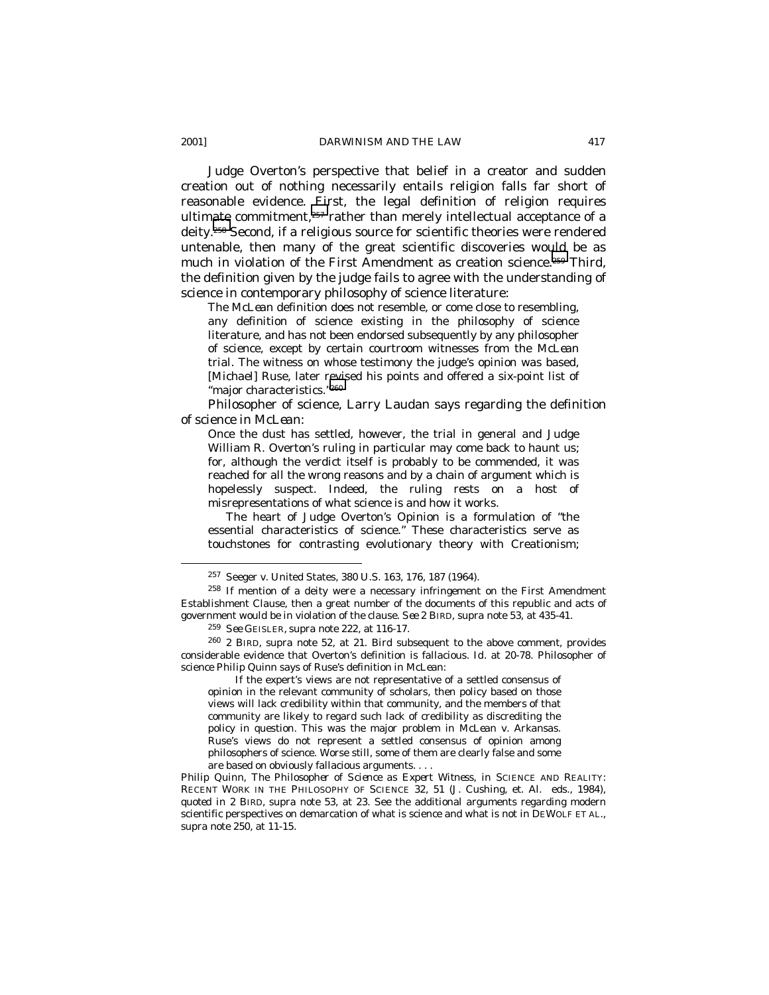#### 2001] *DARWINISM AND THE LAW* 417

Judge Overton's perspective that belief in a creator and sudden creation out of nothing necessarily entails religion falls far short of reasonable evidence. First, the legal definition of religion requires ultimate commitment,<sup>257</sup> rather than merely intellectual acceptance of a deity.258 Second, if a religious source for scientific theories were rendered untenable, then many of the great scientific discoveries would be as much in violation of the First Amendment as creation science.<sup>259</sup> Third, the definition given by the judge fails to agree with the understanding of science in contemporary philosophy of science literature:

The *McLean* definition does not resemble, or come close to resembling, any definition of science existing in the philosophy of science literature, and has not been endorsed subsequently by any philosopher of science, except by certain courtroom witnesses from the *McLean* trial. The witness on whose testimony the judge's opinion was based, [Michael] Ruse, later revised his points and offered a six-point list of "major characteristics."260

Philosopher of science, Larry Laudan says regarding the definition of science in *McLean*:

Once the dust has settled, however, the trial in general and Judge William R. Overton's ruling in particular may come back to haunt us; for, although the verdict itself is probably to be commended, it was reached for all the wrong reasons and by a chain of argument which is hopelessly suspect. Indeed, the ruling rests on a host of misrepresentations of what science is and how it works.

The heart of Judge Overton's Opinion is a formulation of "the essential characteristics of science." These characteristics serve as touchstones for contrasting evolutionary theory with Creationism;

260 2 BIRD, *supra* note 52, at 21. Bird subsequent to the above comment, provides considerable evidence that Overton's definition is fallacious. *Id*. at 20-78. Philosopher of science Philip Quinn says of Ruse's definition in *McLean*:

If the expert's views are not representative of a settled consensus of opinion in the relevant community of scholars, then policy based on those views will lack credibility within that community, and the members of that community are likely to regard such lack of credibility as discrediting the policy in question. This was the major problem in *McLean v. Arkansas*. Ruse's views do not represent a settled consensus of opinion among philosophers of science. Worse still, some of them are clearly false and some are based on obviously fallacious arguments. . . .

<sup>257</sup> Seeger v. United States, 380 U.S. 163, 176, 187 (1964).

 $258$  If mention of a deity were a necessary infringement on the First Amendment Establishment Clause, then a great number of the documents of this republic and acts of government would be in violation of the clause. *See* 2 BIRD, *supra* note 53, at 435-41.

<sup>259</sup> *See* GEISLER, *supra* note 222, at 116-17.

Philip Quinn, *The Philosopher of Science as Expert Witness*, *in* SCIENCE AND REALITY: RECENT WORK IN THE PHILOSOPHY OF SCIENCE 32, 51 (J. Cushing, et. Al. eds., 1984), *quoted in* 2 BIRD, *supra* note 53, at 23. See the additional arguments regarding modern scientific perspectives on demarcation of what is science and what is not in DEWOLF ET AL., *supra* note 250, at 11-15.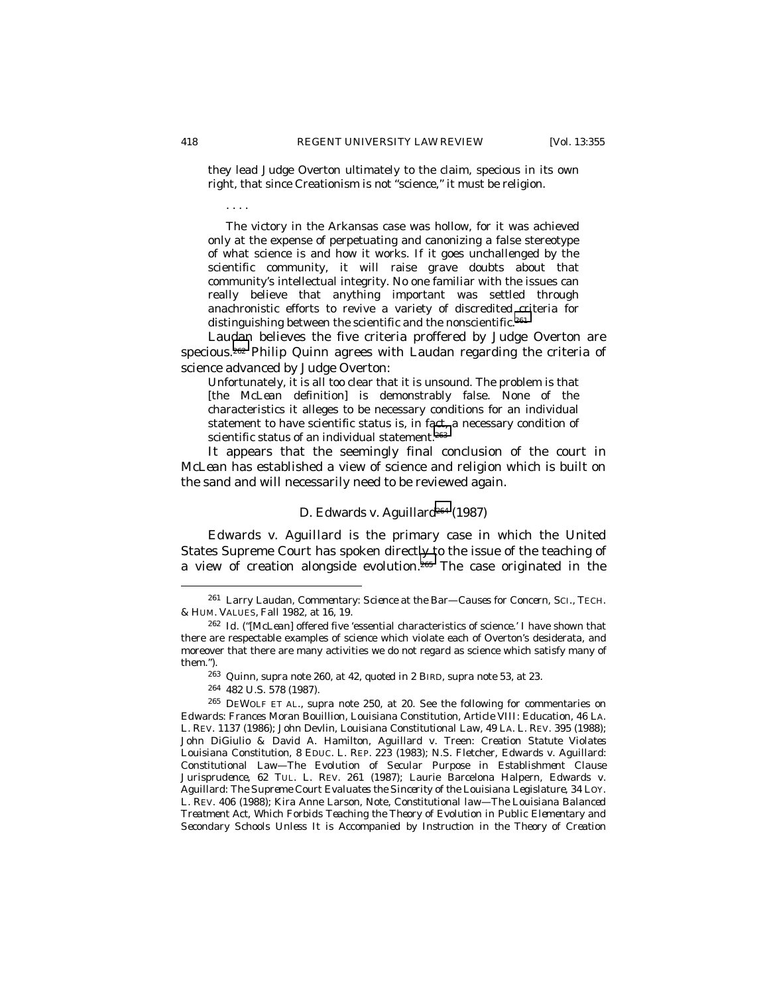they lead Judge Overton ultimately to the claim, specious in its own right, that since Creationism is not "science," it must be religion.

. . . .

The victory in the Arkansas case was hollow, for it was achieved only at the expense of perpetuating and canonizing a false stereotype of what science is and how it works. If it goes unchallenged by the scientific community, it will raise grave doubts about that community's intellectual integrity. No one familiar with the issues can really believe that anything important was settled through anachronistic efforts to revive a variety of discredited criteria for distinguishing between the scientific and the nonscientific.<sup>261</sup>

Laudan believes the five criteria proffered by Judge Overton are specious.262 Philip Quinn agrees with Laudan regarding the criteria of science advanced by Judge Overton:

Unfortunately, it is all too clear that it is unsound. The problem is that [the *McLean* definition] is demonstrably false. None of the characteristics it alleges to be necessary conditions for an individual statement to have scientific status is, in fact, a necessary condition of scientific status of an individual statement.<sup>263</sup>

It appears that the seemingly final conclusion of the court in *McLean* has established a view of science and religion which is built on the sand and will necessarily need to be reviewed again.

# *D.* Edwards v. Aguillard264 *(1987)*

*Edwards v. Aguillard* is the primary case in which the United States Supreme Court has spoken directly to the issue of the teaching of a view of creation alongside evolution.<sup>265</sup> The case originated in the

264 482 U.S. 578 (1987).

 $\overline{a}$ 

<sup>261</sup> Larry Laudan, *Commentary: Science at the Bar—Causes for Concern*, SCI., TECH. & HUM. VALUES, Fall 1982, at 16, 19.

<sup>262</sup> *Id*. ("[*McLean*] offered five 'essential characteristics of science.' I have shown that there are respectable examples of science which violate each of Overton's desiderata, and moreover that there are many activities we do not regard as science which satisfy many of them.").

<sup>263</sup> Quinn, *supra* note 260, at 42, *quoted in* 2 BIRD, *supra* note 53, at 23.

<sup>265</sup> DEWOLF ET AL., *supra* note 250, at 20. See the following for commentaries on *Edwards*: Frances Moran Bouillion, *Louisiana Constitution, Article VIII: Education*, 46 LA. L. REV. 1137 (1986); John Devlin, *Louisiana Constitutional Law*, 49 LA. L. REV. 395 (1988); John DiGiulio & David A. Hamilton, Aguillard v. Treen*: Creation Statute Violates Louisiana Constitution*, 8 EDUC. L. REP. 223 (1983); N.S. Fletcher, Edwards v. Aguillard*: Constitutional Law—The Evolution of Secular Purpose in Establishment Clause Jurisprudence*, 62 TUL. L. REV. 261 (1987); Laurie Barcelona Halpern, Edwards v. Aguillard*: The Supreme Court Evaluates the Sincerity of the Louisiana Legislature*, 34 LOY. L. REV. 406 (1988); Kira Anne Larson, Note, *Constitutional law—The Louisiana Balanced Treatment Act, Which Forbids Teaching the Theory of Evolution in Public Elementary and Secondary Schools Unless It is Accompanied by Instruction in the Theory of Creation*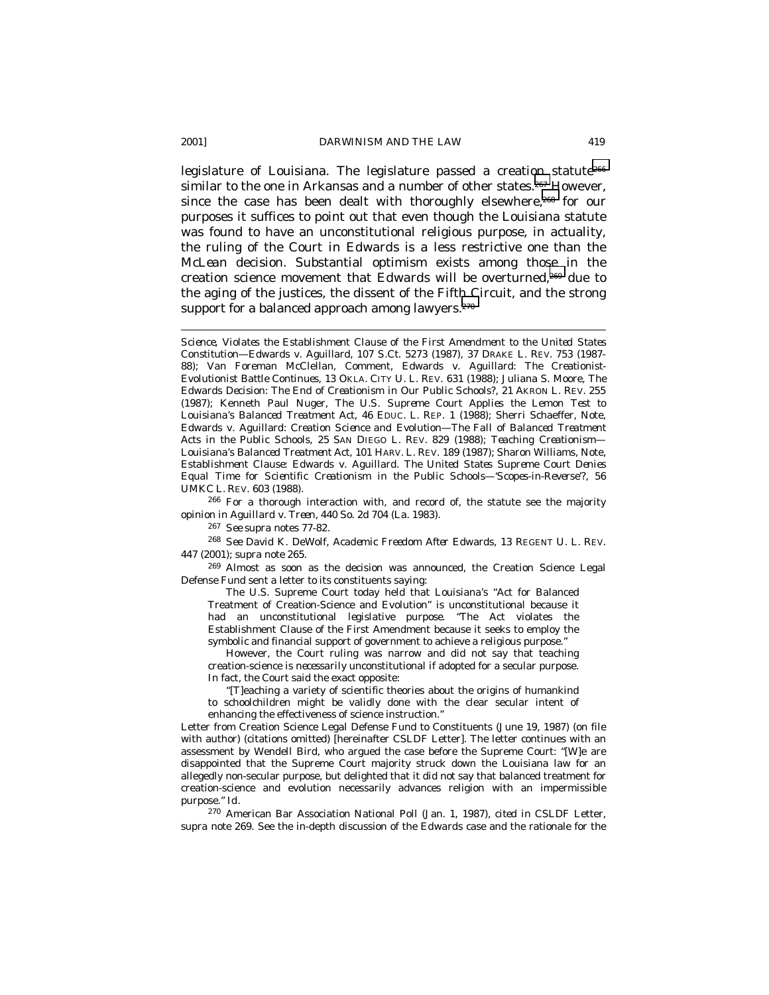legislature of Louisiana. The legislature passed a creation statute<sup>266</sup> similar to the one in Arkansas and a number of other states.<sup>267</sup> However, since the case has been dealt with thoroughly elsewhere,<sup>268</sup> for our purposes it suffices to point out that even though the Louisiana statute was found to have an unconstitutional religious purpose, in actuality, the ruling of the Court in *Edwards* is a less restrictive one than the *McLean* decision. Substantial optimism exists among those in the creation science movement that *Edwards* will be overturned,269 due to the aging of the justices, the dissent of the Fifth Circuit, and the strong support for a balanced approach among lawyers.<sup>270</sup>

*Science, Violates the Establishment Clause of the First Amendment to the United States Constitution—*Edwards v. Aguillard*, 107 S.Ct. 5273 (1987)*, 37 DRAKE L. REV. 753 (1987- 88); Van Foreman McClellan, Comment, Edwards v. Aguillard*: The Creationist-Evolutionist Battle Continues*, 13 OKLA. CITY U. L. REV. 631 (1988); Juliana S. Moore, *The*  Edwards *Decision: The End of Creationism in Our Public Schools?*, 21 AKRON L. REV. 255 (1987); Kenneth Paul Nuger, *The U.S. Supreme Court Applies the* Lemon *Test to Louisiana's Balanced Treatment Act*, 46 EDUC. L. REP. 1 (1988); Sherri Schaeffer, Note, Edwards v. Aguillard*: Creation Science and Evolution—The Fall of Balanced Treatment Acts in the Public Schools*, 25 SAN DIEGO L. REV. 829 (1988); *Teaching Creationism— Louisiana's Balanced Treatment Act*, 101 HARV. L. REV. 189 (1987); Sharon Williams, Note, *Establishment Clause:* Edwards v. Aguillard*. The United States Supreme Court Denies Equal Time for Scientific Creationism in the Public Schools—'Scopes-in-Reverse'?*, 56 UMKC L. REV. 603 (1988).

266 For a thorough interaction with, and record of, the statute see the majority opinion in *Aguillard v. Treen*, 440 So. 2d 704 (La. 1983).

<sup>267</sup> *See supra* notes 77-82.

<sup>268</sup> *See* David K. DeWolf, *Academic Freedom After* Edwards, 13 REGENT U. L. REV. 447 (2001); *supra* note 265.

<sup>269</sup> Almost as soon as the decision was announced, the Creation Science Legal Defense Fund sent a letter to its constituents saying:

The U.S. Supreme Court today held that Louisiana's "Act for Balanced Treatment of Creation-Science and Evolution" is unconstitutional because it had an unconstitutional *legislative purpose*. "The Act violates the Establishment Clause of the First Amendment because it seeks to employ the symbolic and financial support of government to achieve a religious purpose."

However, the Court ruling was narrow and did *not* say that teaching creation-science is *necessarily* unconstitutional *if* adopted for a secular purpose. In fact, the Court said the exact opposite:

"[T]eaching a variety of scientific theories about the origins of humankind to schoolchildren might be validly done with the clear secular intent of enhancing the effectiveness of science instruction."

Letter from Creation Science Legal Defense Fund to Constituents (June 19, 1987) (on file with author) (citations omitted) [hereinafter CSLDF Letter]. The letter continues with an assessment by Wendell Bird, who argued the case before the Supreme Court: "[W]e are disappointed that the Supreme Court majority struck down the Louisiana law for an allegedly non-secular purpose, but delighted that it did *not* say that balanced treatment for creation-science and evolution necessarily advances religion with an impermissible purpose." *Id*.

270 American Bar Association National Poll (Jan. 1, 1987), *cited in* CSLDF Letter, *supra* note 269. See the in-depth discussion of the *Edwards* case and the rationale for the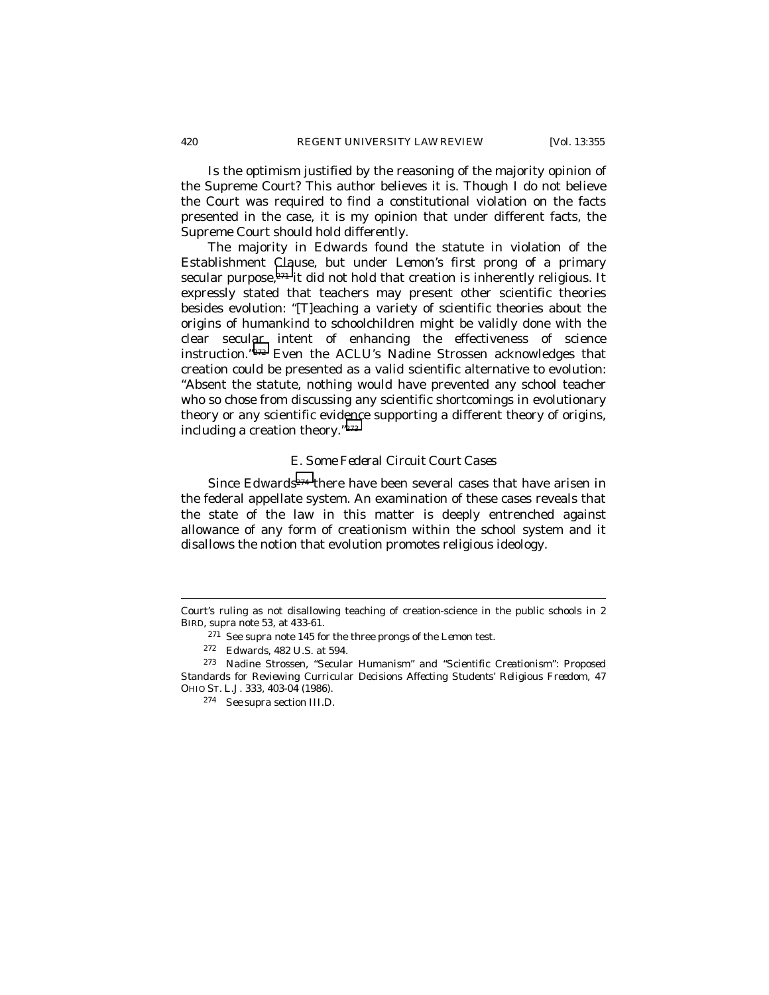Is the optimism justified by the reasoning of the majority opinion of the Supreme Court? This author believes it is. Though I do not believe the Court was required to find a constitutional violation on the facts presented in the case, it is my opinion that under different facts, the Supreme Court should hold differently.

The majority in *Edwards* found the statute in violation of the Establishment Clause, but under *Lemon's* first prong of a primary secular purpose,<sup>271</sup> it did not hold that creation is inherently religious. It expressly stated that teachers may present other scientific theories besides evolution: "[T]eaching a variety of scientific theories about the origins of humankind to schoolchildren might be validly done with the clear secular intent of enhancing the effectiveness of science instruction."272 Even the ACLU's Nadine Strossen acknowledges that creation could be presented as a valid scientific alternative to evolution: "Absent the statute, nothing would have prevented any school teacher who so chose from discussing any scientific shortcomings in evolutionary theory or any scientific evidence supporting a different theory of origins, including a creation theory."273

#### *E. Some Federal Circuit Court Cases*

Since *Edwards*<sup>274</sup> there have been several cases that have arisen in the federal appellate system. An examination of these cases reveals that the state of the law in this matter is deeply entrenched against allowance of any form of creationism within the school system and it disallows the notion that evolution promotes religious ideology.

Court's ruling as not disallowing teaching of creation-science in the public schools in 2 BIRD, *supra* note 53, at 433-61.

<sup>271</sup> See *supra* note 145 for the three prongs of the *Lemon* test.

<sup>272</sup> *Edwards*, 482 U.S. at 594.

<sup>273</sup> Nadine Strossen, *"Secular Humanism" and "Scientific Creationism": Proposed Standards for Reviewing Curricular Decisions Affecting Students' Religious Freedom*, 47 OHIO ST. L.J. 333, 403-04 (1986).

<sup>274</sup> *See supra* section III.D.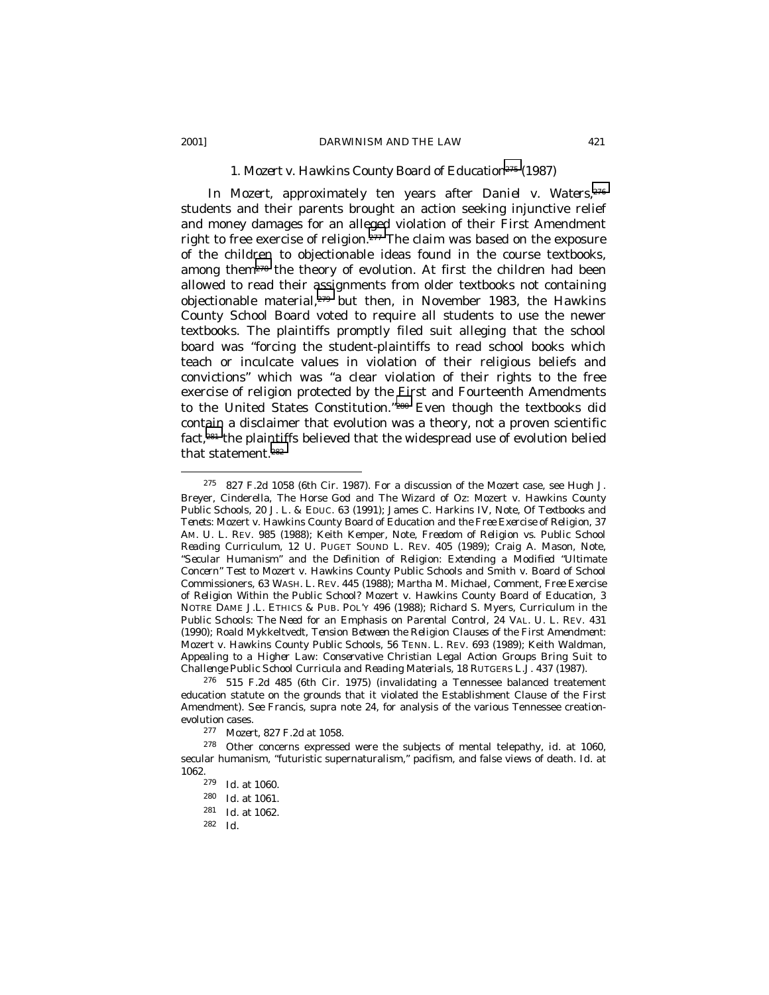## 1. *Mozert v. Hawkins County Board of Education*275 (1987)

In *Mozert*, approximately ten years after *Daniel v. Waters*,276 students and their parents brought an action seeking injunctive relief and money damages for an alleged violation of their First Amendment right to free exercise of religion.277 The claim was based on the exposure of the children to objectionable ideas found in the course textbooks, among them<sup>278</sup> the theory of evolution. At first the children had been allowed to read their assignments from older textbooks not containing objectionable material,279 but then, in November 1983, the Hawkins County School Board voted to require all students to use the newer textbooks. The plaintiffs promptly filed suit alleging that the school board was "forcing the student-plaintiffs to read school books which teach or inculcate values in violation of their religious beliefs and convictions" which was "a clear violation of their rights to the free exercise of religion protected by the First and Fourteenth Amendments to the United States Constitution."280 Even though the textbooks did contain a disclaimer that evolution was a theory, not a proven scientific fact,<sup>281</sup> the plaintiffs believed that the widespread use of evolution belied that statement.282

<sup>275 827</sup> F.2d 1058 (6th Cir. 1987). For a discussion of the *Mozert* case, see Hugh J. Breyer, Cinderella, *The Horse God and The Wizard of Oz:* Mozert v. Hawkins County Public Schools, 20 J. L. & EDUC. 63 (1991); James C. Harkins IV, Note, *Of Textbooks and Tenets:* Mozert v. Hawkins County Board of Education *and the Free Exercise of Religion*, 37 AM. U. L. REV. 985 (1988); Keith Kemper, Note, *Freedom of Religion vs. Public School Reading Curriculum*, 12 U. PUGET SOUND L. REV. 405 (1989); Craig A. Mason, Note, *"Secular Humanism" and the Definition of Religion: Extending a Modified "Ultimate Concern" Test to* Mozert v. Hawkins County Public Schools *and* Smith v. Board of School Commissioners, 63 WASH. L. REV. 445 (1988); Martha M. Michael, Comment, *Free Exercise of Religion Within the Public School?* Mozert v. Hawkins County Board of Education, 3 NOTRE DAME J.L. ETHICS & PUB. POL'Y 496 (1988); Richard S. Myers, *Curriculum in the Public Schools: The Need for an Emphasis on Parental Control*, 24 VAL. U. L. REV. 431 (1990); Roald Mykkeltvedt, *Tension Between the Religion Clauses of the First Amendment:* Mozert v. Hawkins County Public Schools, 56 TENN. L. REV. 693 (1989); Keith Waldman, *Appealing to a Higher Law: Conservative Christian Legal Action Groups Bring Suit to Challenge Public School Curricula and Reading Materials*, 18 RUTGERS L.J. 437 (1987).

<sup>276 515</sup> F.2d 485 (6th Cir. 1975) (invalidating a Tennessee balanced treatement education statute on the grounds that it violated the Establishment Clause of the First Amendment). *See* Francis, *supra* note 24, for analysis of the various Tennessee creationevolution cases.

<sup>277</sup> *Mozert*, 827 F.2d at 1058.

<sup>278</sup> Other concerns expressed were the subjects of mental telepathy, *id*. at 1060, secular humanism, "futuristic supernaturalism," pacifism, and false views of death. *Id*. at 1062.

<sup>279</sup> *Id*. at 1060.

<sup>280</sup> *Id*. at 1061.

<sup>281</sup> *Id*. at 1062.

<sup>282</sup> *Id*.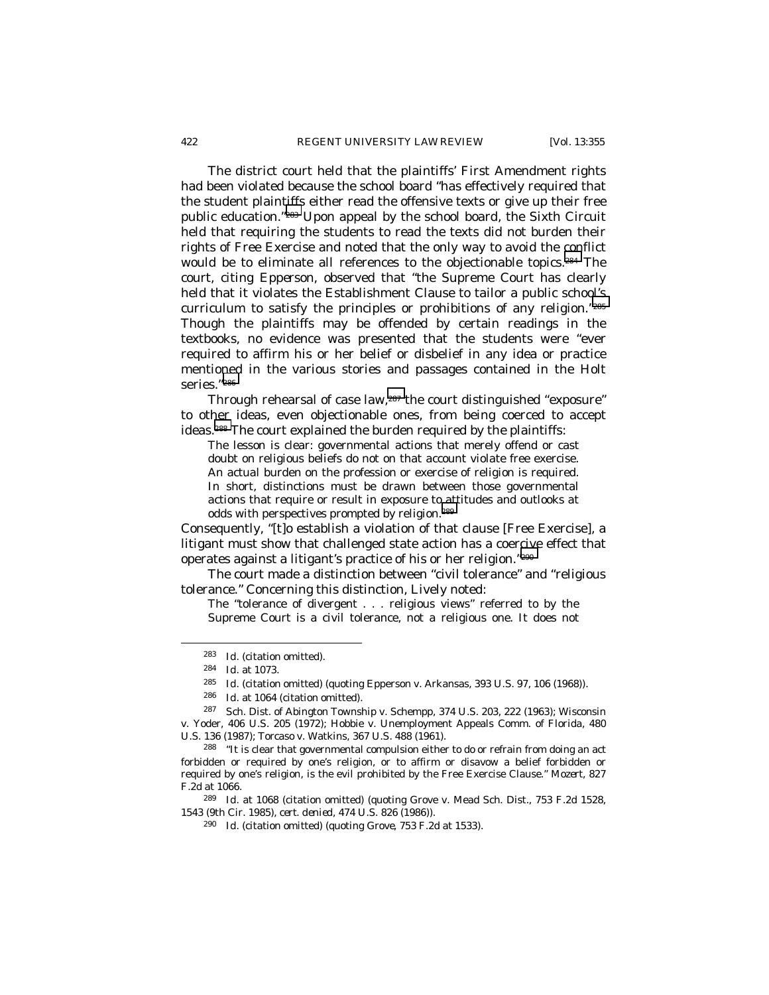The district court held that the plaintiffs' First Amendment rights had been violated because the school board "has effectively required that the student plaintiffs either read the offensive texts or give up their free public education."283 Upon appeal by the school board, the Sixth Circuit held that requiring the students to read the texts did not burden their rights of Free Exercise and noted that the only way to avoid the conflict would be to eliminate all references to the objectionable topics.284 The court, citing *Epperson*, observed that "the Supreme Court has clearly held that it violates the Establishment Clause to tailor a public school's curriculum to satisfy the principles or prohibitions of any religion."285 Though the plaintiffs may be offended by certain readings in the textbooks, no evidence was presented that the students were "ever required to affirm his or her belief or disbelief in any idea or practice mentioned in the various stories and passages contained in the Holt series."286

Through rehearsal of case law,<sup>287</sup> the court distinguished "exposure" to other ideas, even objectionable ones, from being coerced to accept ideas.<sup>288</sup> The court explained the burden required by the plaintiffs:

The lesson is clear: governmental actions that merely offend or cast doubt on religious beliefs do not on that account violate free exercise. An actual burden on the profession or exercise of religion is required. In short, distinctions must be drawn between those governmental actions that require or result in exposure to attitudes and outlooks at odds with perspectives prompted by religion.289

Consequently, "[t]o establish a violation of that clause [Free Exercise], a litigant must show that challenged state action has a coercive effect that operates against a litigant's practice of his or her religion."290

The court made a distinction between "civil tolerance" and "religious tolerance." Concerning this distinction, Lively noted:

The "tolerance of divergent . . . religious views" referred to by the Supreme Court is a civil tolerance, not a religious one. It does not

 $\overline{a}$ 

<sup>288</sup> "It is clear that governmental compulsion either to do or refrain from doing an act forbidden or required by one's religion, or to affirm or disavow a belief forbidden or required by one's religion, is the evil prohibited by the Free Exercise Clause." *Mozert*, 827 F.2d at 1066.

<sup>289</sup> *Id*. at 1068 (citation omitted) (quoting Grove v. Mead Sch. Dist., 753 F.2d 1528, 1543 (9th Cir. 1985), *cert. denied*, 474 U.S. 826 (1986)).

<sup>283</sup> *Id*. (citation omitted).

<sup>284</sup> *Id.* at 1073.

<sup>285</sup> *Id.* (citation omitted) (quoting Epperson v. Arkansas, 393 U.S. 97, 106 (1968)).

<sup>286</sup> *Id*. at 1064 (citation omitted).

<sup>287</sup> Sch. Dist. of Abington Township v. Schempp, 374 U.S. 203, 222 (1963); Wisconsin v. Yoder, 406 U.S. 205 (1972); Hobbie v. Unemployment Appeals Comm. of Florida, 480 U.S. 136 (1987); Torcaso v. Watkins, 367 U.S. 488 (1961).

<sup>290</sup> *Id.* (citation omitted) (quoting *Grove*, 753 F.2d at 1533).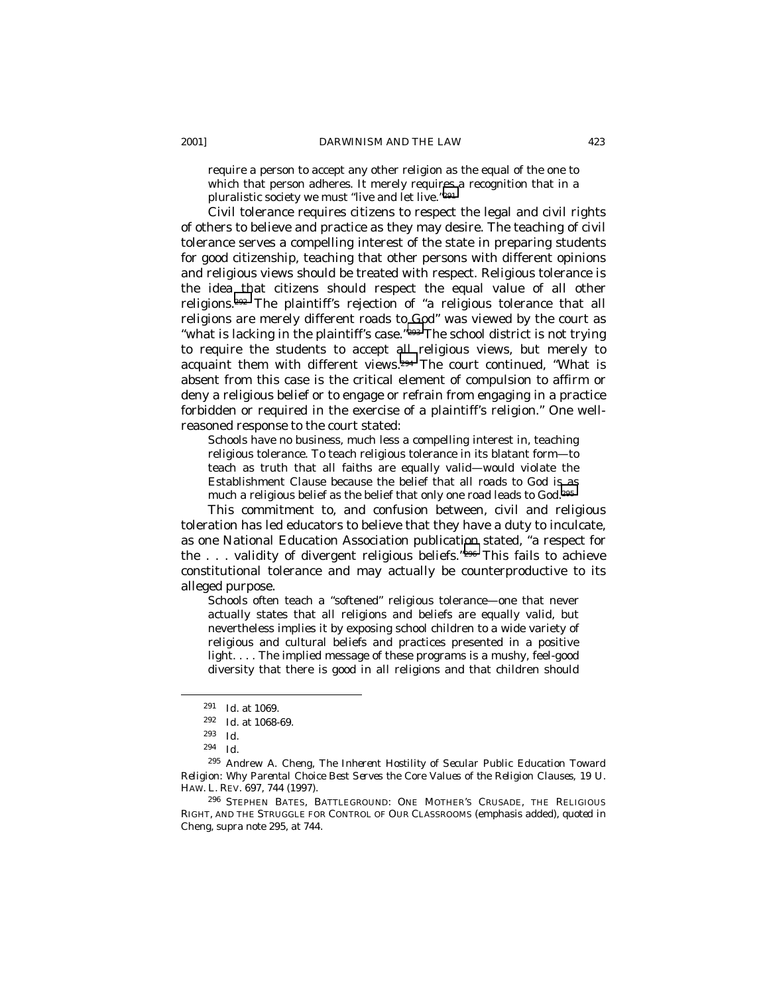require a person to accept any other religion as the equal of the one to which that person adheres. It merely requires a recognition that in a pluralistic society we must "live and let live."291

Civil tolerance requires citizens to respect the legal and civil rights of others to believe and practice as they may desire. The teaching of civil tolerance serves a compelling interest of the state in preparing students for good citizenship, teaching that other persons with different opinions and religious views should be treated with respect. Religious tolerance is the idea that citizens should respect the equal value of all other religions.292 The plaintiff's rejection of "a religious tolerance that all religions are merely different roads to God" was viewed by the court as "what is lacking in the plaintiff's case."<sup>293</sup> The school district is not trying to require the students to accept all religious views, but merely to acquaint them with different views.294 The court continued, "What is absent from this case is the critical element of compulsion to affirm or deny a religious belief or to engage or refrain from engaging in a practice forbidden or required in the exercise of a plaintiff's religion." One wellreasoned response to the court stated:

Schools have no business, much less a compelling interest in, teaching religious tolerance. To teach religious tolerance in its blatant form—to teach as truth that all faiths are equally valid—would violate the Establishment Clause because the belief that all roads to God is as much a religious belief as the belief that only one road leads to God.295

This commitment to, and confusion between, civil and religious toleration has led educators to believe that they have a duty to inculcate, as one National Education Association publication stated, "a respect for the . . . validity of divergent religious beliefs."296 This fails to achieve constitutional tolerance and may actually be counterproductive to its alleged purpose.

Schools often teach a "softened" religious tolerance—one that never actually states that all religions and beliefs are equally valid, but nevertheless implies it by exposing school children to a wide variety of religious and cultural beliefs and practices presented in a positive light. . . . The implied message of these programs is a mushy, feel-good diversity that there is good in all religions and that children should

 $\overline{\phantom{a}}$ 

296 STEPHEN BATES, BATTLEGROUND: ONE MOTHER'S CRUSADE, THE RELIGIOUS RIGHT, AND THE STRUGGLE FOR CONTROL OF OUR CLASSROOMS (emphasis added), *quoted in* Cheng, *supra* note 295, at 744.

<sup>291</sup> *Id.* at 1069.

<sup>292</sup> *Id.* at 1068-69.

<sup>293</sup> *Id.*

<sup>294</sup> *Id.*

<sup>295</sup> Andrew A. Cheng, *The Inherent Hostility of Secular Public Education Toward Religion: Why Parental Choice Best Serves the Core Values of the Religion Clauses*, 19 U. HAW. L. REV. 697, 744 (1997).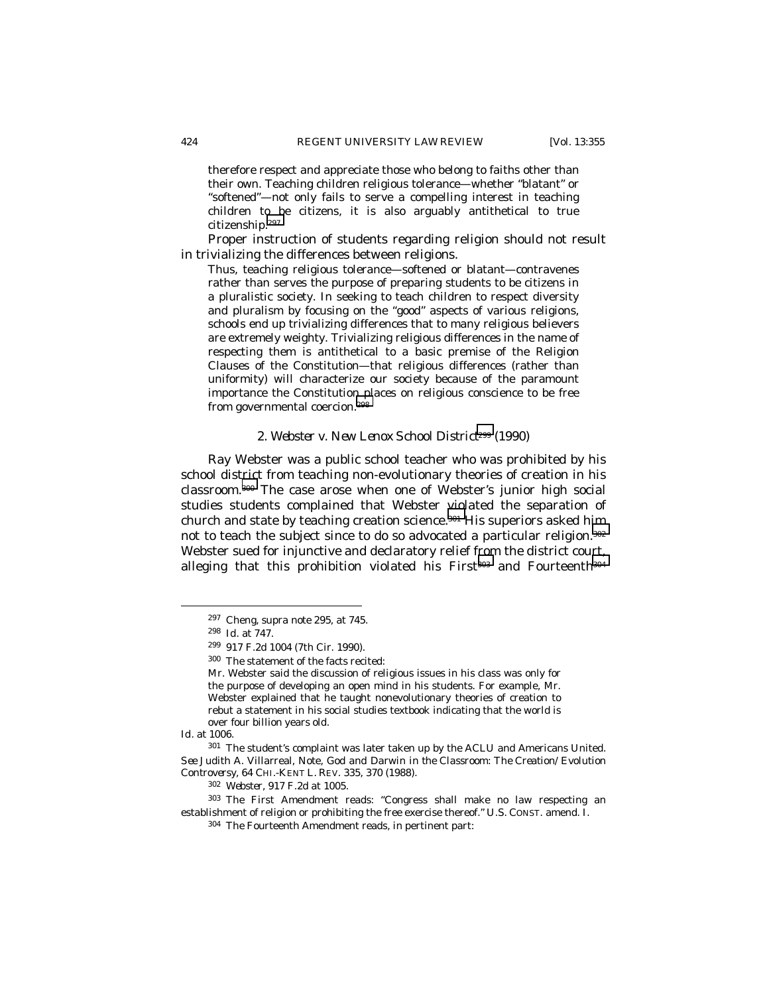therefore respect and appreciate those who belong to faiths other than their own. Teaching children religious tolerance—whether "blatant" or "softened"—not only fails to serve a compelling interest in teaching children to be citizens, it is also arguably antithetical to true citizenship.297

Proper instruction of students regarding religion should not result in trivializing the differences between religions.

Thus, teaching religious tolerance—softened or blatant—contravenes rather than serves the purpose of preparing students to be citizens in a pluralistic society. In seeking to teach children to respect diversity and pluralism by focusing on the "good" aspects of various religions, schools end up trivializing differences that to many religious believers are extremely weighty. Trivializing religious differences in the name of respecting them is antithetical to a basic premise of the Religion Clauses of the Constitution—that religious differences (rather than uniformity) will characterize our society because of the paramount importance the Constitution places on religious conscience to be free from governmental coercion.298

## 2. *Webster v. New Lenox School District*299 (1990)

Ray Webster was a public school teacher who was prohibited by his school district from teaching non-evolutionary theories of creation in his classroom.300 The case arose when one of Webster's junior high social studies students complained that Webster violated the separation of church and state by teaching creation science.301 His superiors asked him not to teach the subject since to do so advocated a particular religion.302 Webster sued for injunctive and declaratory relief from the district court, alleging that this prohibition violated his First<sup>303</sup> and Fourteenth<sup>304</sup>

<sup>297</sup> Cheng, *supra* note 295, at 745.

<sup>298</sup> *Id.* at 747.

<sup>299 917</sup> F.2d 1004 (7th Cir. 1990).

<sup>300</sup> The statement of the facts recited:

Mr. Webster said the discussion of religious issues in his class was only for the purpose of developing an open mind in his students. For example, Mr. Webster explained that he taught nonevolutionary theories of creation to rebut a statement in his social studies textbook indicating that the world is over four billion years old.

*Id*. at 1006.

 $301$  The student's complaint was later taken up by the ACLU and Americans United. *See* Judith A. Villarreal, Note*, God and Darwin in the Classroom: The Creation/Evolution Controversy*, 64 CHI.-KENT L. REV. 335, 370 (1988).

<sup>302</sup> *Webster*, 917 F.2d at 1005.

<sup>303</sup> The First Amendment reads: "Congress shall make no law respecting an establishment of religion or prohibiting the free exercise thereof." U.S. CONST. amend. I.

<sup>304</sup> The Fourteenth Amendment reads, in pertinent part: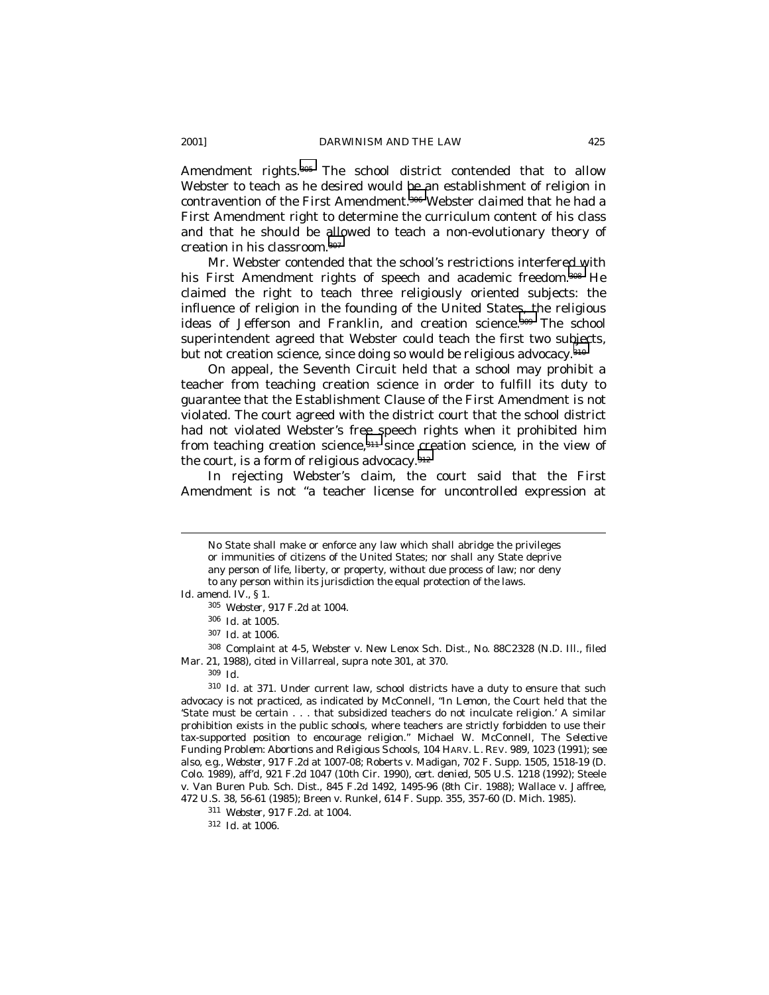Amendment rights.<sup>305</sup> The school district contended that to allow Webster to teach as he desired would be an establishment of religion in contravention of the First Amendment.306 Webster claimed that he had a First Amendment right to determine the curriculum content of his class and that he should be allowed to teach a non-evolutionary theory of creation in his classroom.307

Mr. Webster contended that the school's restrictions interfered with his First Amendment rights of speech and academic freedom.308 He claimed the right to teach three religiously oriented subjects: the influence of religion in the founding of the United States, the religious ideas of Jefferson and Franklin, and creation science.309 The school superintendent agreed that Webster could teach the first two subjects, but not creation science, since doing so would be religious advocacy.310

On appeal, the Seventh Circuit held that a school may prohibit a teacher from teaching creation science in order to fulfill its duty to guarantee that the Establishment Clause of the First Amendment is not violated. The court agreed with the district court that the school district had not violated Webster's free speech rights when it prohibited him from teaching creation science, $311$  since creation science, in the view of the court, is a form of religious advocacy.312

In rejecting Webster's claim, the court said that the First Amendment is not "a teacher license for uncontrolled expression at

# *Id*. amend. IV., § 1.

No State shall make or enforce any law which shall abridge the privileges or immunities of citizens of the United States; nor shall any State deprive any person of life, liberty, or property, without due process of law; nor deny to any person within its jurisdiction the equal protection of the laws.

<sup>305</sup> *Webster*, 917 F.2d at 1004.

<sup>306</sup> *Id*. at 1005.

<sup>307</sup> *Id*. at 1006.

<sup>308</sup> Complaint at 4-5, Webster v. New Lenox Sch. Dist., No. 88C2328 (N.D. Ill., filed Mar. 21, 1988), *cited in* Villarreal, *supra* note 301, at 370.

<sup>309</sup> *Id.*

<sup>310</sup> *Id*. at 371. Under current law, school districts have a duty to ensure that such advocacy is not practiced, as indicated by McConnell, "In *Lemon*, the Court held that the 'State must be certain . . . that subsidized teachers do not inculcate religion.' A similar prohibition exists in the public schools, where teachers are strictly forbidden to use their tax-supported position to encourage religion." Michael W. McConnell, *The Selective Funding Problem: Abortions and Religious Schools*, 104 HARV. L. REV. 989, 1023 (1991); *see also, e.g.*, *Webster*, 917 F.2d at 1007-08; Roberts v. Madigan, 702 F. Supp. 1505, 1518-19 (D. Colo. 1989), *aff'd*, 921 F.2d 1047 (10th Cir. 1990), *cert. denied*, 505 U.S. 1218 (1992); Steele v. Van Buren Pub. Sch. Dist., 845 F.2d 1492, 1495-96 (8th Cir. 1988); Wallace v. Jaffree, 472 U.S. 38, 56-61 (1985); Breen v. Runkel, 614 F. Supp. 355, 357-60 (D. Mich. 1985).

<sup>311</sup> *Webster*, 917 F.2d. at 1004.

<sup>312</sup> *Id*. at 1006.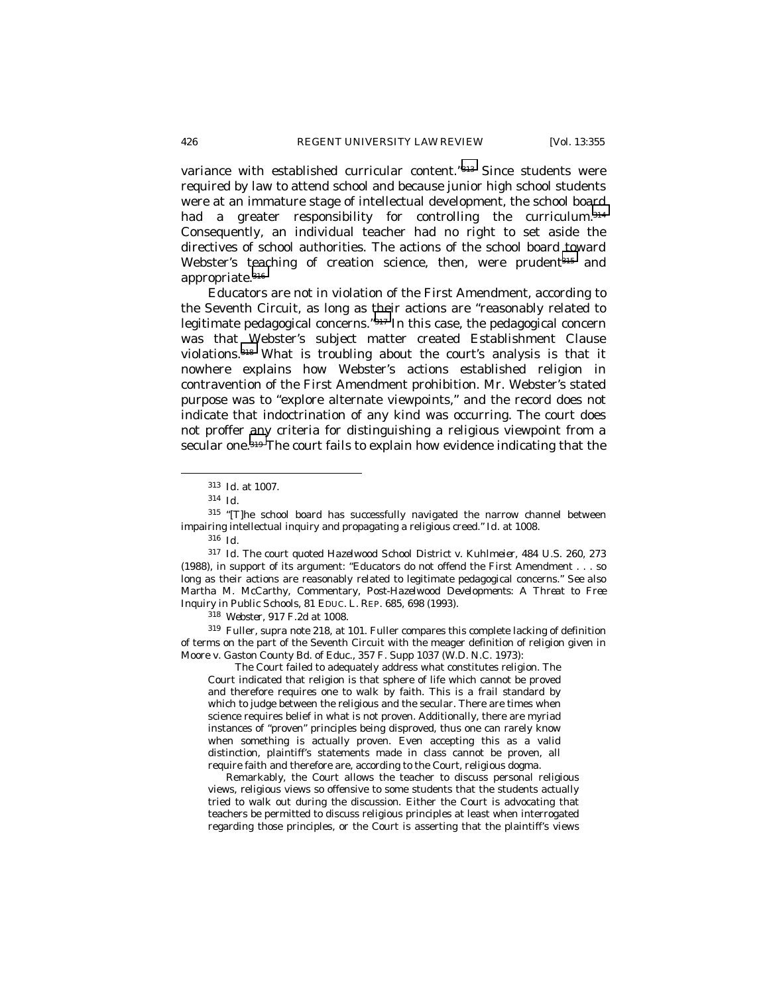variance with established curricular content."313 Since students were required by law to attend school and because junior high school students were at an immature stage of intellectual development, the school board had a greater responsibility for controlling the curriculum.<sup>314</sup> Consequently, an individual teacher had no right to set aside the directives of school authorities. The actions of the school board toward Webster's teaching of creation science, then, were prudent<sup>315</sup> and appropriate.316

Educators are not in violation of the First Amendment, according to the Seventh Circuit, as long as their actions are "reasonably related to legitimate pedagogical concerns."317 In this case, the pedagogical concern was that Webster's subject matter created Establishment Clause violations.318 What is troubling about the court's analysis is that it nowhere explains how Webster's actions established religion in contravention of the First Amendment prohibition. Mr. Webster's stated purpose was to "explore alternate viewpoints," and the record does not indicate that indoctrination of any kind was occurring. The court does not proffer any criteria for distinguishing a religious viewpoint from a secular one.319 The court fails to explain how evidence indicating that the

 $\overline{\phantom{a}}$ 

319 Fuller, *supra* note 218, at 101. Fuller compares this complete lacking of definition of terms on the part of the Seventh Circuit with the meager definition of religion given in Moore v. Gaston County Bd. of Educ., 357 F. Supp 1037 (W.D. N.C. 1973):

The Court failed to adequately address what constitutes religion. The Court indicated that religion is that sphere of life which cannot be proved and therefore requires one to walk by faith. This is a frail standard by which to judge between the religious and the secular. There are times when science requires belief in what is not proven. Additionally, there are myriad instances of "proven" principles being disproved, thus one can rarely know when something is actually proven. Even accepting this as a valid distinction, plaintiff's statements made in class cannot be proven, all require faith and therefore are, according to the Court, religious dogma.

Remarkably, the Court allows the teacher to discuss personal religious views, religious views so offensive to some students that the students actually tried to walk out during the discussion. Either the Court is advocating that teachers be permitted to discuss religious principles at least when interrogated regarding those principles, or the Court is asserting that the plaintiff's views

<sup>313</sup> *Id.* at 1007.

<sup>314</sup> *Id*.

<sup>&</sup>lt;sup>315</sup> "[T]he school board has successfully navigated the narrow channel between impairing intellectual inquiry and propagating a religious creed." *Id*. at 1008.

<sup>316</sup> *Id*.

<sup>317</sup> *Id*. The court quoted *Hazelwood School District v. Kuhlmeier*, 484 U.S. 260, 273 (1988), in support of its argument: "Educators do not offend the First Amendment . . . so long as their actions are reasonably related to legitimate pedagogical concerns." *See also* Martha M. McCarthy, Commentary, *Post-Hazelwood Developments: A Threat to Free Inquiry in Public Schools*, 81 EDUC. L. REP. 685, 698 (1993).

<sup>318</sup> *Webster*, 917 F.2d at 1008.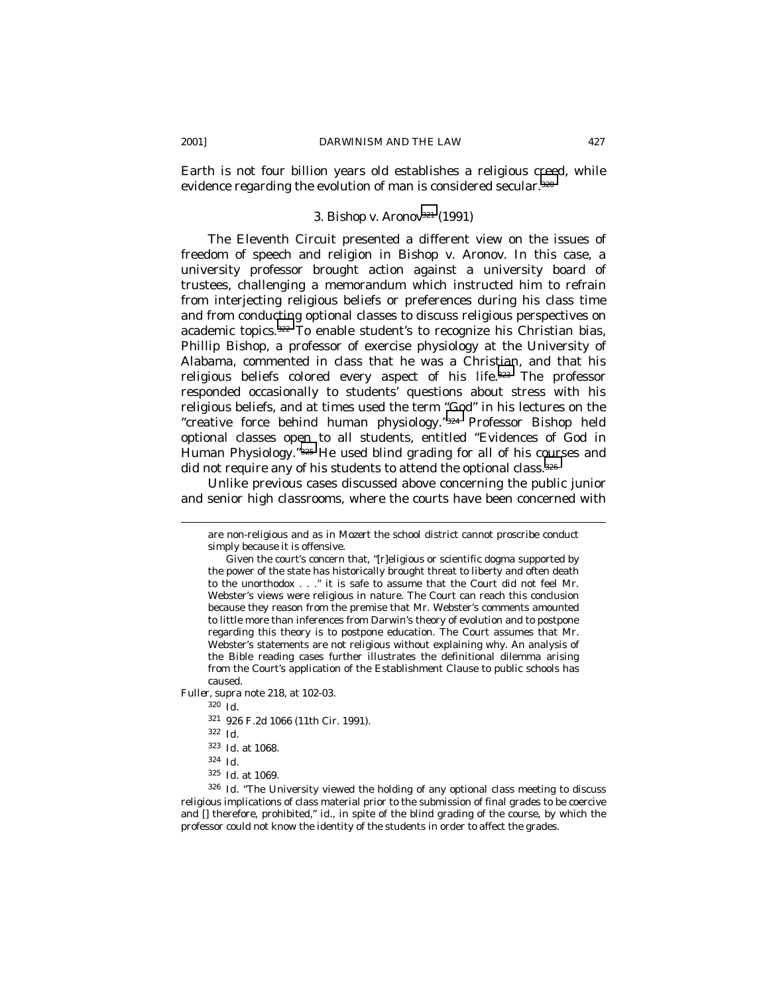Earth is not four billion years old establishes a religious creed, while evidence regarding the evolution of man is considered secular.320

# 3. *Bishop v. Aronov*321 (1991)

The Eleventh Circuit presented a different view on the issues of freedom of speech and religion in *Bishop v. Aronov*. In this case, a university professor brought action against a university board of trustees, challenging a memorandum which instructed him to refrain from interjecting religious beliefs or preferences during his class time and from conducting optional classes to discuss religious perspectives on academic topics.322 To enable student's to recognize his Christian bias, Phillip Bishop, a professor of exercise physiology at the University of Alabama, commented in class that he was a Christian, and that his religious beliefs colored every aspect of his life.323 The professor responded occasionally to students' questions about stress with his religious beliefs, and at times used the term "God" in his lectures on the "creative force behind human physiology."324 Professor Bishop held optional classes open to all students, entitled "Evidences of God in Human Physiology."325 He used blind grading for all of his courses and did not require any of his students to attend the optional class.<sup>326</sup>

Unlike previous cases discussed above concerning the public junior and senior high classrooms, where the courts have been concerned with

*Fuller*, *supra* note 218, at 102-03.

- <sup>322</sup> *Id*.
- <sup>323</sup> *Id*. at 1068.
- <sup>324</sup> *Id*.
- <sup>325</sup> *Id*. at 1069.

are non-religious and as in *Mozert* the school district cannot proscribe conduct simply because it is offensive.

Given the court's concern that, "[r]eligious or scientific dogma supported by the power of the state has historically brought threat to liberty and often death to the unorthodox . . ." it is safe to assume that the Court did not feel Mr. Webster's views were religious in nature. The Court can reach this conclusion because they reason from the premise that Mr. Webster's comments amounted to little more than inferences from Darwin's theory of evolution and to postpone regarding this theory is to postpone education. The Court assumes that Mr. Webster's statements are not religious without explaining why. An analysis of the Bible reading cases further illustrates the definitional dilemma arising from the Court's application of the Establishment Clause to public schools has caused.

<sup>320</sup> *Id.*

<sup>321 926</sup> F.2d 1066 (11th Cir. 1991).

<sup>&</sup>lt;sup>326</sup> *Id.* "The University viewed the holding of any optional class meeting to discuss religious implications of class material prior to the submission of final grades to be coercive and [] therefore, prohibited," *id.*, in spite of the blind grading of the course, by which the professor could not know the identity of the students in order to affect the grades.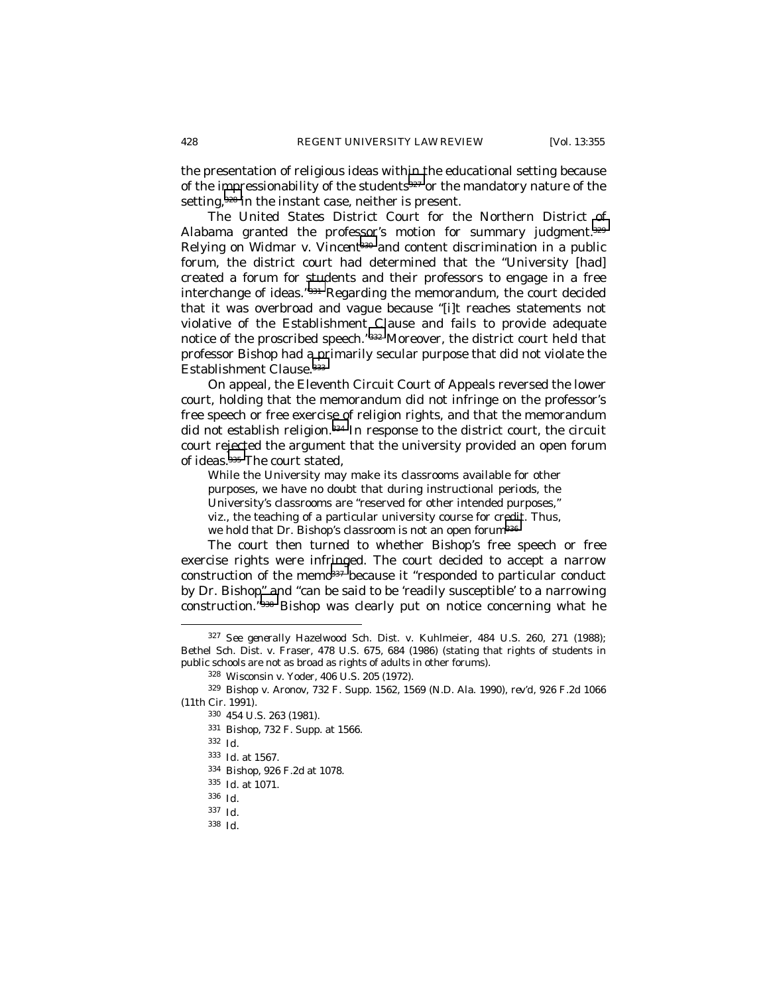the presentation of religious ideas within the educational setting because of the impressionability of the students<sup>327</sup> or the mandatory nature of the setting,<sup>328</sup> in the instant case, neither is present.

The United States District Court for the Northern District of Alabama granted the professor's motion for summary judgment.<sup>329</sup> Relying on *Widmar v. Vincent*330 and content discrimination in a public forum, the district court had determined that the "University [had] created a forum for students and their professors to engage in a free interchange of ideas."331 Regarding the memorandum, the court decided that it was overbroad and vague because "[i]t reaches statements not violative of the Establishment Clause and fails to provide adequate notice of the proscribed speech."332 Moreover, the district court held that professor Bishop had a primarily secular purpose that did not violate the Establishment Clause.<sup>333</sup>

On appeal, the Eleventh Circuit Court of Appeals reversed the lower court, holding that the memorandum did not infringe on the professor's free speech or free exercise of religion rights, and that the memorandum did not establish religion.334 In response to the district court, the circuit court rejected the argument that the university provided an open forum of ideas.335 The court stated,

While the University may make its classrooms available for other purposes, we have no doubt that during instructional periods, the University's classrooms are "reserved for other intended purposes," viz., the teaching of a particular university course for credit. Thus, we hold that Dr. Bishop's classroom is not an open forum336

The court then turned to whether Bishop's free speech or free exercise rights were infringed. The court decided to accept a narrow construction of the memo337 because it "responded to particular conduct by Dr. Bishop" and "can be said to be 'readily susceptible' to a narrowing construction."338 Bishop was clearly put on notice concerning what he

<sup>331</sup> *Bishop*, 732 F. Supp. at 1566.

<sup>327</sup> *See generally* Hazelwood Sch. Dist. v. Kuhlmeier, 484 U.S. 260, 271 (1988); Bethel Sch. Dist. v. Fraser, 478 U.S. 675, 684 (1986) (stating that rights of students in public schools are not as broad as rights of adults in other forums).

<sup>328</sup> Wisconsin v. Yoder, 406 U.S. 205 (1972).

<sup>329</sup> Bishop v. Aronov, 732 F. Supp. 1562, 1569 (N.D. Ala. 1990), *rev'd*, 926 F.2d 1066 (11th Cir. 1991).

<sup>330 454</sup> U.S. 263 (1981).

<sup>332</sup> *Id*.

<sup>333</sup> *Id*. at 1567.

<sup>334</sup> *Bishop*, 926 F.2d at 1078.

<sup>335</sup> *Id*. at 1071.

<sup>336</sup> *Id*.

<sup>337</sup> *Id*.

<sup>338</sup> *Id*.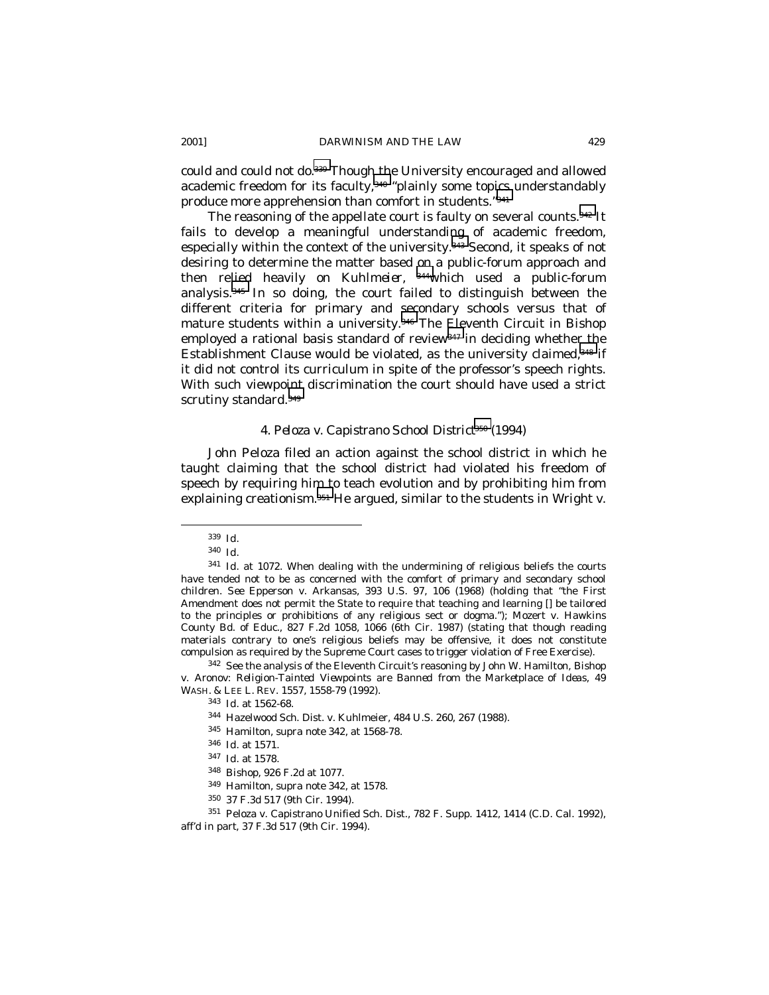could and could not do.339 Though the University encouraged and allowed academic freedom for its faculty,340 "plainly some topics understandably produce more apprehension than comfort in students."341

The reasoning of the appellate court is faulty on several counts.342 It fails to develop a meaningful understanding of academic freedom, especially within the context of the university.343 Second, it speaks of not desiring to determine the matter based on a public-forum approach and then relied heavily on *Kuhlmeier*, 344which used a public-forum analysis.345 In so doing, the court failed to distinguish between the different criteria for primary and secondary schools versus that of mature students within a university.346 The Eleventh Circuit in *Bishop* employed a rational basis standard of review<sup>347</sup> in deciding whether the Establishment Clause would be violated, as the university claimed,348 if it did not control its curriculum in spite of the professor's speech rights. With such viewpoint discrimination the court should have used a strict scrutiny standard.<sup>349</sup>

### 4. *Peloza v. Capistrano School District*350 (1994)

John Peloza filed an action against the school district in which he taught claiming that the school district had violated his freedom of speech by requiring him to teach evolution and by prohibiting him from explaining creationism.351 He argued, similar to the students in *Wright v.* 

<sup>339</sup> *Id*.

<sup>340</sup> *Id*.

<sup>341</sup> *Id.* at 1072. When dealing with the undermining of religious beliefs the courts have tended not to be as concerned with the comfort of primary and secondary school children. *See* Epperson v. Arkansas, 393 U.S. 97, 106 (1968) (holding that "the First Amendment does not permit the State to require that teaching and learning [] be tailored to the principles or prohibitions of any religious sect or dogma."); Mozert v. Hawkins County Bd. of Educ., 827 F.2d 1058, 1066 (6th Cir. 1987) (stating that though reading materials contrary to one's religious beliefs may be offensive, it does not constitute compulsion as required by the Supreme Court cases to trigger violation of Free Exercise).

<sup>342</sup> See the analysis of the Eleventh Circuit's reasoning by John W. Hamilton, Bishop v. Aronov*: Religion-Tainted Viewpoints are Banned from the Marketplace of Ideas*, 49 WASH. & LEE L. REV. 1557, 1558-79 (1992).

<sup>343</sup> *Id.* at 1562-68.

<sup>344</sup> Hazelwood Sch. Dist. v. Kuhlmeier, 484 U.S. 260, 267 (1988).

<sup>345</sup> Hamilton, *supra* note 342, at 1568-78.

<sup>346</sup> *Id*. at 1571.

<sup>347</sup> *Id*. at 1578.

<sup>348</sup> *Bishop*, 926 F.2d at 1077.

<sup>349</sup> Hamilton, *supra* note 342, at 1578.

<sup>350 37</sup> F.3d 517 (9th Cir. 1994).

<sup>351</sup> Peloza v. Capistrano Unified Sch. Dist., 782 F. Supp. 1412, 1414 (C.D. Cal. 1992), *aff'd in part*, 37 F.3d 517 (9th Cir. 1994).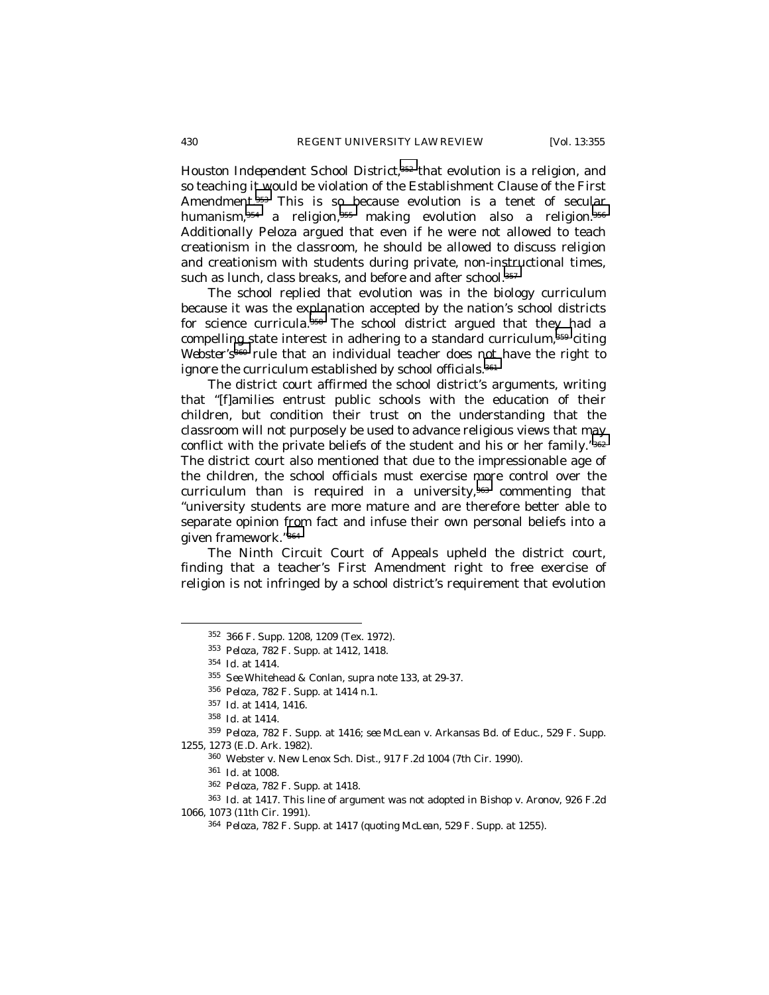*Houston Independent School District*,<sup>352</sup> that evolution is a religion, and so teaching it would be violation of the Establishment Clause of the First Amendment.353 This is so because evolution is a tenet of secular humanism,354 a religion,355 making evolution also a religion.356 Additionally Peloza argued that even if he were not allowed to teach creationism in the classroom, he should be allowed to discuss religion and creationism with students during private, non-instructional times, such as lunch, class breaks, and before and after school.<sup>357</sup>

The school replied that evolution was in the biology curriculum because it was the explanation accepted by the nation's school districts for science curricula.358 The school district argued that they had a compelling state interest in adhering to a standard curriculum,<sup>359</sup> citing *Webster's*360 rule that an individual teacher does not have the right to ignore the curriculum established by school officials.<sup>361</sup>

The district court affirmed the school district's arguments, writing that "[f]amilies entrust public schools with the education of their children, but condition their trust on the understanding that the classroom will not purposely be used to advance religious views that may conflict with the private beliefs of the student and his or her family."362 The district court also mentioned that due to the impressionable age of the children, the school officials must exercise more control over the curriculum than is required in a university,363 commenting that "university students are more mature and are therefore better able to separate opinion from fact and infuse their own personal beliefs into a given framework."364

The Ninth Circuit Court of Appeals upheld the district court, finding that a teacher's First Amendment right to free exercise of religion is not infringed by a school district's requirement that evolution

<sup>352 366</sup> F. Supp. 1208, 1209 (Tex. 1972).

<sup>353</sup> *Peloza*, 782 F. Supp. at 1412, 1418.

<sup>354</sup> *Id*. at 1414.

<sup>355</sup> *See* Whitehead & Conlan, *supra* note 133, at 29-37.

<sup>356</sup> *Peloza*, 782 F. Supp. at 1414 n.1.

<sup>357</sup> *Id*. at 1414, 1416.

<sup>358</sup> *Id*. at 1414.

<sup>359</sup> *Peloza*, 782 F. Supp. at 1416; *see* McLean v. Arkansas Bd. of Educ., 529 F. Supp. 1255, 1273 (E.D. Ark. 1982).

<sup>360</sup> Webster v. New Lenox Sch. Dist., 917 F.2d 1004 (7th Cir. 1990).

<sup>361</sup> *Id.* at 1008.

<sup>362</sup> *Peloza*, 782 F. Supp. at 1418.

<sup>363</sup> *Id*. at 1417. This line of argument was not adopted in *Bishop v. Aronov*, 926 F.2d 1066, 1073 (11th Cir. 1991).

<sup>364</sup> *Peloza*, 782 F. Supp. at 1417 (quoting *McLean*, 529 F. Supp. at 1255).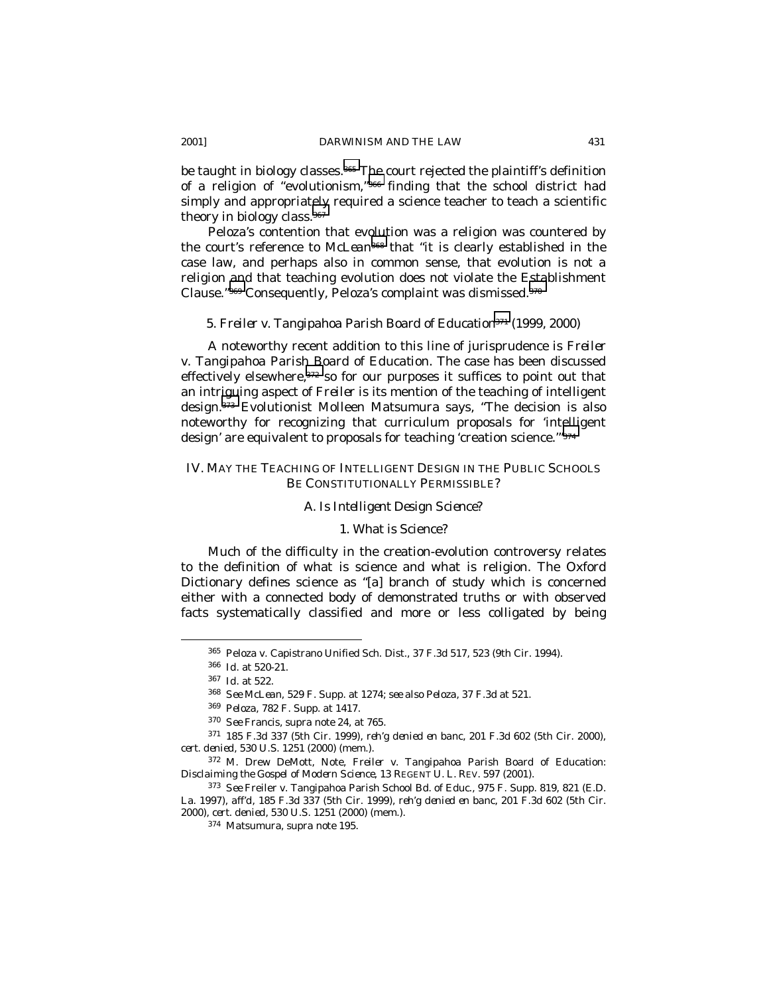be taught in biology classes.<sup>365</sup> The court rejected the plaintiff's definition of a religion of "evolutionism,"366 finding that the school district had simply and appropriately required a science teacher to teach a scientific theory in biology class.367

Peloza's contention that evolution was a religion was countered by the court's reference to *McLean*368 that "it is clearly established in the case law, and perhaps also in common sense, that evolution is not a religion and that teaching evolution does not violate the Establishment Clause."369 Consequently, Peloza's complaint was dismissed.370

## 5. *Freiler v. Tangipahoa Parish Board of Education*371 (1999, 2000)

A noteworthy recent addition to this line of jurisprudence is *Freiler v. Tangipahoa Parish Board of Education*. The case has been discussed effectively elsewhere,372 so for our purposes it suffices to point out that an intriguing aspect of *Freiler* is its mention of the teaching of intelligent design.373 Evolutionist Molleen Matsumura says, "The decision is also noteworthy for recognizing that curriculum proposals for 'intelligent design' are equivalent to proposals for teaching 'creation science.'"374

## IV. MAY THE TEACHING OF INTELLIGENT DESIGN IN THE PUBLIC SCHOOLS BE CONSTITUTIONALLY PERMISSIBLE?

#### *A. Is Intelligent Design Science?*

## 1. What is Science?

Much of the difficulty in the creation-evolution controversy relates to the definition of what is science and what is religion. The Oxford Dictionary defines science as "[a] branch of study which is concerned either with a connected body of demonstrated truths or with observed facts systematically classified and more or less colligated by being

<sup>365</sup> Peloza v. Capistrano Unified Sch. Dist., 37 F.3d 517, 523 (9th Cir. 1994).

<sup>366</sup> *Id*. at 520-21.

<sup>367</sup> *Id*. at 522.

<sup>368</sup> *See McLean*, 529 F. Supp. at 1274; *see also Peloza*, 37 F.3d at 521.

<sup>369</sup> *Peloza*, 782 F. Supp. at 1417.

<sup>370</sup> *See* Francis, *supra* note 24, at 765.

<sup>371 185</sup> F.3d 337 (5th Cir. 1999), *reh'g denied en banc*, 201 F.3d 602 (5th Cir. 2000), *cert. denied*, 530 U.S. 1251 (2000) (mem.).

<sup>372</sup> M. Drew DeMott, Note, *Freiler v. Tangipahoa Parish Board of Education: Disclaiming the Gospel of Modern Science*, 13 REGENT U. L. REV. 597 (2001).

<sup>373</sup> *See* Freiler v. Tangipahoa Parish School Bd. of Educ., 975 F. Supp. 819, 821 (E.D. La. 1997), *aff'd*, 185 F.3d 337 (5th Cir. 1999), *reh'g denied en banc*, 201 F.3d 602 (5th Cir. 2000), *cert. denied*, 530 U.S. 1251 (2000) (mem.).

<sup>374</sup> Matsumura, *supra* note 195.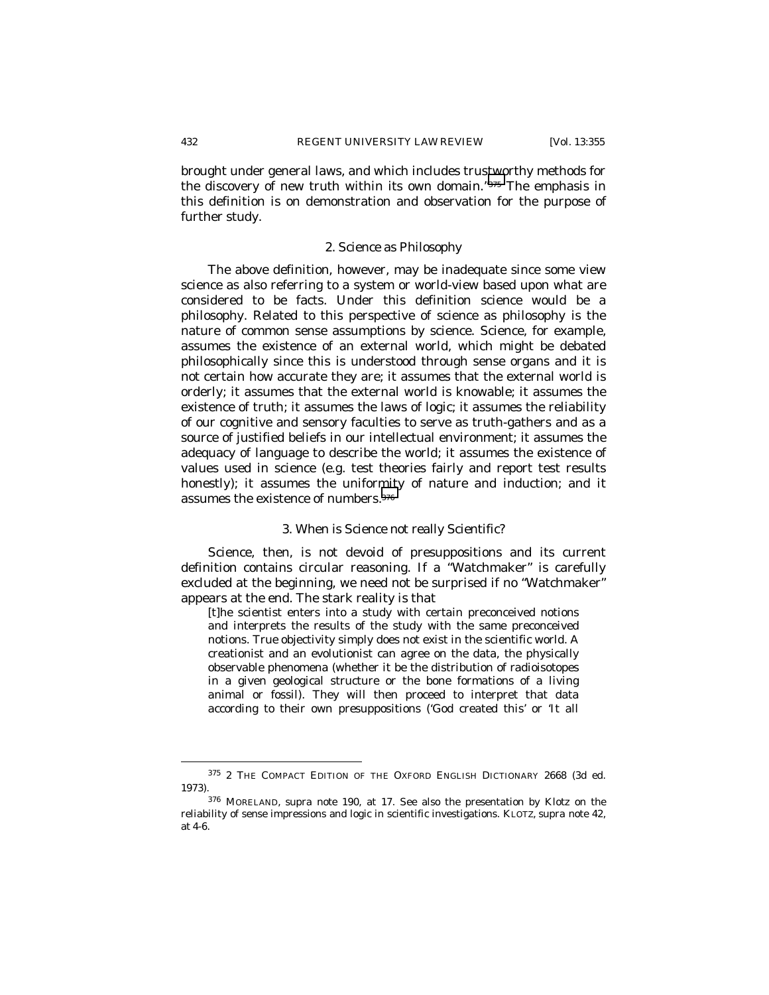brought under general laws, and which includes trustworthy methods for the discovery of new truth within its own domain."375 The emphasis in this definition is on demonstration and observation for the purpose of further study.

### 2. Science as Philosophy

The above definition, however, may be inadequate since some view science as also referring to a system or world-view based upon what are considered to be facts. Under this definition science would be a philosophy. Related to this perspective of science as philosophy is the nature of common sense assumptions by science. Science, for example, assumes the existence of an external world, which might be debated philosophically since this is understood through sense organs and it is not certain how accurate they are; it assumes that the external world is orderly; it assumes that the external world is knowable; it assumes the existence of truth; it assumes the laws of logic; it assumes the reliability of our cognitive and sensory faculties to serve as truth-gathers and as a source of justified beliefs in our intellectual environment; it assumes the adequacy of language to describe the world; it assumes the existence of values used in science (e.g. test theories fairly and report test results honestly); it assumes the uniformity of nature and induction; and it assumes the existence of numbers.376

#### 3. When is Science not really Scientific?

Science, then, is not devoid of presuppositions and its current definition contains circular reasoning. If a "Watchmaker" is carefully excluded at the beginning, we need not be surprised if no "Watchmaker" appears at the end. The stark reality is that

[t]he scientist enters into a study with certain preconceived notions and interprets the results of the study with the same preconceived notions. True objectivity simply does not exist in the scientific world. A creationist and an evolutionist can agree on the data, the physically observable phenomena (whether it be the distribution of radioisotopes in a given geological structure or the bone formations of a living animal or fossil). They will then proceed to interpret that data according to their own presuppositions ('God created this' or 'It all

<sup>375 2</sup> THE COMPACT EDITION OF THE OXFORD ENGLISH DICTIONARY 2668 (3d ed. 1973).

<sup>376</sup> MORELAND, *supra* note 190, at 17. See also the presentation by Klotz on the reliability of sense impressions and logic in scientific investigations. KLOTZ, *supra* note 42, at 4-6.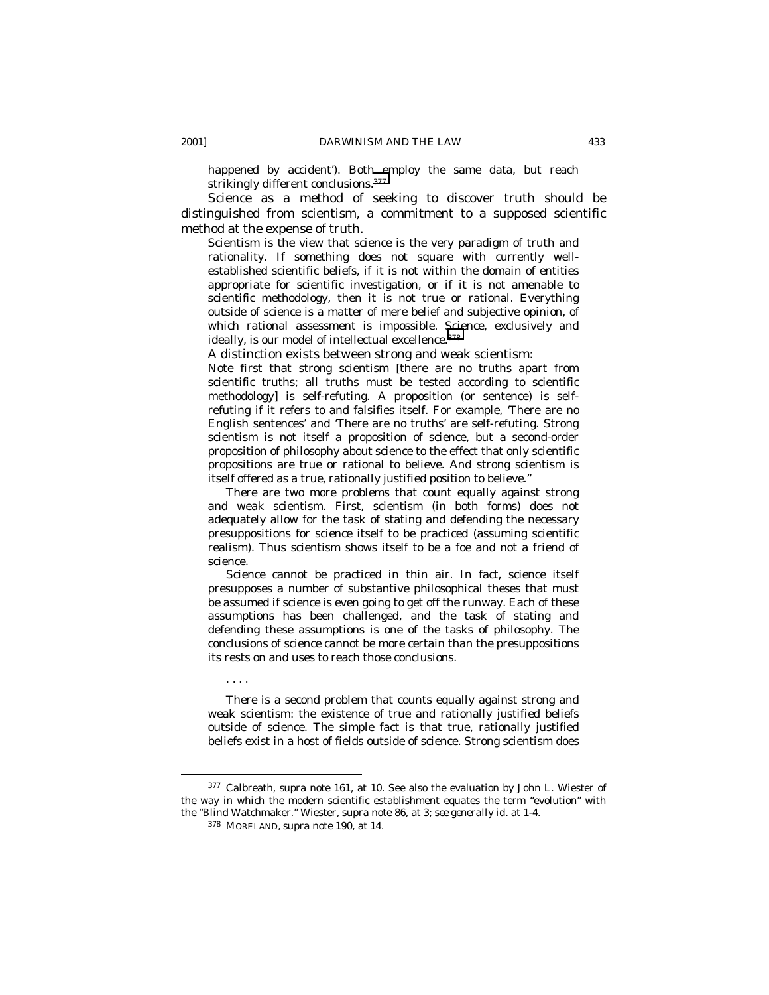happened by accident'). Both employ the same data, but reach strikingly different conclusions.377

Science as a method of seeking to discover truth should be distinguished from scientism, a commitment to a supposed scientific method at the expense of truth.

Scientism is the view that science is the very paradigm of truth and rationality. If something does not square with currently wellestablished scientific beliefs, if it is not within the domain of entities appropriate for scientific investigation, or if it is not amenable to scientific methodology, then it is not true or rational. Everything outside of science is a matter of mere belief and subjective opinion, of which rational assessment is impossible. Science, exclusively and ideally, is our model of intellectual excellence. 378

A distinction exists between strong and weak scientism:

Note first that strong scientism [there are no truths apart from scientific truths; all truths must be tested according to scientific methodology] is self-refuting. A proposition (or sentence) is selfrefuting if it refers to and falsifies itself. For example, 'There are no English sentences' and 'There are no truths' are self-refuting. Strong scientism is not itself a proposition *of* science, but a second-order proposition *of* philosophy *about* science to the effect that only scientific propositions are true or rational to believe. And strong scientism is itself offered as a true, rationally justified position to believe."

There are two more problems that count equally against strong and weak scientism. First, scientism (in both forms) does not adequately allow for the task of stating and defending the necessary presuppositions for science itself to be practiced (assuming scientific realism). Thus scientism shows itself to be a foe and not a friend of science.

Science cannot be practiced in thin air. In fact, science itself presupposes a number of substantive philosophical theses that must be assumed if science is even going to get off the runway. Each of these assumptions has been challenged, and the task of stating and defending these assumptions is one of the tasks of philosophy. The conclusions of science cannot be more certain than the presuppositions its rests on and uses to reach those conclusions.

There is a second problem that counts equally against strong and weak scientism: the existence of true and rationally justified beliefs outside of science. The simple fact is that true, rationally justified beliefs exist in a host of fields outside of science. Strong scientism does

. . . .

<sup>377</sup> Calbreath, *supra* note 161, at 10. See also the evaluation by John L. Wiester of the way in which the modern scientific establishment equates the term "evolution" with the "Blind Watchmaker." Wiester, *supra* note 86, at 3; *see generally id.* at 1-4.

<sup>378</sup> MORELAND, *supra* note 190, at 14.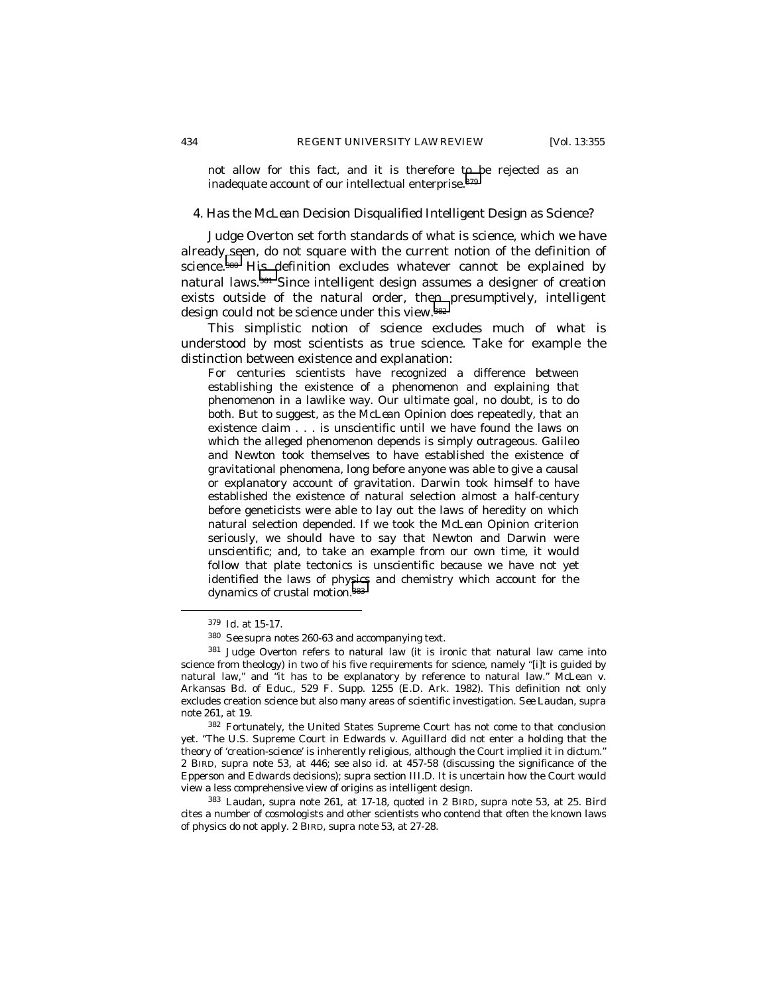not allow for this fact, and it is therefore to be rejected as an inadequate account of our intellectual enterprise.379

## 4. Has the *McLean* Decision Disqualified Intelligent Design as Science?

Judge Overton set forth standards of what is science, which we have already seen, do not square with the current notion of the definition of science.380 His definition excludes whatever cannot be explained by natural laws.381 Since intelligent design assumes a designer of creation exists outside of the natural order, then presumptively, intelligent design could not be science under this view.382

This simplistic notion of science excludes much of what is understood by most scientists as true science. Take for example the distinction between existence and explanation:

For centuries scientists have recognized a difference between establishing the existence of a phenomenon and explaining that phenomenon in a lawlike way. Our ultimate goal, no doubt, is to do both. But to suggest, as the *McLean* Opinion does repeatedly, that an existence claim . . . is unscientific until we have found the laws on which the alleged phenomenon depends is simply outrageous. Galileo and Newton took themselves to have established the existence of gravitational phenomena, long before anyone was able to give a causal or explanatory account of gravitation. Darwin took himself to have established the existence of natural selection almost a half-century before geneticists were able to lay out the laws of heredity on which natural selection depended. If we took the *McLean* Opinion criterion seriously, we should have to say that Newton and Darwin were unscientific; and, to take an example from our own time, it would follow that plate tectonics is unscientific because we have not yet identified the laws of physics and chemistry which account for the dynamics of crustal motion.383

l

383 Laudan, *supra* note 261, at 17-18, *quoted in* 2 BIRD, *supra* note 53, at 25. Bird cites a number of cosmologists and other scientists who contend that often the known laws of physics do not apply. 2 BIRD, *supra* note 53, at 27-28.

<sup>379</sup> *Id*. at 15-17.

<sup>380</sup> *See supra* notes 260-63 and accompanying text.

<sup>381</sup> Judge Overton refers to natural law (it is ironic that natural law came into science from theology) in two of his five requirements for science, namely "[i]t is guided by natural law," and "it has to be explanatory by reference to natural law." McLean v. Arkansas Bd. of Educ., 529 F. Supp. 1255 (E.D. Ark. 1982). This definition not only excludes creation science but also many areas of scientific investigation. *See* Laudan, *supra* note 261, at 19.

<sup>382</sup> Fortunately, the United States Supreme Court has not come to that conclusion yet. "The U.S. Supreme Court in *Edwards v. Aguillard* did not enter a holding that the theory of 'creation-science' is inherently religious, although the Court implied it in dictum." 2 BIRD, *supra* note 53, at 446; *see also id.* at 457-58 (discussing the significance of the *Epperson* and *Edwards* decisions); *supra* section III.D. It is uncertain how the Court would view a less comprehensive view of origins as intelligent design.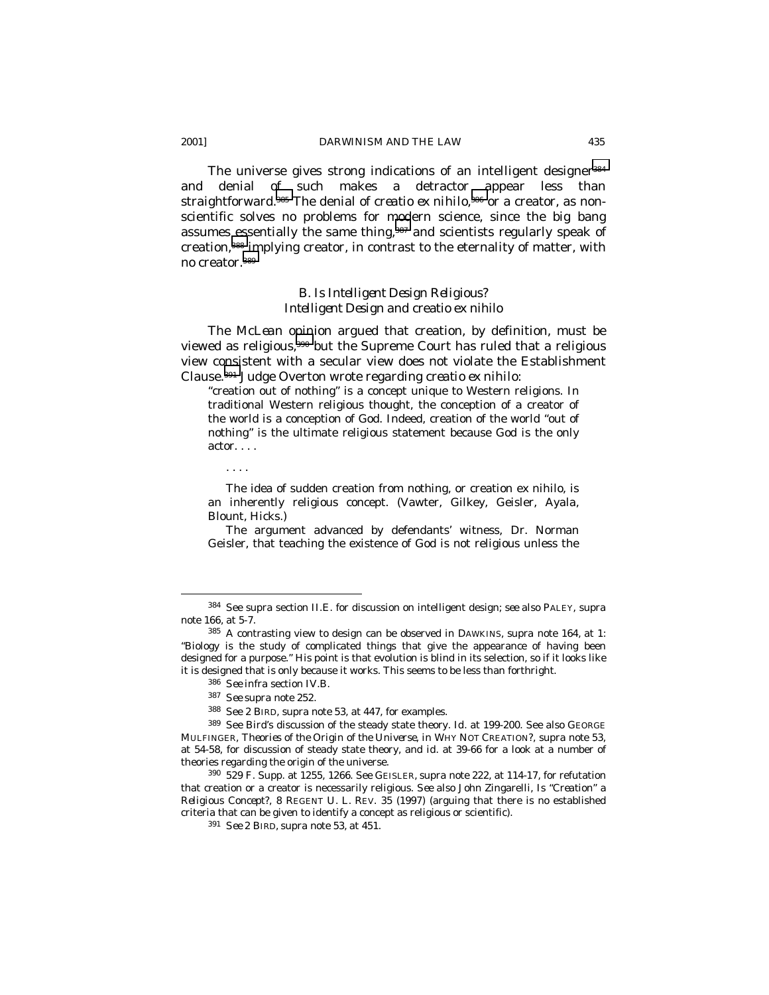#### 2001] *DARWINISM AND THE LAW* 435

The universe gives strong indications of an intelligent designer<sup>384</sup> and denial of such makes a detractor appear less than straightforward.<sup>385</sup> The denial of *creatio ex nihilo*,<sup>386</sup> or a creator, as nonscientific solves no problems for modern science, since the big bang assumes essentially the same thing,<sup>387</sup> and scientists regularly speak of creation,388 implying creator, in contrast to the eternality of matter, with no creator.389

# *B. Is Intelligent Design Religious? Intelligent Design and* creatio ex nihilo

The *McLean* opinion argued that creation, by definition, must be viewed as religious,390 but the Supreme Court has ruled that a religious view consistent with a secular view does not violate the Establishment Clause.391 Judge Overton wrote regarding *creatio ex nihilo*:

"creation out of nothing" is a concept unique to Western religions. In traditional Western religious thought, the conception of a creator of the world is a conception of God. Indeed, creation of the world "out of nothing" is the ultimate religious statement because God is the only actor. . . .

. . . .

 $\overline{\phantom{a}}$ 

The idea of sudden creation from nothing, or creation ex nihilo, is an inherently religious concept. (Vawter, Gilkey, Geisler, Ayala, Blount, Hicks.)

The argument advanced by defendants' witness, Dr. Norman Geisler, that teaching the existence of God is not religious unless the

<sup>384</sup> See *supra* section II.E. for discussion on intelligent design; *see also* PALEY, *supra* note 166, at 5-7.

<sup>385</sup> A contrasting view to design can be observed in DAWKINS, *supra* note 164, at 1: "Biology is the study of complicated things that give the appearance of having been designed for a purpose." His point is that evolution is blind in its selection, so if it looks like it is designed that is only because it works. This seems to be less than forthright.

<sup>386</sup> *See infra* section IV.B.

<sup>387</sup> *See supra* note 252.

<sup>388</sup> See 2 BIRD, *supra* note 53, at 447, for examples.

<sup>389</sup> See Bird's discussion of the steady state theory. *Id*. at 199-200. See also GEORGE MULFINGER, *Theories of the Origin of the Universe*, *in* WHY NOT CREATION?, *supra* note 53, at 54-58, for discussion of steady state theory, and *id.* at 39-66 for a look at a number of theories regarding the origin of the universe.

<sup>390 529</sup> F. Supp. at 1255, 1266. See GEISLER, *supra* note 222, at 114-17, for refutation that creation or a creator is necessarily religious. *See also* John Zingarelli, *Is "Creation" a Religious Concept*?, 8 REGENT U. L. REV. 35 (1997) (arguing that there is no established criteria that can be given to identify a concept as religious or scientific).

<sup>391</sup> *See* 2 BIRD, *supra* note 53, at 451.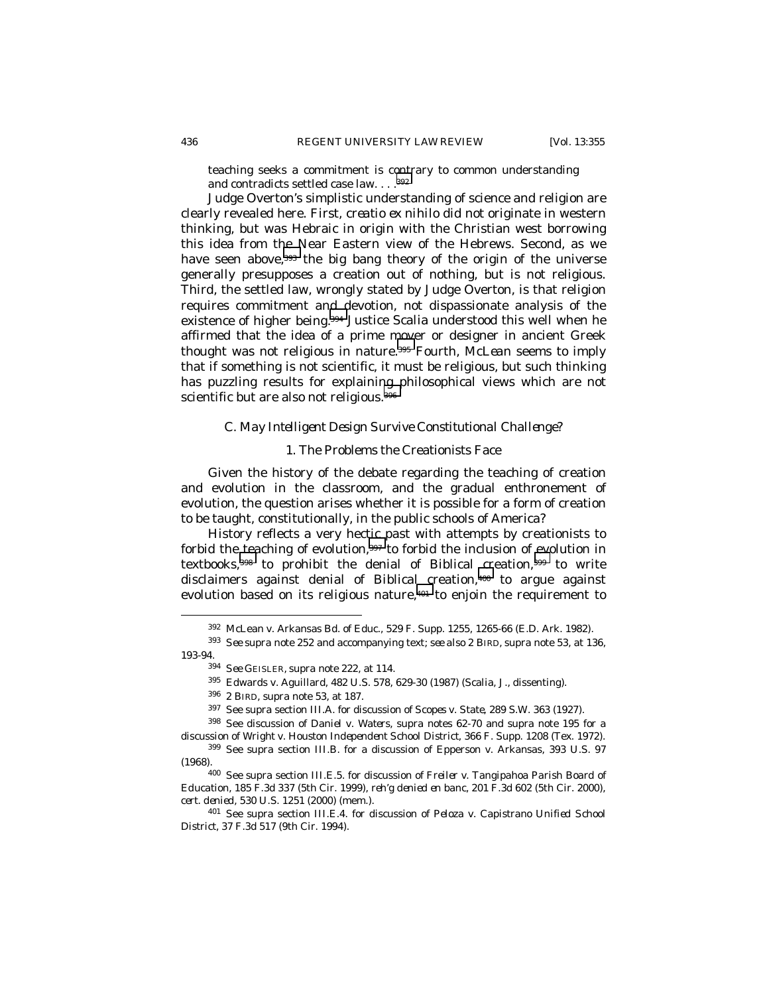teaching seeks a commitment is contrary to common understanding and contradicts settled case law.  $\ldots$ <sup>392</sup>

Judge Overton's simplistic understanding of science and religion are clearly revealed here. First, *creatio ex nihilo* did not originate in western thinking, but was Hebraic in origin with the Christian west borrowing this idea from the Near Eastern view of the Hebrews. Second, as we have seen above,<sup>393</sup> the big bang theory of the origin of the universe generally presupposes a creation out of nothing, but is not religious. Third, the settled law, wrongly stated by Judge Overton, is that religion requires commitment and devotion, not dispassionate analysis of the existence of higher being.394 Justice Scalia understood this well when he affirmed that the idea of a prime mover or designer in ancient Greek thought was not religious in nature.395 Fourth, *McLean* seems to imply that if something is not scientific, it must be religious, but such thinking has puzzling results for explaining philosophical views which are not scientific but are also not religious.396

## *C. May Intelligent Design Survive Constitutional Challenge?*

## 1. The Problems the Creationists Face

Given the history of the debate regarding the teaching of creation and evolution in the classroom, and the gradual enthronement of evolution, the question arises whether it is possible for a form of creation to be taught, constitutionally, in the public schools of America?

History reflects a very hectic past with attempts by creationists to forbid the teaching of evolution,<sup>397</sup> to forbid the inclusion of evolution in textbooks,398 to prohibit the denial of Biblical creation,399 to write disclaimers against denial of Biblical creation,400 to argue against evolution based on its religious nature,<sup>401</sup> to enjoin the requirement to

395 Edwards v. Aguillard, 482 U.S. 578, 629-30 (1987) (Scalia, J., dissenting).

<sup>392</sup> McLean v. Arkansas Bd. of Educ., 529 F. Supp. 1255, 1265-66 (E.D. Ark. 1982).

<sup>393</sup> *See supra* note 252 and accompanying text; *see also* 2 BIRD, *supra* note 53, at 136, 193-94.

<sup>394</sup> *See* GEISLER, *supra* note 222, at 114.

<sup>396 2</sup> BIRD, *supra* note 53, at 187.

<sup>397</sup> See *supra* section III.A. for discussion of *Scopes v. State*, 289 S.W. 363 (1927).

<sup>398</sup> See discussion of *Daniel v. Waters*, *supra* notes 62-70 and *supra* note 195 for a discussion of *Wright v. Houston Independent School District*, 366 F. Supp. 1208 (Tex. 1972).

<sup>399</sup> See *supra* section III.B. for a discussion of Epperson v. Arkansas, 393 U.S. 97 (1968).

<sup>400</sup> See *supra* section III.E.5. for discussion of *Freiler v. Tangipahoa Parish Board of Education*, 185 F.3d 337 (5th Cir. 1999), *reh'g denied en banc*, 201 F.3d 602 (5th Cir. 2000), *cert. denied*, 530 U.S. 1251 (2000) (mem.).

<sup>401</sup> See *supra* section III.E.4. for discussion of *Peloza v. Capistrano Unified School District*, 37 F.3d 517 (9th Cir. 1994).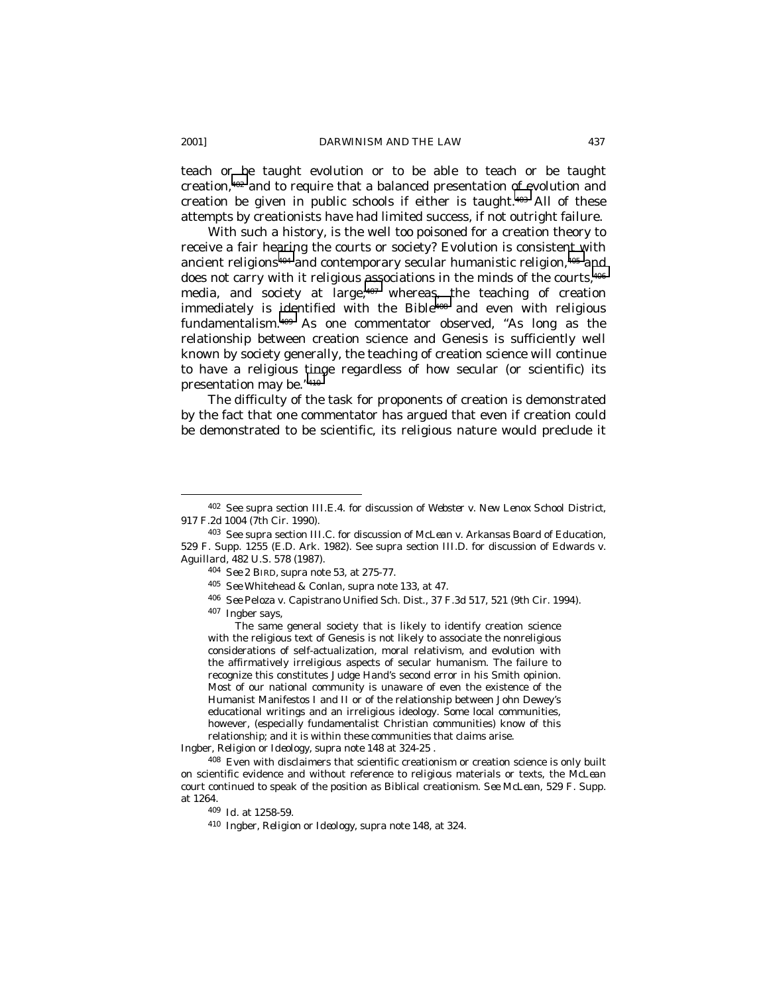teach or be taught evolution or to be able to teach or be taught creation,402 and to require that a balanced presentation of evolution and creation be given in public schools if either is taught.403 All of these attempts by creationists have had limited success, if not outright failure.

With such a history, is the well too poisoned for a creation theory to receive a fair hearing the courts or society? Evolution is consistent with ancient religions<sup>404</sup> and contemporary secular humanistic religion,<sup>405</sup> and does not carry with it religious associations in the minds of the courts, 406 media, and society at large;<sup>407</sup> whereas, the teaching of creation  $immediately$  is identified with the Bible $408$  and even with religious fundamentalism.409 As one commentator observed, "As long as the relationship between creation science and Genesis is sufficiently well known by society generally, the teaching of creation science will continue to have a religious tinge regardless of how secular (or scientific) its presentation may be."410

The difficulty of the task for proponents of creation is demonstrated by the fact that one commentator has argued that even if creation could be demonstrated to be scientific, its religious nature would preclude it

Ingber, *Religion or Ideology*, *supra* note 148 at 324-25 .

<sup>402</sup> See *supra* section III.E.4. for discussion of *Webster v. New Lenox School District*, 917 F.2d 1004 (7th Cir. 1990).

<sup>403</sup> See *supra* section III.C. for discussion of *McLean v. Arkansas Board of Education*, 529 F. Supp. 1255 (E.D. Ark. 1982). See *supra* section III.D. for discussion of *Edwards v. Aguillard*, 482 U.S. 578 (1987).

<sup>404</sup> *See* 2 BIRD, *supra* note 53, at 275-77.

<sup>405</sup> *See* Whitehead & Conlan, *supra* note 133, at 47.

<sup>406</sup> *See* Peloza v. Capistrano Unified Sch. Dist., 37 F.3d 517, 521 (9th Cir. 1994).

<sup>407</sup> Ingber says,

The same general society that is likely to identify creation science with the religious text of Genesis is not likely to associate the nonreligious considerations of self-actualization, moral relativism, and evolution with the affirmatively irreligious aspects of secular humanism. The failure to recognize this constitutes Judge Hand's second error in his Smith opinion. Most of our national community is unaware of even the existence of the Humanist Manifestos I and II or of the relationship between John Dewey's educational writings and an irreligious ideology. Some local communities, however, (especially fundamentalist Christian communities) know of this relationship; and it is within these communities that claims arise.

 $408$  Even with disclaimers that scientific creationism or creation science is only built on scientific evidence and without reference to religious materials or texts, the *McLean* court continued to speak of the position as Biblical creationism. *See McLean*, 529 F. Supp. at 1264.

<sup>409</sup> *Id.* at 1258-59.

<sup>410</sup> Ingber, *Religion or Ideology*, *supra* note 148, at 324.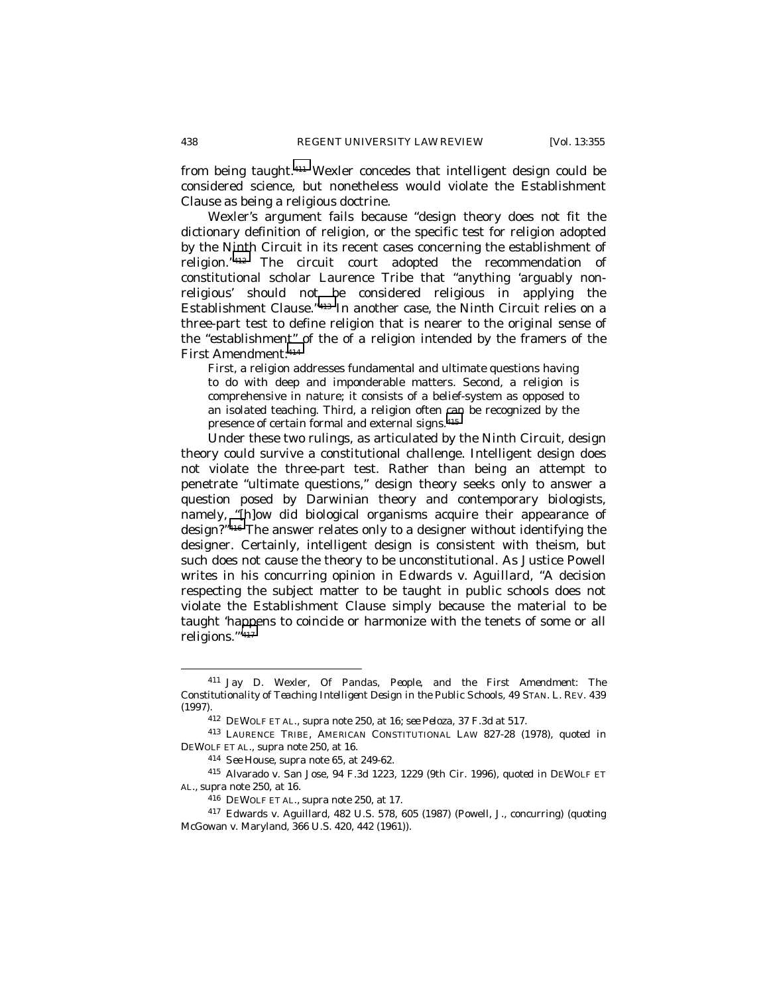from being taught.411 Wexler concedes that intelligent design could be considered science, but nonetheless would violate the Establishment Clause as being a religious doctrine.

Wexler's argument fails because "design theory does not fit the dictionary definition of religion, or the specific test for religion adopted by the Ninth Circuit in its recent cases concerning the establishment of religion."412 The circuit court adopted the recommendation of constitutional scholar Laurence Tribe that "anything 'arguably nonreligious' should not be considered religious in applying the Establishment Clause."413 In another case, the Ninth Circuit relies on a three-part test to define religion that is nearer to the original sense of the "establishment" of the of a religion intended by the framers of the First Amendment:414

First, a religion addresses fundamental and ultimate questions having to do with deep and imponderable matters. Second, a religion is comprehensive in nature; it consists of a belief-system as opposed to an isolated teaching. Third, a religion often can be recognized by the presence of certain formal and external signs.415

Under these two rulings, as articulated by the Ninth Circuit, design theory could survive a constitutional challenge. Intelligent design does not violate the three-part test. Rather than being an attempt to penetrate "ultimate questions," design theory seeks only to answer a question posed by Darwinian theory and contemporary biologists, namely, "[h]ow did biological organisms acquire their appearance of design?"416 The answer relates only to a designer without identifying the designer. Certainly, intelligent design is consistent with theism, but such does not cause the theory to be unconstitutional. As Justice Powell writes in his concurring opinion in *Edwards v. Aguillard*, "A decision respecting the subject matter to be taught in public schools does not violate the Establishment Clause simply because the material to be taught 'happens to coincide or harmonize with the tenets of some or all religions.'"417

<sup>411</sup> Jay D. Wexler, *Of Pandas, People, and the First Amendment: The Constitutionality of Teaching Intelligent Design in the Public Schools*, 49 STAN. L. REV. 439 (1997).

<sup>412</sup> DEWOLF ET AL., *supra* note 250, at 16; *see Peloza*, 37 F.3d at 517.

<sup>413</sup> LAURENCE TRIBE, AMERICAN CONSTITUTIONAL LAW 827-28 (1978), *quoted in* DEWOLF ET AL., *supra* note 250, at 16.

<sup>414</sup> *See* House, *supra* note 65, at 249-62.

<sup>415</sup> Alvarado v. San Jose, 94 F.3d 1223, 1229 (9th Cir. 1996), *quoted in* DEWOLF ET AL., *supra* note 250, at 16.

<sup>416</sup> DEWOLF ET AL., *supra* note 250, at 17.

<sup>417</sup> Edwards v. Aguillard, 482 U.S. 578, 605 (1987) (Powell, J., concurring) (quoting McGowan v. Maryland, 366 U.S. 420, 442 (1961)).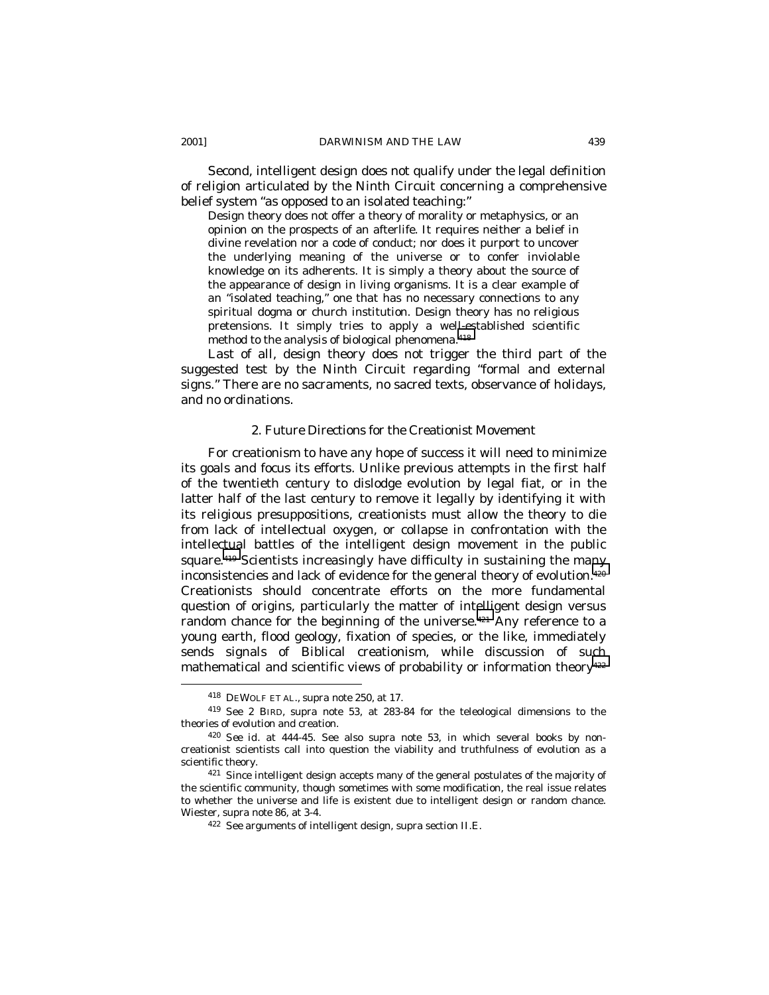Second, intelligent design does not qualify under the legal definition of religion articulated by the Ninth Circuit concerning a comprehensive belief system "as opposed to an isolated teaching:"

Design theory does not offer a theory of morality or metaphysics, or an opinion on the prospects of an afterlife. It requires neither a belief in divine revelation nor a code of conduct; nor does it purport to uncover the underlying meaning of the universe or to confer inviolable knowledge on its adherents. It is simply a theory about the source of the appearance of design in living organisms. It is a clear example of an "isolated teaching," one that has no necessary connections to any spiritual dogma or church institution. Design theory has no religious pretensions. It simply tries to apply a well-established scientific method to the analysis of biological phenomena.418

Last of all, design theory does not trigger the third part of the suggested test by the Ninth Circuit regarding "formal and external signs." There are no sacraments, no sacred texts, observance of holidays, and no ordinations.

#### 2. Future Directions for the Creationist Movement

For creationism to have any hope of success it will need to minimize its goals and focus its efforts. Unlike previous attempts in the first half of the twentieth century to dislodge evolution by legal fiat, or in the latter half of the last century to remove it legally by identifying it with its religious presuppositions, creationists must allow the theory to die from lack of intellectual oxygen, or collapse in confrontation with the intellectual battles of the intelligent design movement in the public square.419 Scientists increasingly have difficulty in sustaining the many inconsistencies and lack of evidence for the general theory of evolution.<sup>420</sup> Creationists should concentrate efforts on the more fundamental question of origins, particularly the matter of intelligent design versus random chance for the beginning of the universe.<sup>421</sup> Any reference to a young earth, flood geology, fixation of species, or the like, immediately sends signals of Biblical creationism, while discussion of such mathematical and scientific views of probability or information theory422

<sup>418</sup> DEWOLF ET AL., *supra* note 250, at 17.

<sup>419</sup> See 2 BIRD, *supra* note 53, at 283-84 for the teleological dimensions to the theories of evolution and creation.

<sup>420</sup> *See id*. at 444-45. See also *supra* note 53, in which several books by noncreationist scientists call into question the viability and truthfulness of evolution as a scientific theory.

<sup>&</sup>lt;sup>421</sup> Since intelligent design accepts many of the general postulates of the majority of the scientific community, though sometimes with some modification, the real issue relates to whether the universe and life is existent due to intelligent design or random chance. Wiester, *supra* note 86, at 3-4.

<sup>422</sup> See arguments of intelligent design, *supra* section II.E.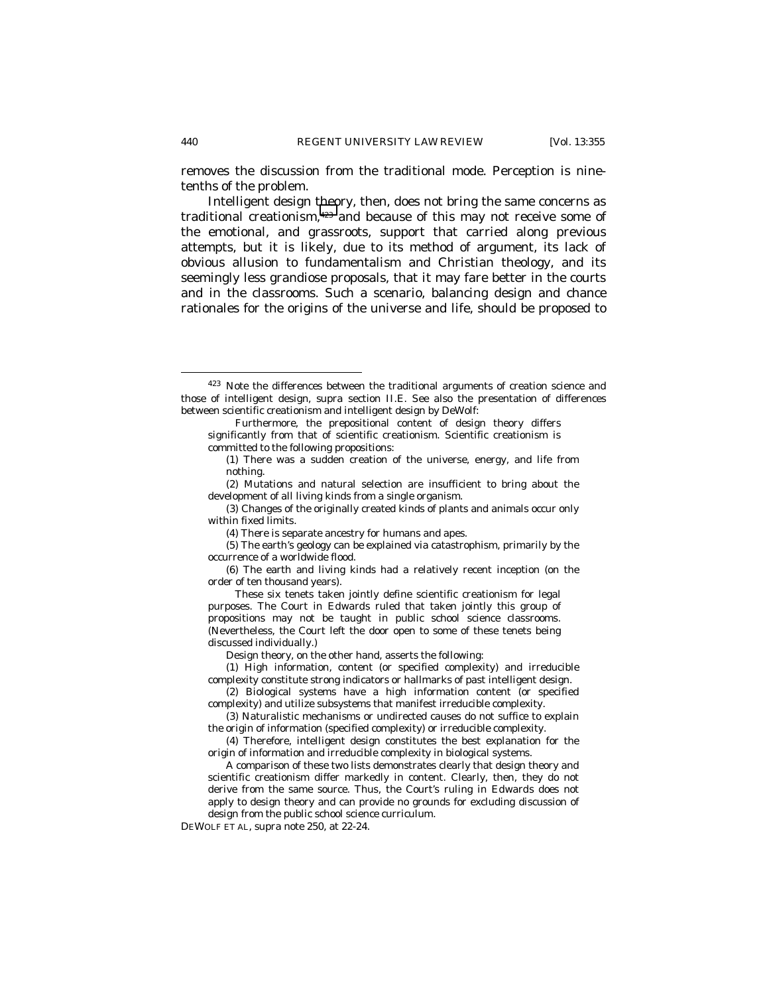removes the discussion from the traditional mode. Perception is ninetenths of the problem.

Intelligent design theory, then, does not bring the same concerns as traditional creationism,423 and because of this may not receive some of the emotional, and grassroots, support that carried along previous attempts, but it is likely, due to its method of argument, its lack of obvious allusion to fundamentalism and Christian theology, and its seemingly less grandiose proposals, that it may fare better in the courts and in the classrooms. Such a scenario, balancing design and chance rationales for the origins of the universe and life, should be proposed to

(2) Mutations and natural selection are insufficient to bring about the development of all living kinds from a single organism.

(3) Changes of the originally created kinds of plants and animals occur only within fixed limits.

(4) There is separate ancestry for humans and apes.

(5) The earth's geology can be explained via catastrophism, primarily by the occurrence of a worldwide flood.

(6) The earth and living kinds had a relatively recent inception (on the order of ten thousand years).

These six tenets taken jointly define scientific creationism for legal purposes. The Court in *Edwards* ruled that taken jointly this group of propositions may not be taught in public school science classrooms. (Nevertheless, the Court left the door open to some of these tenets being discussed individually.)

Design theory, on the other hand, asserts the following:

(1) High information, content (or specified complexity) and irreducible complexity constitute strong indicators or hallmarks of past intelligent design.

(2) Biological systems have a high information content (or specified complexity) and utilize subsystems that manifest irreducible complexity.

(3) Naturalistic mechanisms or undirected causes do not suffice to explain the origin of information (specified complexity) or irreducible complexity.

(4) Therefore, intelligent design constitutes the best explanation for the origin of information and irreducible complexity in biological systems.

A comparison of these two lists demonstrates clearly that design theory and scientific creationism differ markedly in content. Clearly, then, they do not derive from the same source. Thus, the Court's ruling in *Edwards* does not apply to design theory and can provide no grounds for excluding discussion of design from the public school science curriculum.

DEWOLF ET AL, *supra* note 250, at 22-24.

<sup>423</sup> Note the differences between the traditional arguments of creation science and those of intelligent design, *supra* section II.E. See also the presentation of differences between scientific creationism and intelligent design by DeWolf:

Furthermore, the prepositional content of design theory differs significantly from that of scientific creationism. Scientific creationism is committed to the following propositions:

<sup>(1)</sup> There was a sudden creation of the universe, energy, and life from nothing.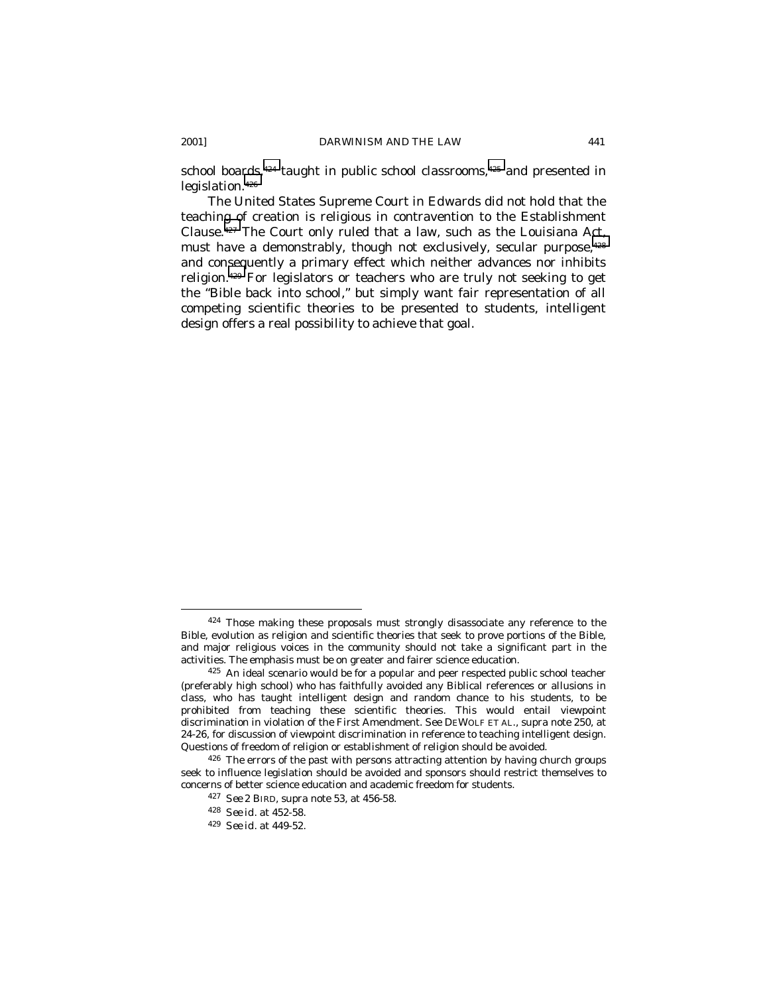school boards,<sup>424</sup> taught in public school classrooms,<sup>425</sup> and presented in legislation.426

The United States Supreme Court in *Edwards* did not hold that the teaching of creation is religious in contravention to the Establishment Clause.427 The Court only ruled that a law, such as the Louisiana Act, must have a demonstrably, though not exclusively, secular purpose, 428 and consequently a primary effect which neither advances nor inhibits religion.429 For legislators or teachers who are truly *not* seeking to get the "Bible back into school," but simply want fair representation of all competing scientific theories to be presented to students, intelligent design offers a real possibility to achieve that goal.

<sup>&</sup>lt;sup>424</sup> Those making these proposals must strongly disassociate any reference to the Bible, evolution as religion and scientific theories that seek to prove portions of the Bible, and major religious voices in the community should not take a significant part in the activities. The emphasis must be on greater and fairer science education.

<sup>&</sup>lt;sup>425</sup> An ideal scenario would be for a popular and peer respected public school teacher (preferably high school) who has faithfully avoided any Biblical references or allusions in class, who has taught intelligent design and random chance to his students, to be prohibited from teaching these scientific theories. This would entail viewpoint discrimination in violation of the First Amendment. See DEWOLF ET AL., *supra* note 250, at 24-26, for discussion of viewpoint discrimination in reference to teaching intelligent design. Questions of freedom of religion or establishment of religion should be avoided.

<sup>426</sup> The errors of the past with persons attracting attention by having church groups seek to influence legislation should be avoided and sponsors should restrict themselves to concerns of better science education and academic freedom for students.

<sup>427</sup> *See* 2 BIRD, *supra* note 53, at 456-58.

<sup>428</sup> *See id*. at 452-58.

<sup>429</sup> *See id*. at 449-52.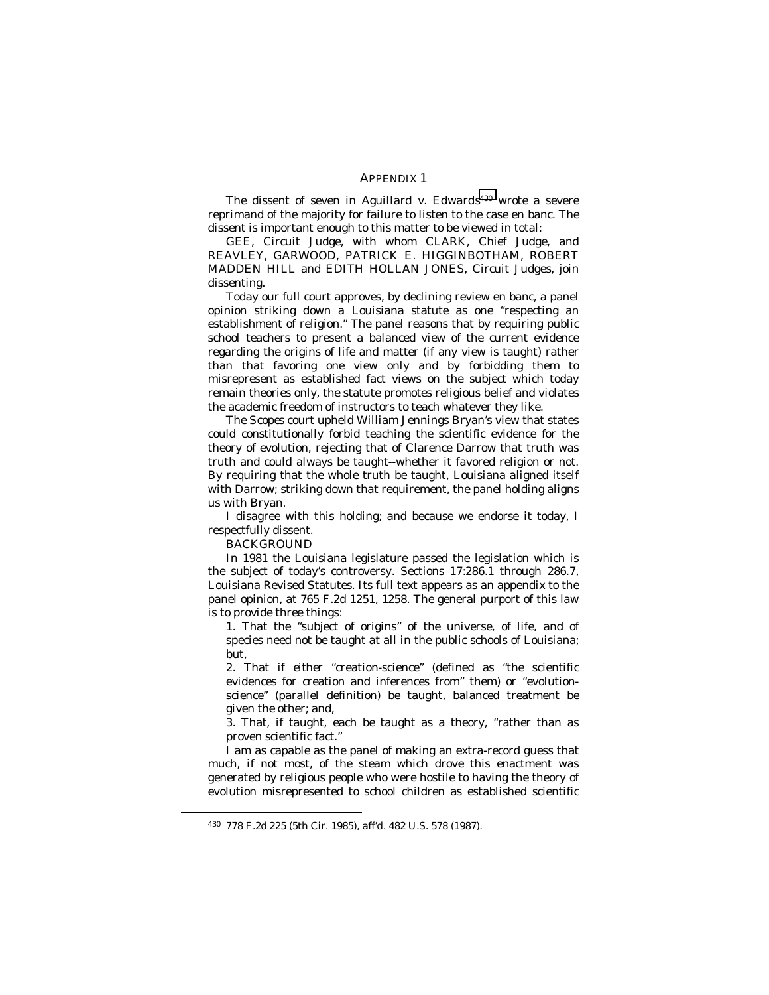## APPENDIX 1

The dissent of seven in *Aguillard v. Edwards*430 wrote a severe reprimand of the majority for failure to listen to the case en banc. The dissent is important enough to this matter to be viewed in total:

GEE, Circuit Judge, with whom CLARK, Chief Judge, and REAVLEY, GARWOOD, PATRICK E. HIGGINBOTHAM, ROBERT MADDEN HILL and EDITH HOLLAN JONES, Circuit Judges, join dissenting.

Today our full court approves, by declining review en banc, a panel opinion striking down a Louisiana statute as one "respecting an establishment of religion." The panel reasons that by requiring public school teachers to present a balanced view of the current evidence regarding the origins of life and matter (if any view is taught) rather than that favoring one view only and by forbidding them to misrepresent as established fact views on the subject which today remain theories only, the statute promotes religious belief and violates the academic freedom of instructors to teach whatever they like.

The *Scopes* court upheld William Jennings Bryan's view that states could constitutionally forbid teaching the scientific evidence for the theory of evolution, rejecting that of Clarence Darrow that truth was truth and could always be taught--whether it favored religion or not. By requiring that the whole truth be taught, Louisiana aligned itself with Darrow; striking down that requirement, the panel holding aligns us with Bryan.

I disagree with this holding; and because we endorse it today, I respectfully dissent.

BACKGROUND

 $\overline{a}$ 

In 1981 the Louisiana legislature passed the legislation which is the subject of today's controversy. Sections 17:286.1 through 286.7, Louisiana Revised Statutes. Its full text appears as an appendix to the panel opinion, at 765 F.2d 1251, 1258. The general purport of this law is to provide three things:

1. That the "subject of origins" of the universe, of life, and of species need not be taught at all in the public schools of Louisiana; but,

2. That if *either* "creation-science" (defined as "the scientific evidences for creation and inferences from" them) *or* "evolutionscience" (parallel definition) be taught, balanced treatment be given the other; and,

3. That, if taught, each be taught as a theory, "rather than as proven scientific fact."

I am as capable as the panel of making an extra-record guess that much, if not most, of the steam which drove this enactment was generated by religious people who were hostile to having the theory of evolution misrepresented to school children as established scientific

<sup>430 778</sup> F.2d 225 (5th Cir. 1985), *aff'd*. 482 U.S. 578 (1987).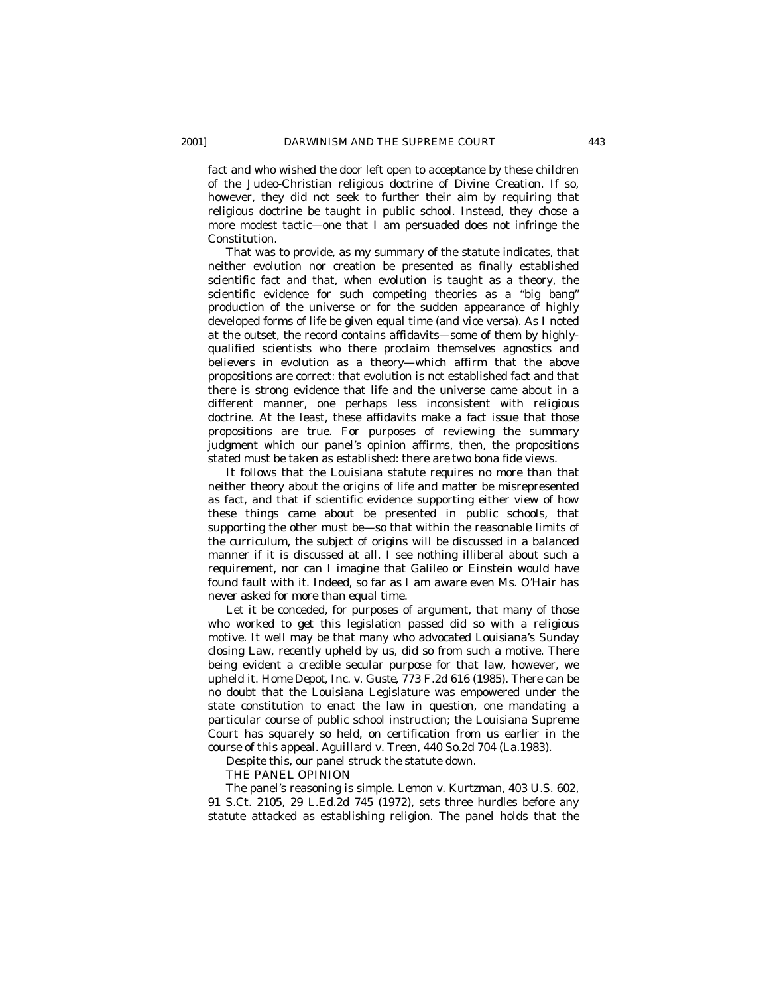fact and who wished the door left open to acceptance by these children of the Judeo-Christian religious doctrine of Divine Creation. If so, however, they did not seek to further their aim by requiring that religious doctrine be taught in public school. Instead, they chose a more modest tactic—one that I am persuaded does not infringe the Constitution.

That was to provide, as my summary of the statute indicates, that neither evolution nor creation be presented as finally established scientific fact and that, when evolution is taught as a theory, the scientific evidence for such competing theories as a "big bang" production of the universe or for the sudden appearance of highly developed forms of life be given equal time (and vice versa). As I noted at the outset, the record contains affidavits—some of them by highlyqualified scientists who there proclaim themselves agnostics and believers in evolution as a theory—which affirm that the above propositions are correct: that evolution is not established fact and that there is strong evidence that life and the universe came about in a different manner, one perhaps less inconsistent with religious doctrine. At the least, these affidavits make a fact issue that those propositions are true. For purposes of reviewing the summary judgment which our panel's opinion affirms, then, the propositions stated must be taken as established: there *are* two bona fide views.

It follows that the Louisiana statute requires no more than that neither theory about the origins of life and matter be misrepresented as fact, and that if scientific evidence supporting either view of how these things came about be presented in public schools, that supporting the other must be—so that within the reasonable limits of the curriculum, the subject of origins will be discussed in a balanced manner if it is discussed at all. I see nothing illiberal about such a requirement, nor can I imagine that Galileo or Einstein would have found fault with it. Indeed, so far as I am aware even Ms. O'Hair has never asked for more than equal time.

Let it be conceded, for purposes of argument, that many of those who worked to get this legislation passed did so with a religious motive. It well may be that many who advocated Louisiana's Sunday closing Law, recently upheld by us, did so from such a motive. There being evident a credible secular purpose for that law, however, we upheld it. *Home Depot, Inc. v. Guste,* 773 F.2d 616 (1985). There can be no doubt that the Louisiana Legislature was empowered under the state constitution to enact the law in question, one mandating a particular course of public school instruction; the Louisiana Supreme Court has squarely so held, on certification from us earlier in the course of this appeal. *Aguillard v. Treen,* 440 So.2d 704 (La.1983).

Despite this, our panel struck the statute down.

THE PANEL OPINION

The panel's reasoning is simple. *Lemon v. Kurtzman,* 403 U.S. 602, 91 S.Ct. 2105, 29 L.Ed.2d 745 (1972), sets three hurdles before any statute attacked as establishing religion. The panel holds that the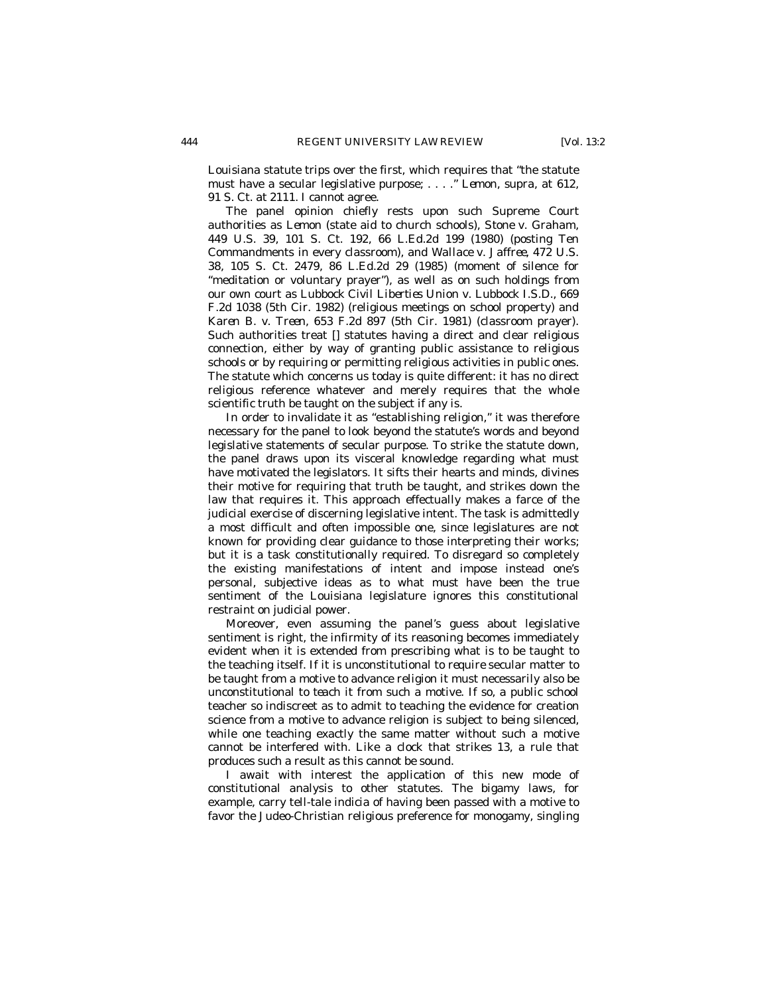Louisiana statute trips over the first, which requires that "the statute must have a secular legislative purpose; . . . ." *Lemon, supra,* at 612, 91 S. Ct. at 2111. I cannot agree.

The panel opinion chiefly rests upon such Supreme Court authorities as *Lemon* (state aid to church schools), *Stone v. Graham,* 449 U.S. 39, 101 S. Ct. 192, 66 L.Ed.2d 199 (1980) (posting Ten Commandments in every classroom), and *Wallace v. Jaffree,* 472 U.S. 38, 105 S. Ct. 2479, 86 L.Ed.2d 29 (1985) (moment of silence for "meditation or voluntary prayer"), as well as on such holdings from our own court as *Lubbock Civil Liberties Union v. Lubbock I.S.D.,* 669 F.2d 1038 (5th Cir. 1982) (religious meetings on school property) and *Karen B. v. Treen,* 653 F.2d 897 (5th Cir. 1981) (classroom prayer). Such authorities treat [] statutes having a direct and clear religious connection, either by way of granting public assistance to religious schools or by requiring or permitting religious activities in public ones. The statute which concerns us today is quite different: it has no direct religious reference whatever and merely requires that the whole scientific truth be taught on the subject if any is.

In order to invalidate it as "establishing religion," it was therefore necessary for the panel to look beyond the statute's words and beyond legislative statements of secular purpose. To strike the statute down, the panel draws upon its visceral knowledge regarding what must have motivated the legislators. It sifts their hearts and minds, divines their motive for requiring that truth be taught, and strikes down the law that requires it. This approach effectually makes a farce of the judicial exercise of discerning legislative intent. The task is admittedly a most difficult and often impossible one, since legislatures are not known for providing clear guidance to those interpreting their works; but it is a task constitutionally required. To disregard so completely the existing manifestations of intent and impose instead one's personal, subjective ideas as to what *must* have been the true sentiment of the Louisiana legislature ignores this constitutional restraint on judicial power.

Moreover, even assuming the panel's guess about legislative sentiment is right, the infirmity of its reasoning becomes immediately evident when it is extended from prescribing what is to be taught to the teaching itself. If it is unconstitutional to *require* secular matter to be taught from a motive to advance religion it must necessarily also be unconstitutional to *teach* it from such a motive. If so, a public school teacher so indiscreet as to admit to teaching the evidence for creation science from a motive to advance religion is subject to being silenced, while one teaching exactly the same matter without such a motive cannot be interfered with. Like a clock that strikes 13, a rule that produces such a result as this cannot be sound.

I await with interest the application of this new mode of constitutional analysis to other statutes. The bigamy laws, for example, carry tell-tale indicia of having been passed with a motive to favor the Judeo-Christian religious preference for monogamy, singling